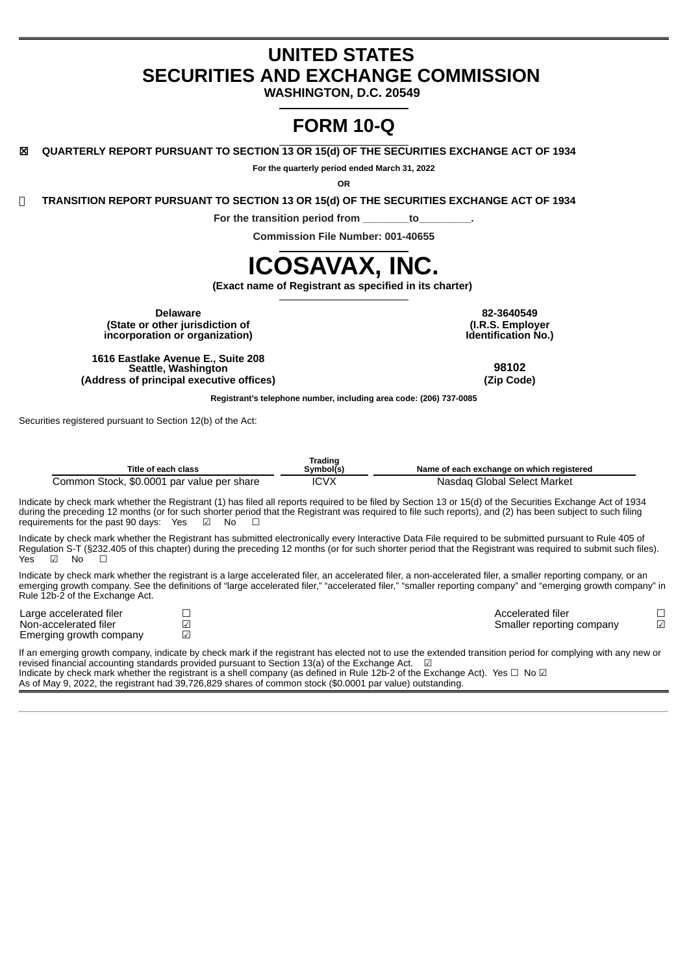# **UNITED STATES SECURITIES AND EXCHANGE COMMISSION**

**WASHINGTON, D.C. 20549**

# **FORM 10-Q**

☒ **QUARTERLY REPORT PURSUANT TO SECTION 13 OR 15(d) OF THE SECURITIES EXCHANGE ACT OF 1934**

**For the quarterly period ended March 31, 2022**

**OR**

**TRANSITION REPORT PURSUANT TO SECTION 13 OR 15(d) OF THE SECURITIES EXCHANGE ACT OF 1934**

**For the transition period from \_\_\_\_\_\_\_\_to\_\_\_\_\_\_\_\_\_.**

**Commission File Number: 001-40655**

# **ICOSAVAX, INC.**

**(Exact name of Registrant as specified in its charter)**

**Delaware 82-3640549 (State or other jurisdiction of incorporation or organization)**

**1616 Eastlake Avenue E., Suite 208 Seattle, Washington**<br> **Seattle, Washington**<br> **Seattle, Washington**<br> **example: 98102**<br> **example: 98102**<br> **example: 98102 (Address of principal executive offices) (Zip Code)**

**(I.R.S. Employer Identification No.)**

**Registrant's telephone number, including area code: (206) 737-0085**

Securities registered pursuant to Section 12(b) of the Act:

| Title of each class                                                                   | Trading<br>Symbol(s)                       | Name of each exchange on which registered                                                                                                                                                                                                                                                                                     |   |  |  |
|---------------------------------------------------------------------------------------|--------------------------------------------|-------------------------------------------------------------------------------------------------------------------------------------------------------------------------------------------------------------------------------------------------------------------------------------------------------------------------------|---|--|--|
| Common Stock, \$0.0001 par value per share                                            | Nasdag Global Select Market<br><b>ICVX</b> |                                                                                                                                                                                                                                                                                                                               |   |  |  |
| requirements for the past 90 days: Yes<br>No.<br>$\sqrt{ }$<br>$\Box$                 |                                            | Indicate by check mark whether the Registrant (1) has filed all reports required to be filed by Section 13 or 15(d) of the Securities Exchange Act of 1934<br>during the preceding 12 months (or for such shorter period that the Registrant was reguired to file such reports), and (2) has been subject to such filing      |   |  |  |
| ☑<br>No.<br>Yes.                                                                      |                                            | Indicate by check mark whether the Registrant has submitted electronically every Interactive Data File required to be submitted pursuant to Rule 405 of<br>Regulation S-T (§232.405 of this chapter) during the preceding 12 months (or for such shorter period that the Registrant was reguired to submit such files).       |   |  |  |
| Rule 12b-2 of the Exchange Act.                                                       |                                            | Indicate by check mark whether the registrant is a large accelerated filer, an accelerated filer, a non-accelerated filer, a smaller reporting company, or an<br>emerging growth company. See the definitions of "large accelerated filer," "accelerated filer," "smaller reporting company" and "emerging growth company" in |   |  |  |
| Large accelerated filer<br>☑<br>Non-accelerated filer<br>☑<br>Emerging growth company |                                            | Accelerated filer<br>Smaller reporting company                                                                                                                                                                                                                                                                                | ☑ |  |  |
|                                                                                       |                                            | If an emerging growth company, indicate by check mark if the registrant has elected not to use the extended transition period for complying with any new or                                                                                                                                                                   |   |  |  |

revised financial accounting standards provided pursuant to Section 13(a) of the Exchange Act. ☑ Indicate by check mark whether the registrant is a shell company (as defined in Rule 12b-2 of the Exchange Act). Yes  $\Box$  No  $\Box$ As of May 9, 2022, the registrant had 39,726,829 shares of common stock (\$0.0001 par value) outstanding.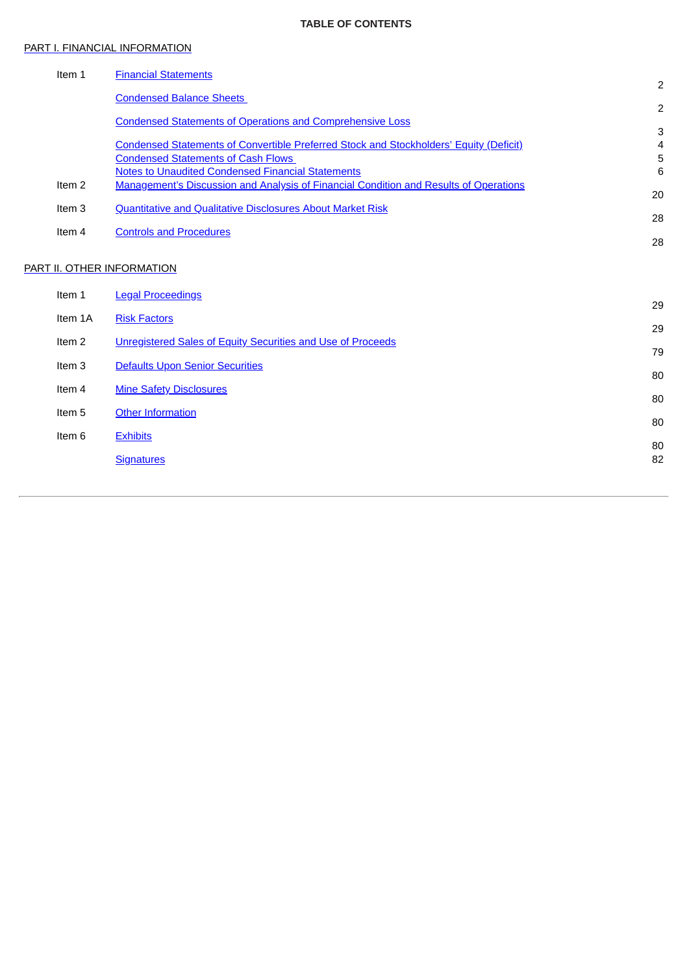# PART I. FINANCIAL [INFORMATION](#page-2-0)

| Item 1            | <b>Financial Statements</b>                                                                   |                |
|-------------------|-----------------------------------------------------------------------------------------------|----------------|
|                   |                                                                                               | $\mathbf 2$    |
|                   | <b>Condensed Balance Sheets</b>                                                               | $\overline{c}$ |
|                   | <b>Condensed Statements of Operations and Comprehensive Loss</b>                              |                |
|                   |                                                                                               | 3              |
|                   | <b>Condensed Statements of Convertible Preferred Stock and Stockholders' Equity (Deficit)</b> | 4              |
|                   | <b>Condensed Statements of Cash Flows</b>                                                     | 5              |
|                   | <b>Notes to Unaudited Condensed Financial Statements</b>                                      | 6              |
| Item <sub>2</sub> | <b>Management's Discussion and Analysis of Financial Condition and Results of Operations</b>  | 20             |
| Item 3            | <b>Quantitative and Qualitative Disclosures About Market Risk</b>                             |                |
|                   |                                                                                               | 28             |
| Item 4            | <b>Controls and Procedures</b>                                                                | 28             |
|                   |                                                                                               |                |
|                   | PART II. OTHER INFORMATION                                                                    |                |
| Item 1            | <b>Legal Proceedings</b>                                                                      |                |
|                   |                                                                                               | 29             |
| Item 1A           | <b>Risk Factors</b>                                                                           |                |
|                   |                                                                                               | 29             |
| Item <sub>2</sub> | Unregistered Sales of Equity Securities and Use of Proceeds                                   | 79             |
| Item 3            | <b>Defaults Upon Senior Securities</b>                                                        |                |
|                   |                                                                                               | 80             |
| Item 4            | <b>Mine Safety Disclosures</b>                                                                | 80             |
| Item 5            | <b>Other Information</b>                                                                      |                |
|                   |                                                                                               | 80             |
| Item 6            | <b>Exhibits</b>                                                                               | 80             |
|                   | <b>Signatures</b>                                                                             | 82             |
|                   |                                                                                               |                |
|                   |                                                                                               |                |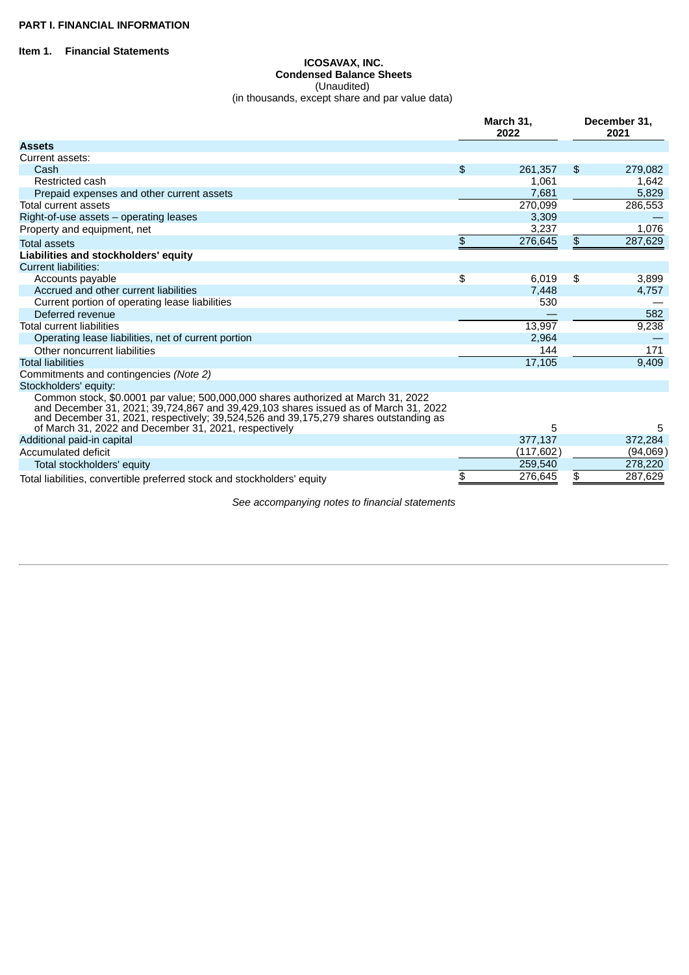# <span id="page-2-1"></span><span id="page-2-0"></span>**Item 1. Financial Statements**

# **ICOSAVAX, INC. Condensed Balance Sheets** (Unaudited) (in thousands, except share and par value data)

|                                                                                                                                                                                                                                                                  | <b>March 31,</b><br>2022 |           | December 31,<br>2021 |  |
|------------------------------------------------------------------------------------------------------------------------------------------------------------------------------------------------------------------------------------------------------------------|--------------------------|-----------|----------------------|--|
| <b>Assets</b>                                                                                                                                                                                                                                                    |                          |           |                      |  |
| Current assets:                                                                                                                                                                                                                                                  |                          |           |                      |  |
| Cash                                                                                                                                                                                                                                                             | \$                       | 261.357   | \$<br>279,082        |  |
| Restricted cash                                                                                                                                                                                                                                                  |                          | 1.061     | 1,642                |  |
| Prepaid expenses and other current assets                                                                                                                                                                                                                        |                          | 7.681     | 5,829                |  |
| Total current assets                                                                                                                                                                                                                                             |                          | 270.099   | 286,553              |  |
| Right-of-use assets – operating leases                                                                                                                                                                                                                           |                          | 3,309     |                      |  |
| Property and equipment, net                                                                                                                                                                                                                                      |                          | 3,237     | 1,076                |  |
| <b>Total assets</b>                                                                                                                                                                                                                                              | \$                       | 276.645   | \$<br>287,629        |  |
| Liabilities and stockholders' equity                                                                                                                                                                                                                             |                          |           |                      |  |
| <b>Current liabilities:</b>                                                                                                                                                                                                                                      |                          |           |                      |  |
| Accounts payable                                                                                                                                                                                                                                                 | \$                       | 6.019     | \$<br>3,899          |  |
| Accrued and other current liabilities                                                                                                                                                                                                                            |                          | 7.448     | 4,757                |  |
| Current portion of operating lease liabilities                                                                                                                                                                                                                   |                          | 530       |                      |  |
| Deferred revenue                                                                                                                                                                                                                                                 |                          |           | 582                  |  |
| <b>Total current liabilities</b>                                                                                                                                                                                                                                 |                          | 13,997    | 9,238                |  |
| Operating lease liabilities, net of current portion                                                                                                                                                                                                              |                          | 2,964     |                      |  |
| Other noncurrent liabilities                                                                                                                                                                                                                                     |                          | 144       | 171                  |  |
| <b>Total liabilities</b>                                                                                                                                                                                                                                         |                          | 17,105    | 9,409                |  |
| Commitments and contingencies (Note 2)                                                                                                                                                                                                                           |                          |           |                      |  |
| Stockholders' equity:                                                                                                                                                                                                                                            |                          |           |                      |  |
| Common stock, \$0.0001 par value; 500,000,000 shares authorized at March 31, 2022<br>and December 31, 2021; 39,724,867 and 39,429,103 shares issued as of March 31, 2022<br>and December 31, 2021, respectively; 39,524,526 and 39,175,279 shares outstanding as |                          |           |                      |  |
| of March 31, 2022 and December 31, 2021, respectively                                                                                                                                                                                                            |                          | 5         |                      |  |
| Additional paid-in capital<br>Accumulated deficit                                                                                                                                                                                                                |                          | 377,137   | 372,284              |  |
|                                                                                                                                                                                                                                                                  |                          | (117,602) | (94,069)             |  |
| Total stockholders' equity                                                                                                                                                                                                                                       |                          | 259,540   | 278,220              |  |
| Total liabilities, convertible preferred stock and stockholders' equity                                                                                                                                                                                          | \$                       | 276,645   | \$<br>287,629        |  |

*See accompanying notes to financial statements*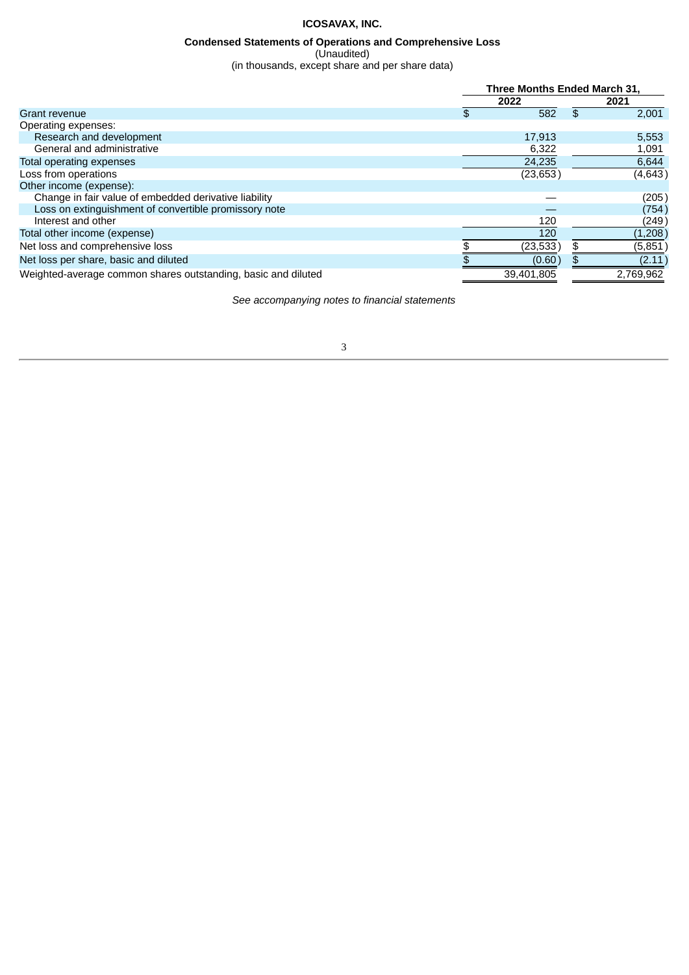# **ICOSAVAX, INC.**

**Condensed Statements of Operations and Comprehensive Loss**

(Unaudited)

(in thousands, except share and per share data)

<span id="page-3-0"></span>

|                                                               | Three Months Ended March 31, |            |    |           |
|---------------------------------------------------------------|------------------------------|------------|----|-----------|
|                                                               |                              | 2022       |    | 2021      |
| <b>Grant revenue</b>                                          | £.                           | 582        | \$ | 2,001     |
| Operating expenses:                                           |                              |            |    |           |
| Research and development                                      |                              | 17,913     |    | 5,553     |
| General and administrative                                    |                              | 6,322      |    | 1,091     |
| Total operating expenses                                      |                              | 24,235     |    | 6,644     |
| Loss from operations                                          |                              | (23, 653)  |    | (4,643)   |
| Other income (expense):                                       |                              |            |    |           |
| Change in fair value of embedded derivative liability         |                              |            |    | (205)     |
| Loss on extinguishment of convertible promissory note         |                              |            |    | (754)     |
| Interest and other                                            |                              | 120        |    | (249)     |
| Total other income (expense)                                  |                              | 120        |    | (1,208)   |
| Net loss and comprehensive loss                               |                              | (23, 533)  | \$ | (5,851)   |
| Net loss per share, basic and diluted                         |                              | (0.60)     | \$ | (2.11)    |
| Weighted-average common shares outstanding, basic and diluted |                              | 39,401,805 |    | 2,769,962 |

*See accompanying notes to financial statements*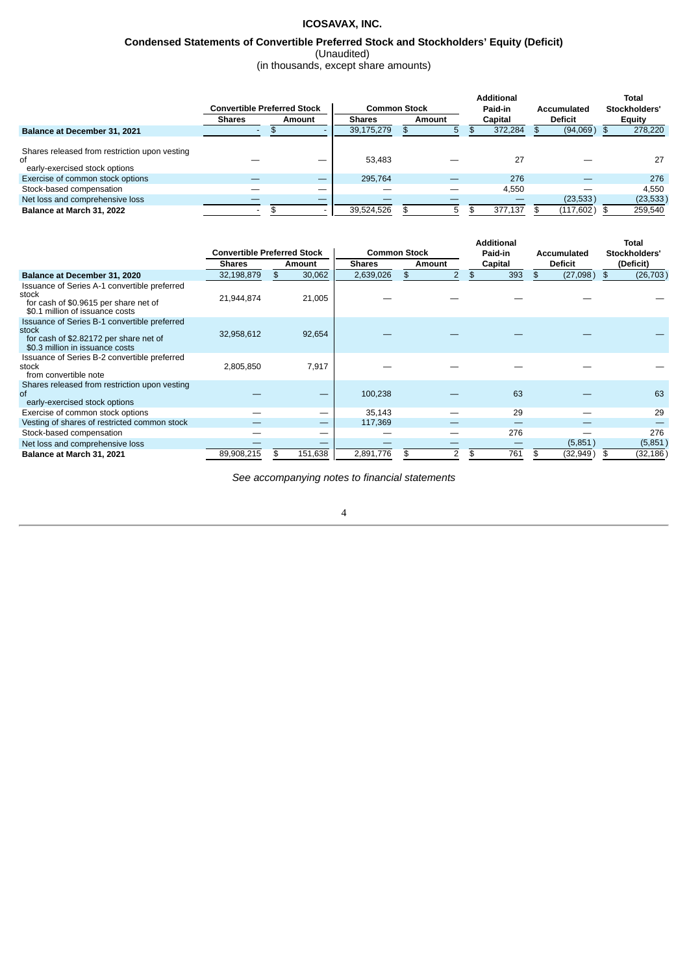# **ICOSAVAX, INC.**

**Condensed Statements of Convertible Preferred Stock and Stockholders' Equity (Deficit)**

(Unaudited)

(in thousands, except share amounts)

<span id="page-4-0"></span>

|                          |        |                                    |        | <b>Additional</b>         |    | <b>Total</b>                        |
|--------------------------|--------|------------------------------------|--------|---------------------------|----|-------------------------------------|
|                          |        |                                    |        | Paid-in<br>Accumulated    |    | Stockholders'                       |
| <b>Shares</b>            | Amount | <b>Shares</b>                      | Amount | <b>Deficit</b><br>Capital |    | <b>Equity</b>                       |
| $\overline{\phantom{0}}$ |        | 39,175,279                         | ь      | 372,284                   |    | 278,220<br>\$                       |
|                          |        |                                    |        |                           |    |                                     |
|                          |        |                                    |        |                           |    |                                     |
|                          |        |                                    |        |                           |    | 27                                  |
|                          |        |                                    |        |                           |    |                                     |
|                          |        | 295,764                            |        | 276                       |    | 276                                 |
|                          |        |                                    |        | 4.550                     |    | 4.550                               |
|                          |        |                                    |        |                           |    | (23, 533)                           |
| $\overline{\phantom{0}}$ |        | 39.524.526                         | 5      | 377.137                   |    | 259,540                             |
|                          |        | <b>Convertible Preferred Stock</b> | 53.483 | <b>Common Stock</b>       | 27 | (94,069)<br>(23, 533)<br>(117, 602) |

|                                                                                                                                    |                                    |    |         |                     |    |                | <b>Additional</b> |                    |     | Total         |
|------------------------------------------------------------------------------------------------------------------------------------|------------------------------------|----|---------|---------------------|----|----------------|-------------------|--------------------|-----|---------------|
|                                                                                                                                    | <b>Convertible Preferred Stock</b> |    |         | <b>Common Stock</b> |    |                | Paid-in           | <b>Accumulated</b> |     | Stockholders' |
|                                                                                                                                    | <b>Shares</b>                      |    | Amount  | <b>Shares</b>       |    | Amount         | Capital           | <b>Deficit</b>     |     | (Deficit)     |
| Balance at December 31, 2020                                                                                                       | 32,198,879                         | \$ | 30,062  | 2,639,026           | \$ | $\overline{2}$ | \$<br>393         | \$<br>(27,098)     | \$  | (26, 703)     |
| Issuance of Series A-1 convertible preferred<br>stock<br>for cash of \$0.9615 per share net of<br>\$0.1 million of issuance costs  | 21,944,874                         |    | 21,005  |                     |    |                |                   |                    |     |               |
| Issuance of Series B-1 convertible preferred<br>stock<br>for cash of \$2.82172 per share net of<br>\$0.3 million in issuance costs | 32,958,612                         |    | 92,654  |                     |    |                |                   |                    |     |               |
| Issuance of Series B-2 convertible preferred<br>stock<br>from convertible note                                                     | 2,805,850                          |    | 7,917   |                     |    |                |                   |                    |     |               |
| Shares released from restriction upon vesting<br>οf<br>early-exercised stock options                                               |                                    |    |         | 100,238             |    |                | 63                |                    |     | 63            |
| Exercise of common stock options                                                                                                   |                                    |    |         | 35,143              |    |                | 29                |                    |     | 29            |
| Vesting of shares of restricted common stock                                                                                       |                                    |    |         | 117,369             |    |                |                   |                    |     |               |
| Stock-based compensation                                                                                                           |                                    |    | —       |                     |    |                | 276               |                    |     | 276           |
| Net loss and comprehensive loss                                                                                                    |                                    |    |         |                     |    |                |                   | (5,851)            |     | (5,851)       |
| Balance at March 31, 2021                                                                                                          | 89,908,215                         | £. | 151,638 | 2,891,776           | S  | $\overline{2}$ | \$<br>761         | (32, 949)          | \$. | (32, 186)     |

*See accompanying notes to financial statements*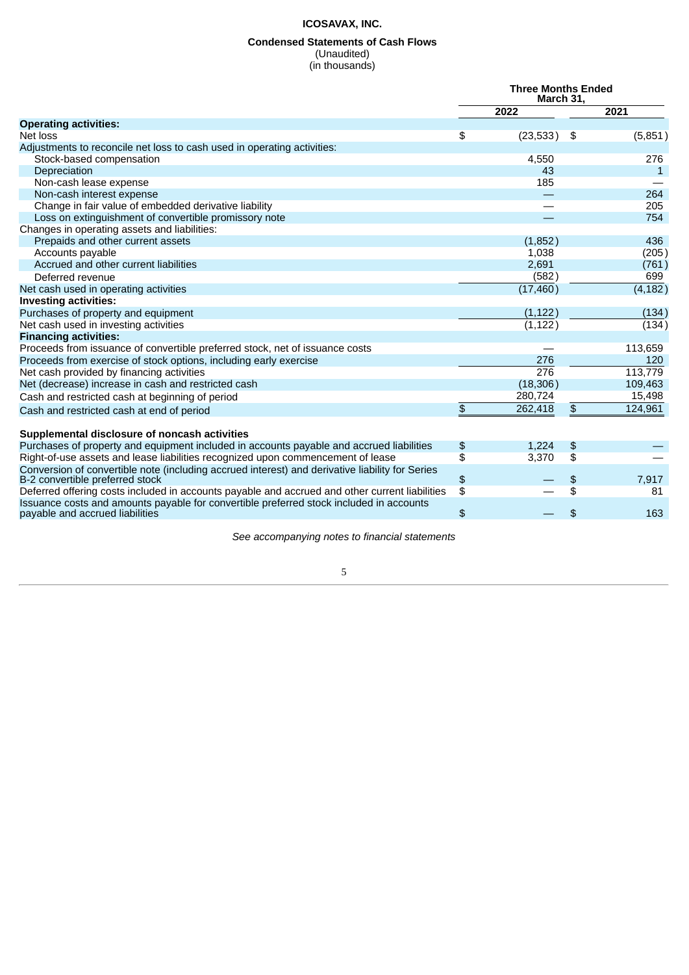# **ICOSAVAX, INC.**

#### **Condensed Statements of Cash Flows**

(Unaudited) (in thousands)

<span id="page-5-0"></span>

|                                                                                                 | <b>Three Months Ended</b><br>March 31, |                  |      |              |
|-------------------------------------------------------------------------------------------------|----------------------------------------|------------------|------|--------------|
|                                                                                                 |                                        | 2022             |      | 2021         |
| <b>Operating activities:</b>                                                                    |                                        |                  |      |              |
| Net loss                                                                                        | \$                                     | (23, 533)        | - \$ | (5,851)      |
| Adjustments to reconcile net loss to cash used in operating activities:                         |                                        |                  |      |              |
| Stock-based compensation                                                                        |                                        | 4,550            |      | 276          |
| Depreciation                                                                                    |                                        | 43               |      | $\mathbf{1}$ |
| Non-cash lease expense                                                                          |                                        | 185              |      |              |
| Non-cash interest expense                                                                       |                                        |                  |      | 264          |
| Change in fair value of embedded derivative liability                                           |                                        |                  |      | 205          |
| Loss on extinguishment of convertible promissory note                                           |                                        |                  |      | 754          |
| Changes in operating assets and liabilities:                                                    |                                        |                  |      |              |
| Prepaids and other current assets                                                               |                                        | (1,852)          |      | 436          |
| Accounts payable                                                                                |                                        | 1,038            |      | (205)        |
| Accrued and other current liabilities                                                           |                                        | 2,691            |      | (761)        |
| Deferred revenue                                                                                |                                        | (582)            |      | 699          |
| Net cash used in operating activities                                                           |                                        | (17, 460)        |      | (4, 182)     |
| <b>Investing activities:</b>                                                                    |                                        |                  |      |              |
| Purchases of property and equipment                                                             |                                        | (1, 122)         |      | (134)        |
| Net cash used in investing activities                                                           |                                        | (1, 122)         |      | (134)        |
| <b>Financing activities:</b>                                                                    |                                        |                  |      |              |
| Proceeds from issuance of convertible preferred stock, net of issuance costs                    |                                        |                  |      | 113,659      |
| Proceeds from exercise of stock options, including early exercise                               |                                        | 276              |      | 120          |
| Net cash provided by financing activities                                                       |                                        | $\overline{276}$ |      | 113,779      |
| Net (decrease) increase in cash and restricted cash                                             |                                        | (18, 306)        |      | 109,463      |
| Cash and restricted cash at beginning of period                                                 |                                        | 280,724          |      | 15,498       |
| Cash and restricted cash at end of period                                                       | \$                                     | 262,418          | \$   | 124,961      |
| Supplemental disclosure of noncash activities                                                   |                                        |                  |      |              |
| Purchases of property and equipment included in accounts payable and accrued liabilities        | \$                                     | 1,224            | \$   |              |
| Right-of-use assets and lease liabilities recognized upon commencement of lease                 | \$                                     | 3,370            | \$   |              |
| Conversion of convertible note (including accrued interest) and derivative liability for Series |                                        |                  |      |              |
| B-2 convertible preferred stock                                                                 | \$                                     |                  | \$   | 7,917        |
| Deferred offering costs included in accounts payable and accrued and other current liabilities  | \$                                     |                  | \$   | 81           |
| Issuance costs and amounts payable for convertible preferred stock included in accounts         |                                        |                  |      |              |
| payable and accrued liabilities                                                                 | \$                                     |                  | \$   | 163          |
|                                                                                                 |                                        |                  |      |              |

*See accompanying notes to financial statements*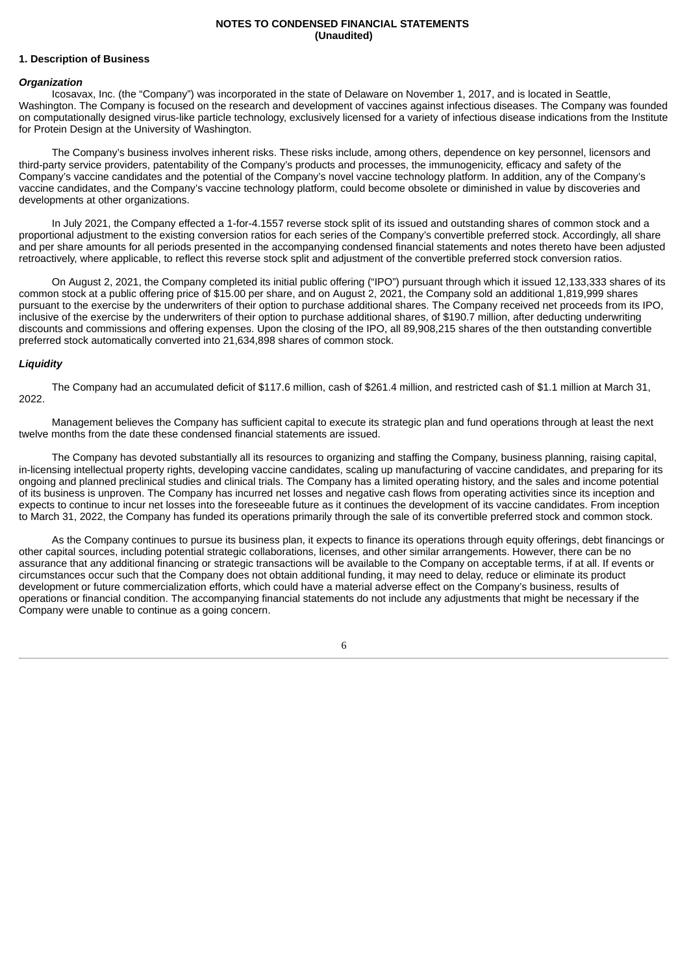# **NOTES TO CONDENSED FINANCIAL STATEMENTS (Unaudited)**

# <span id="page-6-0"></span>**1. Description of Business**

# *Organization*

Icosavax, Inc. (the "Company") was incorporated in the state of Delaware on November 1, 2017, and is located in Seattle, Washington. The Company is focused on the research and development of vaccines against infectious diseases. The Company was founded on computationally designed virus-like particle technology, exclusively licensed for a variety of infectious disease indications from the Institute for Protein Design at the University of Washington.

The Company's business involves inherent risks. These risks include, among others, dependence on key personnel, licensors and third-party service providers, patentability of the Company's products and processes, the immunogenicity, efficacy and safety of the Company's vaccine candidates and the potential of the Company's novel vaccine technology platform. In addition, any of the Company's vaccine candidates, and the Company's vaccine technology platform, could become obsolete or diminished in value by discoveries and developments at other organizations.

In July 2021, the Company effected a 1-for-4.1557 reverse stock split of its issued and outstanding shares of common stock and a proportional adjustment to the existing conversion ratios for each series of the Company's convertible preferred stock. Accordingly, all share and per share amounts for all periods presented in the accompanying condensed financial statements and notes thereto have been adjusted retroactively, where applicable, to reflect this reverse stock split and adjustment of the convertible preferred stock conversion ratios.

On August 2, 2021, the Company completed its initial public offering ("IPO") pursuant through which it issued 12,133,333 shares of its common stock at a public offering price of \$15.00 per share, and on August 2, 2021, the Company sold an additional 1,819,999 shares pursuant to the exercise by the underwriters of their option to purchase additional shares. The Company received net proceeds from its IPO, inclusive of the exercise by the underwriters of their option to purchase additional shares, of \$190.7 million, after deducting underwriting discounts and commissions and offering expenses. Upon the closing of the IPO, all 89,908,215 shares of the then outstanding convertible preferred stock automatically converted into 21,634,898 shares of common stock.

# *Liquidity*

The Company had an accumulated deficit of \$117.6 million, cash of \$261.4 million, and restricted cash of \$1.1 million at March 31, 2022.

Management believes the Company has sufficient capital to execute its strategic plan and fund operations through at least the next twelve months from the date these condensed financial statements are issued.

The Company has devoted substantially all its resources to organizing and staffing the Company, business planning, raising capital, in-licensing intellectual property rights, developing vaccine candidates, scaling up manufacturing of vaccine candidates, and preparing for its ongoing and planned preclinical studies and clinical trials. The Company has a limited operating history, and the sales and income potential of its business is unproven. The Company has incurred net losses and negative cash flows from operating activities since its inception and expects to continue to incur net losses into the foreseeable future as it continues the development of its vaccine candidates. From inception to March 31, 2022, the Company has funded its operations primarily through the sale of its convertible preferred stock and common stock.

As the Company continues to pursue its business plan, it expects to finance its operations through equity offerings, debt financings or other capital sources, including potential strategic collaborations, licenses, and other similar arrangements. However, there can be no assurance that any additional financing or strategic transactions will be available to the Company on acceptable terms, if at all. If events or circumstances occur such that the Company does not obtain additional funding, it may need to delay, reduce or eliminate its product development or future commercialization efforts, which could have a material adverse effect on the Company's business, results of operations or financial condition. The accompanying financial statements do not include any adjustments that might be necessary if the Company were unable to continue as a going concern.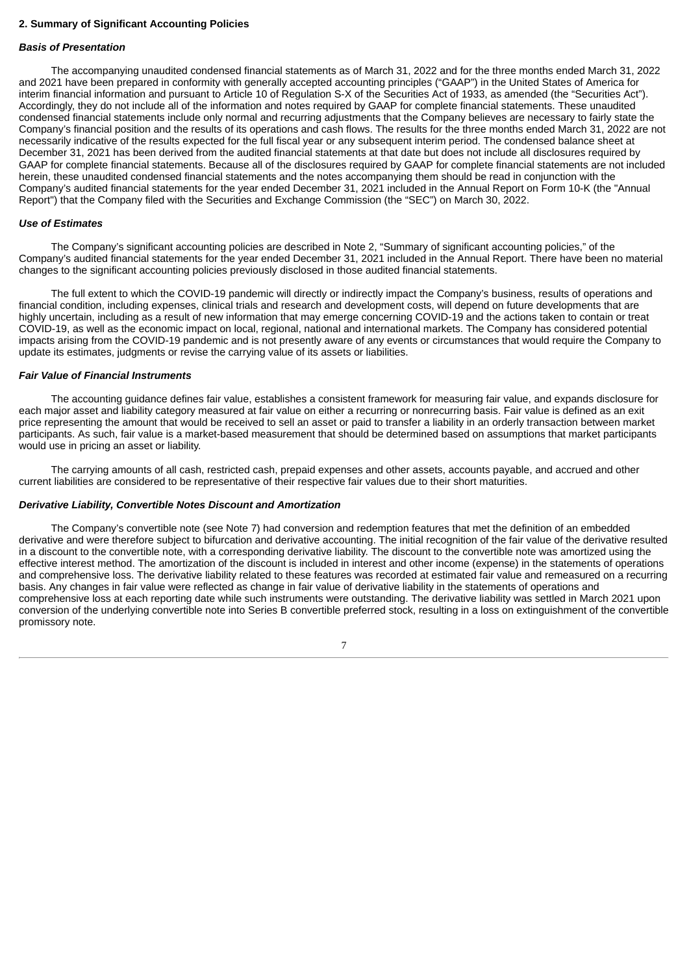# **2. Summary of Significant Accounting Policies**

# *Basis of Presentation*

The accompanying unaudited condensed financial statements as of March 31, 2022 and for the three months ended March 31, 2022 and 2021 have been prepared in conformity with generally accepted accounting principles ("GAAP") in the United States of America for interim financial information and pursuant to Article 10 of Regulation S-X of the Securities Act of 1933, as amended (the "Securities Act"). Accordingly, they do not include all of the information and notes required by GAAP for complete financial statements. These unaudited condensed financial statements include only normal and recurring adjustments that the Company believes are necessary to fairly state the Company's financial position and the results of its operations and cash flows. The results for the three months ended March 31, 2022 are not necessarily indicative of the results expected for the full fiscal year or any subsequent interim period. The condensed balance sheet at December 31, 2021 has been derived from the audited financial statements at that date but does not include all disclosures required by GAAP for complete financial statements. Because all of the disclosures required by GAAP for complete financial statements are not included herein, these unaudited condensed financial statements and the notes accompanying them should be read in conjunction with the Company's audited financial statements for the year ended December 31, 2021 included in the Annual Report on Form 10-K (the "Annual Report") that the Company filed with the Securities and Exchange Commission (the "SEC") on March 30, 2022.

#### *Use of Estimates*

The Company's significant accounting policies are described in Note 2, "Summary of significant accounting policies," of the Company's audited financial statements for the year ended December 31, 2021 included in the Annual Report. There have been no material changes to the significant accounting policies previously disclosed in those audited financial statements.

The full extent to which the COVID-19 pandemic will directly or indirectly impact the Company's business, results of operations and financial condition, including expenses, clinical trials and research and development costs, will depend on future developments that are highly uncertain, including as a result of new information that may emerge concerning COVID-19 and the actions taken to contain or treat COVID-19, as well as the economic impact on local, regional, national and international markets. The Company has considered potential impacts arising from the COVID-19 pandemic and is not presently aware of any events or circumstances that would require the Company to update its estimates, judgments or revise the carrying value of its assets or liabilities.

#### *Fair Value of Financial Instruments*

The accounting guidance defines fair value, establishes a consistent framework for measuring fair value, and expands disclosure for each major asset and liability category measured at fair value on either a recurring or nonrecurring basis. Fair value is defined as an exit price representing the amount that would be received to sell an asset or paid to transfer a liability in an orderly transaction between market participants. As such, fair value is a market-based measurement that should be determined based on assumptions that market participants would use in pricing an asset or liability.

The carrying amounts of all cash, restricted cash, prepaid expenses and other assets, accounts payable, and accrued and other current liabilities are considered to be representative of their respective fair values due to their short maturities.

# *Derivative Liability, Convertible Notes Discount and Amortization*

The Company's convertible note (see Note 7) had conversion and redemption features that met the definition of an embedded derivative and were therefore subject to bifurcation and derivative accounting. The initial recognition of the fair value of the derivative resulted in a discount to the convertible note, with a corresponding derivative liability. The discount to the convertible note was amortized using the effective interest method. The amortization of the discount is included in interest and other income (expense) in the statements of operations and comprehensive loss. The derivative liability related to these features was recorded at estimated fair value and remeasured on a recurring basis. Any changes in fair value were reflected as change in fair value of derivative liability in the statements of operations and comprehensive loss at each reporting date while such instruments were outstanding. The derivative liability was settled in March 2021 upon conversion of the underlying convertible note into Series B convertible preferred stock, resulting in a loss on extinguishment of the convertible promissory note.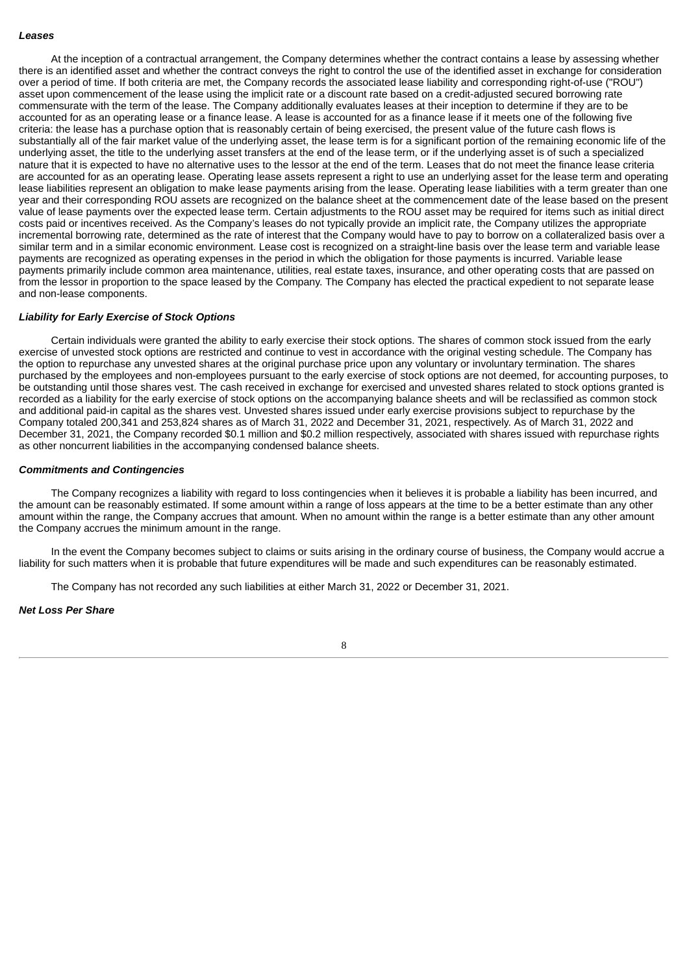#### *Leases*

At the inception of a contractual arrangement, the Company determines whether the contract contains a lease by assessing whether there is an identified asset and whether the contract conveys the right to control the use of the identified asset in exchange for consideration over a period of time. If both criteria are met, the Company records the associated lease liability and corresponding right-of-use ("ROU") asset upon commencement of the lease using the implicit rate or a discount rate based on a credit-adjusted secured borrowing rate commensurate with the term of the lease. The Company additionally evaluates leases at their inception to determine if they are to be accounted for as an operating lease or a finance lease. A lease is accounted for as a finance lease if it meets one of the following five criteria: the lease has a purchase option that is reasonably certain of being exercised, the present value of the future cash flows is substantially all of the fair market value of the underlying asset, the lease term is for a significant portion of the remaining economic life of the underlying asset, the title to the underlying asset transfers at the end of the lease term, or if the underlying asset is of such a specialized nature that it is expected to have no alternative uses to the lessor at the end of the term. Leases that do not meet the finance lease criteria are accounted for as an operating lease. Operating lease assets represent a right to use an underlying asset for the lease term and operating lease liabilities represent an obligation to make lease payments arising from the lease. Operating lease liabilities with a term greater than one year and their corresponding ROU assets are recognized on the balance sheet at the commencement date of the lease based on the present value of lease payments over the expected lease term. Certain adjustments to the ROU asset may be required for items such as initial direct costs paid or incentives received. As the Company's leases do not typically provide an implicit rate, the Company utilizes the appropriate incremental borrowing rate, determined as the rate of interest that the Company would have to pay to borrow on a collateralized basis over a similar term and in a similar economic environment. Lease cost is recognized on a straight-line basis over the lease term and variable lease payments are recognized as operating expenses in the period in which the obligation for those payments is incurred. Variable lease payments primarily include common area maintenance, utilities, real estate taxes, insurance, and other operating costs that are passed on from the lessor in proportion to the space leased by the Company. The Company has elected the practical expedient to not separate lease and non-lease components.

#### *Liability for Early Exercise of Stock Options*

Certain individuals were granted the ability to early exercise their stock options. The shares of common stock issued from the early exercise of unvested stock options are restricted and continue to vest in accordance with the original vesting schedule. The Company has the option to repurchase any unvested shares at the original purchase price upon any voluntary or involuntary termination. The shares purchased by the employees and non-employees pursuant to the early exercise of stock options are not deemed, for accounting purposes, to be outstanding until those shares vest. The cash received in exchange for exercised and unvested shares related to stock options granted is recorded as a liability for the early exercise of stock options on the accompanying balance sheets and will be reclassified as common stock and additional paid-in capital as the shares vest. Unvested shares issued under early exercise provisions subject to repurchase by the Company totaled 200,341 and 253,824 shares as of March 31, 2022 and December 31, 2021, respectively. As of March 31, 2022 and December 31, 2021, the Company recorded \$0.1 million and \$0.2 million respectively, associated with shares issued with repurchase rights as other noncurrent liabilities in the accompanying condensed balance sheets.

#### *Commitments and Contingencies*

The Company recognizes a liability with regard to loss contingencies when it believes it is probable a liability has been incurred, and the amount can be reasonably estimated. If some amount within a range of loss appears at the time to be a better estimate than any other amount within the range, the Company accrues that amount. When no amount within the range is a better estimate than any other amount the Company accrues the minimum amount in the range.

In the event the Company becomes subject to claims or suits arising in the ordinary course of business, the Company would accrue a liability for such matters when it is probable that future expenditures will be made and such expenditures can be reasonably estimated.

8

The Company has not recorded any such liabilities at either March 31, 2022 or December 31, 2021.

#### *Net Loss Per Share*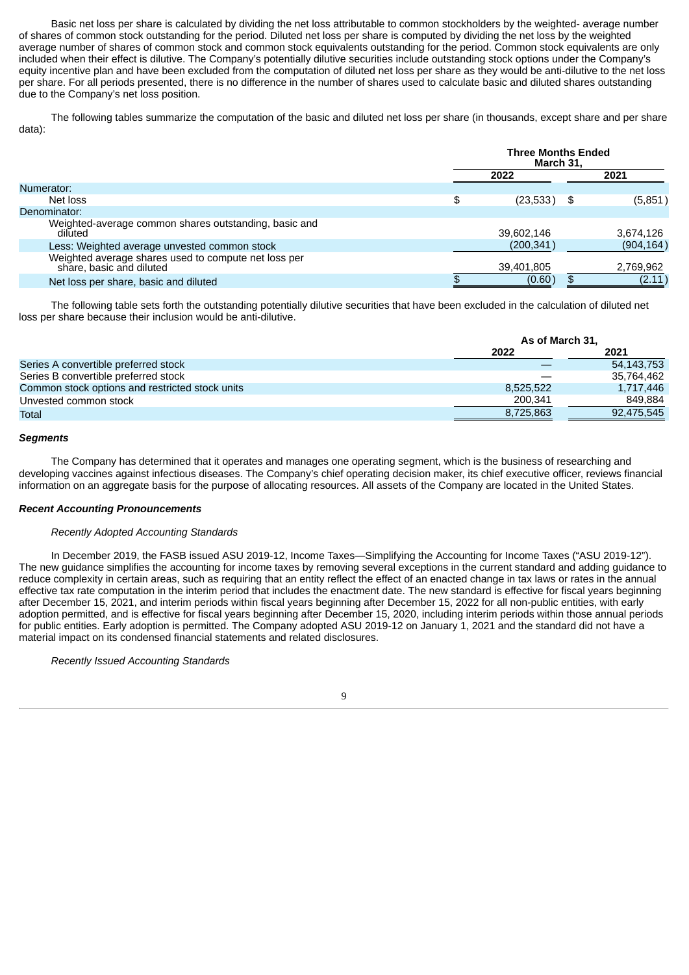Basic net loss per share is calculated by dividing the net loss attributable to common stockholders by the weighted- average number of shares of common stock outstanding for the period. Diluted net loss per share is computed by dividing the net loss by the weighted average number of shares of common stock and common stock equivalents outstanding for the period. Common stock equivalents are only included when their effect is dilutive. The Company's potentially dilutive securities include outstanding stock options under the Company's equity incentive plan and have been excluded from the computation of diluted net loss per share as they would be anti-dilutive to the net loss per share. For all periods presented, there is no difference in the number of shares used to calculate basic and diluted shares outstanding due to the Company's net loss position.

The following tables summarize the computation of the basic and diluted net loss per share (in thousands, except share and per share data):

|                                                                                  | <b>Three Months Ended</b><br><b>March 31.</b> |    |            |  |  |
|----------------------------------------------------------------------------------|-----------------------------------------------|----|------------|--|--|
|                                                                                  | 2022                                          |    |            |  |  |
| Numerator:                                                                       |                                               |    |            |  |  |
| Net loss                                                                         | \$<br>(23,533)                                | \$ | (5,851)    |  |  |
| Denominator:                                                                     |                                               |    |            |  |  |
| Weighted-average common shares outstanding, basic and<br>diluted                 | 39,602,146                                    |    | 3,674,126  |  |  |
| Less: Weighted average unvested common stock                                     | (200,341)                                     |    | (904, 164) |  |  |
| Weighted average shares used to compute net loss per<br>share, basic and diluted | 39,401,805                                    |    | 2,769,962  |  |  |
| Net loss per share, basic and diluted                                            | (0.60)                                        |    | (2.11)     |  |  |

The following table sets forth the outstanding potentially dilutive securities that have been excluded in the calculation of diluted net loss per share because their inclusion would be anti-dilutive.

|                                                 |           | As of March 31, |  |  |  |
|-------------------------------------------------|-----------|-----------------|--|--|--|
|                                                 | 2022      | 2021            |  |  |  |
| Series A convertible preferred stock            |           | 54,143,753      |  |  |  |
| Series B convertible preferred stock            |           | 35.764.462      |  |  |  |
| Common stock options and restricted stock units | 8,525,522 | 1,717,446       |  |  |  |
| Unvested common stock                           | 200,341   | 849,884         |  |  |  |
| Total                                           | 8,725,863 | 92,475,545      |  |  |  |

#### *Segments*

The Company has determined that it operates and manages one operating segment, which is the business of researching and developing vaccines against infectious diseases. The Company's chief operating decision maker, its chief executive officer, reviews financial information on an aggregate basis for the purpose of allocating resources. All assets of the Company are located in the United States.

#### *Recent Accounting Pronouncements*

#### *Recently Adopted Accounting Standards*

In December 2019, the FASB issued ASU 2019-12, Income Taxes—Simplifying the Accounting for Income Taxes ("ASU 2019-12"). The new guidance simplifies the accounting for income taxes by removing several exceptions in the current standard and adding guidance to reduce complexity in certain areas, such as requiring that an entity reflect the effect of an enacted change in tax laws or rates in the annual effective tax rate computation in the interim period that includes the enactment date. The new standard is effective for fiscal years beginning after December 15, 2021, and interim periods within fiscal years beginning after December 15, 2022 for all non-public entities, with early adoption permitted, and is effective for fiscal years beginning after December 15, 2020, including interim periods within those annual periods for public entities. Early adoption is permitted. The Company adopted ASU 2019-12 on January 1, 2021 and the standard did not have a material impact on its condensed financial statements and related disclosures.

*Recently Issued Accounting Standards*

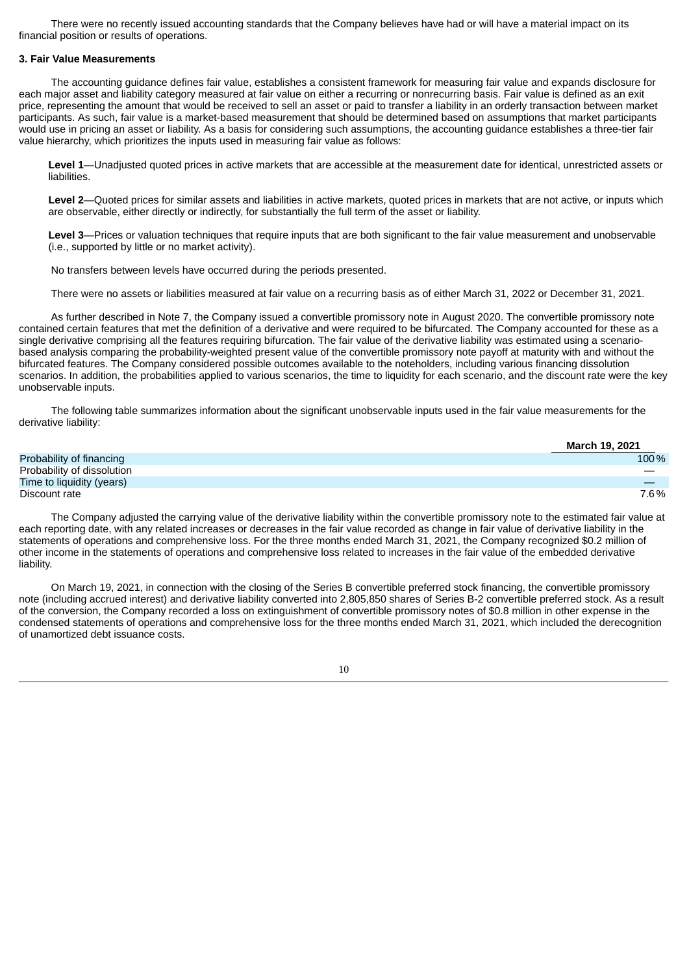There were no recently issued accounting standards that the Company believes have had or will have a material impact on its financial position or results of operations.

#### **3. Fair Value Measurements**

The accounting guidance defines fair value, establishes a consistent framework for measuring fair value and expands disclosure for each major asset and liability category measured at fair value on either a recurring or nonrecurring basis. Fair value is defined as an exit price, representing the amount that would be received to sell an asset or paid to transfer a liability in an orderly transaction between market participants. As such, fair value is a market-based measurement that should be determined based on assumptions that market participants would use in pricing an asset or liability. As a basis for considering such assumptions, the accounting guidance establishes a three-tier fair value hierarchy, which prioritizes the inputs used in measuring fair value as follows:

**Level 1**—Unadjusted quoted prices in active markets that are accessible at the measurement date for identical, unrestricted assets or liabilities.

Level 2—Quoted prices for similar assets and liabilities in active markets, quoted prices in markets that are not active, or inputs which are observable, either directly or indirectly, for substantially the full term of the asset or liability.

**Level 3**—Prices or valuation techniques that require inputs that are both significant to the fair value measurement and unobservable (i.e., supported by little or no market activity).

No transfers between levels have occurred during the periods presented.

There were no assets or liabilities measured at fair value on a recurring basis as of either March 31, 2022 or December 31, 2021.

As further described in Note 7, the Company issued a convertible promissory note in August 2020. The convertible promissory note contained certain features that met the definition of a derivative and were required to be bifurcated. The Company accounted for these as a single derivative comprising all the features requiring bifurcation. The fair value of the derivative liability was estimated using a scenariobased analysis comparing the probability-weighted present value of the convertible promissory note payoff at maturity with and without the bifurcated features. The Company considered possible outcomes available to the noteholders, including various financing dissolution scenarios. In addition, the probabilities applied to various scenarios, the time to liquidity for each scenario, and the discount rate were the key unobservable inputs.

The following table summarizes information about the significant unobservable inputs used in the fair value measurements for the derivative liability:

|                            | <b>March 19, 2021</b>    |
|----------------------------|--------------------------|
| Probability of financing   | 100%                     |
| Probability of dissolution | $\overline{\phantom{a}}$ |
| Time to liquidity (years)  |                          |
| Discount rate              | 7.6%                     |

The Company adjusted the carrying value of the derivative liability within the convertible promissory note to the estimated fair value at each reporting date, with any related increases or decreases in the fair value recorded as change in fair value of derivative liability in the statements of operations and comprehensive loss. For the three months ended March 31, 2021, the Company recognized \$0.2 million of other income in the statements of operations and comprehensive loss related to increases in the fair value of the embedded derivative liability.

On March 19, 2021, in connection with the closing of the Series B convertible preferred stock financing, the convertible promissory note (including accrued interest) and derivative liability converted into 2,805,850 shares of Series B-2 convertible preferred stock. As a result of the conversion, the Company recorded a loss on extinguishment of convertible promissory notes of \$0.8 million in other expense in the condensed statements of operations and comprehensive loss for the three months ended March 31, 2021, which included the derecognition of unamortized debt issuance costs.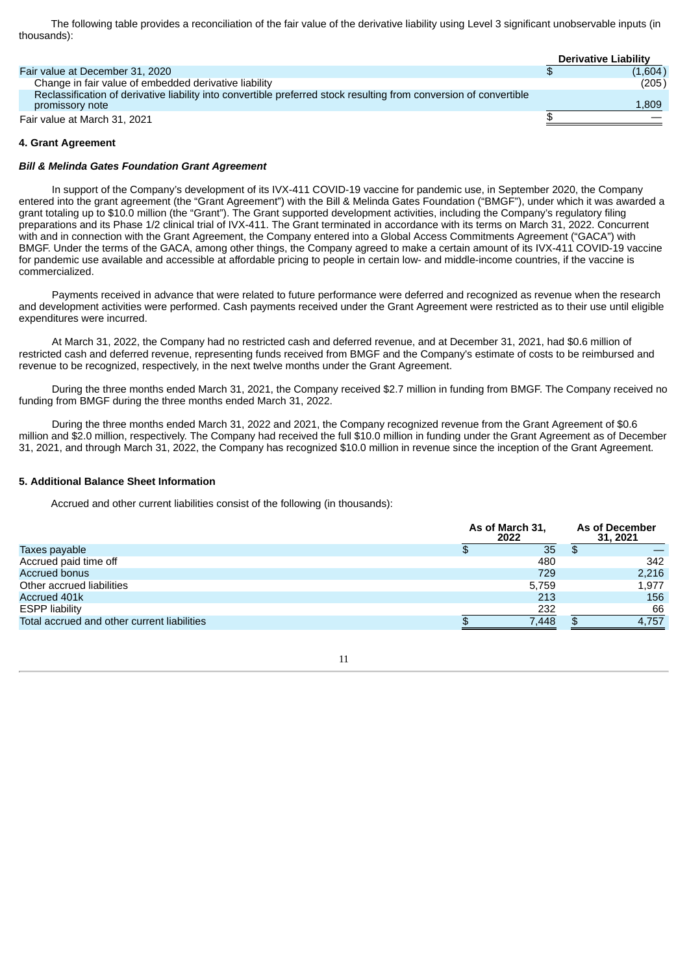The following table provides a reconciliation of the fair value of the derivative liability using Level 3 significant unobservable inputs (in thousands):

|                                                                                                                                       | <b>Derivative Liability</b> |
|---------------------------------------------------------------------------------------------------------------------------------------|-----------------------------|
| Fair value at December 31, 2020                                                                                                       | (1,604)                     |
| Change in fair value of embedded derivative liability                                                                                 | (205)                       |
| Reclassification of derivative liability into convertible preferred stock resulting from conversion of convertible<br>promissory note | 1,809                       |
| Fair value at March 31, 2021                                                                                                          |                             |

# **4. Grant Agreement**

# *Bill & Melinda Gates Foundation Grant Agreement*

In support of the Company's development of its IVX-411 COVID-19 vaccine for pandemic use, in September 2020, the Company entered into the grant agreement (the "Grant Agreement") with the Bill & Melinda Gates Foundation ("BMGF"), under which it was awarded a grant totaling up to \$10.0 million (the "Grant"). The Grant supported development activities, including the Company's regulatory filing preparations and its Phase 1/2 clinical trial of IVX-411. The Grant terminated in accordance with its terms on March 31, 2022. Concurrent with and in connection with the Grant Agreement, the Company entered into a Global Access Commitments Agreement ("GACA") with BMGF. Under the terms of the GACA, among other things, the Company agreed to make a certain amount of its IVX-411 COVID-19 vaccine for pandemic use available and accessible at affordable pricing to people in certain low- and middle-income countries, if the vaccine is commercialized.

Payments received in advance that were related to future performance were deferred and recognized as revenue when the research and development activities were performed. Cash payments received under the Grant Agreement were restricted as to their use until eligible expenditures were incurred.

At March 31, 2022, the Company had no restricted cash and deferred revenue, and at December 31, 2021, had \$0.6 million of restricted cash and deferred revenue, representing funds received from BMGF and the Company's estimate of costs to be reimbursed and revenue to be recognized, respectively, in the next twelve months under the Grant Agreement.

During the three months ended March 31, 2021, the Company received \$2.7 million in funding from BMGF. The Company received no funding from BMGF during the three months ended March 31, 2022.

During the three months ended March 31, 2022 and 2021, the Company recognized revenue from the Grant Agreement of \$0.6 million and \$2.0 million, respectively. The Company had received the full \$10.0 million in funding under the Grant Agreement as of December 31, 2021, and through March 31, 2022, the Company has recognized \$10.0 million in revenue since the inception of the Grant Agreement.

# **5. Additional Balance Sheet Information**

Accrued and other current liabilities consist of the following (in thousands):

|                                             | As of March 31,<br>2022 |    |       |
|---------------------------------------------|-------------------------|----|-------|
| Taxes payable                               | 35                      | £. |       |
| Accrued paid time off                       | 480                     |    | 342   |
| <b>Accrued bonus</b>                        | 729                     |    | 2,216 |
| Other accrued liabilities                   | 5.759                   |    | 1,977 |
| Accrued 401k                                | 213                     |    | 156   |
| <b>ESPP liability</b>                       | 232                     |    | 66    |
| Total accrued and other current liabilities | 7.448                   |    | 4.757 |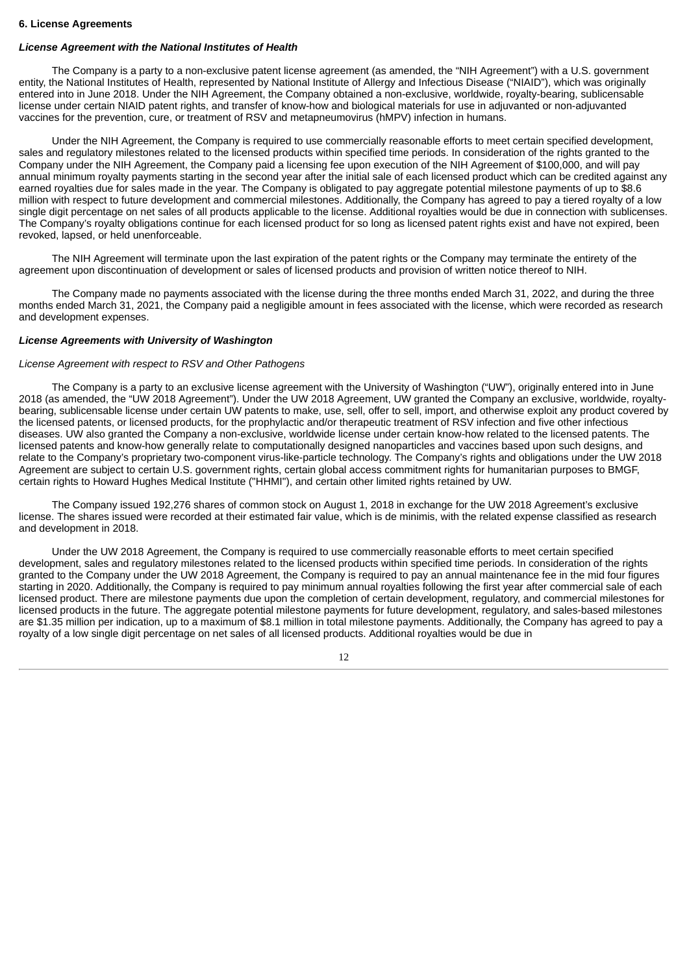# **6. License Agreements**

# *License Agreement with the National Institutes of Health*

The Company is a party to a non-exclusive patent license agreement (as amended, the "NIH Agreement") with a U.S. government entity, the National Institutes of Health, represented by National Institute of Allergy and Infectious Disease ("NIAID"), which was originally entered into in June 2018. Under the NIH Agreement, the Company obtained a non-exclusive, worldwide, royalty-bearing, sublicensable license under certain NIAID patent rights, and transfer of know-how and biological materials for use in adjuvanted or non-adjuvanted vaccines for the prevention, cure, or treatment of RSV and metapneumovirus (hMPV) infection in humans.

Under the NIH Agreement, the Company is required to use commercially reasonable efforts to meet certain specified development, sales and regulatory milestones related to the licensed products within specified time periods. In consideration of the rights granted to the Company under the NIH Agreement, the Company paid a licensing fee upon execution of the NIH Agreement of \$100,000, and will pay annual minimum royalty payments starting in the second year after the initial sale of each licensed product which can be credited against any earned royalties due for sales made in the year. The Company is obligated to pay aggregate potential milestone payments of up to \$8.6 million with respect to future development and commercial milestones. Additionally, the Company has agreed to pay a tiered royalty of a low single digit percentage on net sales of all products applicable to the license. Additional royalties would be due in connection with sublicenses. The Company's royalty obligations continue for each licensed product for so long as licensed patent rights exist and have not expired, been revoked, lapsed, or held unenforceable.

The NIH Agreement will terminate upon the last expiration of the patent rights or the Company may terminate the entirety of the agreement upon discontinuation of development or sales of licensed products and provision of written notice thereof to NIH.

The Company made no payments associated with the license during the three months ended March 31, 2022, and during the three months ended March 31, 2021, the Company paid a negligible amount in fees associated with the license, which were recorded as research and development expenses.

# *License Agreements with University of Washington*

#### *License Agreement with respect to RSV and Other Pathogens*

The Company is a party to an exclusive license agreement with the University of Washington ("UW"), originally entered into in June 2018 (as amended, the "UW 2018 Agreement"). Under the UW 2018 Agreement, UW granted the Company an exclusive, worldwide, royaltybearing, sublicensable license under certain UW patents to make, use, sell, offer to sell, import, and otherwise exploit any product covered by the licensed patents, or licensed products, for the prophylactic and/or therapeutic treatment of RSV infection and five other infectious diseases. UW also granted the Company a non-exclusive, worldwide license under certain know-how related to the licensed patents. The licensed patents and know-how generally relate to computationally designed nanoparticles and vaccines based upon such designs, and relate to the Company's proprietary two-component virus-like-particle technology. The Company's rights and obligations under the UW 2018 Agreement are subject to certain U.S. government rights, certain global access commitment rights for humanitarian purposes to BMGF, certain rights to Howard Hughes Medical Institute ("HHMI"), and certain other limited rights retained by UW.

The Company issued 192,276 shares of common stock on August 1, 2018 in exchange for the UW 2018 Agreement's exclusive license. The shares issued were recorded at their estimated fair value, which is de minimis, with the related expense classified as research and development in 2018.

Under the UW 2018 Agreement, the Company is required to use commercially reasonable efforts to meet certain specified development, sales and regulatory milestones related to the licensed products within specified time periods. In consideration of the rights granted to the Company under the UW 2018 Agreement, the Company is required to pay an annual maintenance fee in the mid four figures starting in 2020. Additionally, the Company is required to pay minimum annual royalties following the first year after commercial sale of each licensed product. There are milestone payments due upon the completion of certain development, regulatory, and commercial milestones for licensed products in the future. The aggregate potential milestone payments for future development, regulatory, and sales-based milestones are \$1.35 million per indication, up to a maximum of \$8.1 million in total milestone payments. Additionally, the Company has agreed to pay a royalty of a low single digit percentage on net sales of all licensed products. Additional royalties would be due in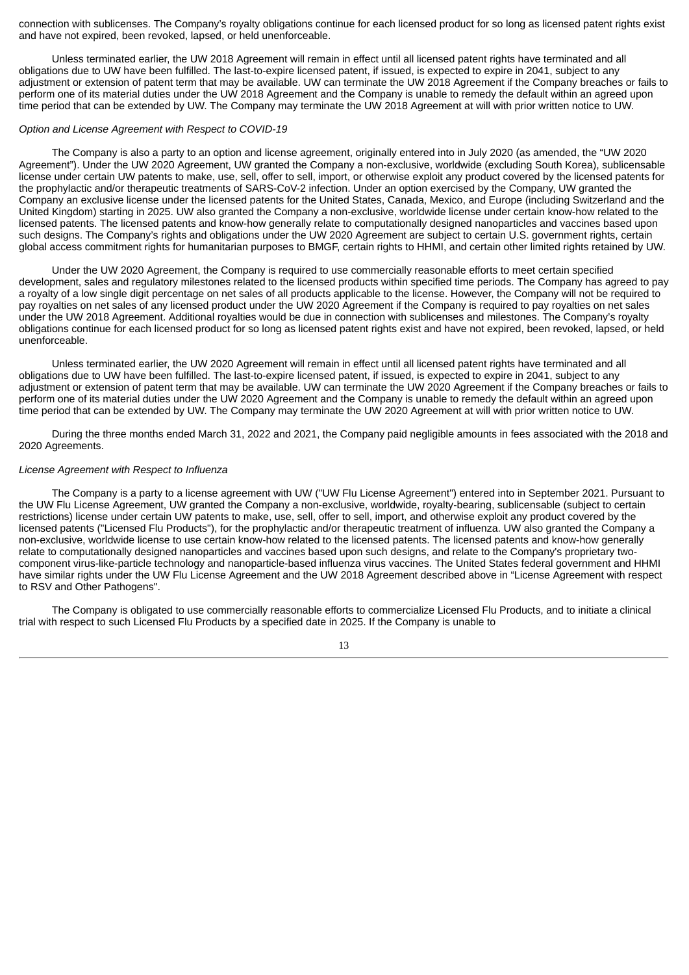connection with sublicenses. The Company's royalty obligations continue for each licensed product for so long as licensed patent rights exist and have not expired, been revoked, lapsed, or held unenforceable.

Unless terminated earlier, the UW 2018 Agreement will remain in effect until all licensed patent rights have terminated and all obligations due to UW have been fulfilled. The last-to-expire licensed patent, if issued, is expected to expire in 2041, subject to any adjustment or extension of patent term that may be available. UW can terminate the UW 2018 Agreement if the Company breaches or fails to perform one of its material duties under the UW 2018 Agreement and the Company is unable to remedy the default within an agreed upon time period that can be extended by UW. The Company may terminate the UW 2018 Agreement at will with prior written notice to UW.

#### *Option and License Agreement with Respect to COVID-19*

The Company is also a party to an option and license agreement, originally entered into in July 2020 (as amended, the "UW 2020 Agreement"). Under the UW 2020 Agreement, UW granted the Company a non-exclusive, worldwide (excluding South Korea), sublicensable license under certain UW patents to make, use, sell, offer to sell, import, or otherwise exploit any product covered by the licensed patents for the prophylactic and/or therapeutic treatments of SARS-CoV-2 infection. Under an option exercised by the Company, UW granted the Company an exclusive license under the licensed patents for the United States, Canada, Mexico, and Europe (including Switzerland and the United Kingdom) starting in 2025. UW also granted the Company a non-exclusive, worldwide license under certain know-how related to the licensed patents. The licensed patents and know-how generally relate to computationally designed nanoparticles and vaccines based upon such designs. The Company's rights and obligations under the UW 2020 Agreement are subject to certain U.S. government rights, certain global access commitment rights for humanitarian purposes to BMGF, certain rights to HHMI, and certain other limited rights retained by UW.

Under the UW 2020 Agreement, the Company is required to use commercially reasonable efforts to meet certain specified development, sales and regulatory milestones related to the licensed products within specified time periods. The Company has agreed to pay a royalty of a low single digit percentage on net sales of all products applicable to the license. However, the Company will not be required to pay royalties on net sales of any licensed product under the UW 2020 Agreement if the Company is required to pay royalties on net sales under the UW 2018 Agreement. Additional royalties would be due in connection with sublicenses and milestones. The Company's royalty obligations continue for each licensed product for so long as licensed patent rights exist and have not expired, been revoked, lapsed, or held unenforceable.

Unless terminated earlier, the UW 2020 Agreement will remain in effect until all licensed patent rights have terminated and all obligations due to UW have been fulfilled. The last-to-expire licensed patent, if issued, is expected to expire in 2041, subject to any adjustment or extension of patent term that may be available. UW can terminate the UW 2020 Agreement if the Company breaches or fails to perform one of its material duties under the UW 2020 Agreement and the Company is unable to remedy the default within an agreed upon time period that can be extended by UW. The Company may terminate the UW 2020 Agreement at will with prior written notice to UW.

During the three months ended March 31, 2022 and 2021, the Company paid negligible amounts in fees associated with the 2018 and 2020 Agreements.

#### *License Agreement with Respect to Influenza*

The Company is a party to a license agreement with UW ("UW Flu License Agreement") entered into in September 2021. Pursuant to the UW Flu License Agreement, UW granted the Company a non-exclusive, worldwide, royalty-bearing, sublicensable (subject to certain restrictions) license under certain UW patents to make, use, sell, offer to sell, import, and otherwise exploit any product covered by the licensed patents ("Licensed Flu Products"), for the prophylactic and/or therapeutic treatment of influenza. UW also granted the Company a non-exclusive, worldwide license to use certain know-how related to the licensed patents. The licensed patents and know-how generally relate to computationally designed nanoparticles and vaccines based upon such designs, and relate to the Company's proprietary twocomponent virus-like-particle technology and nanoparticle-based influenza virus vaccines. The United States federal government and HHMI have similar rights under the UW Flu License Agreement and the UW 2018 Agreement described above in "License Agreement with respect to RSV and Other Pathogens".

The Company is obligated to use commercially reasonable efforts to commercialize Licensed Flu Products, and to initiate a clinical trial with respect to such Licensed Flu Products by a specified date in 2025. If the Company is unable to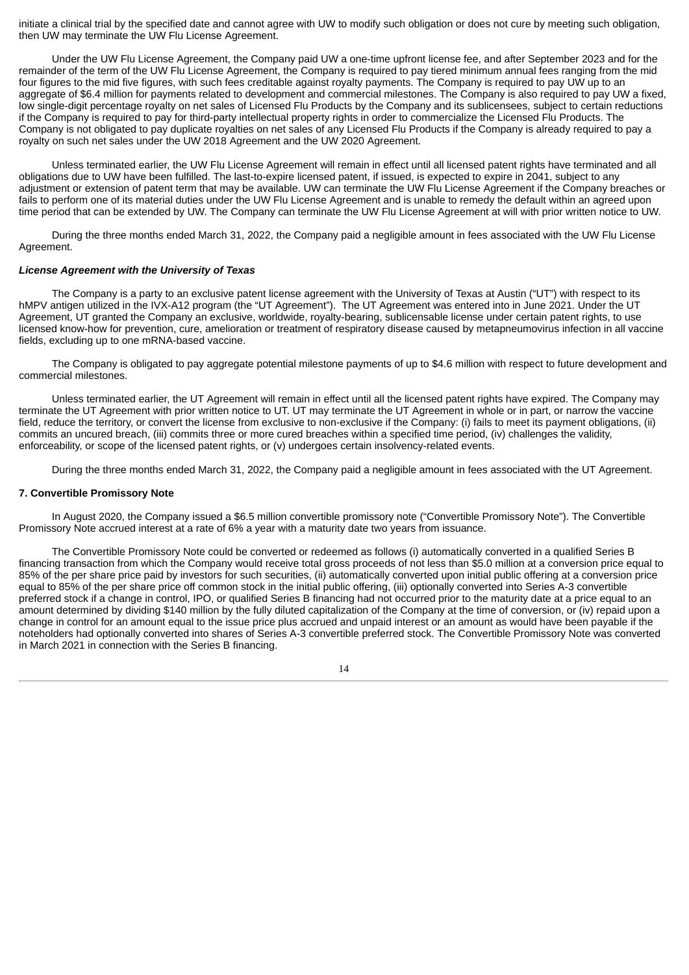initiate a clinical trial by the specified date and cannot agree with UW to modify such obligation or does not cure by meeting such obligation, then UW may terminate the UW Flu License Agreement.

Under the UW Flu License Agreement, the Company paid UW a one-time upfront license fee, and after September 2023 and for the remainder of the term of the UW Flu License Agreement, the Company is required to pay tiered minimum annual fees ranging from the mid four figures to the mid five figures, with such fees creditable against royalty payments. The Company is required to pay UW up to an aggregate of \$6.4 million for payments related to development and commercial milestones. The Company is also required to pay UW a fixed, low single-digit percentage royalty on net sales of Licensed Flu Products by the Company and its sublicensees, subject to certain reductions if the Company is required to pay for third-party intellectual property rights in order to commercialize the Licensed Flu Products. The Company is not obligated to pay duplicate royalties on net sales of any Licensed Flu Products if the Company is already required to pay a royalty on such net sales under the UW 2018 Agreement and the UW 2020 Agreement.

Unless terminated earlier, the UW Flu License Agreement will remain in effect until all licensed patent rights have terminated and all obligations due to UW have been fulfilled. The last-to-expire licensed patent, if issued, is expected to expire in 2041, subject to any adjustment or extension of patent term that may be available. UW can terminate the UW Flu License Agreement if the Company breaches or fails to perform one of its material duties under the UW Flu License Agreement and is unable to remedy the default within an agreed upon time period that can be extended by UW. The Company can terminate the UW Flu License Agreement at will with prior written notice to UW.

During the three months ended March 31, 2022, the Company paid a negligible amount in fees associated with the UW Flu License Agreement.

#### *License Agreement with the University of Texas*

The Company is a party to an exclusive patent license agreement with the University of Texas at Austin ("UT") with respect to its hMPV antigen utilized in the IVX-A12 program (the "UT Agreement"). The UT Agreement was entered into in June 2021. Under the UT Agreement, UT granted the Company an exclusive, worldwide, royalty-bearing, sublicensable license under certain patent rights, to use licensed know-how for prevention, cure, amelioration or treatment of respiratory disease caused by metapneumovirus infection in all vaccine fields, excluding up to one mRNA-based vaccine.

The Company is obligated to pay aggregate potential milestone payments of up to \$4.6 million with respect to future development and commercial milestones.

Unless terminated earlier, the UT Agreement will remain in effect until all the licensed patent rights have expired. The Company may terminate the UT Agreement with prior written notice to UT. UT may terminate the UT Agreement in whole or in part, or narrow the vaccine field, reduce the territory, or convert the license from exclusive to non-exclusive if the Company: (i) fails to meet its payment obligations, (ii) commits an uncured breach, (iii) commits three or more cured breaches within a specified time period, (iv) challenges the validity, enforceability, or scope of the licensed patent rights, or (v) undergoes certain insolvency-related events.

During the three months ended March 31, 2022, the Company paid a negligible amount in fees associated with the UT Agreement.

# **7. Convertible Promissory Note**

In August 2020, the Company issued a \$6.5 million convertible promissory note ("Convertible Promissory Note"). The Convertible Promissory Note accrued interest at a rate of 6% a year with a maturity date two years from issuance.

The Convertible Promissory Note could be converted or redeemed as follows (i) automatically converted in a qualified Series B financing transaction from which the Company would receive total gross proceeds of not less than \$5.0 million at a conversion price equal to 85% of the per share price paid by investors for such securities, (ii) automatically converted upon initial public offering at a conversion price equal to 85% of the per share price off common stock in the initial public offering, (iii) optionally converted into Series A-3 convertible preferred stock if a change in control, IPO, or qualified Series B financing had not occurred prior to the maturity date at a price equal to an amount determined by dividing \$140 million by the fully diluted capitalization of the Company at the time of conversion, or (iv) repaid upon a change in control for an amount equal to the issue price plus accrued and unpaid interest or an amount as would have been payable if the noteholders had optionally converted into shares of Series A-3 convertible preferred stock. The Convertible Promissory Note was converted in March 2021 in connection with the Series B financing.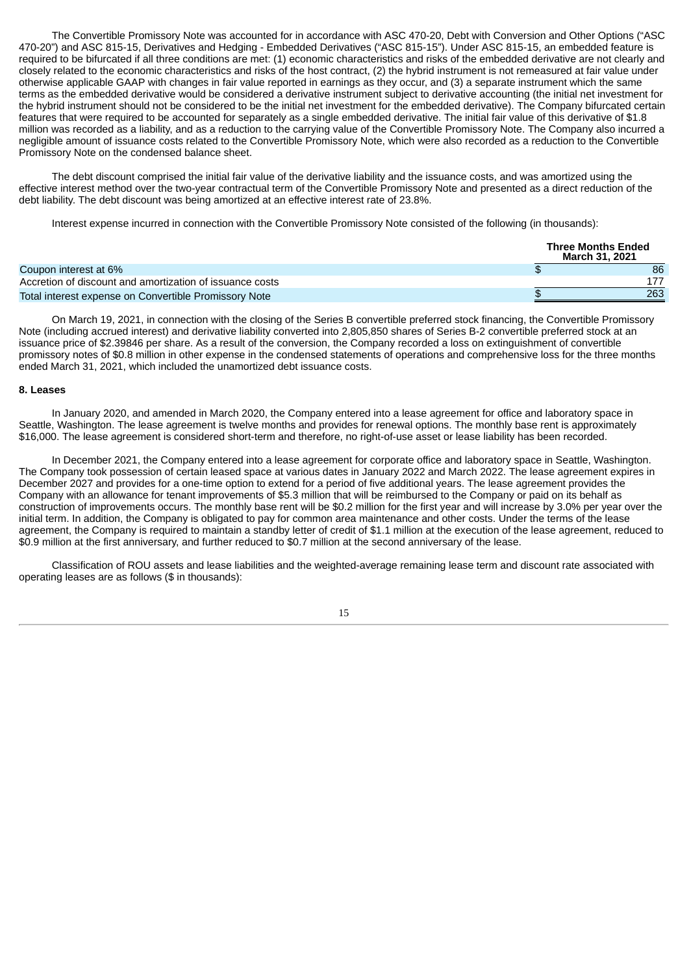The Convertible Promissory Note was accounted for in accordance with ASC 470-20, Debt with Conversion and Other Options ("ASC 470-20") and ASC 815-15, Derivatives and Hedging - Embedded Derivatives ("ASC 815-15"). Under ASC 815-15, an embedded feature is required to be bifurcated if all three conditions are met: (1) economic characteristics and risks of the embedded derivative are not clearly and closely related to the economic characteristics and risks of the host contract, (2) the hybrid instrument is not remeasured at fair value under otherwise applicable GAAP with changes in fair value reported in earnings as they occur, and (3) a separate instrument which the same terms as the embedded derivative would be considered a derivative instrument subject to derivative accounting (the initial net investment for the hybrid instrument should not be considered to be the initial net investment for the embedded derivative). The Company bifurcated certain features that were required to be accounted for separately as a single embedded derivative. The initial fair value of this derivative of \$1.8 million was recorded as a liability, and as a reduction to the carrying value of the Convertible Promissory Note. The Company also incurred a negligible amount of issuance costs related to the Convertible Promissory Note, which were also recorded as a reduction to the Convertible Promissory Note on the condensed balance sheet.

The debt discount comprised the initial fair value of the derivative liability and the issuance costs, and was amortized using the effective interest method over the two-year contractual term of the Convertible Promissory Note and presented as a direct reduction of the debt liability. The debt discount was being amortized at an effective interest rate of 23.8%.

Interest expense incurred in connection with the Convertible Promissory Note consisted of the following (in thousands):

|                                                          | <b>Three Months Ended</b><br><b>March 31, 2021</b> |     |
|----------------------------------------------------------|----------------------------------------------------|-----|
| Coupon interest at 6%                                    |                                                    | 86  |
| Accretion of discount and amortization of issuance costs |                                                    |     |
| Total interest expense on Convertible Promissory Note    |                                                    | 263 |

On March 19, 2021, in connection with the closing of the Series B convertible preferred stock financing, the Convertible Promissory Note (including accrued interest) and derivative liability converted into 2,805,850 shares of Series B-2 convertible preferred stock at an issuance price of \$2.39846 per share. As a result of the conversion, the Company recorded a loss on extinguishment of convertible promissory notes of \$0.8 million in other expense in the condensed statements of operations and comprehensive loss for the three months ended March 31, 2021, which included the unamortized debt issuance costs.

#### **8. Leases**

In January 2020, and amended in March 2020, the Company entered into a lease agreement for office and laboratory space in Seattle, Washington. The lease agreement is twelve months and provides for renewal options. The monthly base rent is approximately \$16,000. The lease agreement is considered short-term and therefore, no right-of-use asset or lease liability has been recorded.

In December 2021, the Company entered into a lease agreement for corporate office and laboratory space in Seattle, Washington. The Company took possession of certain leased space at various dates in January 2022 and March 2022. The lease agreement expires in December 2027 and provides for a one-time option to extend for a period of five additional years. The lease agreement provides the Company with an allowance for tenant improvements of \$5.3 million that will be reimbursed to the Company or paid on its behalf as construction of improvements occurs. The monthly base rent will be \$0.2 million for the first year and will increase by 3.0% per year over the initial term. In addition, the Company is obligated to pay for common area maintenance and other costs. Under the terms of the lease agreement, the Company is required to maintain a standby letter of credit of \$1.1 million at the execution of the lease agreement, reduced to \$0.9 million at the first anniversary, and further reduced to \$0.7 million at the second anniversary of the lease.

Classification of ROU assets and lease liabilities and the weighted-average remaining lease term and discount rate associated with operating leases are as follows (\$ in thousands):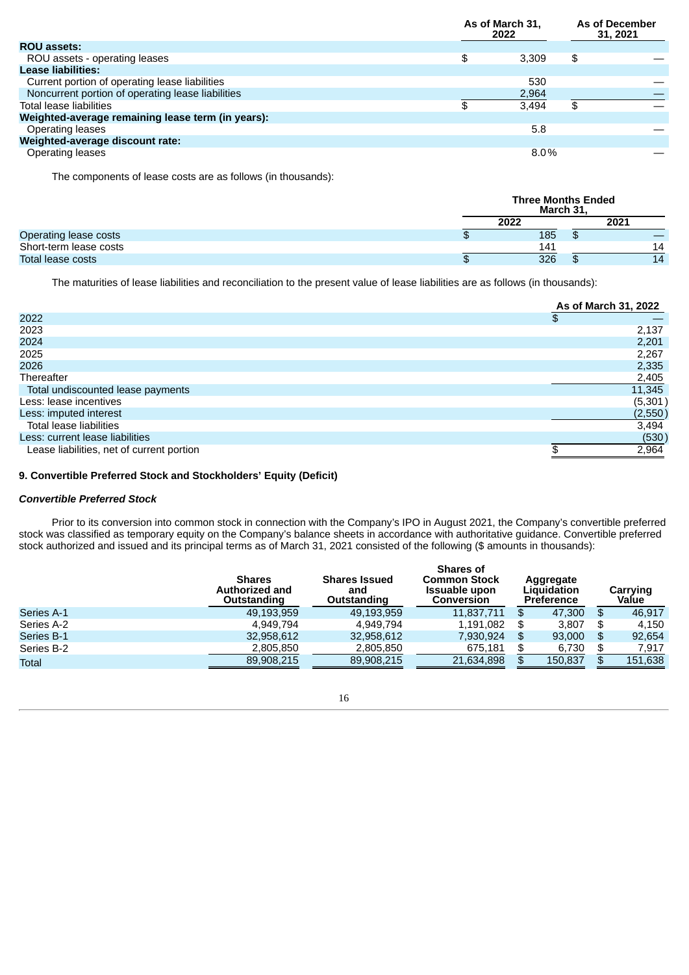|                                                   | As of March 31,<br>2022 | As of December<br>31, 2021 |  |  |
|---------------------------------------------------|-------------------------|----------------------------|--|--|
| <b>ROU assets:</b>                                |                         |                            |  |  |
| ROU assets - operating leases                     | \$<br>3.309             | \$                         |  |  |
| <b>Lease liabilities:</b>                         |                         |                            |  |  |
| Current portion of operating lease liabilities    | 530                     |                            |  |  |
| Noncurrent portion of operating lease liabilities | 2,964                   |                            |  |  |
| Total lease liabilities                           | \$<br>3.494             | \$                         |  |  |
| Weighted-average remaining lease term (in years): |                         |                            |  |  |
| Operating leases                                  | 5.8                     |                            |  |  |
| Weighted-average discount rate:                   |                         |                            |  |  |
| Operating leases                                  | 8.0%                    |                            |  |  |

The components of lease costs are as follows (in thousands):

|                        | <b>Three Months Ended</b><br><b>March 31.</b> |      |
|------------------------|-----------------------------------------------|------|
|                        | 2022                                          | 2021 |
| Operating lease costs  | 185                                           |      |
| Short-term lease costs | 141                                           | 14   |
| Total lease costs      | 326                                           | 14   |

The maturities of lease liabilities and reconciliation to the present value of lease liabilities are as follows (in thousands):

|                                           | As of March 31, 2022 |
|-------------------------------------------|----------------------|
| 2022                                      | \$                   |
| 2023                                      | 2,137                |
| 2024                                      | 2,201                |
| 2025                                      | 2,267                |
| 2026                                      | 2,335                |
| Thereafter                                | 2,405                |
| Total undiscounted lease payments         | 11,345               |
| Less: lease incentives                    | (5, 301)             |
| Less: imputed interest                    | (2,550)              |
| Total lease liabilities                   | 3,494                |
| Less: current lease liabilities           | (530)                |
| Lease liabilities, net of current portion | 2,964                |

# **9. Convertible Preferred Stock and Stockholders' Equity (Deficit)**

# *Convertible Preferred Stock*

Prior to its conversion into common stock in connection with the Company's IPO in August 2021, the Company's convertible preferred stock was classified as temporary equity on the Company's balance sheets in accordance with authoritative guidance. Convertible preferred stock authorized and issued and its principal terms as of March 31, 2021 consisted of the following (\$ amounts in thousands):

|              | <b>Shares</b><br><b>Authorized and</b><br>Outstanding | <b>Shares Issued</b><br>and<br>Outstanding | <b>Shares of</b><br><b>Common Stock</b><br>Issuable upon<br><b>Conversion</b> |     | Aggregate<br>Liquidation<br><b>Preference</b> | Carrying<br>Value |
|--------------|-------------------------------------------------------|--------------------------------------------|-------------------------------------------------------------------------------|-----|-----------------------------------------------|-------------------|
| Series A-1   | 49.193.959                                            | 49.193.959                                 | 11,837,711                                                                    | \$  | 47.300                                        | \$<br>46.917      |
| Series A-2   | 4.949.794                                             | 4.949.794                                  | 1.191.082                                                                     | \$  | 3.807                                         | \$<br>4,150       |
| Series B-1   | 32,958,612                                            | 32,958,612                                 | 7,930,924                                                                     | \$  | 93,000                                        | \$<br>92,654      |
| Series B-2   | 2,805,850                                             | 2,805,850                                  | 675.181                                                                       |     | 6,730                                         | 7,917             |
| <b>Total</b> | 89.908.215                                            | 89.908.215                                 | 21.634.898                                                                    | \$. | 150,837                                       | 151,638           |

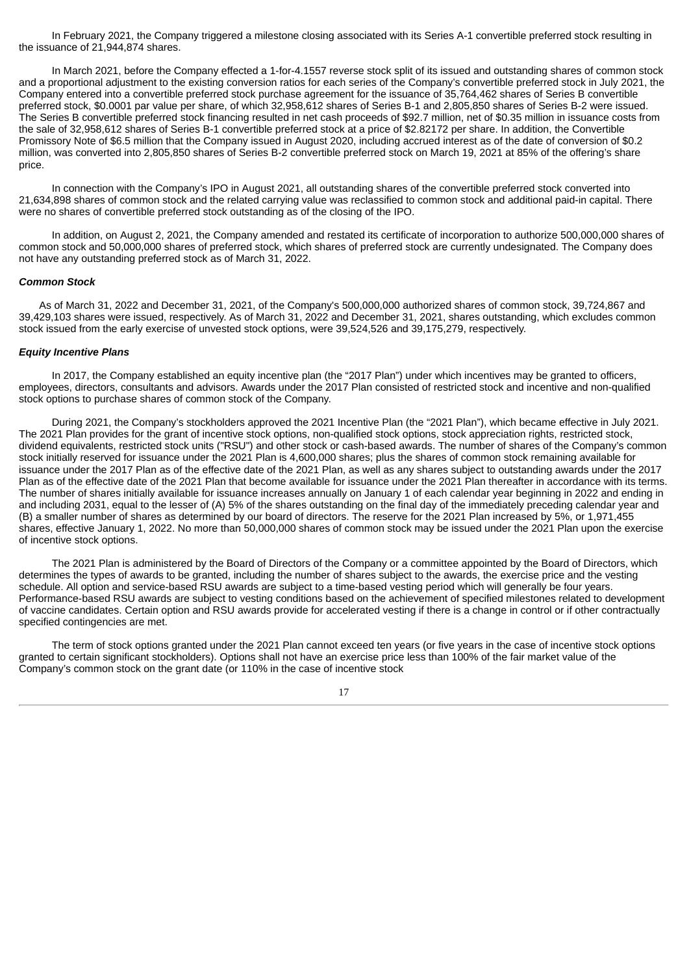In February 2021, the Company triggered a milestone closing associated with its Series A-1 convertible preferred stock resulting in the issuance of 21,944,874 shares.

In March 2021, before the Company effected a 1-for-4.1557 reverse stock split of its issued and outstanding shares of common stock and a proportional adjustment to the existing conversion ratios for each series of the Company's convertible preferred stock in July 2021, the Company entered into a convertible preferred stock purchase agreement for the issuance of 35,764,462 shares of Series B convertible preferred stock, \$0.0001 par value per share, of which 32,958,612 shares of Series B-1 and 2,805,850 shares of Series B-2 were issued. The Series B convertible preferred stock financing resulted in net cash proceeds of \$92.7 million, net of \$0.35 million in issuance costs from the sale of 32,958,612 shares of Series B-1 convertible preferred stock at a price of \$2.82172 per share. In addition, the Convertible Promissory Note of \$6.5 million that the Company issued in August 2020, including accrued interest as of the date of conversion of \$0.2 million, was converted into 2,805,850 shares of Series B-2 convertible preferred stock on March 19, 2021 at 85% of the offering's share price.

In connection with the Company's IPO in August 2021, all outstanding shares of the convertible preferred stock converted into 21,634,898 shares of common stock and the related carrying value was reclassified to common stock and additional paid-in capital. There were no shares of convertible preferred stock outstanding as of the closing of the IPO.

In addition, on August 2, 2021, the Company amended and restated its certificate of incorporation to authorize 500,000,000 shares of common stock and 50,000,000 shares of preferred stock, which shares of preferred stock are currently undesignated. The Company does not have any outstanding preferred stock as of March 31, 2022.

#### *Common Stock*

As of March 31, 2022 and December 31, 2021, of the Company's 500,000,000 authorized shares of common stock, 39,724,867 and 39,429,103 shares were issued, respectively. As of March 31, 2022 and December 31, 2021, shares outstanding, which excludes common stock issued from the early exercise of unvested stock options, were 39,524,526 and 39,175,279, respectively.

# *Equity Incentive Plans*

In 2017, the Company established an equity incentive plan (the "2017 Plan") under which incentives may be granted to officers, employees, directors, consultants and advisors. Awards under the 2017 Plan consisted of restricted stock and incentive and non-qualified stock options to purchase shares of common stock of the Company.

During 2021, the Company's stockholders approved the 2021 Incentive Plan (the "2021 Plan"), which became effective in July 2021. The 2021 Plan provides for the grant of incentive stock options, non-qualified stock options, stock appreciation rights, restricted stock, dividend equivalents, restricted stock units ("RSU") and other stock or cash-based awards. The number of shares of the Company's common stock initially reserved for issuance under the 2021 Plan is 4,600,000 shares; plus the shares of common stock remaining available for issuance under the 2017 Plan as of the effective date of the 2021 Plan, as well as any shares subject to outstanding awards under the 2017 Plan as of the effective date of the 2021 Plan that become available for issuance under the 2021 Plan thereafter in accordance with its terms. The number of shares initially available for issuance increases annually on January 1 of each calendar year beginning in 2022 and ending in and including 2031, equal to the lesser of (A) 5% of the shares outstanding on the final day of the immediately preceding calendar year and (B) a smaller number of shares as determined by our board of directors. The reserve for the 2021 Plan increased by 5%, or 1,971,455 shares, effective January 1, 2022. No more than 50,000,000 shares of common stock may be issued under the 2021 Plan upon the exercise of incentive stock options.

The 2021 Plan is administered by the Board of Directors of the Company or a committee appointed by the Board of Directors, which determines the types of awards to be granted, including the number of shares subject to the awards, the exercise price and the vesting schedule. All option and service-based RSU awards are subject to a time-based vesting period which will generally be four years. Performance-based RSU awards are subject to vesting conditions based on the achievement of specified milestones related to development of vaccine candidates. Certain option and RSU awards provide for accelerated vesting if there is a change in control or if other contractually specified contingencies are met.

The term of stock options granted under the 2021 Plan cannot exceed ten years (or five years in the case of incentive stock options granted to certain significant stockholders). Options shall not have an exercise price less than 100% of the fair market value of the Company's common stock on the grant date (or 110% in the case of incentive stock

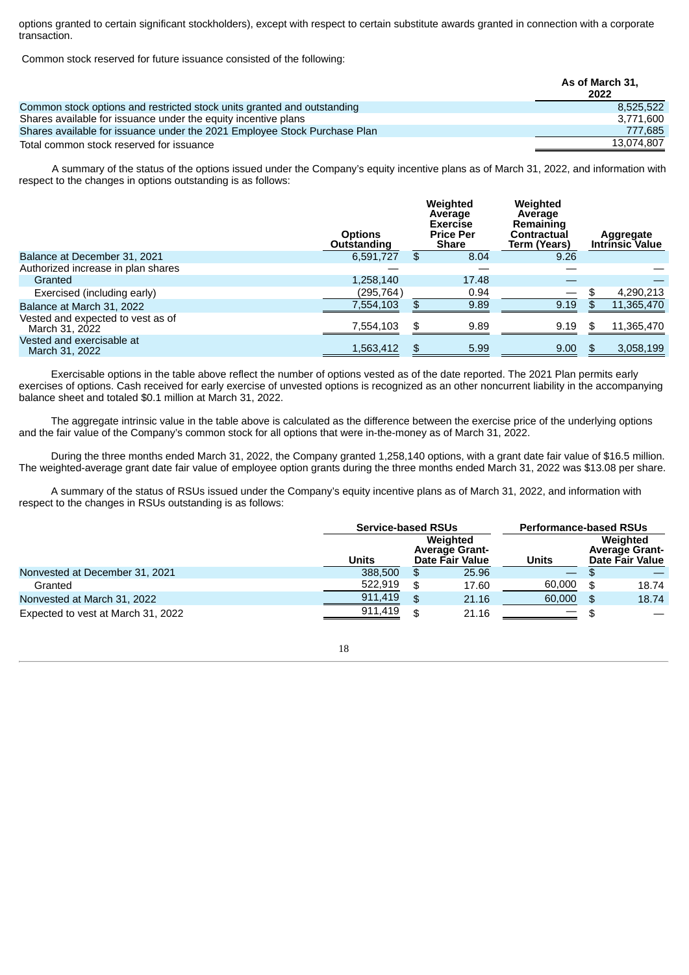options granted to certain significant stockholders), except with respect to certain substitute awards granted in connection with a corporate transaction.

Common stock reserved for future issuance consisted of the following:

|                                                                           | As of March 31,<br>2022 |
|---------------------------------------------------------------------------|-------------------------|
| Common stock options and restricted stock units granted and outstanding   | 8.525.522               |
| Shares available for issuance under the equity incentive plans            | 3.771.600               |
| Shares available for issuance under the 2021 Employee Stock Purchase Plan | 777.685                 |
| Total common stock reserved for issuance                                  | 13.074.807              |

A summary of the status of the options issued under the Company's equity incentive plans as of March 31, 2022, and information with respect to the changes in options outstanding is as follows:

|                                                     | <b>Options</b><br><b>Outstanding</b> |    | Weighted<br>Average<br><b>Exercise</b><br><b>Price Per</b><br><b>Share</b> | Weighted<br>Average<br>Remaining<br><b>Contractual</b><br>Term (Years) | Aggregate<br><b>Intrinsic Value</b> |
|-----------------------------------------------------|--------------------------------------|----|----------------------------------------------------------------------------|------------------------------------------------------------------------|-------------------------------------|
| Balance at December 31, 2021                        | 6,591,727                            | \$ | 8.04                                                                       | 9.26                                                                   |                                     |
| Authorized increase in plan shares                  |                                      |    |                                                                            |                                                                        |                                     |
| Granted                                             | 1,258,140                            |    | 17.48                                                                      |                                                                        |                                     |
| Exercised (including early)                         | (295,764)                            |    | 0.94                                                                       | --                                                                     | 4,290,213                           |
| Balance at March 31, 2022                           | 7,554,103                            | £. | 9.89                                                                       | 9.19                                                                   | 11,365,470                          |
| Vested and expected to vest as of<br>March 31, 2022 | 7,554,103                            | \$ | 9.89                                                                       | 9.19                                                                   | 11,365,470                          |
| Vested and exercisable at<br>March 31, 2022         | 1,563,412                            |    | 5.99                                                                       | 9.00                                                                   | 3,058,199                           |

Exercisable options in the table above reflect the number of options vested as of the date reported. The 2021 Plan permits early exercises of options. Cash received for early exercise of unvested options is recognized as an other noncurrent liability in the accompanying balance sheet and totaled \$0.1 million at March 31, 2022.

The aggregate intrinsic value in the table above is calculated as the difference between the exercise price of the underlying options and the fair value of the Company's common stock for all options that were in-the-money as of March 31, 2022.

During the three months ended March 31, 2022, the Company granted 1,258,140 options, with a grant date fair value of \$16.5 million. The weighted-average grant date fair value of employee option grants during the three months ended March 31, 2022 was \$13.08 per share.

A summary of the status of RSUs issued under the Company's equity incentive plans as of March 31, 2022, and information with respect to the changes in RSUs outstanding is as follows:

|                                    | <b>Service-based RSUs</b> |     | <b>Performance-based RSUs</b>                        |        |                                                             |       |
|------------------------------------|---------------------------|-----|------------------------------------------------------|--------|-------------------------------------------------------------|-------|
|                                    | <b>Units</b>              |     | Weighted<br><b>Average Grant-</b><br>Date Fair Value | Units  | Weighted<br><b>Average Grant-</b><br><b>Date Fair Value</b> |       |
| Nonvested at December 31, 2021     | 388,500                   | \$. | 25.96                                                |        |                                                             |       |
| Granted                            | 522.919                   |     | 17.60                                                | 60,000 |                                                             | 18.74 |
| Nonvested at March 31, 2022        | 911.419                   | \$  | 21.16                                                | 60,000 | \$.                                                         | 18.74 |
| Expected to vest at March 31, 2022 | 911.419                   | \$  | 21.16                                                |        |                                                             |       |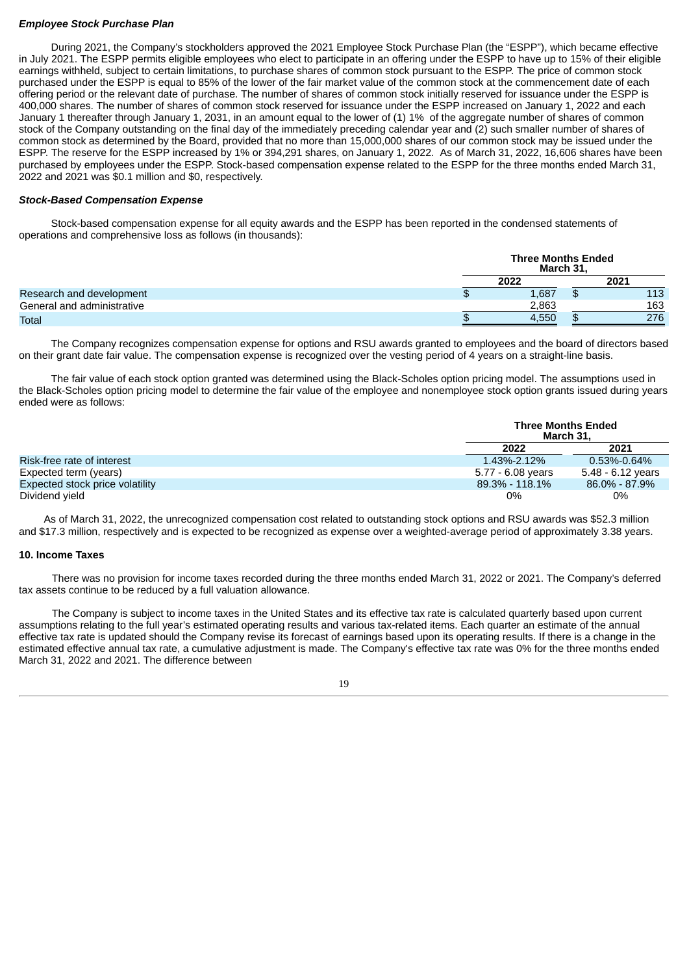# *Employee Stock Purchase Plan*

During 2021, the Company's stockholders approved the 2021 Employee Stock Purchase Plan (the "ESPP"), which became effective in July 2021. The ESPP permits eligible employees who elect to participate in an offering under the ESPP to have up to 15% of their eligible earnings withheld, subject to certain limitations, to purchase shares of common stock pursuant to the ESPP. The price of common stock purchased under the ESPP is equal to 85% of the lower of the fair market value of the common stock at the commencement date of each offering period or the relevant date of purchase. The number of shares of common stock initially reserved for issuance under the ESPP is 400,000 shares. The number of shares of common stock reserved for issuance under the ESPP increased on January 1, 2022 and each January 1 thereafter through January 1, 2031, in an amount equal to the lower of (1) 1% of the aggregate number of shares of common stock of the Company outstanding on the final day of the immediately preceding calendar year and (2) such smaller number of shares of common stock as determined by the Board, provided that no more than 15,000,000 shares of our common stock may be issued under the ESPP. The reserve for the ESPP increased by 1% or 394,291 shares, on January 1, 2022. As of March 31, 2022, 16,606 shares have been purchased by employees under the ESPP. Stock-based compensation expense related to the ESPP for the three months ended March 31, 2022 and 2021 was \$0.1 million and \$0, respectively.

# *Stock-Based Compensation Expense*

Stock-based compensation expense for all equity awards and the ESPP has been reported in the condensed statements of operations and comprehensive loss as follows (in thousands):

|                            | <b>Three Months Ended</b> | March 31. |      |
|----------------------------|---------------------------|-----------|------|
|                            | 2022                      |           | 2021 |
| Research and development   | 1,687                     |           | 113  |
| General and administrative | 2.863                     |           | 163  |
| <b>Total</b>               | 4.550                     |           | 276  |

The Company recognizes compensation expense for options and RSU awards granted to employees and the board of directors based on their grant date fair value. The compensation expense is recognized over the vesting period of 4 years on a straight-line basis.

The fair value of each stock option granted was determined using the Black-Scholes option pricing model. The assumptions used in the Black-Scholes option pricing model to determine the fair value of the employee and nonemployee stock option grants issued during years ended were as follows:

|                                 | <b>Three Months Ended</b><br><b>March 31.</b> |                     |
|---------------------------------|-----------------------------------------------|---------------------|
|                                 | 2022                                          | 2021                |
| Risk-free rate of interest      | 1.43%-2.12%                                   | $0.53\% - 0.64\%$   |
| Expected term (years)           | 5.77 - 6.08 years                             | $5.48 - 6.12$ years |
| Expected stock price volatility | 89.3% - 118.1%                                | 86.0% - 87.9%       |
| Dividend yield                  | 0%                                            | 0%                  |

As of March 31, 2022, the unrecognized compensation cost related to outstanding stock options and RSU awards was \$52.3 million and \$17.3 million, respectively and is expected to be recognized as expense over a weighted-average period of approximately 3.38 years.

#### **10. Income Taxes**

There was no provision for income taxes recorded during the three months ended March 31, 2022 or 2021. The Company's deferred tax assets continue to be reduced by a full valuation allowance.

The Company is subject to income taxes in the United States and its effective tax rate is calculated quarterly based upon current assumptions relating to the full year's estimated operating results and various tax-related items. Each quarter an estimate of the annual effective tax rate is updated should the Company revise its forecast of earnings based upon its operating results. If there is a change in the estimated effective annual tax rate, a cumulative adjustment is made. The Company's effective tax rate was 0% for the three months ended March 31, 2022 and 2021. The difference between

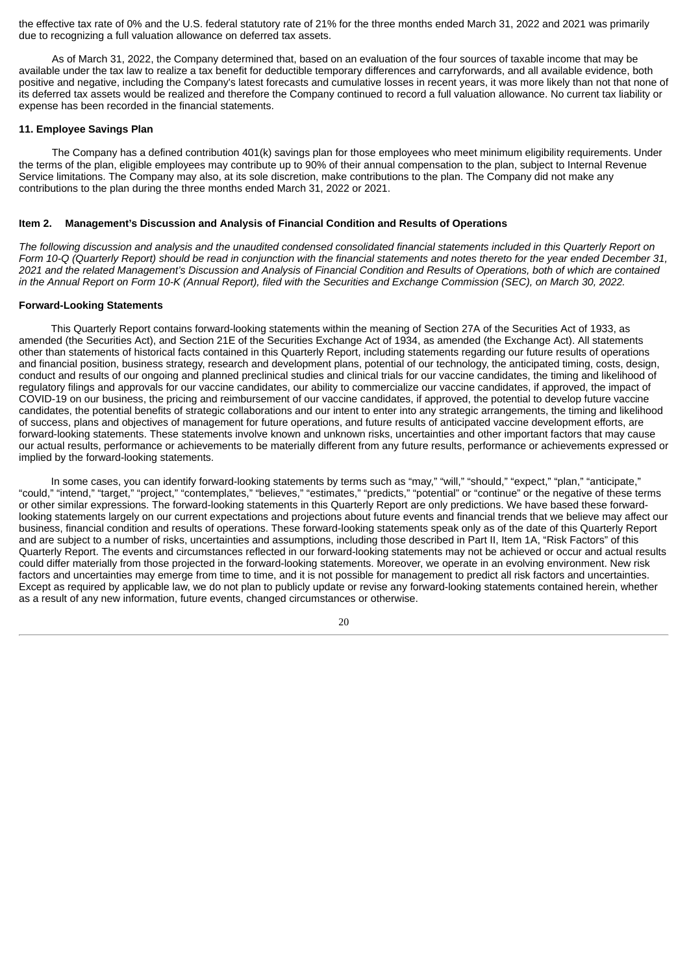the effective tax rate of 0% and the U.S. federal statutory rate of 21% for the three months ended March 31, 2022 and 2021 was primarily due to recognizing a full valuation allowance on deferred tax assets.

As of March 31, 2022, the Company determined that, based on an evaluation of the four sources of taxable income that may be available under the tax law to realize a tax benefit for deductible temporary differences and carryforwards, and all available evidence, both positive and negative, including the Company's latest forecasts and cumulative losses in recent years, it was more likely than not that none of its deferred tax assets would be realized and therefore the Company continued to record a full valuation allowance. No current tax liability or expense has been recorded in the financial statements.

#### **11. Employee Savings Plan**

The Company has a defined contribution 401(k) savings plan for those employees who meet minimum eligibility requirements. Under the terms of the plan, eligible employees may contribute up to 90% of their annual compensation to the plan, subject to Internal Revenue Service limitations. The Company may also, at its sole discretion, make contributions to the plan. The Company did not make any contributions to the plan during the three months ended March 31, 2022 or 2021.

#### **Item 2. Management's Discussion and Analysis of Financial Condition and Results of Operations**

<span id="page-20-0"></span>The following discussion and analysis and the unaudited condensed consolidated financial statements included in this Quarterly Report on Form 10-Q (Quarterly Report) should be read in conjunction with the financial statements and notes thereto for the year ended December 31, 2021 and the related Management's Discussion and Analysis of Financial Condition and Results of Operations, both of which are contained in the Annual Report on Form 10-K (Annual Report), filed with the Securities and Exchange Commission (SEC), on March 30, 2022.

#### **Forward-Looking Statements**

This Quarterly Report contains forward-looking statements within the meaning of Section 27A of the Securities Act of 1933, as amended (the Securities Act), and Section 21E of the Securities Exchange Act of 1934, as amended (the Exchange Act). All statements other than statements of historical facts contained in this Quarterly Report, including statements regarding our future results of operations and financial position, business strategy, research and development plans, potential of our technology, the anticipated timing, costs, design, conduct and results of our ongoing and planned preclinical studies and clinical trials for our vaccine candidates, the timing and likelihood of regulatory filings and approvals for our vaccine candidates, our ability to commercialize our vaccine candidates, if approved, the impact of COVID-19 on our business, the pricing and reimbursement of our vaccine candidates, if approved, the potential to develop future vaccine candidates, the potential benefits of strategic collaborations and our intent to enter into any strategic arrangements, the timing and likelihood of success, plans and objectives of management for future operations, and future results of anticipated vaccine development efforts, are forward-looking statements. These statements involve known and unknown risks, uncertainties and other important factors that may cause our actual results, performance or achievements to be materially different from any future results, performance or achievements expressed or implied by the forward-looking statements.

In some cases, you can identify forward-looking statements by terms such as "may," "will," "should," "expect," "plan," "anticipate," "could," "intend," "target," "project," "contemplates," "believes," "estimates," "predicts," "potential" or "continue" or the negative of these terms or other similar expressions. The forward-looking statements in this Quarterly Report are only predictions. We have based these forwardlooking statements largely on our current expectations and projections about future events and financial trends that we believe may affect our business, financial condition and results of operations. These forward-looking statements speak only as of the date of this Quarterly Report and are subject to a number of risks, uncertainties and assumptions, including those described in Part II, Item 1A, "Risk Factors" of this Quarterly Report. The events and circumstances reflected in our forward-looking statements may not be achieved or occur and actual results could differ materially from those projected in the forward-looking statements. Moreover, we operate in an evolving environment. New risk factors and uncertainties may emerge from time to time, and it is not possible for management to predict all risk factors and uncertainties. Except as required by applicable law, we do not plan to publicly update or revise any forward-looking statements contained herein, whether as a result of any new information, future events, changed circumstances or otherwise.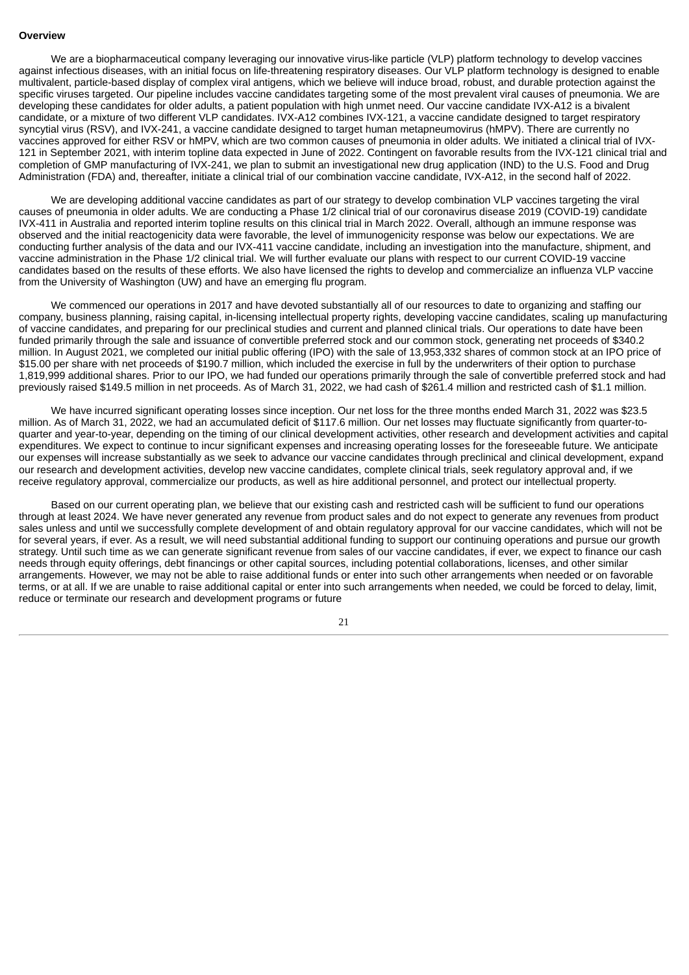#### **Overview**

We are a biopharmaceutical company leveraging our innovative virus-like particle (VLP) platform technology to develop vaccines against infectious diseases, with an initial focus on life-threatening respiratory diseases. Our VLP platform technology is designed to enable multivalent, particle-based display of complex viral antigens, which we believe will induce broad, robust, and durable protection against the specific viruses targeted. Our pipeline includes vaccine candidates targeting some of the most prevalent viral causes of pneumonia. We are developing these candidates for older adults, a patient population with high unmet need. Our vaccine candidate IVX-A12 is a bivalent candidate, or a mixture of two different VLP candidates. IVX-A12 combines IVX-121, a vaccine candidate designed to target respiratory syncytial virus (RSV), and IVX-241, a vaccine candidate designed to target human metapneumovirus (hMPV). There are currently no vaccines approved for either RSV or hMPV, which are two common causes of pneumonia in older adults. We initiated a clinical trial of IVX-121 in September 2021, with interim topline data expected in June of 2022. Contingent on favorable results from the IVX-121 clinical trial and completion of GMP manufacturing of IVX-241, we plan to submit an investigational new drug application (IND) to the U.S. Food and Drug Administration (FDA) and, thereafter, initiate a clinical trial of our combination vaccine candidate, IVX-A12, in the second half of 2022.

We are developing additional vaccine candidates as part of our strategy to develop combination VLP vaccines targeting the viral causes of pneumonia in older adults. We are conducting a Phase 1/2 clinical trial of our coronavirus disease 2019 (COVID-19) candidate IVX-411 in Australia and reported interim topline results on this clinical trial in March 2022. Overall, although an immune response was observed and the initial reactogenicity data were favorable, the level of immunogenicity response was below our expectations. We are conducting further analysis of the data and our IVX-411 vaccine candidate, including an investigation into the manufacture, shipment, and vaccine administration in the Phase 1/2 clinical trial. We will further evaluate our plans with respect to our current COVID-19 vaccine candidates based on the results of these efforts. We also have licensed the rights to develop and commercialize an influenza VLP vaccine from the University of Washington (UW) and have an emerging flu program.

We commenced our operations in 2017 and have devoted substantially all of our resources to date to organizing and staffing our company, business planning, raising capital, in-licensing intellectual property rights, developing vaccine candidates, scaling up manufacturing of vaccine candidates, and preparing for our preclinical studies and current and planned clinical trials. Our operations to date have been funded primarily through the sale and issuance of convertible preferred stock and our common stock, generating net proceeds of \$340.2 million. In August 2021, we completed our initial public offering (IPO) with the sale of 13,953,332 shares of common stock at an IPO price of \$15.00 per share with net proceeds of \$190.7 million, which included the exercise in full by the underwriters of their option to purchase 1,819,999 additional shares. Prior to our IPO, we had funded our operations primarily through the sale of convertible preferred stock and had previously raised \$149.5 million in net proceeds. As of March 31, 2022, we had cash of \$261.4 million and restricted cash of \$1.1 million.

We have incurred significant operating losses since inception. Our net loss for the three months ended March 31, 2022 was \$23.5 million. As of March 31, 2022, we had an accumulated deficit of \$117.6 million. Our net losses may fluctuate significantly from quarter-toquarter and year-to-year, depending on the timing of our clinical development activities, other research and development activities and capital expenditures. We expect to continue to incur significant expenses and increasing operating losses for the foreseeable future. We anticipate our expenses will increase substantially as we seek to advance our vaccine candidates through preclinical and clinical development, expand our research and development activities, develop new vaccine candidates, complete clinical trials, seek regulatory approval and, if we receive regulatory approval, commercialize our products, as well as hire additional personnel, and protect our intellectual property.

Based on our current operating plan, we believe that our existing cash and restricted cash will be sufficient to fund our operations through at least 2024. We have never generated any revenue from product sales and do not expect to generate any revenues from product sales unless and until we successfully complete development of and obtain regulatory approval for our vaccine candidates, which will not be for several years, if ever. As a result, we will need substantial additional funding to support our continuing operations and pursue our growth strategy. Until such time as we can generate significant revenue from sales of our vaccine candidates, if ever, we expect to finance our cash needs through equity offerings, debt financings or other capital sources, including potential collaborations, licenses, and other similar arrangements. However, we may not be able to raise additional funds or enter into such other arrangements when needed or on favorable terms, or at all. If we are unable to raise additional capital or enter into such arrangements when needed, we could be forced to delay, limit, reduce or terminate our research and development programs or future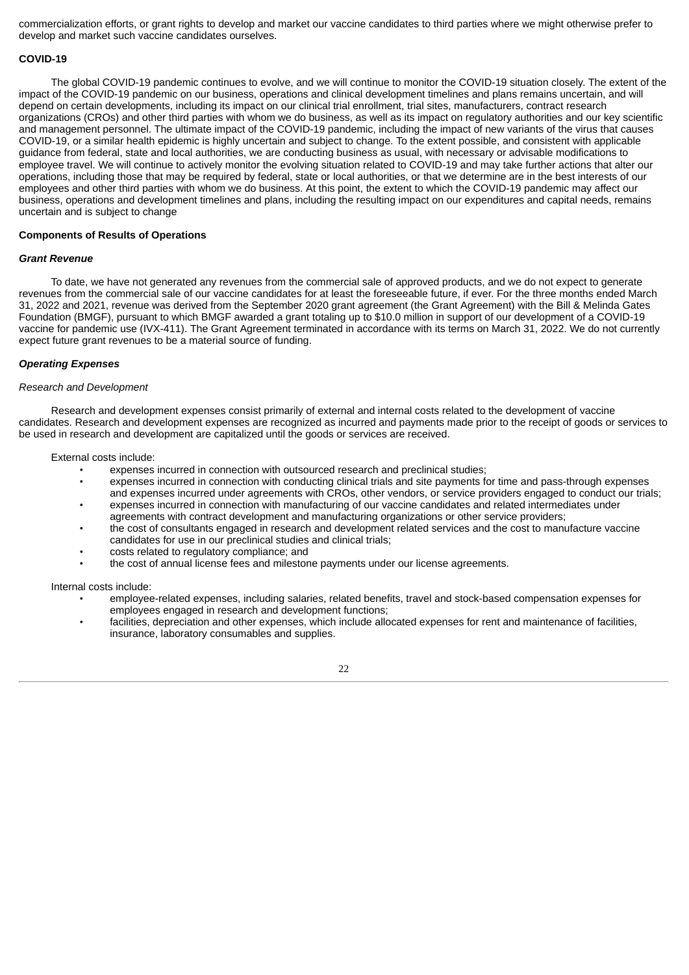commercialization efforts, or grant rights to develop and market our vaccine candidates to third parties where we might otherwise prefer to develop and market such vaccine candidates ourselves.

# **COVID-19**

The global COVID-19 pandemic continues to evolve, and we will continue to monitor the COVID-19 situation closely. The extent of the impact of the COVID-19 pandemic on our business, operations and clinical development timelines and plans remains uncertain, and will depend on certain developments, including its impact on our clinical trial enrollment, trial sites, manufacturers, contract research organizations (CROs) and other third parties with whom we do business, as well as its impact on regulatory authorities and our key scientific and management personnel. The ultimate impact of the COVID-19 pandemic, including the impact of new variants of the virus that causes COVID-19, or a similar health epidemic is highly uncertain and subject to change. To the extent possible, and consistent with applicable guidance from federal, state and local authorities, we are conducting business as usual, with necessary or advisable modifications to employee travel. We will continue to actively monitor the evolving situation related to COVID-19 and may take further actions that alter our operations, including those that may be required by federal, state or local authorities, or that we determine are in the best interests of our employees and other third parties with whom we do business. At this point, the extent to which the COVID-19 pandemic may affect our business, operations and development timelines and plans, including the resulting impact on our expenditures and capital needs, remains uncertain and is subject to change

#### **Components of Results of Operations**

#### *Grant Revenue*

To date, we have not generated any revenues from the commercial sale of approved products, and we do not expect to generate revenues from the commercial sale of our vaccine candidates for at least the foreseeable future, if ever. For the three months ended March 31, 2022 and 2021, revenue was derived from the September 2020 grant agreement (the Grant Agreement) with the Bill & Melinda Gates Foundation (BMGF), pursuant to which BMGF awarded a grant totaling up to \$10.0 million in support of our development of a COVID-19 vaccine for pandemic use (IVX-411). The Grant Agreement terminated in accordance with its terms on March 31, 2022. We do not currently expect future grant revenues to be a material source of funding.

# *Operating Expenses*

# *Research and Development*

Research and development expenses consist primarily of external and internal costs related to the development of vaccine candidates. Research and development expenses are recognized as incurred and payments made prior to the receipt of goods or services to be used in research and development are capitalized until the goods or services are received.

#### External costs include:

- expenses incurred in connection with outsourced research and preclinical studies;
- expenses incurred in connection with conducting clinical trials and site payments for time and pass-through expenses and expenses incurred under agreements with CROs, other vendors, or service providers engaged to conduct our trials;
- expenses incurred in connection with manufacturing of our vaccine candidates and related intermediates under agreements with contract development and manufacturing organizations or other service providers;
- the cost of consultants engaged in research and development related services and the cost to manufacture vaccine candidates for use in our preclinical studies and clinical trials;
- costs related to regulatory compliance; and
- the cost of annual license fees and milestone payments under our license agreements.

Internal costs include:

- employee-related expenses, including salaries, related benefits, travel and stock-based compensation expenses for employees engaged in research and development functions;
- facilities, depreciation and other expenses, which include allocated expenses for rent and maintenance of facilities, insurance, laboratory consumables and supplies.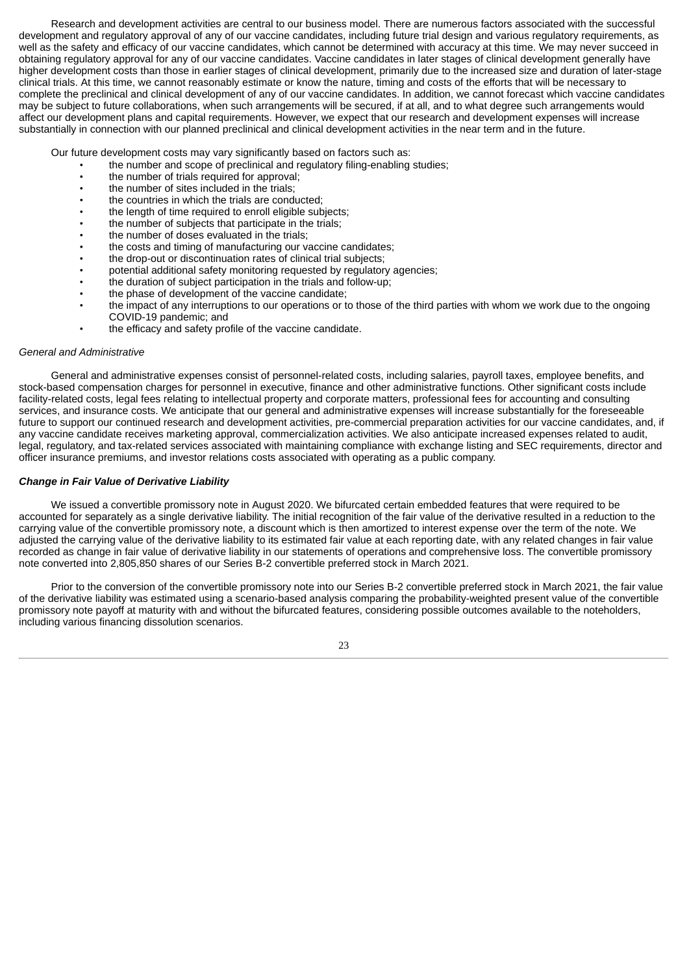Research and development activities are central to our business model. There are numerous factors associated with the successful development and regulatory approval of any of our vaccine candidates, including future trial design and various regulatory requirements, as well as the safety and efficacy of our vaccine candidates, which cannot be determined with accuracy at this time. We may never succeed in obtaining regulatory approval for any of our vaccine candidates. Vaccine candidates in later stages of clinical development generally have higher development costs than those in earlier stages of clinical development, primarily due to the increased size and duration of later-stage clinical trials. At this time, we cannot reasonably estimate or know the nature, timing and costs of the efforts that will be necessary to complete the preclinical and clinical development of any of our vaccine candidates. In addition, we cannot forecast which vaccine candidates may be subject to future collaborations, when such arrangements will be secured, if at all, and to what degree such arrangements would affect our development plans and capital requirements. However, we expect that our research and development expenses will increase substantially in connection with our planned preclinical and clinical development activities in the near term and in the future.

Our future development costs may vary significantly based on factors such as:

- the number and scope of preclinical and regulatory filing-enabling studies;
- the number of trials required for approval;
- the number of sites included in the trials;
- the countries in which the trials are conducted;
- the length of time required to enroll eligible subjects:
- the number of subjects that participate in the trials;
- the number of doses evaluated in the trials;
- the costs and timing of manufacturing our vaccine candidates;
- the drop-out or discontinuation rates of clinical trial subjects;
- potential additional safety monitoring requested by regulatory agencies;
- the duration of subject participation in the trials and follow-up;
- the phase of development of the vaccine candidate:
- the impact of any interruptions to our operations or to those of the third parties with whom we work due to the ongoing COVID-19 pandemic; and
- the efficacy and safety profile of the vaccine candidate.

#### *General and Administrative*

General and administrative expenses consist of personnel-related costs, including salaries, payroll taxes, employee benefits, and stock-based compensation charges for personnel in executive, finance and other administrative functions. Other significant costs include facility-related costs, legal fees relating to intellectual property and corporate matters, professional fees for accounting and consulting services, and insurance costs. We anticipate that our general and administrative expenses will increase substantially for the foreseeable future to support our continued research and development activities, pre-commercial preparation activities for our vaccine candidates, and, if any vaccine candidate receives marketing approval, commercialization activities. We also anticipate increased expenses related to audit, legal, regulatory, and tax-related services associated with maintaining compliance with exchange listing and SEC requirements, director and officer insurance premiums, and investor relations costs associated with operating as a public company.

# *Change in Fair Value of Derivative Liability*

We issued a convertible promissory note in August 2020. We bifurcated certain embedded features that were required to be accounted for separately as a single derivative liability. The initial recognition of the fair value of the derivative resulted in a reduction to the carrying value of the convertible promissory note, a discount which is then amortized to interest expense over the term of the note. We adjusted the carrying value of the derivative liability to its estimated fair value at each reporting date, with any related changes in fair value recorded as change in fair value of derivative liability in our statements of operations and comprehensive loss. The convertible promissory note converted into 2,805,850 shares of our Series B-2 convertible preferred stock in March 2021.

Prior to the conversion of the convertible promissory note into our Series B-2 convertible preferred stock in March 2021, the fair value of the derivative liability was estimated using a scenario-based analysis comparing the probability-weighted present value of the convertible promissory note payoff at maturity with and without the bifurcated features, considering possible outcomes available to the noteholders, including various financing dissolution scenarios.

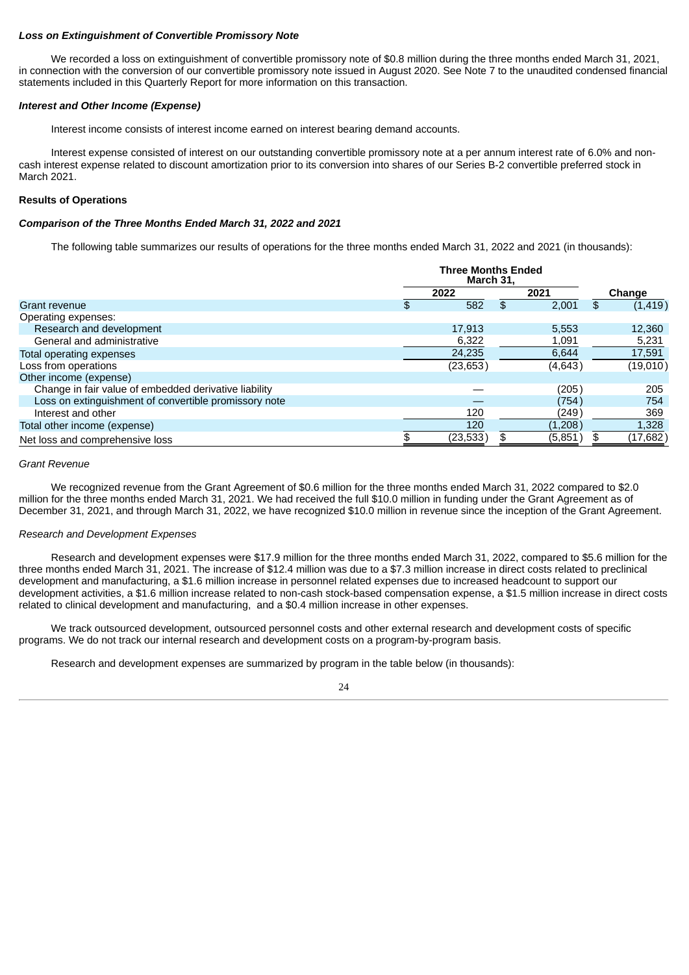# *Loss on Extinguishment of Convertible Promissory Note*

We recorded a loss on extinguishment of convertible promissory note of \$0.8 million during the three months ended March 31, 2021. in connection with the conversion of our convertible promissory note issued in August 2020. See Note 7 to the unaudited condensed financial statements included in this Quarterly Report for more information on this transaction.

# *Interest and Other Income (Expense)*

Interest income consists of interest income earned on interest bearing demand accounts.

Interest expense consisted of interest on our outstanding convertible promissory note at a per annum interest rate of 6.0% and noncash interest expense related to discount amortization prior to its conversion into shares of our Series B-2 convertible preferred stock in March 2021.

# **Results of Operations**

# *Comparison of the Three Months Ended March 31, 2022 and 2021*

The following table summarizes our results of operations for the three months ended March 31, 2022 and 2021 (in thousands):

|                                                       | <b>Three Months Ended</b><br>March 31. |           |     |         |                |
|-------------------------------------------------------|----------------------------------------|-----------|-----|---------|----------------|
|                                                       |                                        | 2022      |     | 2021    | Change         |
| Grant revenue                                         | \$                                     | 582       | \$  | 2,001   | \$<br>(1, 419) |
| Operating expenses:                                   |                                        |           |     |         |                |
| Research and development                              |                                        | 17,913    |     | 5,553   | 12,360         |
| General and administrative                            |                                        | 6,322     |     | 1,091   | 5,231          |
| Total operating expenses                              |                                        | 24,235    |     | 6.644   | 17,591         |
| Loss from operations                                  |                                        | (23, 653) |     | (4,643) | (19, 010)      |
| Other income (expense)                                |                                        |           |     |         |                |
| Change in fair value of embedded derivative liability |                                        |           |     | (205)   | 205            |
| Loss on extinguishment of convertible promissory note |                                        |           |     | (754)   | 754            |
| Interest and other                                    |                                        | 120       |     | (249)   | 369            |
| Total other income (expense)                          |                                        | 120       |     | (1,208) | 1,328          |
| Net loss and comprehensive loss                       |                                        | (23, 533) | \$. | (5,851) | (17, 682)      |

# *Grant Revenue*

We recognized revenue from the Grant Agreement of \$0.6 million for the three months ended March 31, 2022 compared to \$2.0 million for the three months ended March 31, 2021. We had received the full \$10.0 million in funding under the Grant Agreement as of December 31, 2021, and through March 31, 2022, we have recognized \$10.0 million in revenue since the inception of the Grant Agreement.

# *Research and Development Expenses*

Research and development expenses were \$17.9 million for the three months ended March 31, 2022, compared to \$5.6 million for the three months ended March 31, 2021. The increase of \$12.4 million was due to a \$7.3 million increase in direct costs related to preclinical development and manufacturing, a \$1.6 million increase in personnel related expenses due to increased headcount to support our development activities, a \$1.6 million increase related to non-cash stock-based compensation expense, a \$1.5 million increase in direct costs related to clinical development and manufacturing, and a \$0.4 million increase in other expenses.

We track outsourced development, outsourced personnel costs and other external research and development costs of specific programs. We do not track our internal research and development costs on a program-by-program basis.

Research and development expenses are summarized by program in the table below (in thousands):

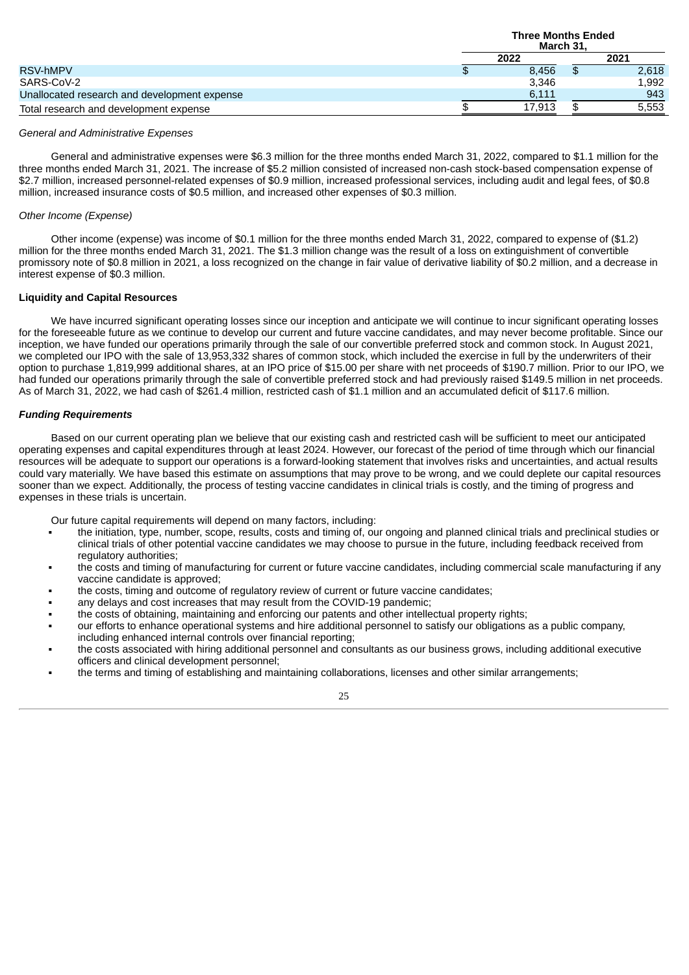|                                              | <b>Three Months Ended</b><br><b>March 31.</b> |       |
|----------------------------------------------|-----------------------------------------------|-------|
|                                              | 2022                                          | 2021  |
| RSV-hMPV                                     | 8.456                                         | 2,618 |
| SARS-CoV-2                                   | 3.346                                         | 1.992 |
| Unallocated research and development expense | 6,111                                         | 943   |
| Total research and development expense       | 17.913                                        | 5,553 |

# *General and Administrative Expenses*

General and administrative expenses were \$6.3 million for the three months ended March 31, 2022, compared to \$1.1 million for the three months ended March 31, 2021. The increase of \$5.2 million consisted of increased non-cash stock-based compensation expense of \$2.7 million, increased personnel-related expenses of \$0.9 million, increased professional services, including audit and legal fees, of \$0.8 million, increased insurance costs of \$0.5 million, and increased other expenses of \$0.3 million.

# *Other Income (Expense)*

Other income (expense) was income of \$0.1 million for the three months ended March 31, 2022, compared to expense of (\$1.2) million for the three months ended March 31, 2021. The \$1.3 million change was the result of a loss on extinguishment of convertible promissory note of \$0.8 million in 2021, a loss recognized on the change in fair value of derivative liability of \$0.2 million, and a decrease in interest expense of \$0.3 million.

# **Liquidity and Capital Resources**

We have incurred significant operating losses since our inception and anticipate we will continue to incur significant operating losses for the foreseeable future as we continue to develop our current and future vaccine candidates, and may never become profitable. Since our inception, we have funded our operations primarily through the sale of our convertible preferred stock and common stock. In August 2021, we completed our IPO with the sale of 13,953,332 shares of common stock, which included the exercise in full by the underwriters of their option to purchase 1,819,999 additional shares, at an IPO price of \$15.00 per share with net proceeds of \$190.7 million. Prior to our IPO, we had funded our operations primarily through the sale of convertible preferred stock and had previously raised \$149.5 million in net proceeds. As of March 31, 2022, we had cash of \$261.4 million, restricted cash of \$1.1 million and an accumulated deficit of \$117.6 million.

# *Funding Requirements*

Based on our current operating plan we believe that our existing cash and restricted cash will be sufficient to meet our anticipated operating expenses and capital expenditures through at least 2024. However, our forecast of the period of time through which our financial resources will be adequate to support our operations is a forward-looking statement that involves risks and uncertainties, and actual results could vary materially. We have based this estimate on assumptions that may prove to be wrong, and we could deplete our capital resources sooner than we expect. Additionally, the process of testing vaccine candidates in clinical trials is costly, and the timing of progress and expenses in these trials is uncertain.

Our future capital requirements will depend on many factors, including:

- the initiation, type, number, scope, results, costs and timing of, our ongoing and planned clinical trials and preclinical studies or clinical trials of other potential vaccine candidates we may choose to pursue in the future, including feedback received from regulatory authorities;
- the costs and timing of manufacturing for current or future vaccine candidates, including commercial scale manufacturing if any vaccine candidate is approved;
- the costs, timing and outcome of regulatory review of current or future vaccine candidates;
- any delays and cost increases that may result from the COVID-19 pandemic;
- the costs of obtaining, maintaining and enforcing our patents and other intellectual property rights;
- our efforts to enhance operational systems and hire additional personnel to satisfy our obligations as a public company, including enhanced internal controls over financial reporting;
- the costs associated with hiring additional personnel and consultants as our business grows, including additional executive officers and clinical development personnel;
- the terms and timing of establishing and maintaining collaborations, licenses and other similar arrangements;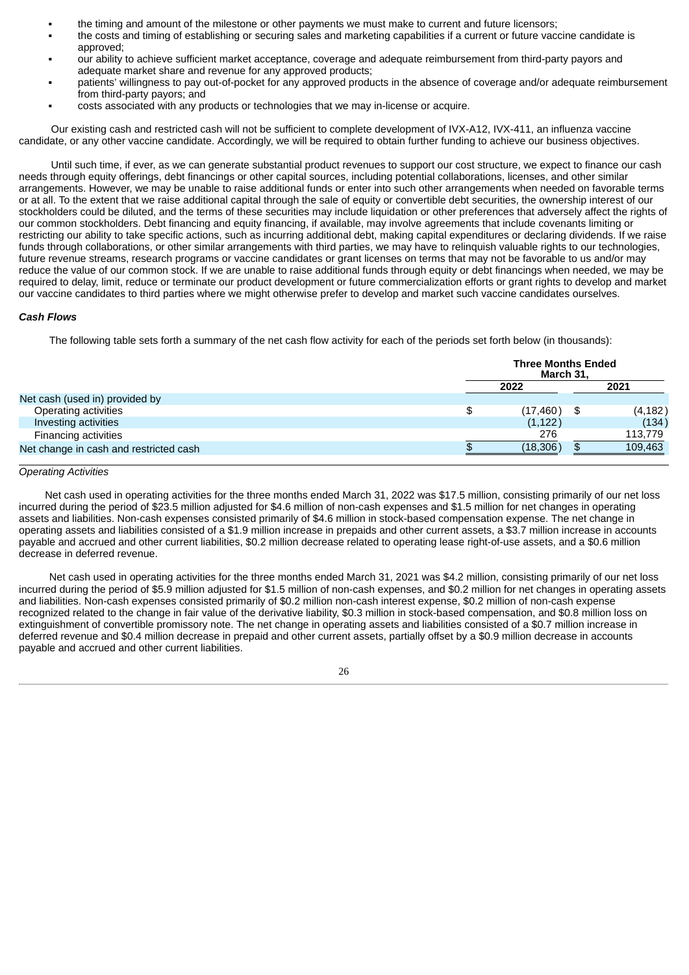- the timing and amount of the milestone or other payments we must make to current and future licensors;
- the costs and timing of establishing or securing sales and marketing capabilities if a current or future vaccine candidate is approved;
- our ability to achieve sufficient market acceptance, coverage and adequate reimbursement from third-party payors and adequate market share and revenue for any approved products;
- patients' willingness to pay out-of-pocket for any approved products in the absence of coverage and/or adequate reimbursement from third-party payors; and
- costs associated with any products or technologies that we may in-license or acquire.

Our existing cash and restricted cash will not be sufficient to complete development of IVX-A12, IVX-411, an influenza vaccine candidate, or any other vaccine candidate. Accordingly, we will be required to obtain further funding to achieve our business objectives.

Until such time, if ever, as we can generate substantial product revenues to support our cost structure, we expect to finance our cash needs through equity offerings, debt financings or other capital sources, including potential collaborations, licenses, and other similar arrangements. However, we may be unable to raise additional funds or enter into such other arrangements when needed on favorable terms or at all. To the extent that we raise additional capital through the sale of equity or convertible debt securities, the ownership interest of our stockholders could be diluted, and the terms of these securities may include liquidation or other preferences that adversely affect the rights of our common stockholders. Debt financing and equity financing, if available, may involve agreements that include covenants limiting or restricting our ability to take specific actions, such as incurring additional debt, making capital expenditures or declaring dividends. If we raise funds through collaborations, or other similar arrangements with third parties, we may have to relinquish valuable rights to our technologies, future revenue streams, research programs or vaccine candidates or grant licenses on terms that may not be favorable to us and/or may reduce the value of our common stock. If we are unable to raise additional funds through equity or debt financings when needed, we may be required to delay, limit, reduce or terminate our product development or future commercialization efforts or grant rights to develop and market our vaccine candidates to third parties where we might otherwise prefer to develop and market such vaccine candidates ourselves.

# *Cash Flows*

The following table sets forth a summary of the net cash flow activity for each of the periods set forth below (in thousands):

|                                        | <b>Three Months Ended</b><br><b>March 31,</b> |     |          |  |
|----------------------------------------|-----------------------------------------------|-----|----------|--|
|                                        | 2022                                          |     | 2021     |  |
| Net cash (used in) provided by         |                                               |     |          |  |
| Operating activities                   | \$<br>(17, 460)                               | \$  | (4, 182) |  |
| Investing activities                   | (1, 122)                                      |     | (134)    |  |
| Financing activities                   | 276                                           |     | 113,779  |  |
| Net change in cash and restricted cash | (18, 306)                                     | \$. | 109,463  |  |

# *Operating Activities*

Net cash used in operating activities for the three months ended March 31, 2022 was \$17.5 million, consisting primarily of our net loss incurred during the period of \$23.5 million adjusted for \$4.6 million of non-cash expenses and \$1.5 million for net changes in operating assets and liabilities. Non-cash expenses consisted primarily of \$4.6 million in stock-based compensation expense. The net change in operating assets and liabilities consisted of a \$1.9 million increase in prepaids and other current assets, a \$3.7 million increase in accounts payable and accrued and other current liabilities, \$0.2 million decrease related to operating lease right-of-use assets, and a \$0.6 million decrease in deferred revenue.

Net cash used in operating activities for the three months ended March 31, 2021 was \$4.2 million, consisting primarily of our net loss incurred during the period of \$5.9 million adjusted for \$1.5 million of non-cash expenses, and \$0.2 million for net changes in operating assets and liabilities. Non-cash expenses consisted primarily of \$0.2 million non-cash interest expense, \$0.2 million of non-cash expense recognized related to the change in fair value of the derivative liability, \$0.3 million in stock-based compensation, and \$0.8 million loss on extinguishment of convertible promissory note. The net change in operating assets and liabilities consisted of a \$0.7 million increase in deferred revenue and \$0.4 million decrease in prepaid and other current assets, partially offset by a \$0.9 million decrease in accounts payable and accrued and other current liabilities.

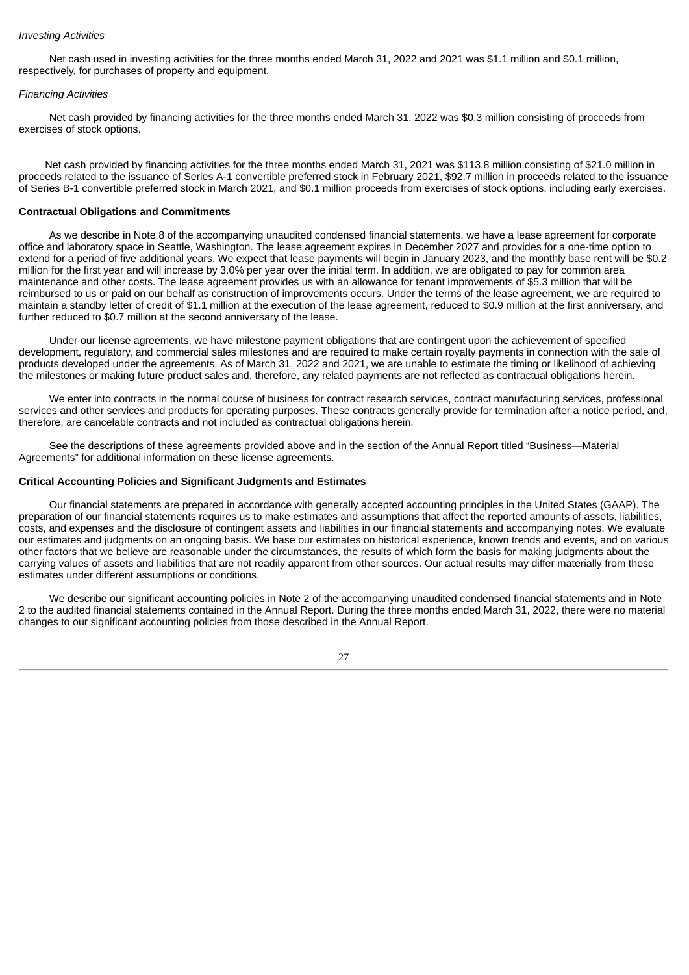#### *Investing Activities*

Net cash used in investing activities for the three months ended March 31, 2022 and 2021 was \$1.1 million and \$0.1 million, respectively, for purchases of property and equipment.

#### *Financing Activities*

Net cash provided by financing activities for the three months ended March 31, 2022 was \$0.3 million consisting of proceeds from exercises of stock options.

Net cash provided by financing activities for the three months ended March 31, 2021 was \$113.8 million consisting of \$21.0 million in proceeds related to the issuance of Series A-1 convertible preferred stock in February 2021, \$92.7 million in proceeds related to the issuance of Series B-1 convertible preferred stock in March 2021, and \$0.1 million proceeds from exercises of stock options, including early exercises.

#### **Contractual Obligations and Commitments**

As we describe in Note 8 of the accompanying unaudited condensed financial statements, we have a lease agreement for corporate office and laboratory space in Seattle, Washington. The lease agreement expires in December 2027 and provides for a one-time option to extend for a period of five additional years. We expect that lease payments will begin in January 2023, and the monthly base rent will be \$0.2 million for the first year and will increase by 3.0% per year over the initial term. In addition, we are obligated to pay for common area maintenance and other costs. The lease agreement provides us with an allowance for tenant improvements of \$5.3 million that will be reimbursed to us or paid on our behalf as construction of improvements occurs. Under the terms of the lease agreement, we are required to maintain a standby letter of credit of \$1.1 million at the execution of the lease agreement, reduced to \$0.9 million at the first anniversary, and further reduced to \$0.7 million at the second anniversary of the lease.

Under our license agreements, we have milestone payment obligations that are contingent upon the achievement of specified development, regulatory, and commercial sales milestones and are required to make certain royalty payments in connection with the sale of products developed under the agreements. As of March 31, 2022 and 2021, we are unable to estimate the timing or likelihood of achieving the milestones or making future product sales and, therefore, any related payments are not reflected as contractual obligations herein.

We enter into contracts in the normal course of business for contract research services, contract manufacturing services, professional services and other services and products for operating purposes. These contracts generally provide for termination after a notice period, and, therefore, are cancelable contracts and not included as contractual obligations herein.

See the descriptions of these agreements provided above and in the section of the Annual Report titled "Business—Material Agreements" for additional information on these license agreements.

#### **Critical Accounting Policies and Significant Judgments and Estimates**

Our financial statements are prepared in accordance with generally accepted accounting principles in the United States (GAAP). The preparation of our financial statements requires us to make estimates and assumptions that affect the reported amounts of assets, liabilities, costs, and expenses and the disclosure of contingent assets and liabilities in our financial statements and accompanying notes. We evaluate our estimates and judgments on an ongoing basis. We base our estimates on historical experience, known trends and events, and on various other factors that we believe are reasonable under the circumstances, the results of which form the basis for making judgments about the carrying values of assets and liabilities that are not readily apparent from other sources. Our actual results may differ materially from these estimates under different assumptions or conditions.

We describe our significant accounting policies in Note 2 of the accompanying unaudited condensed financial statements and in Note 2 to the audited financial statements contained in the Annual Report. During the three months ended March 31, 2022, there were no material changes to our significant accounting policies from those described in the Annual Report.

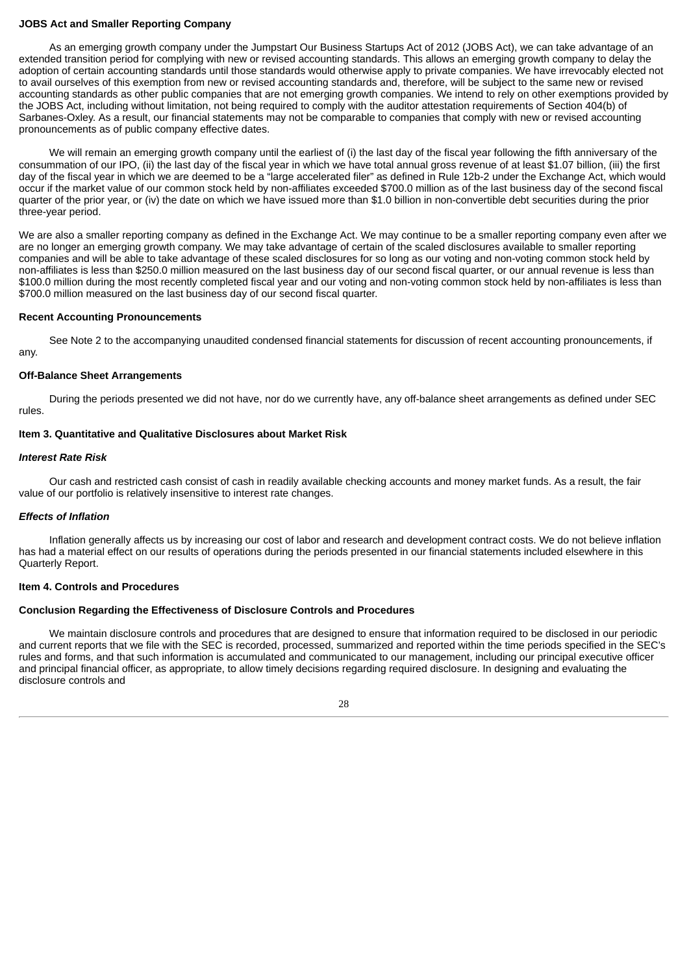# **JOBS Act and Smaller Reporting Company**

As an emerging growth company under the Jumpstart Our Business Startups Act of 2012 (JOBS Act), we can take advantage of an extended transition period for complying with new or revised accounting standards. This allows an emerging growth company to delay the adoption of certain accounting standards until those standards would otherwise apply to private companies. We have irrevocably elected not to avail ourselves of this exemption from new or revised accounting standards and, therefore, will be subject to the same new or revised accounting standards as other public companies that are not emerging growth companies. We intend to rely on other exemptions provided by the JOBS Act, including without limitation, not being required to comply with the auditor attestation requirements of Section 404(b) of Sarbanes-Oxley. As a result, our financial statements may not be comparable to companies that comply with new or revised accounting pronouncements as of public company effective dates.

We will remain an emerging growth company until the earliest of (i) the last day of the fiscal year following the fifth anniversary of the consummation of our IPO, (ii) the last day of the fiscal year in which we have total annual gross revenue of at least \$1.07 billion, (iii) the first day of the fiscal year in which we are deemed to be a "large accelerated filer" as defined in Rule 12b-2 under the Exchange Act, which would occur if the market value of our common stock held by non-affiliates exceeded \$700.0 million as of the last business day of the second fiscal quarter of the prior year, or (iv) the date on which we have issued more than \$1.0 billion in non-convertible debt securities during the prior three-year period.

We are also a smaller reporting company as defined in the Exchange Act. We may continue to be a smaller reporting company even after we are no longer an emerging growth company. We may take advantage of certain of the scaled disclosures available to smaller reporting companies and will be able to take advantage of these scaled disclosures for so long as our voting and non-voting common stock held by non-affiliates is less than \$250.0 million measured on the last business day of our second fiscal quarter, or our annual revenue is less than \$100.0 million during the most recently completed fiscal year and our voting and non-voting common stock held by non-affiliates is less than \$700.0 million measured on the last business day of our second fiscal quarter.

#### **Recent Accounting Pronouncements**

See Note 2 to the accompanying unaudited condensed financial statements for discussion of recent accounting pronouncements, if any.

# **Off-Balance Sheet Arrangements**

During the periods presented we did not have, nor do we currently have, any off-balance sheet arrangements as defined under SEC rules.

# <span id="page-28-0"></span>**Item 3. Quantitative and Qualitative Disclosures about Market Risk**

#### *Interest Rate Risk*

Our cash and restricted cash consist of cash in readily available checking accounts and money market funds. As a result, the fair value of our portfolio is relatively insensitive to interest rate changes.

# *Effects of Inflation*

Inflation generally affects us by increasing our cost of labor and research and development contract costs. We do not believe inflation has had a material effect on our results of operations during the periods presented in our financial statements included elsewhere in this Quarterly Report.

# <span id="page-28-1"></span>**Item 4. Controls and Procedures**

#### **Conclusion Regarding the Effectiveness of Disclosure Controls and Procedures**

We maintain disclosure controls and procedures that are designed to ensure that information required to be disclosed in our periodic and current reports that we file with the SEC is recorded, processed, summarized and reported within the time periods specified in the SEC's rules and forms, and that such information is accumulated and communicated to our management, including our principal executive officer and principal financial officer, as appropriate, to allow timely decisions regarding required disclosure. In designing and evaluating the disclosure controls and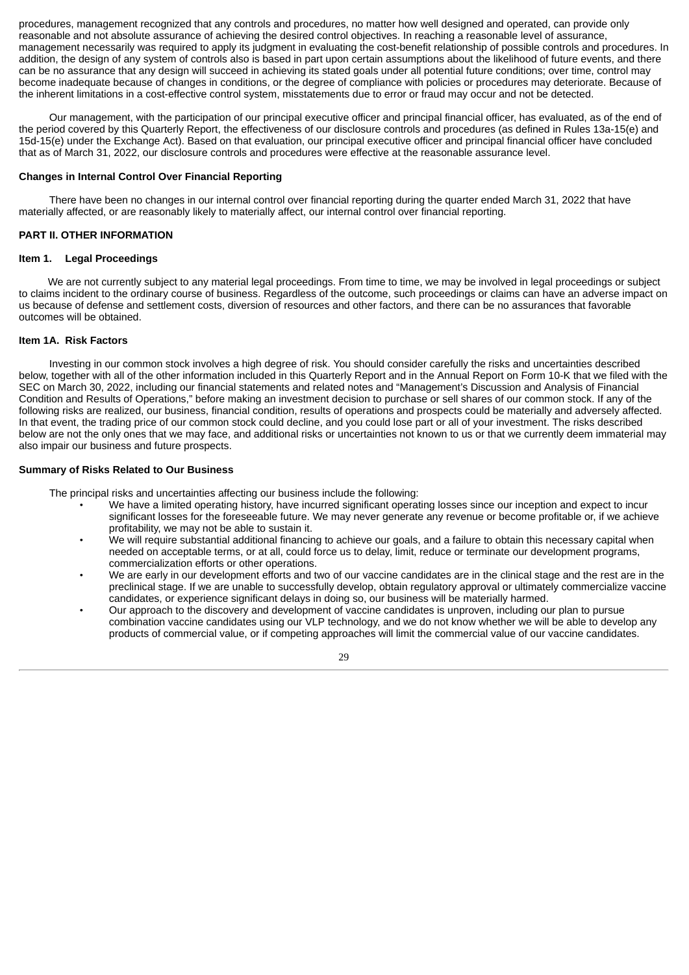procedures, management recognized that any controls and procedures, no matter how well designed and operated, can provide only reasonable and not absolute assurance of achieving the desired control objectives. In reaching a reasonable level of assurance, management necessarily was required to apply its judgment in evaluating the cost-benefit relationship of possible controls and procedures. In addition, the design of any system of controls also is based in part upon certain assumptions about the likelihood of future events, and there can be no assurance that any design will succeed in achieving its stated goals under all potential future conditions; over time, control may become inadequate because of changes in conditions, or the degree of compliance with policies or procedures may deteriorate. Because of the inherent limitations in a cost-effective control system, misstatements due to error or fraud may occur and not be detected.

Our management, with the participation of our principal executive officer and principal financial officer, has evaluated, as of the end of the period covered by this Quarterly Report, the effectiveness of our disclosure controls and procedures (as defined in Rules 13a-15(e) and 15d-15(e) under the Exchange Act). Based on that evaluation, our principal executive officer and principal financial officer have concluded that as of March 31, 2022, our disclosure controls and procedures were effective at the reasonable assurance level.

# **Changes in Internal Control Over Financial Reporting**

There have been no changes in our internal control over financial reporting during the quarter ended March 31, 2022 that have materially affected, or are reasonably likely to materially affect, our internal control over financial reporting.

# <span id="page-29-0"></span>**PART II. OTHER INFORMATION**

# <span id="page-29-1"></span>**Item 1. Legal Proceedings**

We are not currently subject to any material legal proceedings. From time to time, we may be involved in legal proceedings or subject to claims incident to the ordinary course of business. Regardless of the outcome, such proceedings or claims can have an adverse impact on us because of defense and settlement costs, diversion of resources and other factors, and there can be no assurances that favorable outcomes will be obtained.

# <span id="page-29-2"></span>**Item 1A. Risk Factors**

Investing in our common stock involves a high degree of risk. You should consider carefully the risks and uncertainties described below, together with all of the other information included in this Quarterly Report and in the Annual Report on Form 10-K that we filed with the SEC on March 30, 2022, including our financial statements and related notes and "Management's Discussion and Analysis of Financial Condition and Results of Operations," before making an investment decision to purchase or sell shares of our common stock. If any of the following risks are realized, our business, financial condition, results of operations and prospects could be materially and adversely affected. In that event, the trading price of our common stock could decline, and you could lose part or all of your investment. The risks described below are not the only ones that we may face, and additional risks or uncertainties not known to us or that we currently deem immaterial may also impair our business and future prospects.

# **Summary of Risks Related to Our Business**

The principal risks and uncertainties affecting our business include the following:

- We have a limited operating history, have incurred significant operating losses since our inception and expect to incur significant losses for the foreseeable future. We may never generate any revenue or become profitable or, if we achieve profitability, we may not be able to sustain it.
- We will require substantial additional financing to achieve our goals, and a failure to obtain this necessary capital when needed on acceptable terms, or at all, could force us to delay, limit, reduce or terminate our development programs, commercialization efforts or other operations.
- We are early in our development efforts and two of our vaccine candidates are in the clinical stage and the rest are in the preclinical stage. If we are unable to successfully develop, obtain regulatory approval or ultimately commercialize vaccine candidates, or experience significant delays in doing so, our business will be materially harmed.
- Our approach to the discovery and development of vaccine candidates is unproven, including our plan to pursue combination vaccine candidates using our VLP technology, and we do not know whether we will be able to develop any products of commercial value, or if competing approaches will limit the commercial value of our vaccine candidates.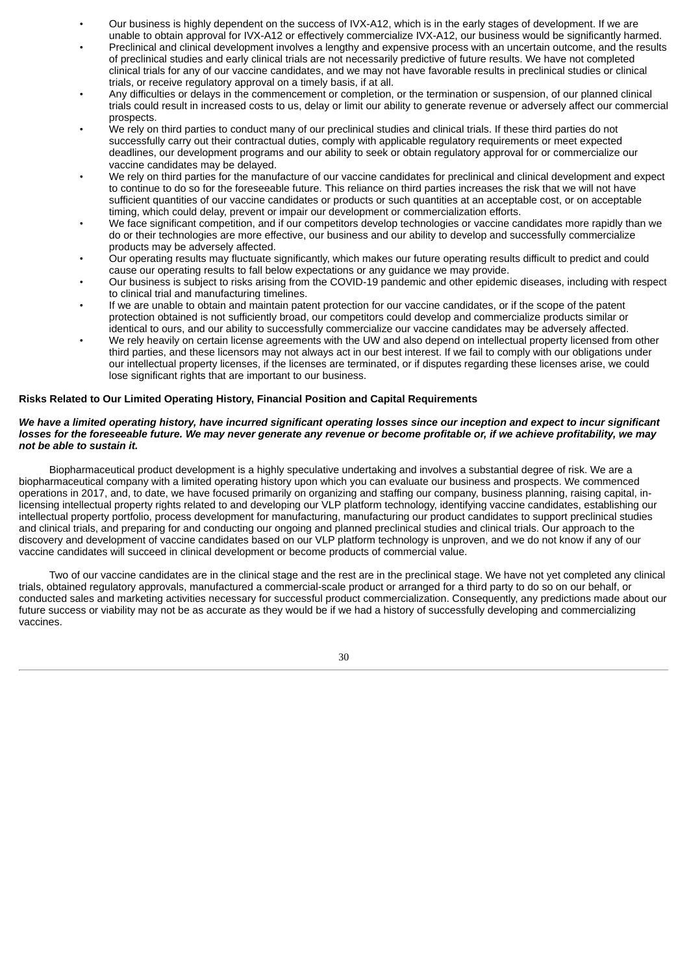- Our business is highly dependent on the success of IVX-A12, which is in the early stages of development. If we are unable to obtain approval for IVX-A12 or effectively commercialize IVX-A12, our business would be significantly harmed.
- Preclinical and clinical development involves a lengthy and expensive process with an uncertain outcome, and the results of preclinical studies and early clinical trials are not necessarily predictive of future results. We have not completed clinical trials for any of our vaccine candidates, and we may not have favorable results in preclinical studies or clinical trials, or receive regulatory approval on a timely basis, if at all.
- Any difficulties or delays in the commencement or completion, or the termination or suspension, of our planned clinical trials could result in increased costs to us, delay or limit our ability to generate revenue or adversely affect our commercial prospects.
- We rely on third parties to conduct many of our preclinical studies and clinical trials. If these third parties do not successfully carry out their contractual duties, comply with applicable regulatory requirements or meet expected deadlines, our development programs and our ability to seek or obtain regulatory approval for or commercialize our vaccine candidates may be delayed.
- We rely on third parties for the manufacture of our vaccine candidates for preclinical and clinical development and expect to continue to do so for the foreseeable future. This reliance on third parties increases the risk that we will not have sufficient quantities of our vaccine candidates or products or such quantities at an acceptable cost, or on acceptable timing, which could delay, prevent or impair our development or commercialization efforts.
- We face significant competition, and if our competitors develop technologies or vaccine candidates more rapidly than we do or their technologies are more effective, our business and our ability to develop and successfully commercialize products may be adversely affected.
- Our operating results may fluctuate significantly, which makes our future operating results difficult to predict and could cause our operating results to fall below expectations or any guidance we may provide.
- Our business is subject to risks arising from the COVID-19 pandemic and other epidemic diseases, including with respect to clinical trial and manufacturing timelines.
- If we are unable to obtain and maintain patent protection for our vaccine candidates, or if the scope of the patent protection obtained is not sufficiently broad, our competitors could develop and commercialize products similar or identical to ours, and our ability to successfully commercialize our vaccine candidates may be adversely affected.
- We rely heavily on certain license agreements with the UW and also depend on intellectual property licensed from other third parties, and these licensors may not always act in our best interest. If we fail to comply with our obligations under our intellectual property licenses, if the licenses are terminated, or if disputes regarding these licenses arise, we could lose significant rights that are important to our business.

# **Risks Related to Our Limited Operating History, Financial Position and Capital Requirements**

# We have a limited operating history, have incurred significant operating losses since our inception and expect to incur significant losses for the foreseeable future. We may never generate any revenue or become profitable or, if we achieve profitability, we may *not be able to sustain it.*

Biopharmaceutical product development is a highly speculative undertaking and involves a substantial degree of risk. We are a biopharmaceutical company with a limited operating history upon which you can evaluate our business and prospects. We commenced operations in 2017, and, to date, we have focused primarily on organizing and staffing our company, business planning, raising capital, inlicensing intellectual property rights related to and developing our VLP platform technology, identifying vaccine candidates, establishing our intellectual property portfolio, process development for manufacturing, manufacturing our product candidates to support preclinical studies and clinical trials, and preparing for and conducting our ongoing and planned preclinical studies and clinical trials. Our approach to the discovery and development of vaccine candidates based on our VLP platform technology is unproven, and we do not know if any of our vaccine candidates will succeed in clinical development or become products of commercial value.

Two of our vaccine candidates are in the clinical stage and the rest are in the preclinical stage. We have not yet completed any clinical trials, obtained regulatory approvals, manufactured a commercial-scale product or arranged for a third party to do so on our behalf, or conducted sales and marketing activities necessary for successful product commercialization. Consequently, any predictions made about our future success or viability may not be as accurate as they would be if we had a history of successfully developing and commercializing vaccines.

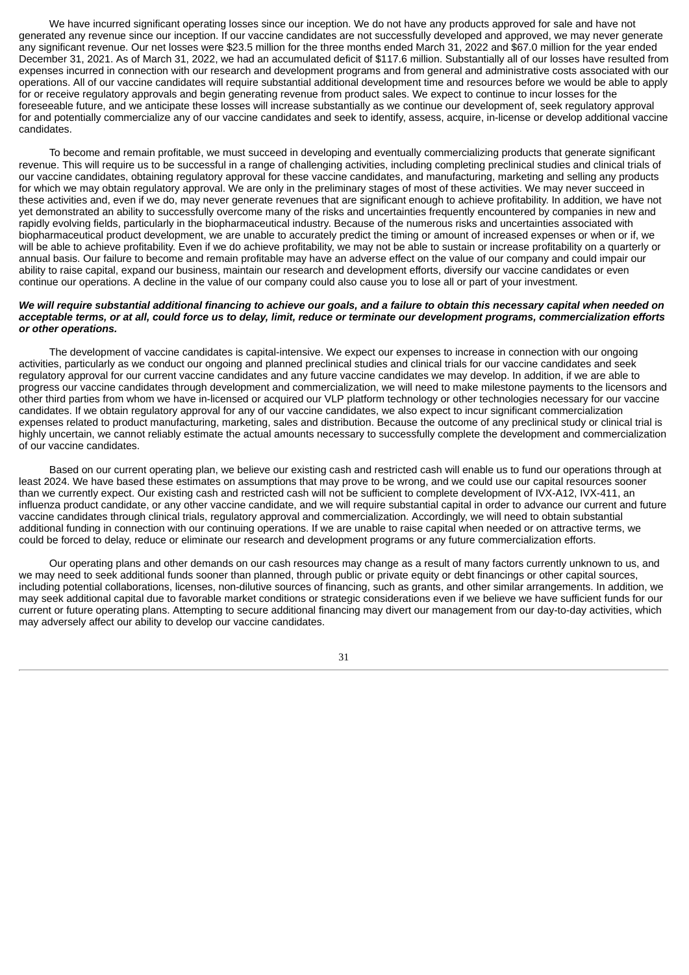We have incurred significant operating losses since our inception. We do not have any products approved for sale and have not generated any revenue since our inception. If our vaccine candidates are not successfully developed and approved, we may never generate any significant revenue. Our net losses were \$23.5 million for the three months ended March 31, 2022 and \$67.0 million for the year ended December 31, 2021. As of March 31, 2022, we had an accumulated deficit of \$117.6 million. Substantially all of our losses have resulted from expenses incurred in connection with our research and development programs and from general and administrative costs associated with our operations. All of our vaccine candidates will require substantial additional development time and resources before we would be able to apply for or receive regulatory approvals and begin generating revenue from product sales. We expect to continue to incur losses for the foreseeable future, and we anticipate these losses will increase substantially as we continue our development of, seek regulatory approval for and potentially commercialize any of our vaccine candidates and seek to identify, assess, acquire, in-license or develop additional vaccine candidates.

To become and remain profitable, we must succeed in developing and eventually commercializing products that generate significant revenue. This will require us to be successful in a range of challenging activities, including completing preclinical studies and clinical trials of our vaccine candidates, obtaining regulatory approval for these vaccine candidates, and manufacturing, marketing and selling any products for which we may obtain regulatory approval. We are only in the preliminary stages of most of these activities. We may never succeed in these activities and, even if we do, may never generate revenues that are significant enough to achieve profitability. In addition, we have not yet demonstrated an ability to successfully overcome many of the risks and uncertainties frequently encountered by companies in new and rapidly evolving fields, particularly in the biopharmaceutical industry. Because of the numerous risks and uncertainties associated with biopharmaceutical product development, we are unable to accurately predict the timing or amount of increased expenses or when or if, we will be able to achieve profitability. Even if we do achieve profitability, we may not be able to sustain or increase profitability on a quarterly or annual basis. Our failure to become and remain profitable may have an adverse effect on the value of our company and could impair our ability to raise capital, expand our business, maintain our research and development efforts, diversify our vaccine candidates or even continue our operations. A decline in the value of our company could also cause you to lose all or part of your investment.

#### We will require substantial additional financing to achieve our goals, and a failure to obtain this necessary capital when needed on acceptable terms, or at all, could force us to delay, limit, reduce or terminate our development programs, commercialization efforts *or other operations.*

The development of vaccine candidates is capital-intensive. We expect our expenses to increase in connection with our ongoing activities, particularly as we conduct our ongoing and planned preclinical studies and clinical trials for our vaccine candidates and seek regulatory approval for our current vaccine candidates and any future vaccine candidates we may develop. In addition, if we are able to progress our vaccine candidates through development and commercialization, we will need to make milestone payments to the licensors and other third parties from whom we have in-licensed or acquired our VLP platform technology or other technologies necessary for our vaccine candidates. If we obtain regulatory approval for any of our vaccine candidates, we also expect to incur significant commercialization expenses related to product manufacturing, marketing, sales and distribution. Because the outcome of any preclinical study or clinical trial is highly uncertain, we cannot reliably estimate the actual amounts necessary to successfully complete the development and commercialization of our vaccine candidates.

Based on our current operating plan, we believe our existing cash and restricted cash will enable us to fund our operations through at least 2024. We have based these estimates on assumptions that may prove to be wrong, and we could use our capital resources sooner than we currently expect. Our existing cash and restricted cash will not be sufficient to complete development of IVX-A12, IVX-411, an influenza product candidate, or any other vaccine candidate, and we will require substantial capital in order to advance our current and future vaccine candidates through clinical trials, regulatory approval and commercialization. Accordingly, we will need to obtain substantial additional funding in connection with our continuing operations. If we are unable to raise capital when needed or on attractive terms, we could be forced to delay, reduce or eliminate our research and development programs or any future commercialization efforts.

Our operating plans and other demands on our cash resources may change as a result of many factors currently unknown to us, and we may need to seek additional funds sooner than planned, through public or private equity or debt financings or other capital sources, including potential collaborations, licenses, non-dilutive sources of financing, such as grants, and other similar arrangements. In addition, we may seek additional capital due to favorable market conditions or strategic considerations even if we believe we have sufficient funds for our current or future operating plans. Attempting to secure additional financing may divert our management from our day-to-day activities, which may adversely affect our ability to develop our vaccine candidates.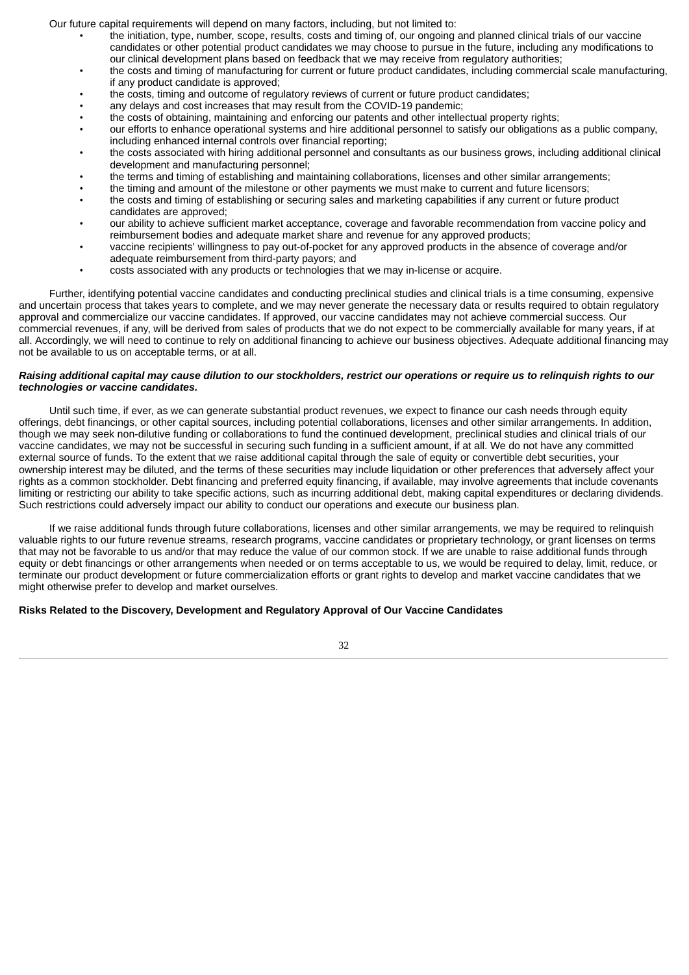Our future capital requirements will depend on many factors, including, but not limited to:

- the initiation, type, number, scope, results, costs and timing of, our ongoing and planned clinical trials of our vaccine candidates or other potential product candidates we may choose to pursue in the future, including any modifications to our clinical development plans based on feedback that we may receive from regulatory authorities;
- the costs and timing of manufacturing for current or future product candidates, including commercial scale manufacturing, if any product candidate is approved;
- the costs, timing and outcome of regulatory reviews of current or future product candidates;
- any delays and cost increases that may result from the COVID-19 pandemic;
- the costs of obtaining, maintaining and enforcing our patents and other intellectual property rights;
- our efforts to enhance operational systems and hire additional personnel to satisfy our obligations as a public company, including enhanced internal controls over financial reporting;
- the costs associated with hiring additional personnel and consultants as our business grows, including additional clinical development and manufacturing personnel;
- the terms and timing of establishing and maintaining collaborations, licenses and other similar arrangements;
- the timing and amount of the milestone or other payments we must make to current and future licensors;
- the costs and timing of establishing or securing sales and marketing capabilities if any current or future product candidates are approved;
- our ability to achieve sufficient market acceptance, coverage and favorable recommendation from vaccine policy and reimbursement bodies and adequate market share and revenue for any approved products;
- vaccine recipients' willingness to pay out-of-pocket for any approved products in the absence of coverage and/or adequate reimbursement from third-party payors; and
- costs associated with any products or technologies that we may in-license or acquire.

Further, identifying potential vaccine candidates and conducting preclinical studies and clinical trials is a time consuming, expensive and uncertain process that takes years to complete, and we may never generate the necessary data or results required to obtain regulatory approval and commercialize our vaccine candidates. If approved, our vaccine candidates may not achieve commercial success. Our commercial revenues, if any, will be derived from sales of products that we do not expect to be commercially available for many years, if at all. Accordingly, we will need to continue to rely on additional financing to achieve our business objectives. Adequate additional financing may not be available to us on acceptable terms, or at all.

# Raising additional capital may cause dilution to our stockholders, restrict our operations or require us to relinquish rights to our *technologies or vaccine candidates.*

Until such time, if ever, as we can generate substantial product revenues, we expect to finance our cash needs through equity offerings, debt financings, or other capital sources, including potential collaborations, licenses and other similar arrangements. In addition, though we may seek non-dilutive funding or collaborations to fund the continued development, preclinical studies and clinical trials of our vaccine candidates, we may not be successful in securing such funding in a sufficient amount, if at all. We do not have any committed external source of funds. To the extent that we raise additional capital through the sale of equity or convertible debt securities, your ownership interest may be diluted, and the terms of these securities may include liquidation or other preferences that adversely affect your rights as a common stockholder. Debt financing and preferred equity financing, if available, may involve agreements that include covenants limiting or restricting our ability to take specific actions, such as incurring additional debt, making capital expenditures or declaring dividends. Such restrictions could adversely impact our ability to conduct our operations and execute our business plan.

If we raise additional funds through future collaborations, licenses and other similar arrangements, we may be required to relinquish valuable rights to our future revenue streams, research programs, vaccine candidates or proprietary technology, or grant licenses on terms that may not be favorable to us and/or that may reduce the value of our common stock. If we are unable to raise additional funds through equity or debt financings or other arrangements when needed or on terms acceptable to us, we would be required to delay, limit, reduce, or terminate our product development or future commercialization efforts or grant rights to develop and market vaccine candidates that we might otherwise prefer to develop and market ourselves.

# **Risks Related to the Discovery, Development and Regulatory Approval of Our Vaccine Candidates**

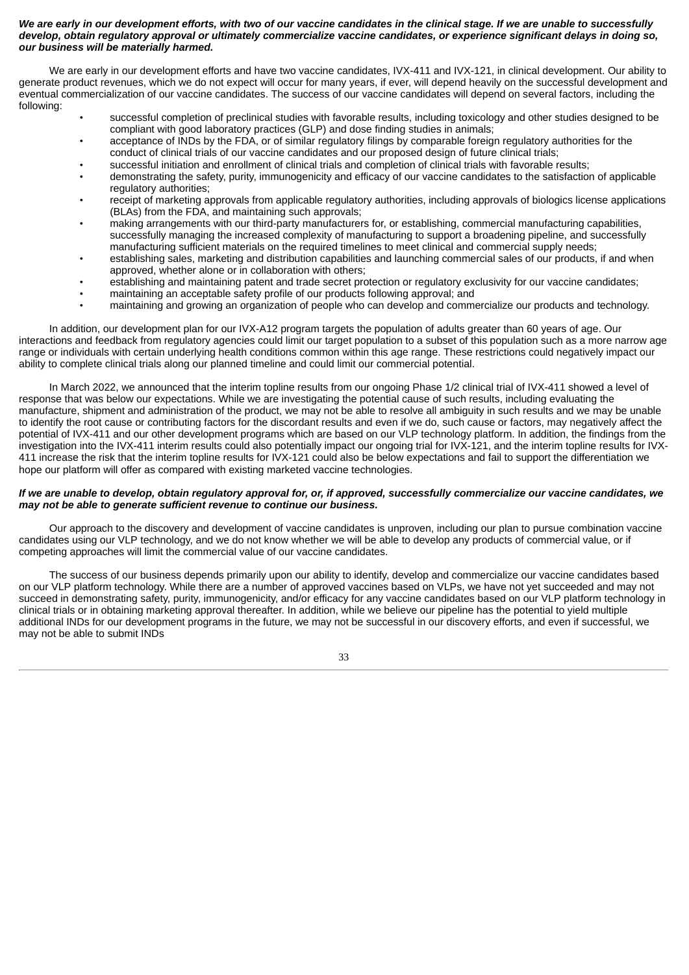# We are early in our development efforts, with two of our vaccine candidates in the clinical stage. If we are unable to successfully develop, obtain regulatory approval or ultimately commercialize vaccine candidates, or experience significant delays in doing so, *our business will be materially harmed.*

We are early in our development efforts and have two vaccine candidates, IVX-411 and IVX-121, in clinical development. Our ability to generate product revenues, which we do not expect will occur for many years, if ever, will depend heavily on the successful development and eventual commercialization of our vaccine candidates. The success of our vaccine candidates will depend on several factors, including the following:

- successful completion of preclinical studies with favorable results, including toxicology and other studies designed to be compliant with good laboratory practices (GLP) and dose finding studies in animals;
- acceptance of INDs by the FDA, or of similar regulatory filings by comparable foreign regulatory authorities for the conduct of clinical trials of our vaccine candidates and our proposed design of future clinical trials;
- successful initiation and enrollment of clinical trials and completion of clinical trials with favorable results;
- demonstrating the safety, purity, immunogenicity and efficacy of our vaccine candidates to the satisfaction of applicable regulatory authorities;
- receipt of marketing approvals from applicable regulatory authorities, including approvals of biologics license applications (BLAs) from the FDA, and maintaining such approvals;
- making arrangements with our third-party manufacturers for, or establishing, commercial manufacturing capabilities, successfully managing the increased complexity of manufacturing to support a broadening pipeline, and successfully manufacturing sufficient materials on the required timelines to meet clinical and commercial supply needs;
- establishing sales, marketing and distribution capabilities and launching commercial sales of our products, if and when approved, whether alone or in collaboration with others;
- establishing and maintaining patent and trade secret protection or regulatory exclusivity for our vaccine candidates;
- maintaining an acceptable safety profile of our products following approval; and
- maintaining and growing an organization of people who can develop and commercialize our products and technology.

In addition, our development plan for our IVX-A12 program targets the population of adults greater than 60 years of age. Our interactions and feedback from regulatory agencies could limit our target population to a subset of this population such as a more narrow age range or individuals with certain underlying health conditions common within this age range. These restrictions could negatively impact our ability to complete clinical trials along our planned timeline and could limit our commercial potential.

In March 2022, we announced that the interim topline results from our ongoing Phase 1/2 clinical trial of IVX-411 showed a level of response that was below our expectations. While we are investigating the potential cause of such results, including evaluating the manufacture, shipment and administration of the product, we may not be able to resolve all ambiguity in such results and we may be unable to identify the root cause or contributing factors for the discordant results and even if we do, such cause or factors, may negatively affect the potential of IVX-411 and our other development programs which are based on our VLP technology platform. In addition, the findings from the investigation into the IVX-411 interim results could also potentially impact our ongoing trial for IVX-121, and the interim topline results for IVX-411 increase the risk that the interim topline results for IVX-121 could also be below expectations and fail to support the differentiation we hope our platform will offer as compared with existing marketed vaccine technologies.

# If we are unable to develop, obtain regulatory approval for, or, if approved, successfully commercialize our vaccine candidates, we *may not be able to generate sufficient revenue to continue our business.*

Our approach to the discovery and development of vaccine candidates is unproven, including our plan to pursue combination vaccine candidates using our VLP technology, and we do not know whether we will be able to develop any products of commercial value, or if competing approaches will limit the commercial value of our vaccine candidates.

The success of our business depends primarily upon our ability to identify, develop and commercialize our vaccine candidates based on our VLP platform technology. While there are a number of approved vaccines based on VLPs, we have not yet succeeded and may not succeed in demonstrating safety, purity, immunogenicity, and/or efficacy for any vaccine candidates based on our VLP platform technology in clinical trials or in obtaining marketing approval thereafter. In addition, while we believe our pipeline has the potential to yield multiple additional INDs for our development programs in the future, we may not be successful in our discovery efforts, and even if successful, we may not be able to submit INDs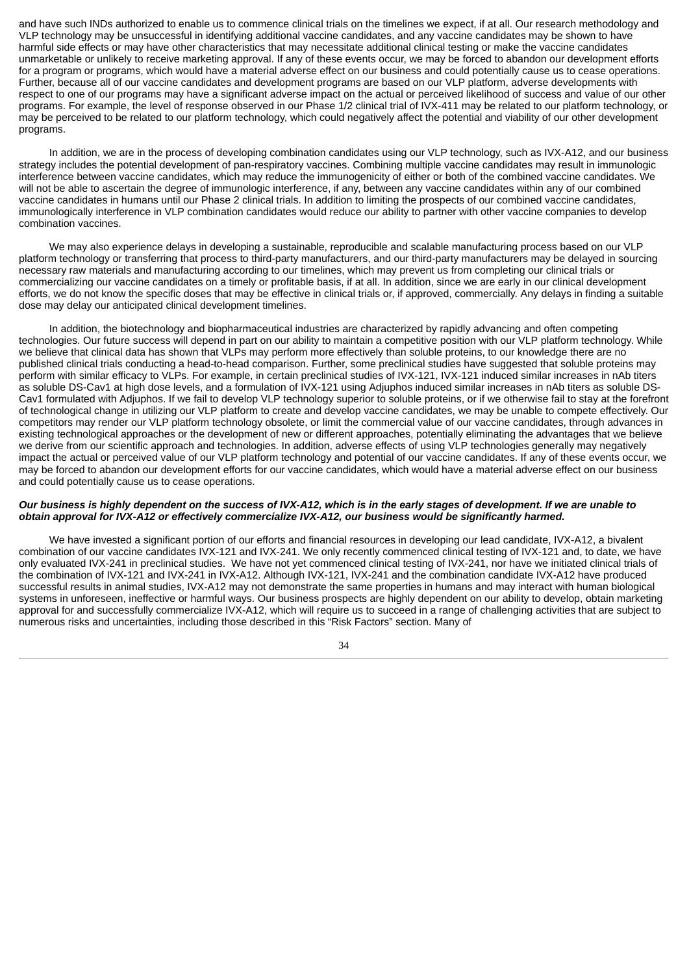and have such INDs authorized to enable us to commence clinical trials on the timelines we expect, if at all. Our research methodology and VLP technology may be unsuccessful in identifying additional vaccine candidates, and any vaccine candidates may be shown to have harmful side effects or may have other characteristics that may necessitate additional clinical testing or make the vaccine candidates unmarketable or unlikely to receive marketing approval. If any of these events occur, we may be forced to abandon our development efforts for a program or programs, which would have a material adverse effect on our business and could potentially cause us to cease operations. Further, because all of our vaccine candidates and development programs are based on our VLP platform, adverse developments with respect to one of our programs may have a significant adverse impact on the actual or perceived likelihood of success and value of our other programs. For example, the level of response observed in our Phase 1/2 clinical trial of IVX-411 may be related to our platform technology, or may be perceived to be related to our platform technology, which could negatively affect the potential and viability of our other development programs.

In addition, we are in the process of developing combination candidates using our VLP technology, such as IVX-A12, and our business strategy includes the potential development of pan-respiratory vaccines. Combining multiple vaccine candidates may result in immunologic interference between vaccine candidates, which may reduce the immunogenicity of either or both of the combined vaccine candidates. We will not be able to ascertain the degree of immunologic interference, if any, between any vaccine candidates within any of our combined vaccine candidates in humans until our Phase 2 clinical trials. In addition to limiting the prospects of our combined vaccine candidates, immunologically interference in VLP combination candidates would reduce our ability to partner with other vaccine companies to develop combination vaccines.

We may also experience delays in developing a sustainable, reproducible and scalable manufacturing process based on our VLP platform technology or transferring that process to third-party manufacturers, and our third-party manufacturers may be delayed in sourcing necessary raw materials and manufacturing according to our timelines, which may prevent us from completing our clinical trials or commercializing our vaccine candidates on a timely or profitable basis, if at all. In addition, since we are early in our clinical development efforts, we do not know the specific doses that may be effective in clinical trials or, if approved, commercially. Any delays in finding a suitable dose may delay our anticipated clinical development timelines.

In addition, the biotechnology and biopharmaceutical industries are characterized by rapidly advancing and often competing technologies. Our future success will depend in part on our ability to maintain a competitive position with our VLP platform technology. While we believe that clinical data has shown that VLPs may perform more effectively than soluble proteins, to our knowledge there are no published clinical trials conducting a head-to-head comparison. Further, some preclinical studies have suggested that soluble proteins may perform with similar efficacy to VLPs. For example, in certain preclinical studies of IVX-121, IVX-121 induced similar increases in nAb titers as soluble DS-Cav1 at high dose levels, and a formulation of IVX-121 using Adjuphos induced similar increases in nAb titers as soluble DS-Cav1 formulated with Adjuphos. If we fail to develop VLP technology superior to soluble proteins, or if we otherwise fail to stay at the forefront of technological change in utilizing our VLP platform to create and develop vaccine candidates, we may be unable to compete effectively. Our competitors may render our VLP platform technology obsolete, or limit the commercial value of our vaccine candidates, through advances in existing technological approaches or the development of new or different approaches, potentially eliminating the advantages that we believe we derive from our scientific approach and technologies. In addition, adverse effects of using VLP technologies generally may negatively impact the actual or perceived value of our VLP platform technology and potential of our vaccine candidates. If any of these events occur, we may be forced to abandon our development efforts for our vaccine candidates, which would have a material adverse effect on our business and could potentially cause us to cease operations.

# Our business is highly dependent on the success of IVX-A12, which is in the early stages of development. If we are unable to *obtain approval for IVX-A12 or effectively commercialize IVX-A12, our business would be significantly harmed.*

We have invested a significant portion of our efforts and financial resources in developing our lead candidate, IVX-A12, a bivalent combination of our vaccine candidates IVX-121 and IVX-241. We only recently commenced clinical testing of IVX-121 and, to date, we have only evaluated IVX-241 in preclinical studies. We have not yet commenced clinical testing of IVX-241, nor have we initiated clinical trials of the combination of IVX-121 and IVX-241 in IVX-A12. Although IVX-121, IVX-241 and the combination candidate IVX-A12 have produced successful results in animal studies, IVX-A12 may not demonstrate the same properties in humans and may interact with human biological systems in unforeseen, ineffective or harmful ways. Our business prospects are highly dependent on our ability to develop, obtain marketing approval for and successfully commercialize IVX-A12, which will require us to succeed in a range of challenging activities that are subject to numerous risks and uncertainties, including those described in this "Risk Factors" section. Many of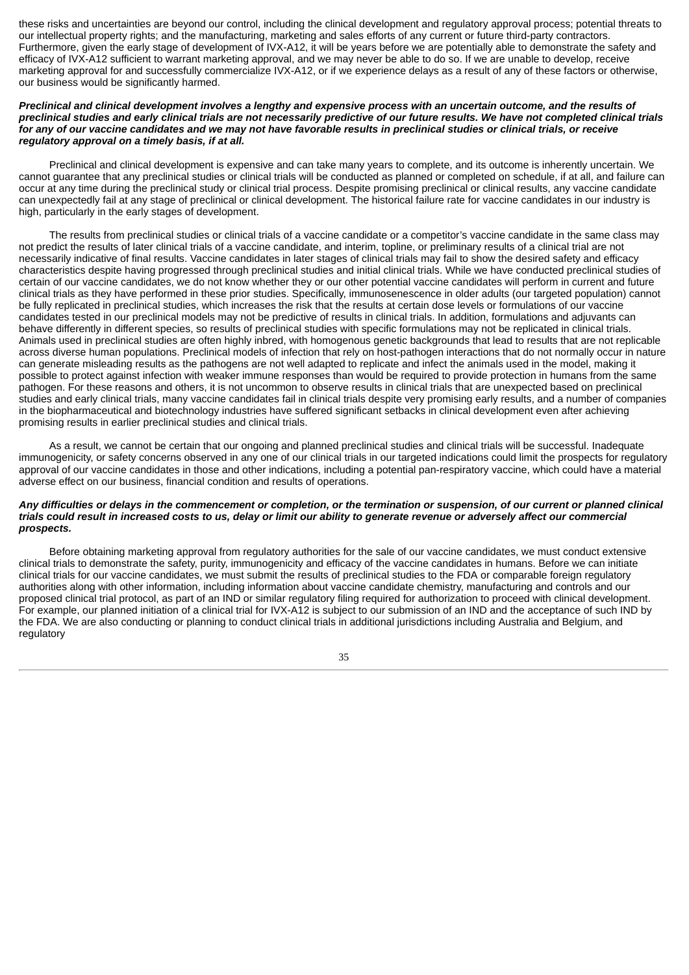these risks and uncertainties are beyond our control, including the clinical development and regulatory approval process; potential threats to our intellectual property rights; and the manufacturing, marketing and sales efforts of any current or future third-party contractors. Furthermore, given the early stage of development of IVX-A12, it will be years before we are potentially able to demonstrate the safety and efficacy of IVX-A12 sufficient to warrant marketing approval, and we may never be able to do so. If we are unable to develop, receive marketing approval for and successfully commercialize IVX-A12, or if we experience delays as a result of any of these factors or otherwise, our business would be significantly harmed.

# Preclinical and clinical development involves a lengthy and expensive process with an uncertain outcome, and the results of preclinical studies and early clinical trials are not necessarily predictive of our future results. We have not completed clinical trials for any of our vaccine candidates and we may not have favorable results in preclinical studies or clinical trials, or receive *regulatory approval on a timely basis, if at all.*

Preclinical and clinical development is expensive and can take many years to complete, and its outcome is inherently uncertain. We cannot guarantee that any preclinical studies or clinical trials will be conducted as planned or completed on schedule, if at all, and failure can occur at any time during the preclinical study or clinical trial process. Despite promising preclinical or clinical results, any vaccine candidate can unexpectedly fail at any stage of preclinical or clinical development. The historical failure rate for vaccine candidates in our industry is high, particularly in the early stages of development.

The results from preclinical studies or clinical trials of a vaccine candidate or a competitor's vaccine candidate in the same class may not predict the results of later clinical trials of a vaccine candidate, and interim, topline, or preliminary results of a clinical trial are not necessarily indicative of final results. Vaccine candidates in later stages of clinical trials may fail to show the desired safety and efficacy characteristics despite having progressed through preclinical studies and initial clinical trials. While we have conducted preclinical studies of certain of our vaccine candidates, we do not know whether they or our other potential vaccine candidates will perform in current and future clinical trials as they have performed in these prior studies. Specifically, immunosenescence in older adults (our targeted population) cannot be fully replicated in preclinical studies, which increases the risk that the results at certain dose levels or formulations of our vaccine candidates tested in our preclinical models may not be predictive of results in clinical trials. In addition, formulations and adjuvants can behave differently in different species, so results of preclinical studies with specific formulations may not be replicated in clinical trials. Animals used in preclinical studies are often highly inbred, with homogenous genetic backgrounds that lead to results that are not replicable across diverse human populations. Preclinical models of infection that rely on host-pathogen interactions that do not normally occur in nature can generate misleading results as the pathogens are not well adapted to replicate and infect the animals used in the model, making it possible to protect against infection with weaker immune responses than would be required to provide protection in humans from the same pathogen. For these reasons and others, it is not uncommon to observe results in clinical trials that are unexpected based on preclinical studies and early clinical trials, many vaccine candidates fail in clinical trials despite very promising early results, and a number of companies in the biopharmaceutical and biotechnology industries have suffered significant setbacks in clinical development even after achieving promising results in earlier preclinical studies and clinical trials.

As a result, we cannot be certain that our ongoing and planned preclinical studies and clinical trials will be successful. Inadequate immunogenicity, or safety concerns observed in any one of our clinical trials in our targeted indications could limit the prospects for regulatory approval of our vaccine candidates in those and other indications, including a potential pan-respiratory vaccine, which could have a material adverse effect on our business, financial condition and results of operations.

# Any difficulties or delays in the commencement or completion, or the termination or suspension, of our current or planned clinical trials could result in increased costs to us, delay or limit our ability to generate revenue or adversely affect our commercial *prospects.*

Before obtaining marketing approval from regulatory authorities for the sale of our vaccine candidates, we must conduct extensive clinical trials to demonstrate the safety, purity, immunogenicity and efficacy of the vaccine candidates in humans. Before we can initiate clinical trials for our vaccine candidates, we must submit the results of preclinical studies to the FDA or comparable foreign regulatory authorities along with other information, including information about vaccine candidate chemistry, manufacturing and controls and our proposed clinical trial protocol, as part of an IND or similar regulatory filing required for authorization to proceed with clinical development. For example, our planned initiation of a clinical trial for IVX-A12 is subject to our submission of an IND and the acceptance of such IND by the FDA. We are also conducting or planning to conduct clinical trials in additional jurisdictions including Australia and Belgium, and regulatory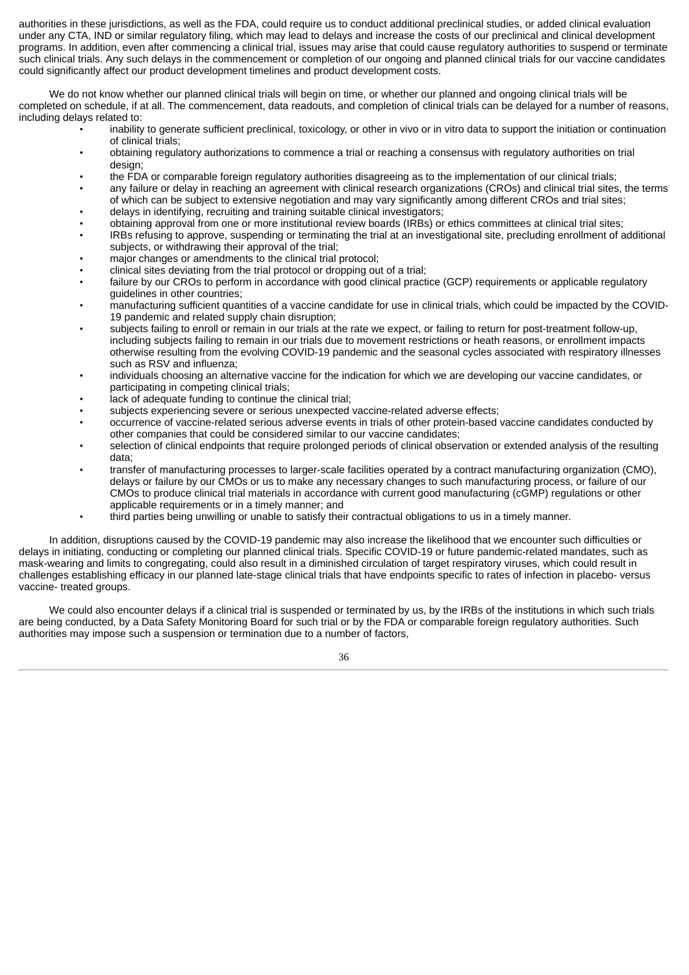authorities in these jurisdictions, as well as the FDA, could require us to conduct additional preclinical studies, or added clinical evaluation under any CTA, IND or similar regulatory filing, which may lead to delays and increase the costs of our preclinical and clinical development programs. In addition, even after commencing a clinical trial, issues may arise that could cause regulatory authorities to suspend or terminate such clinical trials. Any such delays in the commencement or completion of our ongoing and planned clinical trials for our vaccine candidates could significantly affect our product development timelines and product development costs.

We do not know whether our planned clinical trials will begin on time, or whether our planned and ongoing clinical trials will be completed on schedule, if at all. The commencement, data readouts, and completion of clinical trials can be delayed for a number of reasons, including delays related to:

- inability to generate sufficient preclinical, toxicology, or other in vivo or in vitro data to support the initiation or continuation of clinical trials;
- obtaining regulatory authorizations to commence a trial or reaching a consensus with regulatory authorities on trial design;
- the FDA or comparable foreign regulatory authorities disagreeing as to the implementation of our clinical trials;
- any failure or delay in reaching an agreement with clinical research organizations (CROs) and clinical trial sites, the terms of which can be subject to extensive negotiation and may vary significantly among different CROs and trial sites;
- delays in identifying, recruiting and training suitable clinical investigators;
- obtaining approval from one or more institutional review boards (IRBs) or ethics committees at clinical trial sites;
- IRBs refusing to approve, suspending or terminating the trial at an investigational site, precluding enrollment of additional subjects, or withdrawing their approval of the trial;
- major changes or amendments to the clinical trial protocol;
- clinical sites deviating from the trial protocol or dropping out of a trial;
- failure by our CROs to perform in accordance with good clinical practice (GCP) requirements or applicable regulatory guidelines in other countries;
- manufacturing sufficient quantities of a vaccine candidate for use in clinical trials, which could be impacted by the COVID-19 pandemic and related supply chain disruption;
- subjects failing to enroll or remain in our trials at the rate we expect, or failing to return for post-treatment follow-up, including subjects failing to remain in our trials due to movement restrictions or heath reasons, or enrollment impacts otherwise resulting from the evolving COVID-19 pandemic and the seasonal cycles associated with respiratory illnesses such as RSV and influenza;
- individuals choosing an alternative vaccine for the indication for which we are developing our vaccine candidates, or participating in competing clinical trials;
- lack of adequate funding to continue the clinical trial;
- subjects experiencing severe or serious unexpected vaccine-related adverse effects;
- occurrence of vaccine-related serious adverse events in trials of other protein-based vaccine candidates conducted by other companies that could be considered similar to our vaccine candidates;
- selection of clinical endpoints that require prolonged periods of clinical observation or extended analysis of the resulting data;
- transfer of manufacturing processes to larger-scale facilities operated by a contract manufacturing organization (CMO), delays or failure by our CMOs or us to make any necessary changes to such manufacturing process, or failure of our CMOs to produce clinical trial materials in accordance with current good manufacturing (cGMP) regulations or other applicable requirements or in a timely manner; and
- third parties being unwilling or unable to satisfy their contractual obligations to us in a timely manner.

In addition, disruptions caused by the COVID-19 pandemic may also increase the likelihood that we encounter such difficulties or delays in initiating, conducting or completing our planned clinical trials. Specific COVID-19 or future pandemic-related mandates, such as mask-wearing and limits to congregating, could also result in a diminished circulation of target respiratory viruses, which could result in challenges establishing efficacy in our planned late-stage clinical trials that have endpoints specific to rates of infection in placebo- versus vaccine- treated groups.

We could also encounter delays if a clinical trial is suspended or terminated by us, by the IRBs of the institutions in which such trials are being conducted, by a Data Safety Monitoring Board for such trial or by the FDA or comparable foreign regulatory authorities. Such authorities may impose such a suspension or termination due to a number of factors,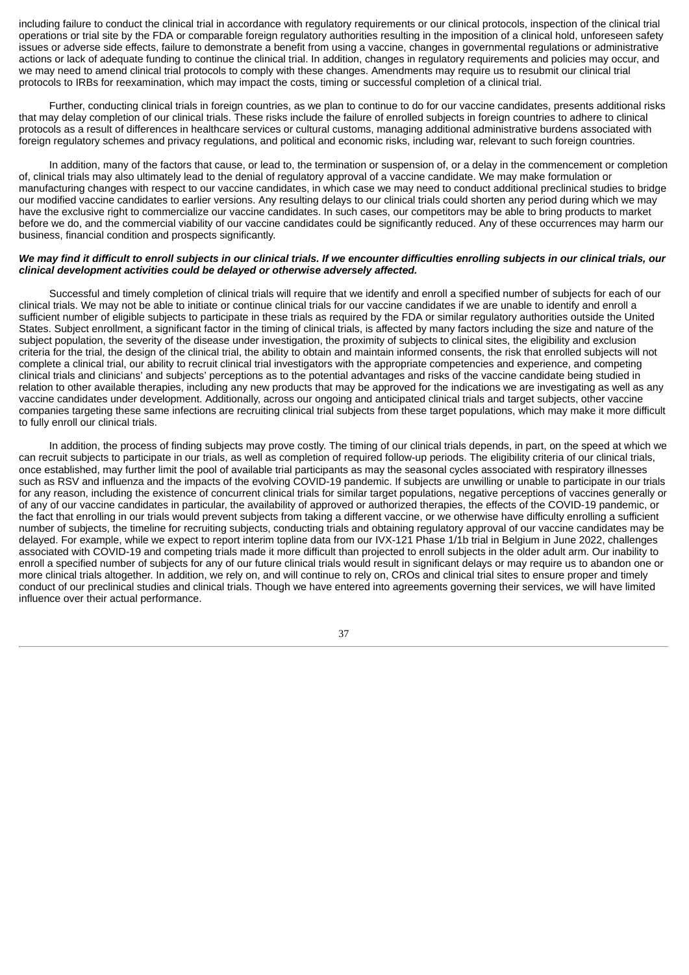including failure to conduct the clinical trial in accordance with regulatory requirements or our clinical protocols, inspection of the clinical trial operations or trial site by the FDA or comparable foreign regulatory authorities resulting in the imposition of a clinical hold, unforeseen safety issues or adverse side effects, failure to demonstrate a benefit from using a vaccine, changes in governmental regulations or administrative actions or lack of adequate funding to continue the clinical trial. In addition, changes in regulatory requirements and policies may occur, and we may need to amend clinical trial protocols to comply with these changes. Amendments may require us to resubmit our clinical trial protocols to IRBs for reexamination, which may impact the costs, timing or successful completion of a clinical trial.

Further, conducting clinical trials in foreign countries, as we plan to continue to do for our vaccine candidates, presents additional risks that may delay completion of our clinical trials. These risks include the failure of enrolled subjects in foreign countries to adhere to clinical protocols as a result of differences in healthcare services or cultural customs, managing additional administrative burdens associated with foreign regulatory schemes and privacy regulations, and political and economic risks, including war, relevant to such foreign countries.

In addition, many of the factors that cause, or lead to, the termination or suspension of, or a delay in the commencement or completion of, clinical trials may also ultimately lead to the denial of regulatory approval of a vaccine candidate. We may make formulation or manufacturing changes with respect to our vaccine candidates, in which case we may need to conduct additional preclinical studies to bridge our modified vaccine candidates to earlier versions. Any resulting delays to our clinical trials could shorten any period during which we may have the exclusive right to commercialize our vaccine candidates. In such cases, our competitors may be able to bring products to market before we do, and the commercial viability of our vaccine candidates could be significantly reduced. Any of these occurrences may harm our business, financial condition and prospects significantly.

#### We may find it difficult to enroll subjects in our clinical trials. If we encounter difficulties enrolling subjects in our clinical trials, our *clinical development activities could be delayed or otherwise adversely affected.*

Successful and timely completion of clinical trials will require that we identify and enroll a specified number of subjects for each of our clinical trials. We may not be able to initiate or continue clinical trials for our vaccine candidates if we are unable to identify and enroll a sufficient number of eligible subjects to participate in these trials as required by the FDA or similar regulatory authorities outside the United States. Subiect enrollment, a significant factor in the timing of clinical trials, is affected by many factors including the size and nature of the subject population, the severity of the disease under investigation, the proximity of subjects to clinical sites, the eligibility and exclusion criteria for the trial, the design of the clinical trial, the ability to obtain and maintain informed consents, the risk that enrolled subjects will not complete a clinical trial, our ability to recruit clinical trial investigators with the appropriate competencies and experience, and competing clinical trials and clinicians' and subjects' perceptions as to the potential advantages and risks of the vaccine candidate being studied in relation to other available therapies, including any new products that may be approved for the indications we are investigating as well as any vaccine candidates under development. Additionally, across our ongoing and anticipated clinical trials and target subjects, other vaccine companies targeting these same infections are recruiting clinical trial subjects from these target populations, which may make it more difficult to fully enroll our clinical trials.

In addition, the process of finding subjects may prove costly. The timing of our clinical trials depends, in part, on the speed at which we can recruit subjects to participate in our trials, as well as completion of required follow-up periods. The eligibility criteria of our clinical trials, once established, may further limit the pool of available trial participants as may the seasonal cycles associated with respiratory illnesses such as RSV and influenza and the impacts of the evolving COVID-19 pandemic. If subjects are unwilling or unable to participate in our trials for any reason, including the existence of concurrent clinical trials for similar target populations, negative perceptions of vaccines generally or of any of our vaccine candidates in particular, the availability of approved or authorized therapies, the effects of the COVID-19 pandemic, or the fact that enrolling in our trials would prevent subjects from taking a different vaccine, or we otherwise have difficulty enrolling a sufficient number of subjects, the timeline for recruiting subjects, conducting trials and obtaining regulatory approval of our vaccine candidates may be delayed. For example, while we expect to report interim topline data from our IVX-121 Phase 1/1b trial in Belgium in June 2022, challenges associated with COVID-19 and competing trials made it more difficult than projected to enroll subjects in the older adult arm. Our inability to enroll a specified number of subjects for any of our future clinical trials would result in significant delays or may require us to abandon one or more clinical trials altogether. In addition, we rely on, and will continue to rely on, CROs and clinical trial sites to ensure proper and timely conduct of our preclinical studies and clinical trials. Though we have entered into agreements governing their services, we will have limited influence over their actual performance.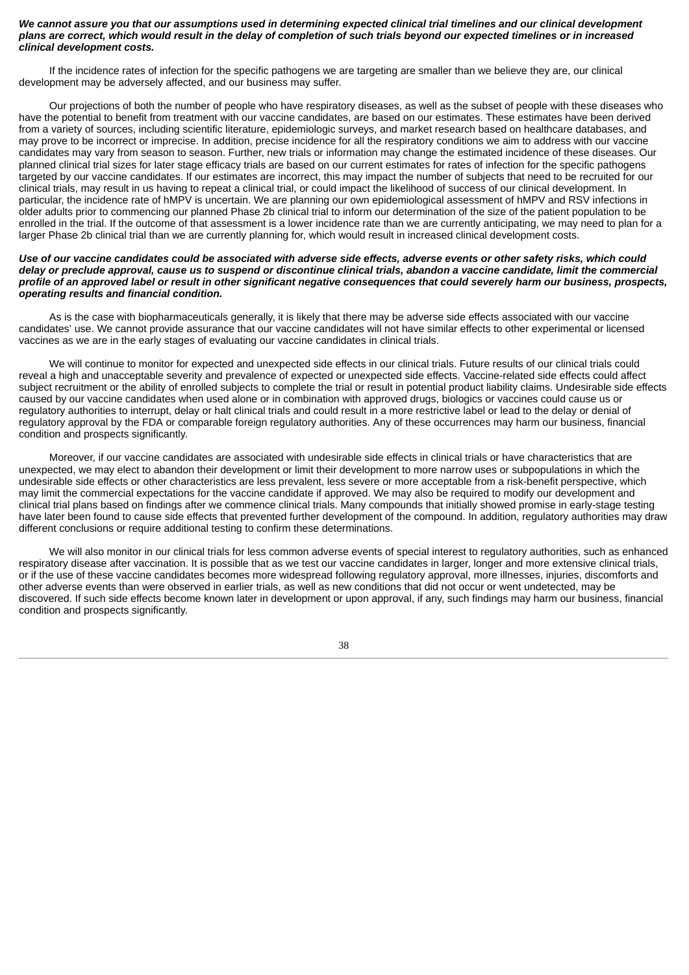# We cannot assure you that our assumptions used in determining expected clinical trial timelines and our clinical development plans are correct, which would result in the delay of completion of such trials beyond our expected timelines or in increased *clinical development costs.*

If the incidence rates of infection for the specific pathogens we are targeting are smaller than we believe they are, our clinical development may be adversely affected, and our business may suffer.

Our projections of both the number of people who have respiratory diseases, as well as the subset of people with these diseases who have the potential to benefit from treatment with our vaccine candidates, are based on our estimates. These estimates have been derived from a variety of sources, including scientific literature, epidemiologic surveys, and market research based on healthcare databases, and may prove to be incorrect or imprecise. In addition, precise incidence for all the respiratory conditions we aim to address with our vaccine candidates may vary from season to season. Further, new trials or information may change the estimated incidence of these diseases. Our planned clinical trial sizes for later stage efficacy trials are based on our current estimates for rates of infection for the specific pathogens targeted by our vaccine candidates. If our estimates are incorrect, this may impact the number of subjects that need to be recruited for our clinical trials, may result in us having to repeat a clinical trial, or could impact the likelihood of success of our clinical development. In particular, the incidence rate of hMPV is uncertain. We are planning our own epidemiological assessment of hMPV and RSV infections in older adults prior to commencing our planned Phase 2b clinical trial to inform our determination of the size of the patient population to be enrolled in the trial. If the outcome of that assessment is a lower incidence rate than we are currently anticipating, we may need to plan for a larger Phase 2b clinical trial than we are currently planning for, which would result in increased clinical development costs.

#### Use of our vaccine candidates could be associated with adverse side effects, adverse events or other safety risks, which could delay or preclude approval, cause us to suspend or discontinue clinical trials, abandon a vaccine candidate, limit the commercial profile of an approved label or result in other significant negative consequences that could severely harm our business, prospects, *operating results and financial condition.*

As is the case with biopharmaceuticals generally, it is likely that there may be adverse side effects associated with our vaccine candidates' use. We cannot provide assurance that our vaccine candidates will not have similar effects to other experimental or licensed vaccines as we are in the early stages of evaluating our vaccine candidates in clinical trials.

We will continue to monitor for expected and unexpected side effects in our clinical trials. Future results of our clinical trials could reveal a high and unacceptable severity and prevalence of expected or unexpected side effects. Vaccine-related side effects could affect subject recruitment or the ability of enrolled subjects to complete the trial or result in potential product liability claims. Undesirable side effects caused by our vaccine candidates when used alone or in combination with approved drugs, biologics or vaccines could cause us or regulatory authorities to interrupt, delay or halt clinical trials and could result in a more restrictive label or lead to the delay or denial of regulatory approval by the FDA or comparable foreign regulatory authorities. Any of these occurrences may harm our business, financial condition and prospects significantly.

Moreover, if our vaccine candidates are associated with undesirable side effects in clinical trials or have characteristics that are unexpected, we may elect to abandon their development or limit their development to more narrow uses or subpopulations in which the undesirable side effects or other characteristics are less prevalent, less severe or more acceptable from a risk-benefit perspective, which may limit the commercial expectations for the vaccine candidate if approved. We may also be required to modify our development and clinical trial plans based on findings after we commence clinical trials. Many compounds that initially showed promise in early-stage testing have later been found to cause side effects that prevented further development of the compound. In addition, regulatory authorities may draw different conclusions or require additional testing to confirm these determinations.

We will also monitor in our clinical trials for less common adverse events of special interest to regulatory authorities, such as enhanced respiratory disease after vaccination. It is possible that as we test our vaccine candidates in larger, longer and more extensive clinical trials, or if the use of these vaccine candidates becomes more widespread following regulatory approval, more illnesses, injuries, discomforts and other adverse events than were observed in earlier trials, as well as new conditions that did not occur or went undetected, may be discovered. If such side effects become known later in development or upon approval, if any, such findings may harm our business, financial condition and prospects significantly.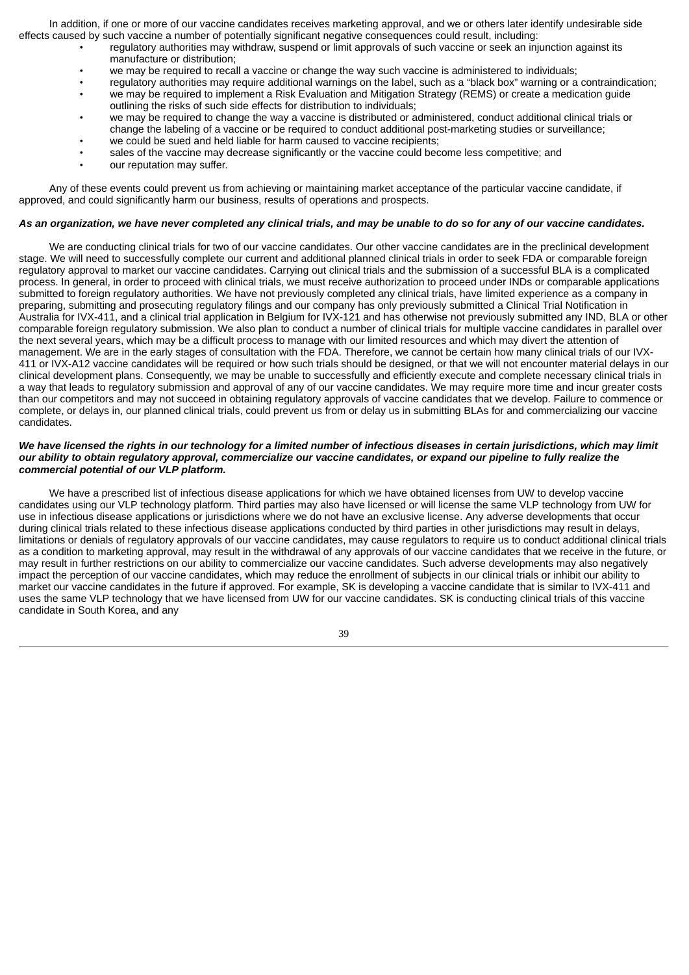In addition, if one or more of our vaccine candidates receives marketing approval, and we or others later identify undesirable side effects caused by such vaccine a number of potentially significant negative consequences could result, including:

- regulatory authorities may withdraw, suspend or limit approvals of such vaccine or seek an injunction against its manufacture or distribution;
- we may be required to recall a vaccine or change the way such vaccine is administered to individuals;
- regulatory authorities may require additional warnings on the label, such as a "black box" warning or a contraindication; • we may be required to implement a Risk Evaluation and Mitigation Strategy (REMS) or create a medication guide
- outlining the risks of such side effects for distribution to individuals; • we may be required to change the way a vaccine is distributed or administered, conduct additional clinical trials or change the labeling of a vaccine or be required to conduct additional post-marketing studies or surveillance;
- we could be sued and held liable for harm caused to vaccine recipients;
- sales of the vaccine may decrease significantly or the vaccine could become less competitive; and
- our reputation may suffer.

Any of these events could prevent us from achieving or maintaining market acceptance of the particular vaccine candidate, if approved, and could significantly harm our business, results of operations and prospects.

#### As an organization, we have never completed any clinical trials, and may be unable to do so for any of our vaccine candidates.

We are conducting clinical trials for two of our vaccine candidates. Our other vaccine candidates are in the preclinical development stage. We will need to successfully complete our current and additional planned clinical trials in order to seek FDA or comparable foreign regulatory approval to market our vaccine candidates. Carrying out clinical trials and the submission of a successful BLA is a complicated process. In general, in order to proceed with clinical trials, we must receive authorization to proceed under INDs or comparable applications submitted to foreign regulatory authorities. We have not previously completed any clinical trials, have limited experience as a company in preparing, submitting and prosecuting regulatory filings and our company has only previously submitted a Clinical Trial Notification in Australia for IVX-411, and a clinical trial application in Belgium for IVX-121 and has otherwise not previously submitted any IND, BLA or other comparable foreign regulatory submission. We also plan to conduct a number of clinical trials for multiple vaccine candidates in parallel over the next several years, which may be a difficult process to manage with our limited resources and which may divert the attention of management. We are in the early stages of consultation with the FDA. Therefore, we cannot be certain how many clinical trials of our IVX-411 or IVX-A12 vaccine candidates will be required or how such trials should be designed, or that we will not encounter material delays in our clinical development plans. Consequently, we may be unable to successfully and efficiently execute and complete necessary clinical trials in a way that leads to regulatory submission and approval of any of our vaccine candidates. We may require more time and incur greater costs than our competitors and may not succeed in obtaining regulatory approvals of vaccine candidates that we develop. Failure to commence or complete, or delays in, our planned clinical trials, could prevent us from or delay us in submitting BLAs for and commercializing our vaccine candidates.

# We have licensed the rights in our technology for a limited number of infectious diseases in certain jurisdictions, which may limit our ability to obtain regulatory approval, commercialize our vaccine candidates, or expand our pipeline to fully realize the *commercial potential of our VLP platform.*

We have a prescribed list of infectious disease applications for which we have obtained licenses from UW to develop vaccine candidates using our VLP technology platform. Third parties may also have licensed or will license the same VLP technology from UW for use in infectious disease applications or jurisdictions where we do not have an exclusive license. Any adverse developments that occur during clinical trials related to these infectious disease applications conducted by third parties in other jurisdictions may result in delays, limitations or denials of regulatory approvals of our vaccine candidates, may cause regulators to require us to conduct additional clinical trials as a condition to marketing approval, may result in the withdrawal of any approvals of our vaccine candidates that we receive in the future, or may result in further restrictions on our ability to commercialize our vaccine candidates. Such adverse developments may also negatively impact the perception of our vaccine candidates, which may reduce the enrollment of subjects in our clinical trials or inhibit our ability to market our vaccine candidates in the future if approved. For example, SK is developing a vaccine candidate that is similar to IVX-411 and uses the same VLP technology that we have licensed from UW for our vaccine candidates. SK is conducting clinical trials of this vaccine candidate in South Korea, and any

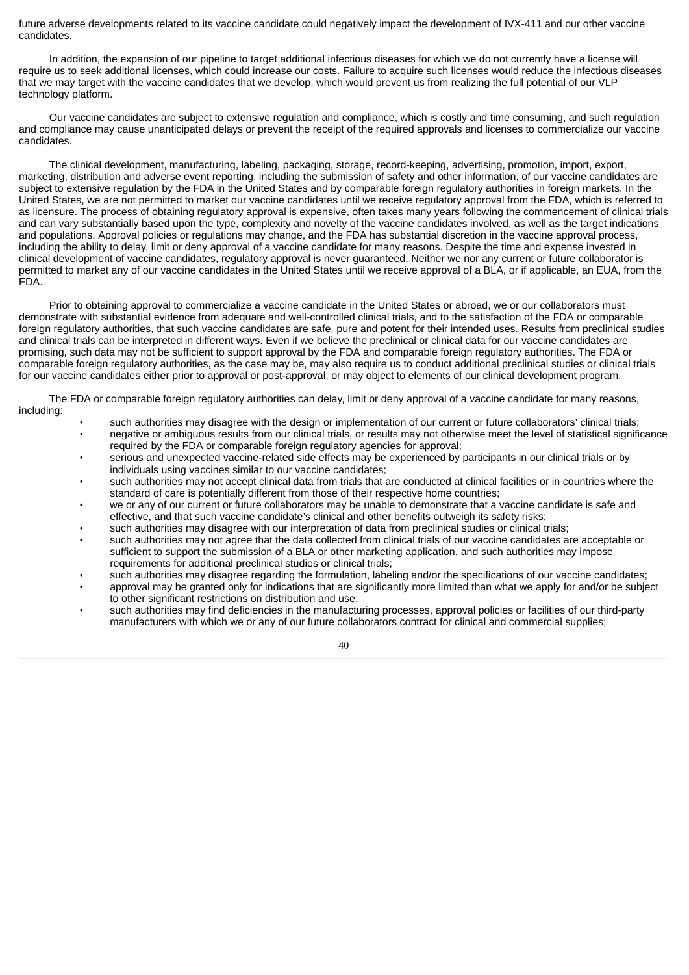future adverse developments related to its vaccine candidate could negatively impact the development of IVX-411 and our other vaccine candidates.

In addition, the expansion of our pipeline to target additional infectious diseases for which we do not currently have a license will require us to seek additional licenses, which could increase our costs. Failure to acquire such licenses would reduce the infectious diseases that we may target with the vaccine candidates that we develop, which would prevent us from realizing the full potential of our VLP technology platform.

Our vaccine candidates are subject to extensive regulation and compliance, which is costly and time consuming, and such regulation and compliance may cause unanticipated delays or prevent the receipt of the required approvals and licenses to commercialize our vaccine candidates.

The clinical development, manufacturing, labeling, packaging, storage, record-keeping, advertising, promotion, import, export, marketing, distribution and adverse event reporting, including the submission of safety and other information, of our vaccine candidates are subject to extensive regulation by the FDA in the United States and by comparable foreign regulatory authorities in foreign markets. In the United States, we are not permitted to market our vaccine candidates until we receive regulatory approval from the FDA, which is referred to as licensure. The process of obtaining regulatory approval is expensive, often takes many years following the commencement of clinical trials and can vary substantially based upon the type, complexity and novelty of the vaccine candidates involved, as well as the target indications and populations. Approval policies or regulations may change, and the FDA has substantial discretion in the vaccine approval process, including the ability to delay, limit or deny approval of a vaccine candidate for many reasons. Despite the time and expense invested in clinical development of vaccine candidates, regulatory approval is never guaranteed. Neither we nor any current or future collaborator is permitted to market any of our vaccine candidates in the United States until we receive approval of a BLA, or if applicable, an EUA, from the FDA.

Prior to obtaining approval to commercialize a vaccine candidate in the United States or abroad, we or our collaborators must demonstrate with substantial evidence from adequate and well-controlled clinical trials, and to the satisfaction of the FDA or comparable foreign regulatory authorities, that such vaccine candidates are safe, pure and potent for their intended uses. Results from preclinical studies and clinical trials can be interpreted in different ways. Even if we believe the preclinical or clinical data for our vaccine candidates are promising, such data may not be sufficient to support approval by the FDA and comparable foreign regulatory authorities. The FDA or comparable foreign regulatory authorities, as the case may be, may also require us to conduct additional preclinical studies or clinical trials for our vaccine candidates either prior to approval or post-approval, or may object to elements of our clinical development program.

The FDA or comparable foreign regulatory authorities can delay, limit or deny approval of a vaccine candidate for many reasons, including:

- such authorities may disagree with the design or implementation of our current or future collaborators' clinical trials;
- negative or ambiguous results from our clinical trials, or results may not otherwise meet the level of statistical significance required by the FDA or comparable foreign regulatory agencies for approval;
- serious and unexpected vaccine-related side effects may be experienced by participants in our clinical trials or by individuals using vaccines similar to our vaccine candidates;
- such authorities may not accept clinical data from trials that are conducted at clinical facilities or in countries where the standard of care is potentially different from those of their respective home countries;
- we or any of our current or future collaborators may be unable to demonstrate that a vaccine candidate is safe and effective, and that such vaccine candidate's clinical and other benefits outweigh its safety risks;
- such authorities may disagree with our interpretation of data from preclinical studies or clinical trials;
- such authorities may not agree that the data collected from clinical trials of our vaccine candidates are acceptable or sufficient to support the submission of a BLA or other marketing application, and such authorities may impose requirements for additional preclinical studies or clinical trials;
- such authorities may disagree regarding the formulation, labeling and/or the specifications of our vaccine candidates;
- approval may be granted only for indications that are significantly more limited than what we apply for and/or be subject to other significant restrictions on distribution and use:
- such authorities may find deficiencies in the manufacturing processes, approval policies or facilities of our third-party manufacturers with which we or any of our future collaborators contract for clinical and commercial supplies;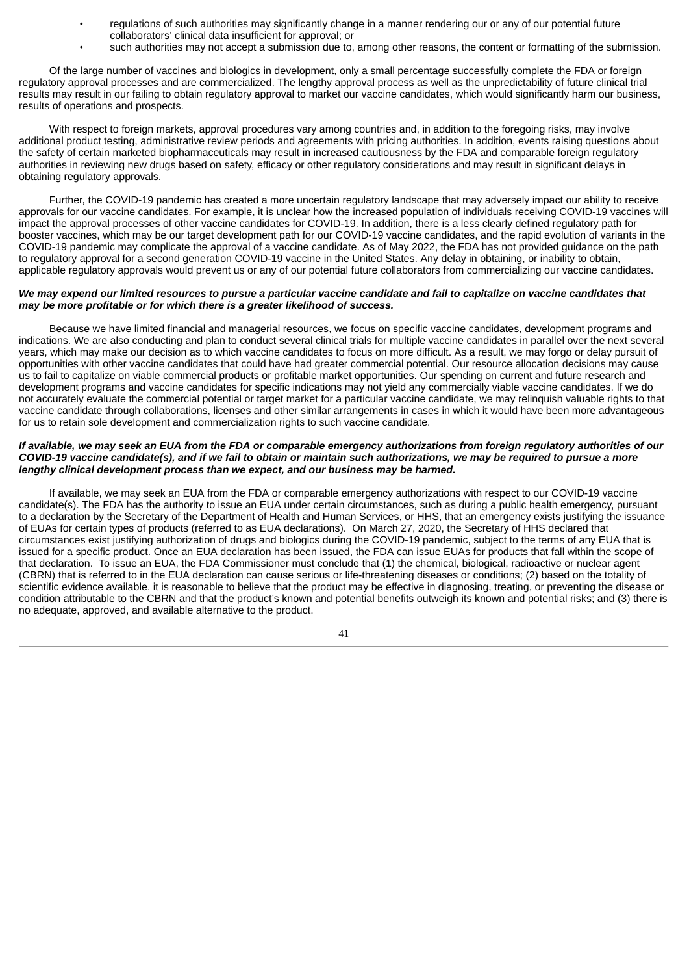- regulations of such authorities may significantly change in a manner rendering our or any of our potential future collaborators' clinical data insufficient for approval; or
- such authorities may not accept a submission due to, among other reasons, the content or formatting of the submission.

Of the large number of vaccines and biologics in development, only a small percentage successfully complete the FDA or foreign regulatory approval processes and are commercialized. The lengthy approval process as well as the unpredictability of future clinical trial results may result in our failing to obtain regulatory approval to market our vaccine candidates, which would significantly harm our business, results of operations and prospects.

With respect to foreign markets, approval procedures vary among countries and, in addition to the foregoing risks, may involve additional product testing, administrative review periods and agreements with pricing authorities. In addition, events raising questions about the safety of certain marketed biopharmaceuticals may result in increased cautiousness by the FDA and comparable foreign regulatory authorities in reviewing new drugs based on safety, efficacy or other regulatory considerations and may result in significant delays in obtaining regulatory approvals.

Further, the COVID-19 pandemic has created a more uncertain regulatory landscape that may adversely impact our ability to receive approvals for our vaccine candidates. For example, it is unclear how the increased population of individuals receiving COVID-19 vaccines will impact the approval processes of other vaccine candidates for COVID-19. In addition, there is a less clearly defined regulatory path for booster vaccines, which may be our target development path for our COVID-19 vaccine candidates, and the rapid evolution of variants in the COVID-19 pandemic may complicate the approval of a vaccine candidate. As of May 2022, the FDA has not provided guidance on the path to regulatory approval for a second generation COVID-19 vaccine in the United States. Any delay in obtaining, or inability to obtain, applicable regulatory approvals would prevent us or any of our potential future collaborators from commercializing our vaccine candidates.

#### We may expend our limited resources to pursue a particular vaccine candidate and fail to capitalize on vaccine candidates that *may be more profitable or for which there is a greater likelihood of success.*

Because we have limited financial and managerial resources, we focus on specific vaccine candidates, development programs and indications. We are also conducting and plan to conduct several clinical trials for multiple vaccine candidates in parallel over the next several years, which may make our decision as to which vaccine candidates to focus on more difficult. As a result, we may forgo or delay pursuit of opportunities with other vaccine candidates that could have had greater commercial potential. Our resource allocation decisions may cause us to fail to capitalize on viable commercial products or profitable market opportunities. Our spending on current and future research and development programs and vaccine candidates for specific indications may not yield any commercially viable vaccine candidates. If we do not accurately evaluate the commercial potential or target market for a particular vaccine candidate, we may relinquish valuable rights to that vaccine candidate through collaborations, licenses and other similar arrangements in cases in which it would have been more advantageous for us to retain sole development and commercialization rights to such vaccine candidate.

#### If available, we may seek an EUA from the FDA or comparable emergency authorizations from foreign regulatory authorities of our COVID-19 vaccine candidate(s), and if we fail to obtain or maintain such authorizations, we may be required to pursue a more *lengthy clinical development process than we expect, and our business may be harmed.*

If available, we may seek an EUA from the FDA or comparable emergency authorizations with respect to our COVID-19 vaccine candidate(s). The FDA has the authority to issue an EUA under certain circumstances, such as during a public health emergency, pursuant to a declaration by the Secretary of the Department of Health and Human Services, or HHS, that an emergency exists justifying the issuance of EUAs for certain types of products (referred to as EUA declarations). On March 27, 2020, the Secretary of HHS declared that circumstances exist justifying authorization of drugs and biologics during the COVID-19 pandemic, subject to the terms of any EUA that is issued for a specific product. Once an EUA declaration has been issued, the FDA can issue EUAs for products that fall within the scope of that declaration. To issue an EUA, the FDA Commissioner must conclude that (1) the chemical, biological, radioactive or nuclear agent (CBRN) that is referred to in the EUA declaration can cause serious or life-threatening diseases or conditions; (2) based on the totality of scientific evidence available, it is reasonable to believe that the product may be effective in diagnosing, treating, or preventing the disease or condition attributable to the CBRN and that the product's known and potential benefits outweigh its known and potential risks; and (3) there is no adequate, approved, and available alternative to the product.

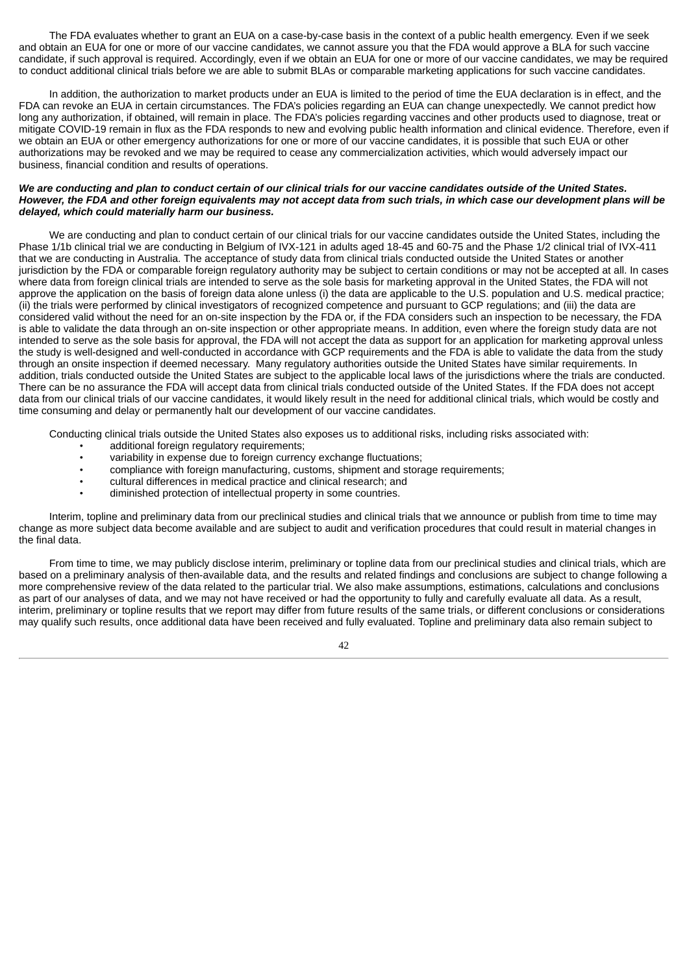The FDA evaluates whether to grant an EUA on a case-by-case basis in the context of a public health emergency. Even if we seek and obtain an EUA for one or more of our vaccine candidates, we cannot assure you that the FDA would approve a BLA for such vaccine candidate, if such approval is required. Accordingly, even if we obtain an EUA for one or more of our vaccine candidates, we may be required to conduct additional clinical trials before we are able to submit BLAs or comparable marketing applications for such vaccine candidates.

In addition, the authorization to market products under an EUA is limited to the period of time the EUA declaration is in effect, and the FDA can revoke an EUA in certain circumstances. The FDA's policies regarding an EUA can change unexpectedly. We cannot predict how long any authorization, if obtained, will remain in place. The FDA's policies regarding vaccines and other products used to diagnose, treat or mitigate COVID-19 remain in flux as the FDA responds to new and evolving public health information and clinical evidence. Therefore, even if we obtain an EUA or other emergency authorizations for one or more of our vaccine candidates, it is possible that such EUA or other authorizations may be revoked and we may be required to cease any commercialization activities, which would adversely impact our business, financial condition and results of operations.

#### We are conducting and plan to conduct certain of our clinical trials for our vaccine candidates outside of the United States. However, the FDA and other foreign equivalents may not accept data from such trials, in which case our development plans will be *delayed, which could materially harm our business.*

We are conducting and plan to conduct certain of our clinical trials for our vaccine candidates outside the United States, including the Phase 1/1b clinical trial we are conducting in Belgium of IVX-121 in adults aged 18-45 and 60-75 and the Phase 1/2 clinical trial of IVX-411 that we are conducting in Australia. The acceptance of study data from clinical trials conducted outside the United States or another jurisdiction by the FDA or comparable foreign regulatory authority may be subject to certain conditions or may not be accepted at all. In cases where data from foreign clinical trials are intended to serve as the sole basis for marketing approval in the United States, the FDA will not approve the application on the basis of foreign data alone unless (i) the data are applicable to the U.S. population and U.S. medical practice; (ii) the trials were performed by clinical investigators of recognized competence and pursuant to GCP regulations; and (iii) the data are considered valid without the need for an on-site inspection by the FDA or, if the FDA considers such an inspection to be necessary, the FDA is able to validate the data through an on-site inspection or other appropriate means. In addition, even where the foreign study data are not intended to serve as the sole basis for approval, the FDA will not accept the data as support for an application for marketing approval unless the study is well-designed and well-conducted in accordance with GCP requirements and the FDA is able to validate the data from the study through an onsite inspection if deemed necessary. Many regulatory authorities outside the United States have similar requirements. In addition, trials conducted outside the United States are subject to the applicable local laws of the jurisdictions where the trials are conducted. There can be no assurance the FDA will accept data from clinical trials conducted outside of the United States. If the FDA does not accept data from our clinical trials of our vaccine candidates, it would likely result in the need for additional clinical trials, which would be costly and time consuming and delay or permanently halt our development of our vaccine candidates.

Conducting clinical trials outside the United States also exposes us to additional risks, including risks associated with:

- additional foreign regulatory requirements;
- variability in expense due to foreign currency exchange fluctuations;
- compliance with foreign manufacturing, customs, shipment and storage requirements;
- cultural differences in medical practice and clinical research; and
- diminished protection of intellectual property in some countries.

Interim, topline and preliminary data from our preclinical studies and clinical trials that we announce or publish from time to time may change as more subject data become available and are subject to audit and verification procedures that could result in material changes in the final data.

From time to time, we may publicly disclose interim, preliminary or topline data from our preclinical studies and clinical trials, which are based on a preliminary analysis of then-available data, and the results and related findings and conclusions are subject to change following a more comprehensive review of the data related to the particular trial. We also make assumptions, estimations, calculations and conclusions as part of our analyses of data, and we may not have received or had the opportunity to fully and carefully evaluate all data. As a result, interim, preliminary or topline results that we report may differ from future results of the same trials, or different conclusions or considerations may qualify such results, once additional data have been received and fully evaluated. Topline and preliminary data also remain subject to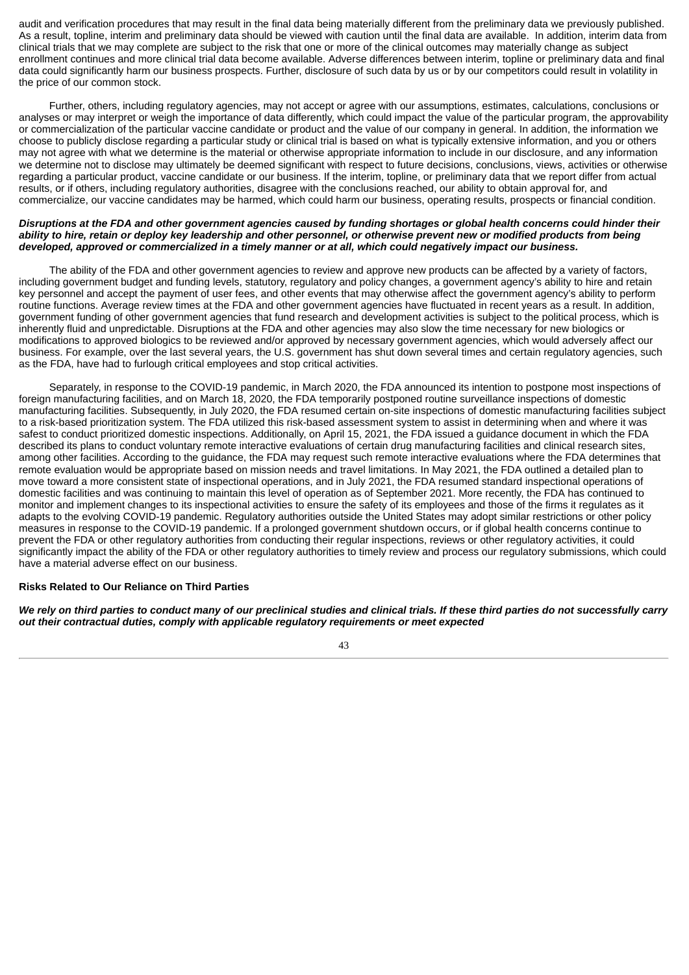audit and verification procedures that may result in the final data being materially different from the preliminary data we previously published. As a result, topline, interim and preliminary data should be viewed with caution until the final data are available. In addition, interim data from clinical trials that we may complete are subject to the risk that one or more of the clinical outcomes may materially change as subject enrollment continues and more clinical trial data become available. Adverse differences between interim, topline or preliminary data and final data could significantly harm our business prospects. Further, disclosure of such data by us or by our competitors could result in volatility in the price of our common stock.

Further, others, including regulatory agencies, may not accept or agree with our assumptions, estimates, calculations, conclusions or analyses or may interpret or weigh the importance of data differently, which could impact the value of the particular program, the approvability or commercialization of the particular vaccine candidate or product and the value of our company in general. In addition, the information we choose to publicly disclose regarding a particular study or clinical trial is based on what is typically extensive information, and you or others may not agree with what we determine is the material or otherwise appropriate information to include in our disclosure, and any information we determine not to disclose may ultimately be deemed significant with respect to future decisions, conclusions, views, activities or otherwise regarding a particular product, vaccine candidate or our business. If the interim, topline, or preliminary data that we report differ from actual results, or if others, including regulatory authorities, disagree with the conclusions reached, our ability to obtain approval for, and commercialize, our vaccine candidates may be harmed, which could harm our business, operating results, prospects or financial condition.

#### Disruptions at the FDA and other government agencies caused by funding shortages or global health concerns could hinder their ability to hire, retain or deploy key leadership and other personnel, or otherwise prevent new or modified products from being developed, approved or commercialized in a timely manner or at all, which could negatively impact our business.

The ability of the FDA and other government agencies to review and approve new products can be affected by a variety of factors, including government budget and funding levels, statutory, regulatory and policy changes, a government agency's ability to hire and retain key personnel and accept the payment of user fees, and other events that may otherwise affect the government agency's ability to perform routine functions. Average review times at the FDA and other government agencies have fluctuated in recent years as a result. In addition, government funding of other government agencies that fund research and development activities is subject to the political process, which is inherently fluid and unpredictable. Disruptions at the FDA and other agencies may also slow the time necessary for new biologics or modifications to approved biologics to be reviewed and/or approved by necessary government agencies, which would adversely affect our business. For example, over the last several years, the U.S. government has shut down several times and certain regulatory agencies, such as the FDA, have had to furlough critical employees and stop critical activities.

Separately, in response to the COVID-19 pandemic, in March 2020, the FDA announced its intention to postpone most inspections of foreign manufacturing facilities, and on March 18, 2020, the FDA temporarily postponed routine surveillance inspections of domestic manufacturing facilities. Subsequently, in July 2020, the FDA resumed certain on-site inspections of domestic manufacturing facilities subject to a risk-based prioritization system. The FDA utilized this risk-based assessment system to assist in determining when and where it was safest to conduct prioritized domestic inspections. Additionally, on April 15, 2021, the FDA issued a guidance document in which the FDA described its plans to conduct voluntary remote interactive evaluations of certain drug manufacturing facilities and clinical research sites, among other facilities. According to the guidance, the FDA may request such remote interactive evaluations where the FDA determines that remote evaluation would be appropriate based on mission needs and travel limitations. In May 2021, the FDA outlined a detailed plan to move toward a more consistent state of inspectional operations, and in July 2021, the FDA resumed standard inspectional operations of domestic facilities and was continuing to maintain this level of operation as of September 2021. More recently, the FDA has continued to monitor and implement changes to its inspectional activities to ensure the safety of its employees and those of the firms it regulates as it adapts to the evolving COVID-19 pandemic. Regulatory authorities outside the United States may adopt similar restrictions or other policy measures in response to the COVID-19 pandemic. If a prolonged government shutdown occurs, or if global health concerns continue to prevent the FDA or other regulatory authorities from conducting their regular inspections, reviews or other regulatory activities, it could significantly impact the ability of the FDA or other regulatory authorities to timely review and process our regulatory submissions, which could have a material adverse effect on our business.

#### **Risks Related to Our Reliance on Third Parties**

We rely on third parties to conduct many of our preclinical studies and clinical trials. If these third parties do not successfully carry *out their contractual duties, comply with applicable regulatory requirements or meet expected*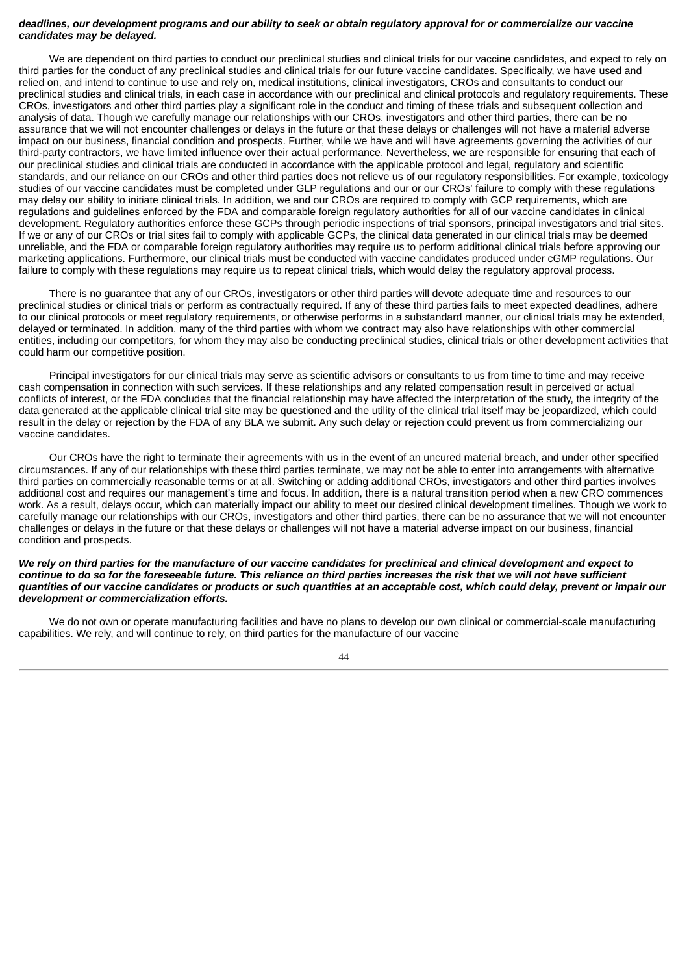#### deadlines, our development programs and our ability to seek or obtain regulatory approval for or commercialize our vaccine *candidates may be delayed.*

We are dependent on third parties to conduct our preclinical studies and clinical trials for our vaccine candidates, and expect to rely on third parties for the conduct of any preclinical studies and clinical trials for our future vaccine candidates. Specifically, we have used and relied on, and intend to continue to use and rely on, medical institutions, clinical investigators, CROs and consultants to conduct our preclinical studies and clinical trials, in each case in accordance with our preclinical and clinical protocols and regulatory requirements. These CROs, investigators and other third parties play a significant role in the conduct and timing of these trials and subsequent collection and analysis of data. Though we carefully manage our relationships with our CROs, investigators and other third parties, there can be no assurance that we will not encounter challenges or delays in the future or that these delays or challenges will not have a material adverse impact on our business, financial condition and prospects. Further, while we have and will have agreements governing the activities of our third-party contractors, we have limited influence over their actual performance. Nevertheless, we are responsible for ensuring that each of our preclinical studies and clinical trials are conducted in accordance with the applicable protocol and legal, regulatory and scientific standards, and our reliance on our CROs and other third parties does not relieve us of our regulatory responsibilities. For example, toxicology studies of our vaccine candidates must be completed under GLP regulations and our or our CROs' failure to comply with these regulations may delay our ability to initiate clinical trials. In addition, we and our CROs are required to comply with GCP requirements, which are regulations and guidelines enforced by the FDA and comparable foreign regulatory authorities for all of our vaccine candidates in clinical development. Regulatory authorities enforce these GCPs through periodic inspections of trial sponsors, principal investigators and trial sites. If we or any of our CROs or trial sites fail to comply with applicable GCPs, the clinical data generated in our clinical trials may be deemed unreliable, and the FDA or comparable foreign regulatory authorities may require us to perform additional clinical trials before approving our marketing applications. Furthermore, our clinical trials must be conducted with vaccine candidates produced under cGMP regulations. Our failure to comply with these regulations may require us to repeat clinical trials, which would delay the regulatory approval process.

There is no guarantee that any of our CROs, investigators or other third parties will devote adequate time and resources to our preclinical studies or clinical trials or perform as contractually required. If any of these third parties fails to meet expected deadlines, adhere to our clinical protocols or meet regulatory requirements, or otherwise performs in a substandard manner, our clinical trials may be extended, delayed or terminated. In addition, many of the third parties with whom we contract may also have relationships with other commercial entities, including our competitors, for whom they may also be conducting preclinical studies, clinical trials or other development activities that could harm our competitive position.

Principal investigators for our clinical trials may serve as scientific advisors or consultants to us from time to time and may receive cash compensation in connection with such services. If these relationships and any related compensation result in perceived or actual conflicts of interest, or the FDA concludes that the financial relationship may have affected the interpretation of the study, the integrity of the data generated at the applicable clinical trial site may be questioned and the utility of the clinical trial itself may be jeopardized, which could result in the delay or rejection by the FDA of any BLA we submit. Any such delay or rejection could prevent us from commercializing our vaccine candidates.

Our CROs have the right to terminate their agreements with us in the event of an uncured material breach, and under other specified circumstances. If any of our relationships with these third parties terminate, we may not be able to enter into arrangements with alternative third parties on commercially reasonable terms or at all. Switching or adding additional CROs, investigators and other third parties involves additional cost and requires our management's time and focus. In addition, there is a natural transition period when a new CRO commences work. As a result, delays occur, which can materially impact our ability to meet our desired clinical development timelines. Though we work to carefully manage our relationships with our CROs, investigators and other third parties, there can be no assurance that we will not encounter challenges or delays in the future or that these delays or challenges will not have a material adverse impact on our business, financial condition and prospects.

# We rely on third parties for the manufacture of our vaccine candidates for preclinical and clinical development and expect to continue to do so for the foreseeable future. This reliance on third parties increases the risk that we will not have sufficient quantities of our vaccine candidates or products or such quantities at an acceptable cost, which could delay, prevent or impair our *development or commercialization efforts.*

We do not own or operate manufacturing facilities and have no plans to develop our own clinical or commercial-scale manufacturing capabilities. We rely, and will continue to rely, on third parties for the manufacture of our vaccine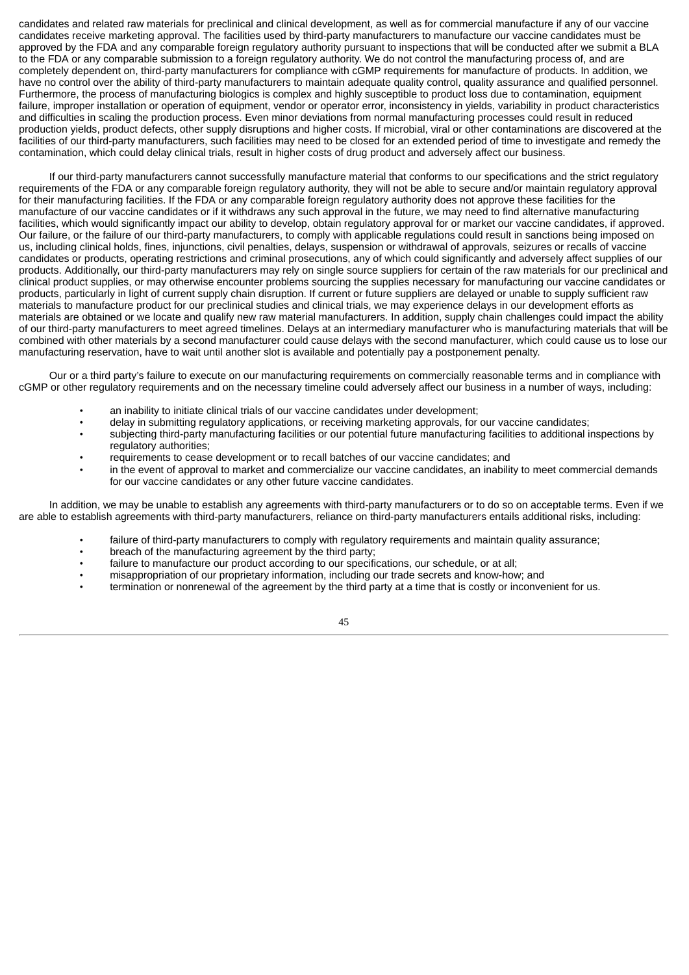candidates and related raw materials for preclinical and clinical development, as well as for commercial manufacture if any of our vaccine candidates receive marketing approval. The facilities used by third-party manufacturers to manufacture our vaccine candidates must be approved by the FDA and any comparable foreign regulatory authority pursuant to inspections that will be conducted after we submit a BLA to the FDA or any comparable submission to a foreign regulatory authority. We do not control the manufacturing process of, and are completely dependent on, third-party manufacturers for compliance with cGMP requirements for manufacture of products. In addition, we have no control over the ability of third-party manufacturers to maintain adequate quality control, quality assurance and qualified personnel. Furthermore, the process of manufacturing biologics is complex and highly susceptible to product loss due to contamination, equipment failure, improper installation or operation of equipment, vendor or operator error, inconsistency in yields, variability in product characteristics and difficulties in scaling the production process. Even minor deviations from normal manufacturing processes could result in reduced production yields, product defects, other supply disruptions and higher costs. If microbial, viral or other contaminations are discovered at the facilities of our third-party manufacturers, such facilities may need to be closed for an extended period of time to investigate and remedy the contamination, which could delay clinical trials, result in higher costs of drug product and adversely affect our business.

If our third-party manufacturers cannot successfully manufacture material that conforms to our specifications and the strict regulatory requirements of the FDA or any comparable foreign regulatory authority, they will not be able to secure and/or maintain regulatory approval for their manufacturing facilities. If the FDA or any comparable foreign regulatory authority does not approve these facilities for the manufacture of our vaccine candidates or if it withdraws any such approval in the future, we may need to find alternative manufacturing facilities, which would significantly impact our ability to develop, obtain regulatory approval for or market our vaccine candidates, if approved. Our failure, or the failure of our third-party manufacturers, to comply with applicable regulations could result in sanctions being imposed on us, including clinical holds, fines, injunctions, civil penalties, delays, suspension or withdrawal of approvals, seizures or recalls of vaccine candidates or products, operating restrictions and criminal prosecutions, any of which could significantly and adversely affect supplies of our products. Additionally, our third-party manufacturers may rely on single source suppliers for certain of the raw materials for our preclinical and clinical product supplies, or may otherwise encounter problems sourcing the supplies necessary for manufacturing our vaccine candidates or products, particularly in light of current supply chain disruption. If current or future suppliers are delayed or unable to supply sufficient raw materials to manufacture product for our preclinical studies and clinical trials, we may experience delays in our development efforts as materials are obtained or we locate and qualify new raw material manufacturers. In addition, supply chain challenges could impact the ability of our third-party manufacturers to meet agreed timelines. Delays at an intermediary manufacturer who is manufacturing materials that will be combined with other materials by a second manufacturer could cause delays with the second manufacturer, which could cause us to lose our manufacturing reservation, have to wait until another slot is available and potentially pay a postponement penalty.

Our or a third party's failure to execute on our manufacturing requirements on commercially reasonable terms and in compliance with cGMP or other regulatory requirements and on the necessary timeline could adversely affect our business in a number of ways, including:

- an inability to initiate clinical trials of our vaccine candidates under development;
- delay in submitting regulatory applications, or receiving marketing approvals, for our vaccine candidates;
- subjecting third-party manufacturing facilities or our potential future manufacturing facilities to additional inspections by regulatory authorities;
- requirements to cease development or to recall batches of our vaccine candidates; and
- in the event of approval to market and commercialize our vaccine candidates, an inability to meet commercial demands for our vaccine candidates or any other future vaccine candidates.

In addition, we may be unable to establish any agreements with third-party manufacturers or to do so on acceptable terms. Even if we are able to establish agreements with third-party manufacturers, reliance on third-party manufacturers entails additional risks, including:

- failure of third-party manufacturers to comply with regulatory requirements and maintain quality assurance;
- breach of the manufacturing agreement by the third party;
- failure to manufacture our product according to our specifications, our schedule, or at all:
- misappropriation of our proprietary information, including our trade secrets and know-how; and
- termination or nonrenewal of the agreement by the third party at a time that is costly or inconvenient for us.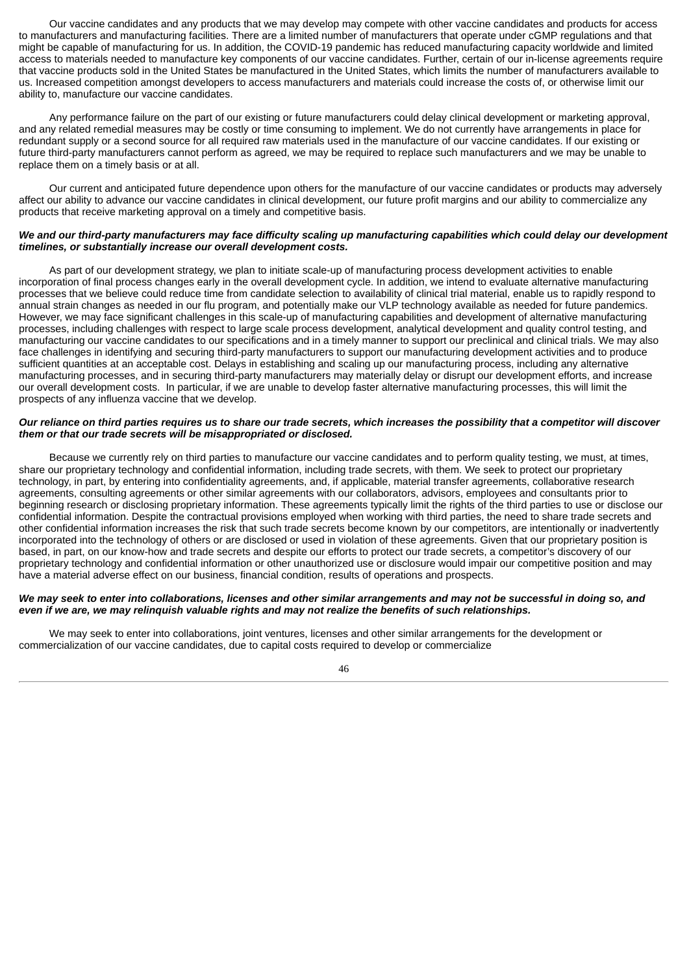Our vaccine candidates and any products that we may develop may compete with other vaccine candidates and products for access to manufacturers and manufacturing facilities. There are a limited number of manufacturers that operate under cGMP regulations and that might be capable of manufacturing for us. In addition, the COVID-19 pandemic has reduced manufacturing capacity worldwide and limited access to materials needed to manufacture key components of our vaccine candidates. Further, certain of our in-license agreements require that vaccine products sold in the United States be manufactured in the United States, which limits the number of manufacturers available to us. Increased competition amongst developers to access manufacturers and materials could increase the costs of, or otherwise limit our ability to, manufacture our vaccine candidates.

Any performance failure on the part of our existing or future manufacturers could delay clinical development or marketing approval, and any related remedial measures may be costly or time consuming to implement. We do not currently have arrangements in place for redundant supply or a second source for all required raw materials used in the manufacture of our vaccine candidates. If our existing or future third-party manufacturers cannot perform as agreed, we may be required to replace such manufacturers and we may be unable to replace them on a timely basis or at all.

Our current and anticipated future dependence upon others for the manufacture of our vaccine candidates or products may adversely affect our ability to advance our vaccine candidates in clinical development, our future profit margins and our ability to commercialize any products that receive marketing approval on a timely and competitive basis.

# We and our third-party manufacturers may face difficulty scaling up manufacturing capabilities which could delay our development *timelines, or substantially increase our overall development costs.*

As part of our development strategy, we plan to initiate scale-up of manufacturing process development activities to enable incorporation of final process changes early in the overall development cycle. In addition, we intend to evaluate alternative manufacturing processes that we believe could reduce time from candidate selection to availability of clinical trial material, enable us to rapidly respond to annual strain changes as needed in our flu program, and potentially make our VLP technology available as needed for future pandemics. However, we may face significant challenges in this scale-up of manufacturing capabilities and development of alternative manufacturing processes, including challenges with respect to large scale process development, analytical development and quality control testing, and manufacturing our vaccine candidates to our specifications and in a timely manner to support our preclinical and clinical trials. We may also face challenges in identifying and securing third-party manufacturers to support our manufacturing development activities and to produce sufficient quantities at an acceptable cost. Delays in establishing and scaling up our manufacturing process, including any alternative manufacturing processes, and in securing third-party manufacturers may materially delay or disrupt our development efforts, and increase our overall development costs. In particular, if we are unable to develop faster alternative manufacturing processes, this will limit the prospects of any influenza vaccine that we develop.

# Our reliance on third parties requires us to share our trade secrets, which increases the possibility that a competitor will discover *them or that our trade secrets will be misappropriated or disclosed.*

Because we currently rely on third parties to manufacture our vaccine candidates and to perform quality testing, we must, at times, share our proprietary technology and confidential information, including trade secrets, with them. We seek to protect our proprietary technology, in part, by entering into confidentiality agreements, and, if applicable, material transfer agreements, collaborative research agreements, consulting agreements or other similar agreements with our collaborators, advisors, employees and consultants prior to beginning research or disclosing proprietary information. These agreements typically limit the rights of the third parties to use or disclose our confidential information. Despite the contractual provisions employed when working with third parties, the need to share trade secrets and other confidential information increases the risk that such trade secrets become known by our competitors, are intentionally or inadvertently incorporated into the technology of others or are disclosed or used in violation of these agreements. Given that our proprietary position is based, in part, on our know-how and trade secrets and despite our efforts to protect our trade secrets, a competitor's discovery of our proprietary technology and confidential information or other unauthorized use or disclosure would impair our competitive position and may have a material adverse effect on our business, financial condition, results of operations and prospects.

## We may seek to enter into collaborations, licenses and other similar arrangements and may not be successful in doing so, and even if we are, we may relinquish valuable rights and may not realize the benefits of such relationships.

We may seek to enter into collaborations, joint ventures, licenses and other similar arrangements for the development or commercialization of our vaccine candidates, due to capital costs required to develop or commercialize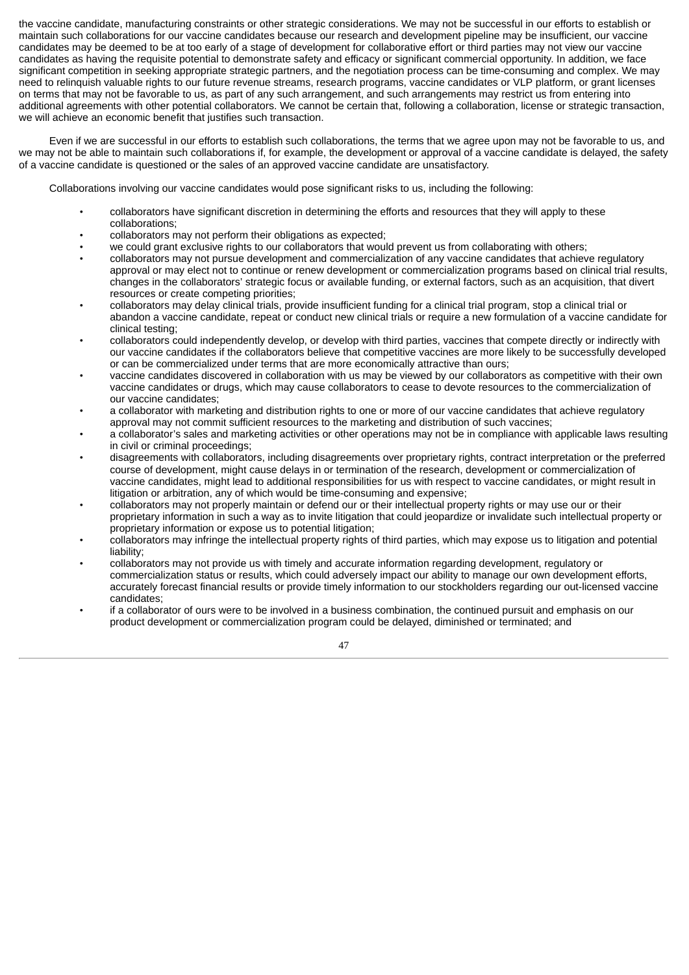the vaccine candidate, manufacturing constraints or other strategic considerations. We may not be successful in our efforts to establish or maintain such collaborations for our vaccine candidates because our research and development pipeline may be insufficient, our vaccine candidates may be deemed to be at too early of a stage of development for collaborative effort or third parties may not view our vaccine candidates as having the requisite potential to demonstrate safety and efficacy or significant commercial opportunity. In addition, we face significant competition in seeking appropriate strategic partners, and the negotiation process can be time-consuming and complex. We may need to relinquish valuable rights to our future revenue streams, research programs, vaccine candidates or VLP platform, or grant licenses on terms that may not be favorable to us, as part of any such arrangement, and such arrangements may restrict us from entering into additional agreements with other potential collaborators. We cannot be certain that, following a collaboration, license or strategic transaction, we will achieve an economic benefit that justifies such transaction.

Even if we are successful in our efforts to establish such collaborations, the terms that we agree upon may not be favorable to us, and we may not be able to maintain such collaborations if, for example, the development or approval of a vaccine candidate is delayed, the safety of a vaccine candidate is questioned or the sales of an approved vaccine candidate are unsatisfactory.

Collaborations involving our vaccine candidates would pose significant risks to us, including the following:

- collaborators have significant discretion in determining the efforts and resources that they will apply to these collaborations;
- collaborators may not perform their obligations as expected;
- we could grant exclusive rights to our collaborators that would prevent us from collaborating with others;
- collaborators may not pursue development and commercialization of any vaccine candidates that achieve regulatory approval or may elect not to continue or renew development or commercialization programs based on clinical trial results, changes in the collaborators' strategic focus or available funding, or external factors, such as an acquisition, that divert resources or create competing priorities;
- collaborators may delay clinical trials, provide insufficient funding for a clinical trial program, stop a clinical trial or abandon a vaccine candidate, repeat or conduct new clinical trials or require a new formulation of a vaccine candidate for clinical testing;
- collaborators could independently develop, or develop with third parties, vaccines that compete directly or indirectly with our vaccine candidates if the collaborators believe that competitive vaccines are more likely to be successfully developed or can be commercialized under terms that are more economically attractive than ours;
- vaccine candidates discovered in collaboration with us may be viewed by our collaborators as competitive with their own vaccine candidates or drugs, which may cause collaborators to cease to devote resources to the commercialization of our vaccine candidates;
- a collaborator with marketing and distribution rights to one or more of our vaccine candidates that achieve regulatory approval may not commit sufficient resources to the marketing and distribution of such vaccines;
- a collaborator's sales and marketing activities or other operations may not be in compliance with applicable laws resulting in civil or criminal proceedings;
- disagreements with collaborators, including disagreements over proprietary rights, contract interpretation or the preferred course of development, might cause delays in or termination of the research, development or commercialization of vaccine candidates, might lead to additional responsibilities for us with respect to vaccine candidates, or might result in litigation or arbitration, any of which would be time-consuming and expensive;
- collaborators may not properly maintain or defend our or their intellectual property rights or may use our or their proprietary information in such a way as to invite litigation that could jeopardize or invalidate such intellectual property or proprietary information or expose us to potential litigation;
- collaborators may infringe the intellectual property rights of third parties, which may expose us to litigation and potential liability;
- collaborators may not provide us with timely and accurate information regarding development, regulatory or commercialization status or results, which could adversely impact our ability to manage our own development efforts, accurately forecast financial results or provide timely information to our stockholders regarding our out-licensed vaccine candidates;
- if a collaborator of ours were to be involved in a business combination, the continued pursuit and emphasis on our product development or commercialization program could be delayed, diminished or terminated; and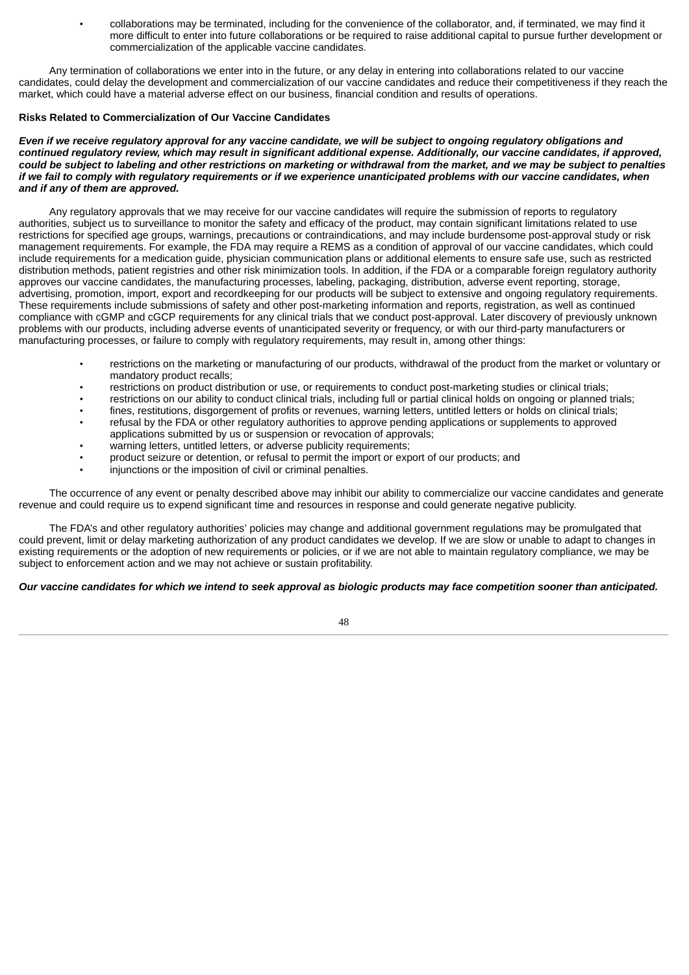• collaborations may be terminated, including for the convenience of the collaborator, and, if terminated, we may find it more difficult to enter into future collaborations or be required to raise additional capital to pursue further development or commercialization of the applicable vaccine candidates.

Any termination of collaborations we enter into in the future, or any delay in entering into collaborations related to our vaccine candidates, could delay the development and commercialization of our vaccine candidates and reduce their competitiveness if they reach the market, which could have a material adverse effect on our business, financial condition and results of operations.

# **Risks Related to Commercialization of Our Vaccine Candidates**

Even if we receive regulatory approval for any vaccine candidate, we will be subject to ongoing regulatory obligations and continued regulatory review, which may result in significant additional expense. Additionally, our vaccine candidates, if approved, could be subject to labeling and other restrictions on marketing or withdrawal from the market, and we may be subject to penalties if we fail to comply with regulatory requirements or if we experience unanticipated problems with our vaccine candidates, when *and if any of them are approved.*

Any regulatory approvals that we may receive for our vaccine candidates will require the submission of reports to regulatory authorities, subject us to surveillance to monitor the safety and efficacy of the product, may contain significant limitations related to use restrictions for specified age groups, warnings, precautions or contraindications, and may include burdensome post-approval study or risk management requirements. For example, the FDA may require a REMS as a condition of approval of our vaccine candidates, which could include requirements for a medication guide, physician communication plans or additional elements to ensure safe use, such as restricted distribution methods, patient registries and other risk minimization tools. In addition, if the FDA or a comparable foreign regulatory authority approves our vaccine candidates, the manufacturing processes, labeling, packaging, distribution, adverse event reporting, storage, advertising, promotion, import, export and recordkeeping for our products will be subject to extensive and ongoing regulatory requirements. These requirements include submissions of safety and other post-marketing information and reports, registration, as well as continued compliance with cGMP and cGCP requirements for any clinical trials that we conduct post-approval. Later discovery of previously unknown problems with our products, including adverse events of unanticipated severity or frequency, or with our third-party manufacturers or manufacturing processes, or failure to comply with regulatory requirements, may result in, among other things:

- restrictions on the marketing or manufacturing of our products, withdrawal of the product from the market or voluntary or mandatory product recalls;
- restrictions on product distribution or use, or requirements to conduct post-marketing studies or clinical trials;
- restrictions on our ability to conduct clinical trials, including full or partial clinical holds on ongoing or planned trials;
- fines, restitutions, disgorgement of profits or revenues, warning letters, untitled letters or holds on clinical trials; • refusal by the FDA or other regulatory authorities to approve pending applications or supplements to approved
- applications submitted by us or suspension or revocation of approvals;
- warning letters, untitled letters, or adverse publicity requirements;
- product seizure or detention, or refusal to permit the import or export of our products; and
- injunctions or the imposition of civil or criminal penalties.

The occurrence of any event or penalty described above may inhibit our ability to commercialize our vaccine candidates and generate revenue and could require us to expend significant time and resources in response and could generate negative publicity.

The FDA's and other regulatory authorities' policies may change and additional government regulations may be promulgated that could prevent, limit or delay marketing authorization of any product candidates we develop. If we are slow or unable to adapt to changes in existing requirements or the adoption of new requirements or policies, or if we are not able to maintain regulatory compliance, we may be subject to enforcement action and we may not achieve or sustain profitability.

# Our vaccine candidates for which we intend to seek approval as biologic products may face competition sooner than anticipated.

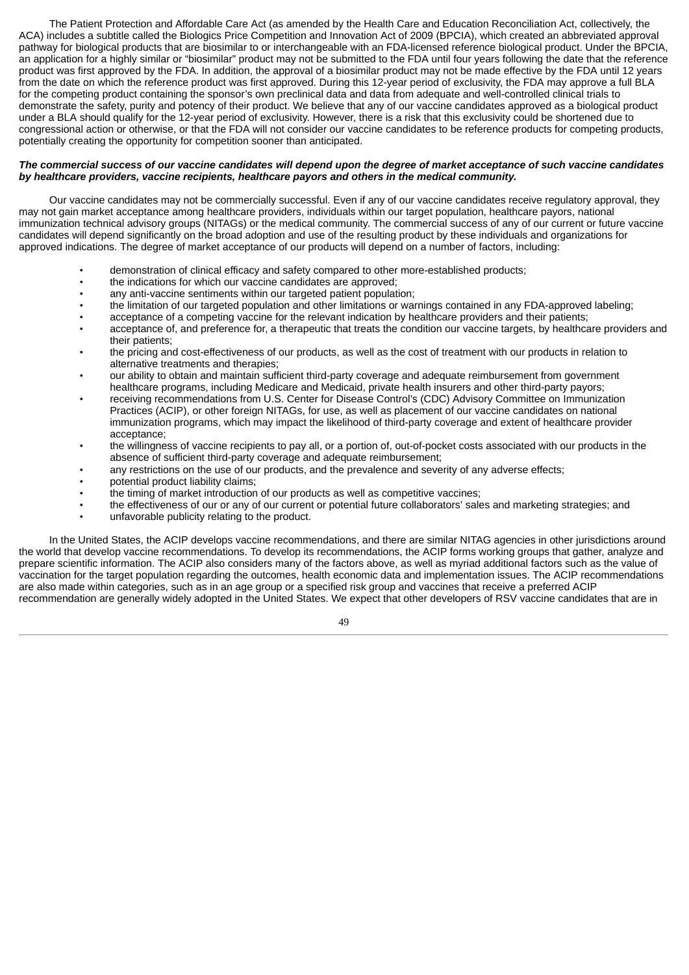The Patient Protection and Affordable Care Act (as amended by the Health Care and Education Reconciliation Act, collectively, the ACA) includes a subtitle called the Biologics Price Competition and Innovation Act of 2009 (BPCIA), which created an abbreviated approval pathway for biological products that are biosimilar to or interchangeable with an FDA-licensed reference biological product. Under the BPCIA, an application for a highly similar or "biosimilar" product may not be submitted to the FDA until four years following the date that the reference product was first approved by the FDA. In addition, the approval of a biosimilar product may not be made effective by the FDA until 12 years from the date on which the reference product was first approved. During this 12-year period of exclusivity, the FDA may approve a full BLA for the competing product containing the sponsor's own preclinical data and data from adequate and well-controlled clinical trials to demonstrate the safety, purity and potency of their product. We believe that any of our vaccine candidates approved as a biological product under a BLA should qualify for the 12-year period of exclusivity. However, there is a risk that this exclusivity could be shortened due to congressional action or otherwise, or that the FDA will not consider our vaccine candidates to be reference products for competing products, potentially creating the opportunity for competition sooner than anticipated.

## The commercial success of our vaccine candidates will depend upon the degree of market acceptance of such vaccine candidates *by healthcare providers, vaccine recipients, healthcare payors and others in the medical community.*

Our vaccine candidates may not be commercially successful. Even if any of our vaccine candidates receive regulatory approval, they may not gain market acceptance among healthcare providers, individuals within our target population, healthcare payors, national immunization technical advisory groups (NITAGs) or the medical community. The commercial success of any of our current or future vaccine candidates will depend significantly on the broad adoption and use of the resulting product by these individuals and organizations for approved indications. The degree of market acceptance of our products will depend on a number of factors, including:

- demonstration of clinical efficacy and safety compared to other more-established products;
- the indications for which our vaccine candidates are approved;
- any anti-vaccine sentiments within our targeted patient population:
- the limitation of our targeted population and other limitations or warnings contained in any FDA-approved labeling;
- acceptance of a competing vaccine for the relevant indication by healthcare providers and their patients;
- acceptance of, and preference for, a therapeutic that treats the condition our vaccine targets, by healthcare providers and their patients;
- the pricing and cost-effectiveness of our products, as well as the cost of treatment with our products in relation to alternative treatments and therapies;
- our ability to obtain and maintain sufficient third-party coverage and adequate reimbursement from government healthcare programs, including Medicare and Medicaid, private health insurers and other third-party payors;
- receiving recommendations from U.S. Center for Disease Control's (CDC) Advisory Committee on Immunization Practices (ACIP), or other foreign NITAGs, for use, as well as placement of our vaccine candidates on national immunization programs, which may impact the likelihood of third-party coverage and extent of healthcare provider acceptance;
- the willingness of vaccine recipients to pay all, or a portion of, out-of-pocket costs associated with our products in the absence of sufficient third-party coverage and adequate reimbursement;
- any restrictions on the use of our products, and the prevalence and severity of any adverse effects;
- potential product liability claims;
- the timing of market introduction of our products as well as competitive vaccines;
- the effectiveness of our or any of our current or potential future collaborators' sales and marketing strategies; and
- unfavorable publicity relating to the product.

In the United States, the ACIP develops vaccine recommendations, and there are similar NITAG agencies in other jurisdictions around the world that develop vaccine recommendations. To develop its recommendations, the ACIP forms working groups that gather, analyze and prepare scientific information. The ACIP also considers many of the factors above, as well as myriad additional factors such as the value of vaccination for the target population regarding the outcomes, health economic data and implementation issues. The ACIP recommendations are also made within categories, such as in an age group or a specified risk group and vaccines that receive a preferred ACIP recommendation are generally widely adopted in the United States. We expect that other developers of RSV vaccine candidates that are in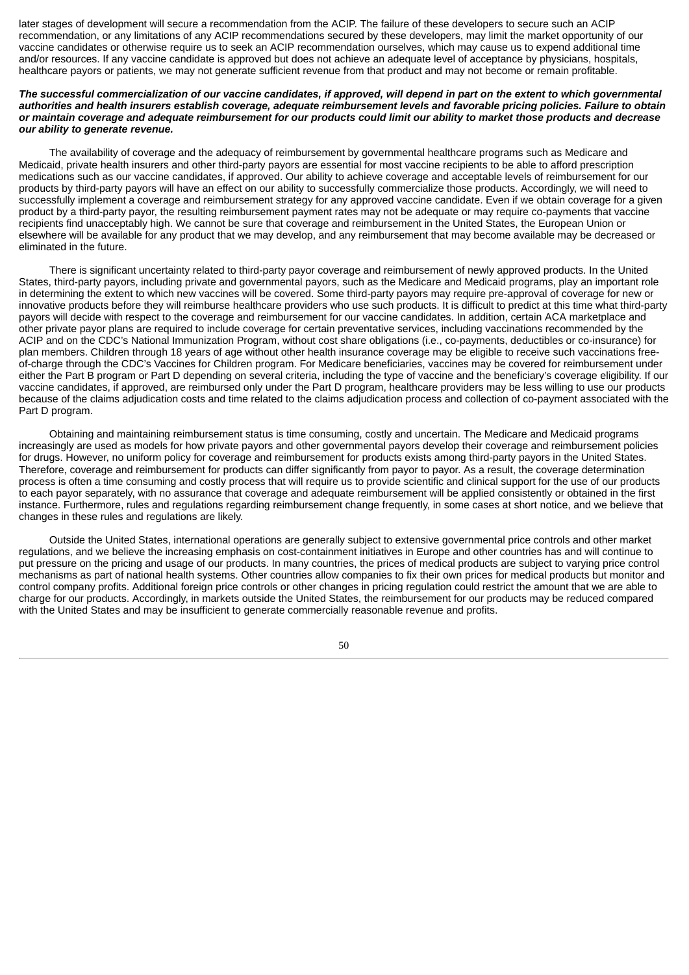later stages of development will secure a recommendation from the ACIP. The failure of these developers to secure such an ACIP recommendation, or any limitations of any ACIP recommendations secured by these developers, may limit the market opportunity of our vaccine candidates or otherwise require us to seek an ACIP recommendation ourselves, which may cause us to expend additional time and/or resources. If any vaccine candidate is approved but does not achieve an adequate level of acceptance by physicians, hospitals, healthcare payors or patients, we may not generate sufficient revenue from that product and may not become or remain profitable.

#### The successful commercialization of our vaccine candidates, if approved, will depend in part on the extent to which governmental authorities and health insurers establish coverage, adequate reimbursement levels and favorable pricing policies. Failure to obtain or maintain coverage and adequate reimbursement for our products could limit our ability to market those products and decrease *our ability to generate revenue.*

The availability of coverage and the adequacy of reimbursement by governmental healthcare programs such as Medicare and Medicaid, private health insurers and other third-party payors are essential for most vaccine recipients to be able to afford prescription medications such as our vaccine candidates, if approved. Our ability to achieve coverage and acceptable levels of reimbursement for our products by third-party payors will have an effect on our ability to successfully commercialize those products. Accordingly, we will need to successfully implement a coverage and reimbursement strategy for any approved vaccine candidate. Even if we obtain coverage for a given product by a third-party payor, the resulting reimbursement payment rates may not be adequate or may require co-payments that vaccine recipients find unacceptably high. We cannot be sure that coverage and reimbursement in the United States, the European Union or elsewhere will be available for any product that we may develop, and any reimbursement that may become available may be decreased or eliminated in the future.

There is significant uncertainty related to third-party payor coverage and reimbursement of newly approved products. In the United States, third-party payors, including private and governmental payors, such as the Medicare and Medicaid programs, play an important role in determining the extent to which new vaccines will be covered. Some third-party payors may require pre-approval of coverage for new or innovative products before they will reimburse healthcare providers who use such products. It is difficult to predict at this time what third-party payors will decide with respect to the coverage and reimbursement for our vaccine candidates. In addition, certain ACA marketplace and other private payor plans are required to include coverage for certain preventative services, including vaccinations recommended by the ACIP and on the CDC's National Immunization Program, without cost share obligations (i.e., co-payments, deductibles or co-insurance) for plan members. Children through 18 years of age without other health insurance coverage may be eligible to receive such vaccinations freeof-charge through the CDC's Vaccines for Children program. For Medicare beneficiaries, vaccines may be covered for reimbursement under either the Part B program or Part D depending on several criteria, including the type of vaccine and the beneficiary's coverage eligibility. If our vaccine candidates, if approved, are reimbursed only under the Part D program, healthcare providers may be less willing to use our products because of the claims adjudication costs and time related to the claims adjudication process and collection of co-payment associated with the Part D program.

Obtaining and maintaining reimbursement status is time consuming, costly and uncertain. The Medicare and Medicaid programs increasingly are used as models for how private payors and other governmental payors develop their coverage and reimbursement policies for drugs. However, no uniform policy for coverage and reimbursement for products exists among third-party payors in the United States. Therefore, coverage and reimbursement for products can differ significantly from payor to payor. As a result, the coverage determination process is often a time consuming and costly process that will require us to provide scientific and clinical support for the use of our products to each payor separately, with no assurance that coverage and adequate reimbursement will be applied consistently or obtained in the first instance. Furthermore, rules and regulations regarding reimbursement change frequently, in some cases at short notice, and we believe that changes in these rules and regulations are likely.

Outside the United States, international operations are generally subject to extensive governmental price controls and other market regulations, and we believe the increasing emphasis on cost-containment initiatives in Europe and other countries has and will continue to put pressure on the pricing and usage of our products. In many countries, the prices of medical products are subject to varying price control mechanisms as part of national health systems. Other countries allow companies to fix their own prices for medical products but monitor and control company profits. Additional foreign price controls or other changes in pricing regulation could restrict the amount that we are able to charge for our products. Accordingly, in markets outside the United States, the reimbursement for our products may be reduced compared with the United States and may be insufficient to generate commercially reasonable revenue and profits.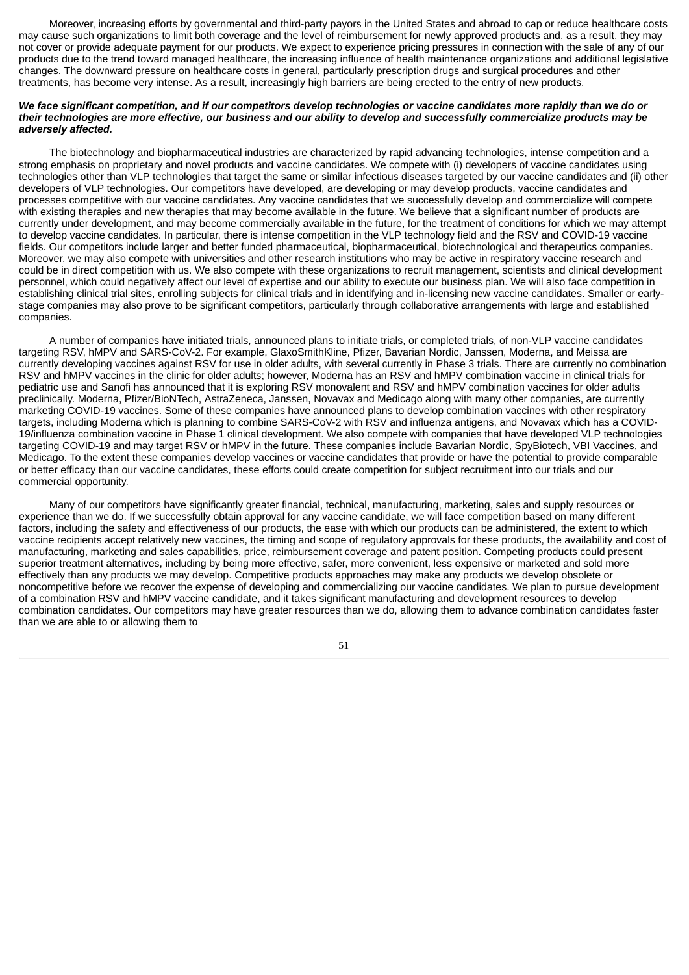Moreover, increasing efforts by governmental and third-party payors in the United States and abroad to cap or reduce healthcare costs may cause such organizations to limit both coverage and the level of reimbursement for newly approved products and, as a result, they may not cover or provide adequate payment for our products. We expect to experience pricing pressures in connection with the sale of any of our products due to the trend toward managed healthcare, the increasing influence of health maintenance organizations and additional legislative changes. The downward pressure on healthcare costs in general, particularly prescription drugs and surgical procedures and other treatments, has become very intense. As a result, increasingly high barriers are being erected to the entry of new products.

## We face significant competition, and if our competitors develop technologies or vaccine candidates more rapidly than we do or their technologies are more effective, our business and our ability to develop and successfully commercialize products may be *adversely affected.*

The biotechnology and biopharmaceutical industries are characterized by rapid advancing technologies, intense competition and a strong emphasis on proprietary and novel products and vaccine candidates. We compete with (i) developers of vaccine candidates using technologies other than VLP technologies that target the same or similar infectious diseases targeted by our vaccine candidates and (ii) other developers of VLP technologies. Our competitors have developed, are developing or may develop products, vaccine candidates and processes competitive with our vaccine candidates. Any vaccine candidates that we successfully develop and commercialize will compete with existing therapies and new therapies that may become available in the future. We believe that a significant number of products are currently under development, and may become commercially available in the future, for the treatment of conditions for which we may attempt to develop vaccine candidates. In particular, there is intense competition in the VLP technology field and the RSV and COVID-19 vaccine fields. Our competitors include larger and better funded pharmaceutical, biopharmaceutical, biotechnological and therapeutics companies. Moreover, we may also compete with universities and other research institutions who may be active in respiratory vaccine research and could be in direct competition with us. We also compete with these organizations to recruit management, scientists and clinical development personnel, which could negatively affect our level of expertise and our ability to execute our business plan. We will also face competition in establishing clinical trial sites, enrolling subjects for clinical trials and in identifying and in-licensing new vaccine candidates. Smaller or earlystage companies may also prove to be significant competitors, particularly through collaborative arrangements with large and established companies.

A number of companies have initiated trials, announced plans to initiate trials, or completed trials, of non-VLP vaccine candidates targeting RSV, hMPV and SARS-CoV-2. For example, GlaxoSmithKline, Pfizer, Bavarian Nordic, Janssen, Moderna, and Meissa are currently developing vaccines against RSV for use in older adults, with several currently in Phase 3 trials. There are currently no combination RSV and hMPV vaccines in the clinic for older adults; however, Moderna has an RSV and hMPV combination vaccine in clinical trials for pediatric use and Sanofi has announced that it is exploring RSV monovalent and RSV and hMPV combination vaccines for older adults preclinically. Moderna, Pfizer/BioNTech, AstraZeneca, Janssen, Novavax and Medicago along with many other companies, are currently marketing COVID-19 vaccines. Some of these companies have announced plans to develop combination vaccines with other respiratory targets, including Moderna which is planning to combine SARS-CoV-2 with RSV and influenza antigens, and Novavax which has a COVID-19/influenza combination vaccine in Phase 1 clinical development. We also compete with companies that have developed VLP technologies targeting COVID-19 and may target RSV or hMPV in the future. These companies include Bavarian Nordic, SpyBiotech, VBI Vaccines, and Medicago. To the extent these companies develop vaccines or vaccine candidates that provide or have the potential to provide comparable or better efficacy than our vaccine candidates, these efforts could create competition for subject recruitment into our trials and our commercial opportunity.

Many of our competitors have significantly greater financial, technical, manufacturing, marketing, sales and supply resources or experience than we do. If we successfully obtain approval for any vaccine candidate, we will face competition based on many different factors, including the safety and effectiveness of our products, the ease with which our products can be administered, the extent to which vaccine recipients accept relatively new vaccines, the timing and scope of regulatory approvals for these products, the availability and cost of manufacturing, marketing and sales capabilities, price, reimbursement coverage and patent position. Competing products could present superior treatment alternatives, including by being more effective, safer, more convenient, less expensive or marketed and sold more effectively than any products we may develop. Competitive products approaches may make any products we develop obsolete or noncompetitive before we recover the expense of developing and commercializing our vaccine candidates. We plan to pursue development of a combination RSV and hMPV vaccine candidate, and it takes significant manufacturing and development resources to develop combination candidates. Our competitors may have greater resources than we do, allowing them to advance combination candidates faster than we are able to or allowing them to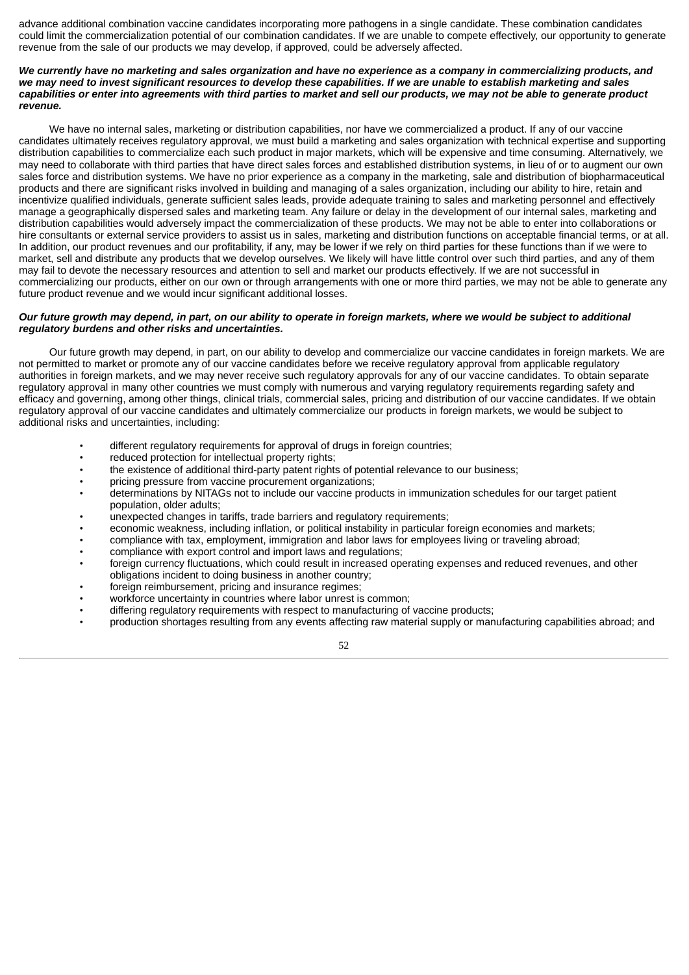advance additional combination vaccine candidates incorporating more pathogens in a single candidate. These combination candidates could limit the commercialization potential of our combination candidates. If we are unable to compete effectively, our opportunity to generate revenue from the sale of our products we may develop, if approved, could be adversely affected.

#### We currently have no marketing and sales organization and have no experience as a company in commercializing products, and we may need to invest significant resources to develop these capabilities. If we are unable to establish marketing and sales capabilities or enter into agreements with third parties to market and sell our products, we may not be able to generate product *revenue.*

We have no internal sales, marketing or distribution capabilities, nor have we commercialized a product. If any of our vaccine candidates ultimately receives regulatory approval, we must build a marketing and sales organization with technical expertise and supporting distribution capabilities to commercialize each such product in major markets, which will be expensive and time consuming. Alternatively, we may need to collaborate with third parties that have direct sales forces and established distribution systems, in lieu of or to augment our own sales force and distribution systems. We have no prior experience as a company in the marketing, sale and distribution of biopharmaceutical products and there are significant risks involved in building and managing of a sales organization, including our ability to hire, retain and incentivize qualified individuals, generate sufficient sales leads, provide adequate training to sales and marketing personnel and effectively manage a geographically dispersed sales and marketing team. Any failure or delay in the development of our internal sales, marketing and distribution capabilities would adversely impact the commercialization of these products. We may not be able to enter into collaborations or hire consultants or external service providers to assist us in sales, marketing and distribution functions on acceptable financial terms, or at all. In addition, our product revenues and our profitability, if any, may be lower if we rely on third parties for these functions than if we were to market, sell and distribute any products that we develop ourselves. We likely will have little control over such third parties, and any of them may fail to devote the necessary resources and attention to sell and market our products effectively. If we are not successful in commercializing our products, either on our own or through arrangements with one or more third parties, we may not be able to generate any future product revenue and we would incur significant additional losses.

# Our future growth may depend, in part, on our ability to operate in foreign markets, where we would be subject to additional *regulatory burdens and other risks and uncertainties.*

Our future growth may depend, in part, on our ability to develop and commercialize our vaccine candidates in foreign markets. We are not permitted to market or promote any of our vaccine candidates before we receive regulatory approval from applicable regulatory authorities in foreign markets, and we may never receive such regulatory approvals for any of our vaccine candidates. To obtain separate regulatory approval in many other countries we must comply with numerous and varying regulatory requirements regarding safety and efficacy and governing, among other things, clinical trials, commercial sales, pricing and distribution of our vaccine candidates. If we obtain regulatory approval of our vaccine candidates and ultimately commercialize our products in foreign markets, we would be subject to additional risks and uncertainties, including:

- different regulatory requirements for approval of drugs in foreign countries;
- reduced protection for intellectual property rights;
- the existence of additional third-party patent rights of potential relevance to our business;
- pricing pressure from vaccine procurement organizations;
- determinations by NITAGs not to include our vaccine products in immunization schedules for our target patient population, older adults;
- unexpected changes in tariffs, trade barriers and regulatory requirements;
- economic weakness, including inflation, or political instability in particular foreign economies and markets;
- compliance with tax, employment, immigration and labor laws for employees living or traveling abroad;
- compliance with export control and import laws and regulations;
- foreign currency fluctuations, which could result in increased operating expenses and reduced revenues, and other obligations incident to doing business in another country;
- foreign reimbursement, pricing and insurance regimes;
- workforce uncertainty in countries where labor unrest is common:
- differing regulatory requirements with respect to manufacturing of vaccine products;
- production shortages resulting from any events affecting raw material supply or manufacturing capabilities abroad; and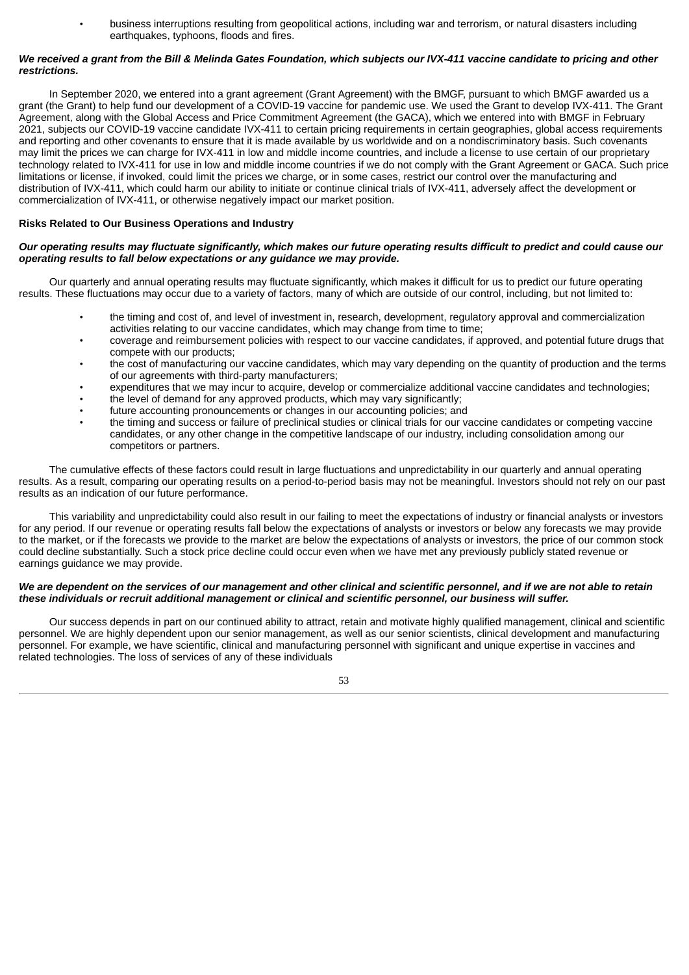• business interruptions resulting from geopolitical actions, including war and terrorism, or natural disasters including earthquakes, typhoons, floods and fires.

# We received a grant from the Bill & Melinda Gates Foundation, which subjects our IVX-411 vaccine candidate to pricing and other *restrictions.*

In September 2020, we entered into a grant agreement (Grant Agreement) with the BMGF, pursuant to which BMGF awarded us a grant (the Grant) to help fund our development of a COVID-19 vaccine for pandemic use. We used the Grant to develop IVX-411. The Grant Agreement, along with the Global Access and Price Commitment Agreement (the GACA), which we entered into with BMGF in February 2021, subjects our COVID-19 vaccine candidate IVX-411 to certain pricing requirements in certain geographies, global access requirements and reporting and other covenants to ensure that it is made available by us worldwide and on a nondiscriminatory basis. Such covenants may limit the prices we can charge for IVX-411 in low and middle income countries, and include a license to use certain of our proprietary technology related to IVX-411 for use in low and middle income countries if we do not comply with the Grant Agreement or GACA. Such price limitations or license, if invoked, could limit the prices we charge, or in some cases, restrict our control over the manufacturing and distribution of IVX-411, which could harm our ability to initiate or continue clinical trials of IVX-411, adversely affect the development or commercialization of IVX-411, or otherwise negatively impact our market position.

# **Risks Related to Our Business Operations and Industry**

#### Our operating results may fluctuate significantly, which makes our future operating results difficult to predict and could cause our *operating results to fall below expectations or any guidance we may provide.*

Our quarterly and annual operating results may fluctuate significantly, which makes it difficult for us to predict our future operating results. These fluctuations may occur due to a variety of factors, many of which are outside of our control, including, but not limited to:

- the timing and cost of, and level of investment in, research, development, regulatory approval and commercialization activities relating to our vaccine candidates, which may change from time to time;
- coverage and reimbursement policies with respect to our vaccine candidates, if approved, and potential future drugs that compete with our products;
- the cost of manufacturing our vaccine candidates, which may vary depending on the quantity of production and the terms of our agreements with third-party manufacturers;
- expenditures that we may incur to acquire, develop or commercialize additional vaccine candidates and technologies;
- the level of demand for any approved products, which may vary significantly;
- future accounting pronouncements or changes in our accounting policies; and
- the timing and success or failure of preclinical studies or clinical trials for our vaccine candidates or competing vaccine candidates, or any other change in the competitive landscape of our industry, including consolidation among our competitors or partners.

The cumulative effects of these factors could result in large fluctuations and unpredictability in our quarterly and annual operating results. As a result, comparing our operating results on a period-to-period basis may not be meaningful. Investors should not rely on our past results as an indication of our future performance.

This variability and unpredictability could also result in our failing to meet the expectations of industry or financial analysts or investors for any period. If our revenue or operating results fall below the expectations of analysts or investors or below any forecasts we may provide to the market, or if the forecasts we provide to the market are below the expectations of analysts or investors, the price of our common stock could decline substantially. Such a stock price decline could occur even when we have met any previously publicly stated revenue or earnings guidance we may provide.

# We are dependent on the services of our management and other clinical and scientific personnel, and if we are not able to retain *these individuals or recruit additional management or clinical and scientific personnel, our business will suffer.*

Our success depends in part on our continued ability to attract, retain and motivate highly qualified management, clinical and scientific personnel. We are highly dependent upon our senior management, as well as our senior scientists, clinical development and manufacturing personnel. For example, we have scientific, clinical and manufacturing personnel with significant and unique expertise in vaccines and related technologies. The loss of services of any of these individuals

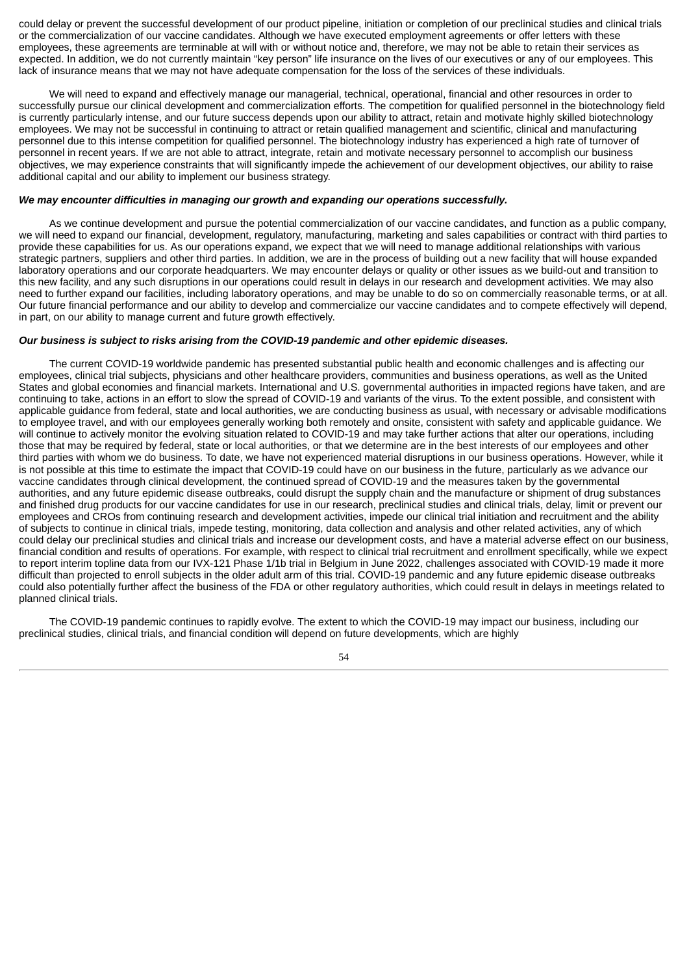could delay or prevent the successful development of our product pipeline, initiation or completion of our preclinical studies and clinical trials or the commercialization of our vaccine candidates. Although we have executed employment agreements or offer letters with these employees, these agreements are terminable at will with or without notice and, therefore, we may not be able to retain their services as expected. In addition, we do not currently maintain "key person" life insurance on the lives of our executives or any of our employees. This lack of insurance means that we may not have adequate compensation for the loss of the services of these individuals.

We will need to expand and effectively manage our managerial, technical, operational, financial and other resources in order to successfully pursue our clinical development and commercialization efforts. The competition for qualified personnel in the biotechnology field is currently particularly intense, and our future success depends upon our ability to attract, retain and motivate highly skilled biotechnology employees. We may not be successful in continuing to attract or retain qualified management and scientific, clinical and manufacturing personnel due to this intense competition for qualified personnel. The biotechnology industry has experienced a high rate of turnover of personnel in recent years. If we are not able to attract, integrate, retain and motivate necessary personnel to accomplish our business objectives, we may experience constraints that will significantly impede the achievement of our development objectives, our ability to raise additional capital and our ability to implement our business strategy.

## *We may encounter difficulties in managing our growth and expanding our operations successfully.*

As we continue development and pursue the potential commercialization of our vaccine candidates, and function as a public company, we will need to expand our financial, development, regulatory, manufacturing, marketing and sales capabilities or contract with third parties to provide these capabilities for us. As our operations expand, we expect that we will need to manage additional relationships with various strategic partners, suppliers and other third parties. In addition, we are in the process of building out a new facility that will house expanded laboratory operations and our corporate headquarters. We may encounter delays or quality or other issues as we build-out and transition to this new facility, and any such disruptions in our operations could result in delays in our research and development activities. We may also need to further expand our facilities, including laboratory operations, and may be unable to do so on commercially reasonable terms, or at all. Our future financial performance and our ability to develop and commercialize our vaccine candidates and to compete effectively will depend, in part, on our ability to manage current and future growth effectively.

# *Our business is subject to risks arising from the COVID-19 pandemic and other epidemic diseases.*

The current COVID-19 worldwide pandemic has presented substantial public health and economic challenges and is affecting our employees, clinical trial subjects, physicians and other healthcare providers, communities and business operations, as well as the United States and global economies and financial markets. International and U.S. governmental authorities in impacted regions have taken, and are continuing to take, actions in an effort to slow the spread of COVID-19 and variants of the virus. To the extent possible, and consistent with applicable guidance from federal, state and local authorities, we are conducting business as usual, with necessary or advisable modifications to employee travel, and with our employees generally working both remotely and onsite, consistent with safety and applicable guidance. We will continue to actively monitor the evolving situation related to COVID-19 and may take further actions that alter our operations, including those that may be required by federal, state or local authorities, or that we determine are in the best interests of our employees and other third parties with whom we do business. To date, we have not experienced material disruptions in our business operations. However, while it is not possible at this time to estimate the impact that COVID-19 could have on our business in the future, particularly as we advance our vaccine candidates through clinical development, the continued spread of COVID-19 and the measures taken by the governmental authorities, and any future epidemic disease outbreaks, could disrupt the supply chain and the manufacture or shipment of drug substances and finished drug products for our vaccine candidates for use in our research, preclinical studies and clinical trials, delay, limit or prevent our employees and CROs from continuing research and development activities, impede our clinical trial initiation and recruitment and the ability of subjects to continue in clinical trials, impede testing, monitoring, data collection and analysis and other related activities, any of which could delay our preclinical studies and clinical trials and increase our development costs, and have a material adverse effect on our business, financial condition and results of operations. For example, with respect to clinical trial recruitment and enrollment specifically, while we expect to report interim topline data from our IVX-121 Phase 1/1b trial in Belgium in June 2022, challenges associated with COVID-19 made it more difficult than projected to enroll subjects in the older adult arm of this trial. COVID-19 pandemic and any future epidemic disease outbreaks could also potentially further affect the business of the FDA or other regulatory authorities, which could result in delays in meetings related to planned clinical trials.

The COVID-19 pandemic continues to rapidly evolve. The extent to which the COVID-19 may impact our business, including our preclinical studies, clinical trials, and financial condition will depend on future developments, which are highly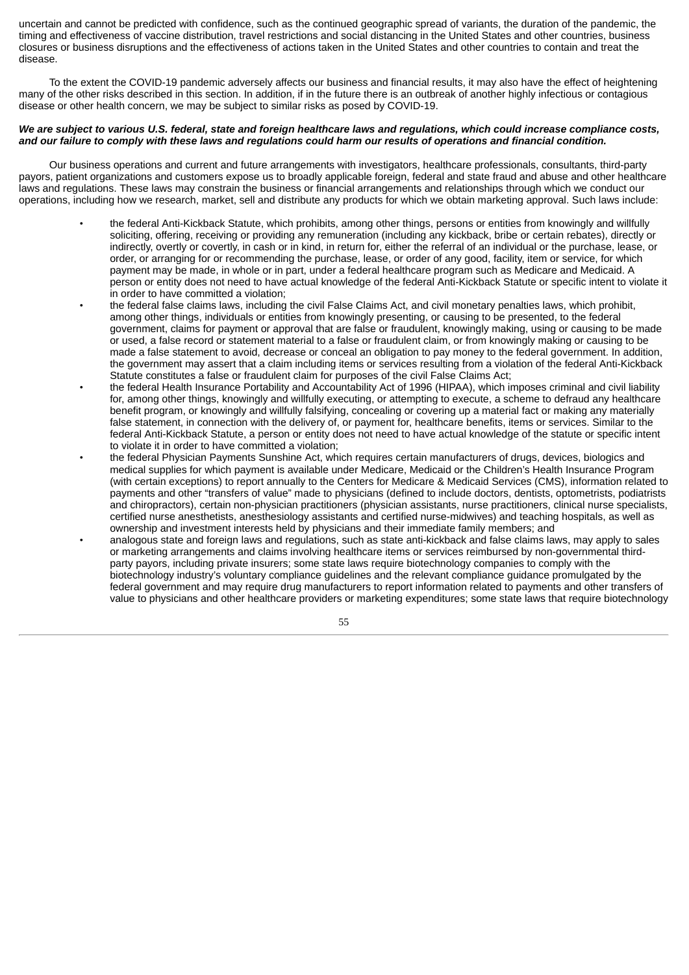uncertain and cannot be predicted with confidence, such as the continued geographic spread of variants, the duration of the pandemic, the timing and effectiveness of vaccine distribution, travel restrictions and social distancing in the United States and other countries, business closures or business disruptions and the effectiveness of actions taken in the United States and other countries to contain and treat the disease.

To the extent the COVID-19 pandemic adversely affects our business and financial results, it may also have the effect of heightening many of the other risks described in this section. In addition, if in the future there is an outbreak of another highly infectious or contagious disease or other health concern, we may be subject to similar risks as posed by COVID-19.

## We are subject to various U.S. federal, state and foreign healthcare laws and regulations, which could increase compliance costs, and our failure to comply with these laws and regulations could harm our results of operations and financial condition.

Our business operations and current and future arrangements with investigators, healthcare professionals, consultants, third-party payors, patient organizations and customers expose us to broadly applicable foreign, federal and state fraud and abuse and other healthcare laws and regulations. These laws may constrain the business or financial arrangements and relationships through which we conduct our operations, including how we research, market, sell and distribute any products for which we obtain marketing approval. Such laws include:

- the federal Anti-Kickback Statute, which prohibits, among other things, persons or entities from knowingly and willfully soliciting, offering, receiving or providing any remuneration (including any kickback, bribe or certain rebates), directly or indirectly, overtly or covertly, in cash or in kind, in return for, either the referral of an individual or the purchase, lease, or order, or arranging for or recommending the purchase, lease, or order of any good, facility, item or service, for which payment may be made, in whole or in part, under a federal healthcare program such as Medicare and Medicaid. A person or entity does not need to have actual knowledge of the federal Anti-Kickback Statute or specific intent to violate it in order to have committed a violation;
- the federal false claims laws, including the civil False Claims Act, and civil monetary penalties laws, which prohibit, among other things, individuals or entities from knowingly presenting, or causing to be presented, to the federal government, claims for payment or approval that are false or fraudulent, knowingly making, using or causing to be made or used, a false record or statement material to a false or fraudulent claim, or from knowingly making or causing to be made a false statement to avoid, decrease or conceal an obligation to pay money to the federal government. In addition, the government may assert that a claim including items or services resulting from a violation of the federal Anti-Kickback Statute constitutes a false or fraudulent claim for purposes of the civil False Claims Act;
- the federal Health Insurance Portability and Accountability Act of 1996 (HIPAA), which imposes criminal and civil liability for, among other things, knowingly and willfully executing, or attempting to execute, a scheme to defraud any healthcare benefit program, or knowingly and willfully falsifying, concealing or covering up a material fact or making any materially false statement, in connection with the delivery of, or payment for, healthcare benefits, items or services. Similar to the federal Anti-Kickback Statute, a person or entity does not need to have actual knowledge of the statute or specific intent to violate it in order to have committed a violation;
- the federal Physician Payments Sunshine Act, which requires certain manufacturers of drugs, devices, biologics and medical supplies for which payment is available under Medicare, Medicaid or the Children's Health Insurance Program (with certain exceptions) to report annually to the Centers for Medicare & Medicaid Services (CMS), information related to payments and other "transfers of value" made to physicians (defined to include doctors, dentists, optometrists, podiatrists and chiropractors), certain non-physician practitioners (physician assistants, nurse practitioners, clinical nurse specialists, certified nurse anesthetists, anesthesiology assistants and certified nurse-midwives) and teaching hospitals, as well as ownership and investment interests held by physicians and their immediate family members; and
	- analogous state and foreign laws and regulations, such as state anti-kickback and false claims laws, may apply to sales or marketing arrangements and claims involving healthcare items or services reimbursed by non-governmental thirdparty payors, including private insurers; some state laws require biotechnology companies to comply with the biotechnology industry's voluntary compliance guidelines and the relevant compliance guidance promulgated by the federal government and may require drug manufacturers to report information related to payments and other transfers of value to physicians and other healthcare providers or marketing expenditures; some state laws that require biotechnology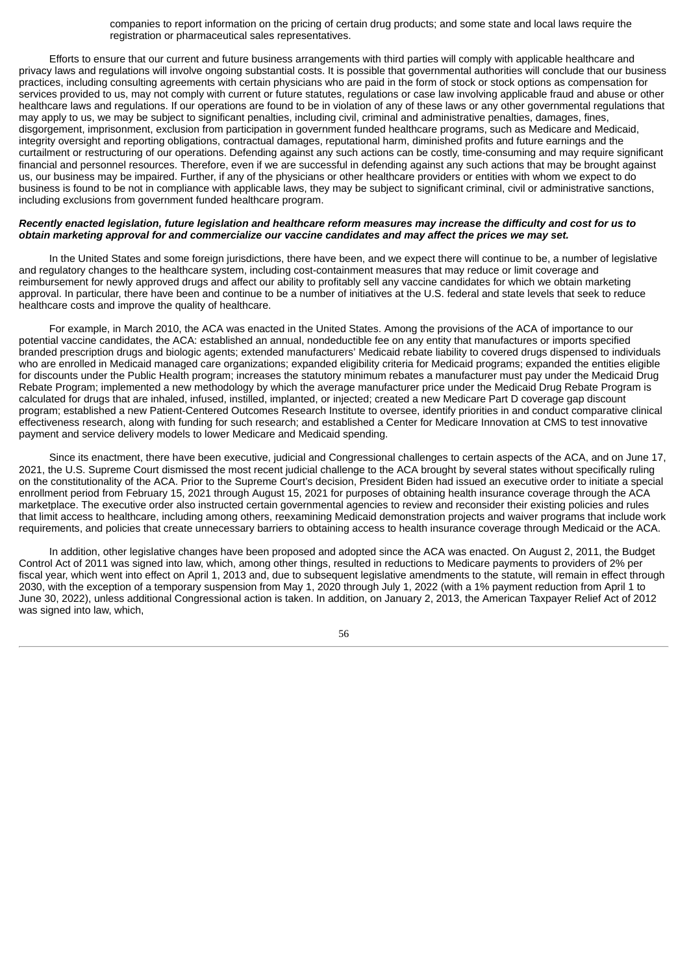#### companies to report information on the pricing of certain drug products; and some state and local laws require the registration or pharmaceutical sales representatives.

Efforts to ensure that our current and future business arrangements with third parties will comply with applicable healthcare and privacy laws and regulations will involve ongoing substantial costs. It is possible that governmental authorities will conclude that our business practices, including consulting agreements with certain physicians who are paid in the form of stock or stock options as compensation for services provided to us, may not comply with current or future statutes, regulations or case law involving applicable fraud and abuse or other healthcare laws and regulations. If our operations are found to be in violation of any of these laws or any other governmental regulations that may apply to us, we may be subject to significant penalties, including civil, criminal and administrative penalties, damages, fines, disgorgement, imprisonment, exclusion from participation in government funded healthcare programs, such as Medicare and Medicaid, integrity oversight and reporting obligations, contractual damages, reputational harm, diminished profits and future earnings and the curtailment or restructuring of our operations. Defending against any such actions can be costly, time-consuming and may require significant financial and personnel resources. Therefore, even if we are successful in defending against any such actions that may be brought against us, our business may be impaired. Further, if any of the physicians or other healthcare providers or entities with whom we expect to do business is found to be not in compliance with applicable laws, they may be subject to significant criminal, civil or administrative sanctions, including exclusions from government funded healthcare program.

#### Recently enacted legislation, future legislation and healthcare reform measures may increase the difficulty and cost for us to obtain marketing approval for and commercialize our vaccine candidates and may affect the prices we may set.

In the United States and some foreign jurisdictions, there have been, and we expect there will continue to be, a number of legislative and regulatory changes to the healthcare system, including cost-containment measures that may reduce or limit coverage and reimbursement for newly approved drugs and affect our ability to profitably sell any vaccine candidates for which we obtain marketing approval. In particular, there have been and continue to be a number of initiatives at the U.S. federal and state levels that seek to reduce healthcare costs and improve the quality of healthcare.

For example, in March 2010, the ACA was enacted in the United States. Among the provisions of the ACA of importance to our potential vaccine candidates, the ACA: established an annual, nondeductible fee on any entity that manufactures or imports specified branded prescription drugs and biologic agents; extended manufacturers' Medicaid rebate liability to covered drugs dispensed to individuals who are enrolled in Medicaid managed care organizations; expanded eligibility criteria for Medicaid programs; expanded the entities eligible for discounts under the Public Health program; increases the statutory minimum rebates a manufacturer must pay under the Medicaid Drug Rebate Program; implemented a new methodology by which the average manufacturer price under the Medicaid Drug Rebate Program is calculated for drugs that are inhaled, infused, instilled, implanted, or injected; created a new Medicare Part D coverage gap discount program; established a new Patient-Centered Outcomes Research Institute to oversee, identify priorities in and conduct comparative clinical effectiveness research, along with funding for such research; and established a Center for Medicare Innovation at CMS to test innovative payment and service delivery models to lower Medicare and Medicaid spending.

Since its enactment, there have been executive, judicial and Congressional challenges to certain aspects of the ACA, and on June 17, 2021, the U.S. Supreme Court dismissed the most recent judicial challenge to the ACA brought by several states without specifically ruling on the constitutionality of the ACA. Prior to the Supreme Court's decision, President Biden had issued an executive order to initiate a special enrollment period from February 15, 2021 through August 15, 2021 for purposes of obtaining health insurance coverage through the ACA marketplace. The executive order also instructed certain governmental agencies to review and reconsider their existing policies and rules that limit access to healthcare, including among others, reexamining Medicaid demonstration projects and waiver programs that include work requirements, and policies that create unnecessary barriers to obtaining access to health insurance coverage through Medicaid or the ACA.

In addition, other legislative changes have been proposed and adopted since the ACA was enacted. On August 2, 2011, the Budget Control Act of 2011 was signed into law, which, among other things, resulted in reductions to Medicare payments to providers of 2% per fiscal year, which went into effect on April 1, 2013 and, due to subsequent legislative amendments to the statute, will remain in effect through 2030, with the exception of a temporary suspension from May 1, 2020 through July 1, 2022 (with a 1% payment reduction from April 1 to June 30, 2022), unless additional Congressional action is taken. In addition, on January 2, 2013, the American Taxpayer Relief Act of 2012 was signed into law, which,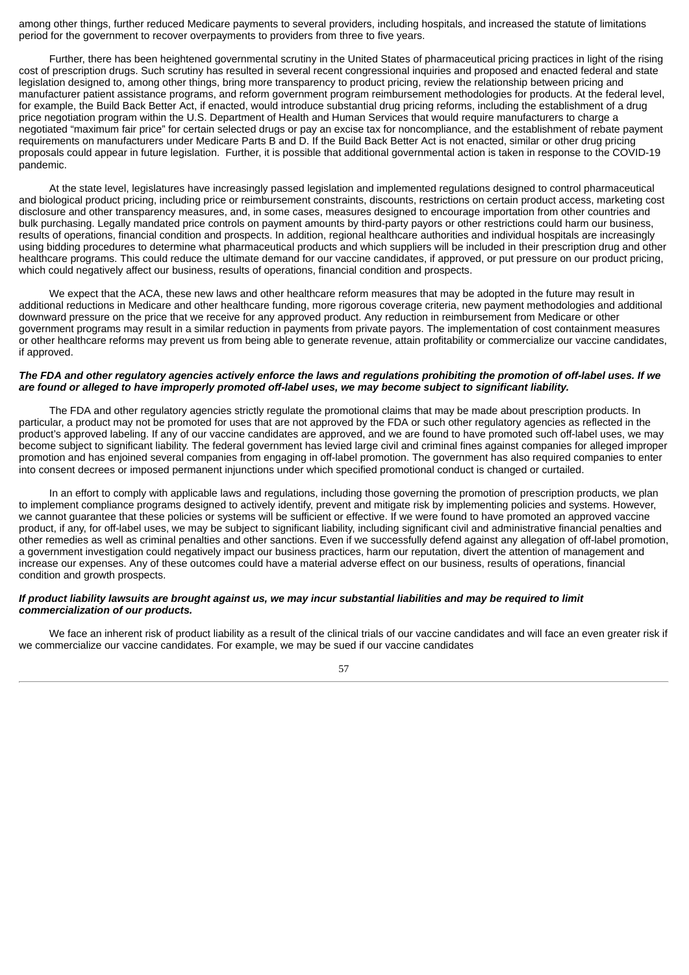among other things, further reduced Medicare payments to several providers, including hospitals, and increased the statute of limitations period for the government to recover overpayments to providers from three to five years.

Further, there has been heightened governmental scrutiny in the United States of pharmaceutical pricing practices in light of the rising cost of prescription drugs. Such scrutiny has resulted in several recent congressional inquiries and proposed and enacted federal and state legislation designed to, among other things, bring more transparency to product pricing, review the relationship between pricing and manufacturer patient assistance programs, and reform government program reimbursement methodologies for products. At the federal level, for example, the Build Back Better Act, if enacted, would introduce substantial drug pricing reforms, including the establishment of a drug price negotiation program within the U.S. Department of Health and Human Services that would require manufacturers to charge a negotiated "maximum fair price" for certain selected drugs or pay an excise tax for noncompliance, and the establishment of rebate payment requirements on manufacturers under Medicare Parts B and D. If the Build Back Better Act is not enacted, similar or other drug pricing proposals could appear in future legislation. Further, it is possible that additional governmental action is taken in response to the COVID-19 pandemic.

At the state level, legislatures have increasingly passed legislation and implemented regulations designed to control pharmaceutical and biological product pricing, including price or reimbursement constraints, discounts, restrictions on certain product access, marketing cost disclosure and other transparency measures, and, in some cases, measures designed to encourage importation from other countries and bulk purchasing. Legally mandated price controls on payment amounts by third-party payors or other restrictions could harm our business, results of operations, financial condition and prospects. In addition, regional healthcare authorities and individual hospitals are increasingly using bidding procedures to determine what pharmaceutical products and which suppliers will be included in their prescription drug and other healthcare programs. This could reduce the ultimate demand for our vaccine candidates, if approved, or put pressure on our product pricing, which could negatively affect our business, results of operations, financial condition and prospects.

We expect that the ACA, these new laws and other healthcare reform measures that may be adopted in the future may result in additional reductions in Medicare and other healthcare funding, more rigorous coverage criteria, new payment methodologies and additional downward pressure on the price that we receive for any approved product. Any reduction in reimbursement from Medicare or other government programs may result in a similar reduction in payments from private payors. The implementation of cost containment measures or other healthcare reforms may prevent us from being able to generate revenue, attain profitability or commercialize our vaccine candidates, if approved.

#### The FDA and other regulatory agencies actively enforce the laws and regulations prohibiting the promotion of off-label uses. If we are found or alleged to have improperly promoted off-label uses, we may become subject to significant liability.

The FDA and other regulatory agencies strictly regulate the promotional claims that may be made about prescription products. In particular, a product may not be promoted for uses that are not approved by the FDA or such other regulatory agencies as reflected in the product's approved labeling. If any of our vaccine candidates are approved, and we are found to have promoted such off-label uses, we may become subject to significant liability. The federal government has levied large civil and criminal fines against companies for alleged improper promotion and has enjoined several companies from engaging in off-label promotion. The government has also required companies to enter into consent decrees or imposed permanent injunctions under which specified promotional conduct is changed or curtailed.

In an effort to comply with applicable laws and regulations, including those governing the promotion of prescription products, we plan to implement compliance programs designed to actively identify, prevent and mitigate risk by implementing policies and systems. However, we cannot guarantee that these policies or systems will be sufficient or effective. If we were found to have promoted an approved vaccine product, if any, for off-label uses, we may be subject to significant liability, including significant civil and administrative financial penalties and other remedies as well as criminal penalties and other sanctions. Even if we successfully defend against any allegation of off-label promotion, a government investigation could negatively impact our business practices, harm our reputation, divert the attention of management and increase our expenses. Any of these outcomes could have a material adverse effect on our business, results of operations, financial condition and growth prospects.

## If product liability lawsuits are brought against us, we may incur substantial liabilities and may be required to limit *commercialization of our products.*

We face an inherent risk of product liability as a result of the clinical trials of our vaccine candidates and will face an even greater risk if we commercialize our vaccine candidates. For example, we may be sued if our vaccine candidates

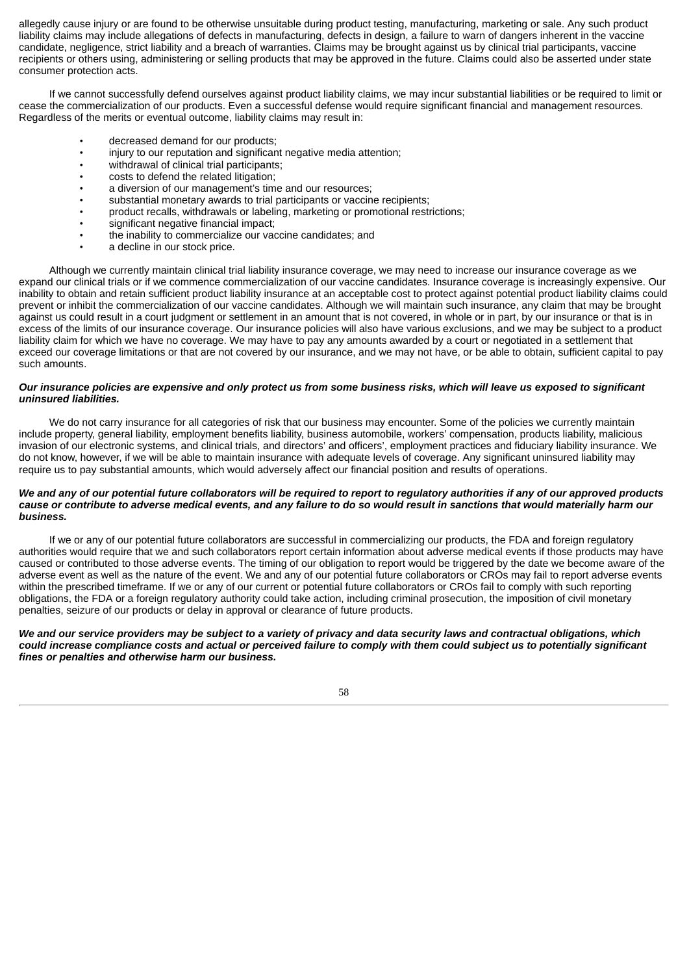allegedly cause injury or are found to be otherwise unsuitable during product testing, manufacturing, marketing or sale. Any such product liability claims may include allegations of defects in manufacturing, defects in design, a failure to warn of dangers inherent in the vaccine candidate, negligence, strict liability and a breach of warranties. Claims may be brought against us by clinical trial participants, vaccine recipients or others using, administering or selling products that may be approved in the future. Claims could also be asserted under state consumer protection acts.

If we cannot successfully defend ourselves against product liability claims, we may incur substantial liabilities or be required to limit or cease the commercialization of our products. Even a successful defense would require significant financial and management resources. Regardless of the merits or eventual outcome, liability claims may result in:

- decreased demand for our products;
- injury to our reputation and significant negative media attention:
- withdrawal of clinical trial participants;
- costs to defend the related litigation;
- a diversion of our management's time and our resources;
- substantial monetary awards to trial participants or vaccine recipients:
- product recalls, withdrawals or labeling, marketing or promotional restrictions;
- significant negative financial impact;
- the inability to commercialize our vaccine candidates; and
- a decline in our stock price.

Although we currently maintain clinical trial liability insurance coverage, we may need to increase our insurance coverage as we expand our clinical trials or if we commence commercialization of our vaccine candidates. Insurance coverage is increasingly expensive. Our inability to obtain and retain sufficient product liability insurance at an acceptable cost to protect against potential product liability claims could prevent or inhibit the commercialization of our vaccine candidates. Although we will maintain such insurance, any claim that may be brought against us could result in a court judgment or settlement in an amount that is not covered, in whole or in part, by our insurance or that is in excess of the limits of our insurance coverage. Our insurance policies will also have various exclusions, and we may be subject to a product liability claim for which we have no coverage. We may have to pay any amounts awarded by a court or negotiated in a settlement that exceed our coverage limitations or that are not covered by our insurance, and we may not have, or be able to obtain, sufficient capital to pay such amounts.

#### Our insurance policies are expensive and only protect us from some business risks, which will leave us exposed to significant *uninsured liabilities.*

We do not carry insurance for all categories of risk that our business may encounter. Some of the policies we currently maintain include property, general liability, employment benefits liability, business automobile, workers' compensation, products liability, malicious invasion of our electronic systems, and clinical trials, and directors' and officers', employment practices and fiduciary liability insurance. We do not know, however, if we will be able to maintain insurance with adequate levels of coverage. Any significant uninsured liability may require us to pay substantial amounts, which would adversely affect our financial position and results of operations.

## We and any of our potential future collaborators will be required to report to regulatory authorities if any of our approved products cause or contribute to adverse medical events, and any failure to do so would result in sanctions that would materially harm our *business.*

If we or any of our potential future collaborators are successful in commercializing our products, the FDA and foreign regulatory authorities would require that we and such collaborators report certain information about adverse medical events if those products may have caused or contributed to those adverse events. The timing of our obligation to report would be triggered by the date we become aware of the adverse event as well as the nature of the event. We and any of our potential future collaborators or CROs may fail to report adverse events within the prescribed timeframe. If we or any of our current or potential future collaborators or CROs fail to comply with such reporting obligations, the FDA or a foreign regulatory authority could take action, including criminal prosecution, the imposition of civil monetary penalties, seizure of our products or delay in approval or clearance of future products.

# We and our service providers may be subject to a variety of privacy and data security laws and contractual obligations, which could increase compliance costs and actual or perceived failure to comply with them could subject us to potentially significant *fines or penalties and otherwise harm our business.*

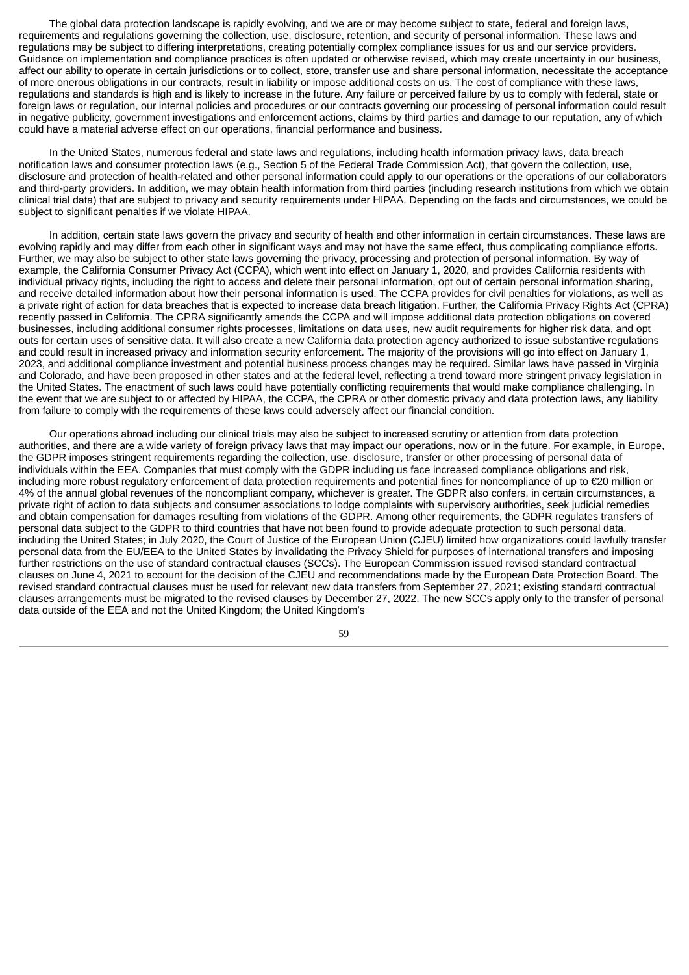The global data protection landscape is rapidly evolving, and we are or may become subject to state, federal and foreign laws, requirements and regulations governing the collection, use, disclosure, retention, and security of personal information. These laws and regulations may be subject to differing interpretations, creating potentially complex compliance issues for us and our service providers. Guidance on implementation and compliance practices is often updated or otherwise revised, which may create uncertainty in our business, affect our ability to operate in certain jurisdictions or to collect, store, transfer use and share personal information, necessitate the acceptance of more onerous obligations in our contracts, result in liability or impose additional costs on us. The cost of compliance with these laws, regulations and standards is high and is likely to increase in the future. Any failure or perceived failure by us to comply with federal, state or foreign laws or regulation, our internal policies and procedures or our contracts governing our processing of personal information could result in negative publicity, government investigations and enforcement actions, claims by third parties and damage to our reputation, any of which could have a material adverse effect on our operations, financial performance and business.

In the United States, numerous federal and state laws and regulations, including health information privacy laws, data breach notification laws and consumer protection laws (e.g., Section 5 of the Federal Trade Commission Act), that govern the collection, use, disclosure and protection of health-related and other personal information could apply to our operations or the operations of our collaborators and third-party providers. In addition, we may obtain health information from third parties (including research institutions from which we obtain clinical trial data) that are subject to privacy and security requirements under HIPAA. Depending on the facts and circumstances, we could be subject to significant penalties if we violate HIPAA.

In addition, certain state laws govern the privacy and security of health and other information in certain circumstances. These laws are evolving rapidly and may differ from each other in significant ways and may not have the same effect, thus complicating compliance efforts. Further, we may also be subject to other state laws governing the privacy, processing and protection of personal information. By way of example, the California Consumer Privacy Act (CCPA), which went into effect on January 1, 2020, and provides California residents with individual privacy rights, including the right to access and delete their personal information, opt out of certain personal information sharing, and receive detailed information about how their personal information is used. The CCPA provides for civil penalties for violations, as well as a private right of action for data breaches that is expected to increase data breach litigation. Further, the California Privacy Rights Act (CPRA) recently passed in California. The CPRA significantly amends the CCPA and will impose additional data protection obligations on covered businesses, including additional consumer rights processes, limitations on data uses, new audit requirements for higher risk data, and opt outs for certain uses of sensitive data. It will also create a new California data protection agency authorized to issue substantive regulations and could result in increased privacy and information security enforcement. The majority of the provisions will go into effect on January 1, 2023, and additional compliance investment and potential business process changes may be required. Similar laws have passed in Virginia and Colorado, and have been proposed in other states and at the federal level, reflecting a trend toward more stringent privacy legislation in the United States. The enactment of such laws could have potentially conflicting requirements that would make compliance challenging. In the event that we are subject to or affected by HIPAA, the CCPA, the CPRA or other domestic privacy and data protection laws, any liability from failure to comply with the requirements of these laws could adversely affect our financial condition.

Our operations abroad including our clinical trials may also be subject to increased scrutiny or attention from data protection authorities, and there are a wide variety of foreign privacy laws that may impact our operations, now or in the future. For example, in Europe, the GDPR imposes stringent requirements regarding the collection, use, disclosure, transfer or other processing of personal data of individuals within the EEA. Companies that must comply with the GDPR including us face increased compliance obligations and risk, including more robust regulatory enforcement of data protection requirements and potential fines for noncompliance of up to €20 million or 4% of the annual global revenues of the noncompliant company, whichever is greater. The GDPR also confers, in certain circumstances, a private right of action to data subjects and consumer associations to lodge complaints with supervisory authorities, seek judicial remedies and obtain compensation for damages resulting from violations of the GDPR. Among other requirements, the GDPR regulates transfers of personal data subject to the GDPR to third countries that have not been found to provide adequate protection to such personal data, including the United States; in July 2020, the Court of Justice of the European Union (CJEU) limited how organizations could lawfully transfer personal data from the EU/EEA to the United States by invalidating the Privacy Shield for purposes of international transfers and imposing further restrictions on the use of standard contractual clauses (SCCs). The European Commission issued revised standard contractual clauses on June 4, 2021 to account for the decision of the CJEU and recommendations made by the European Data Protection Board. The revised standard contractual clauses must be used for relevant new data transfers from September 27, 2021; existing standard contractual clauses arrangements must be migrated to the revised clauses by December 27, 2022. The new SCCs apply only to the transfer of personal data outside of the EEA and not the United Kingdom; the United Kingdom's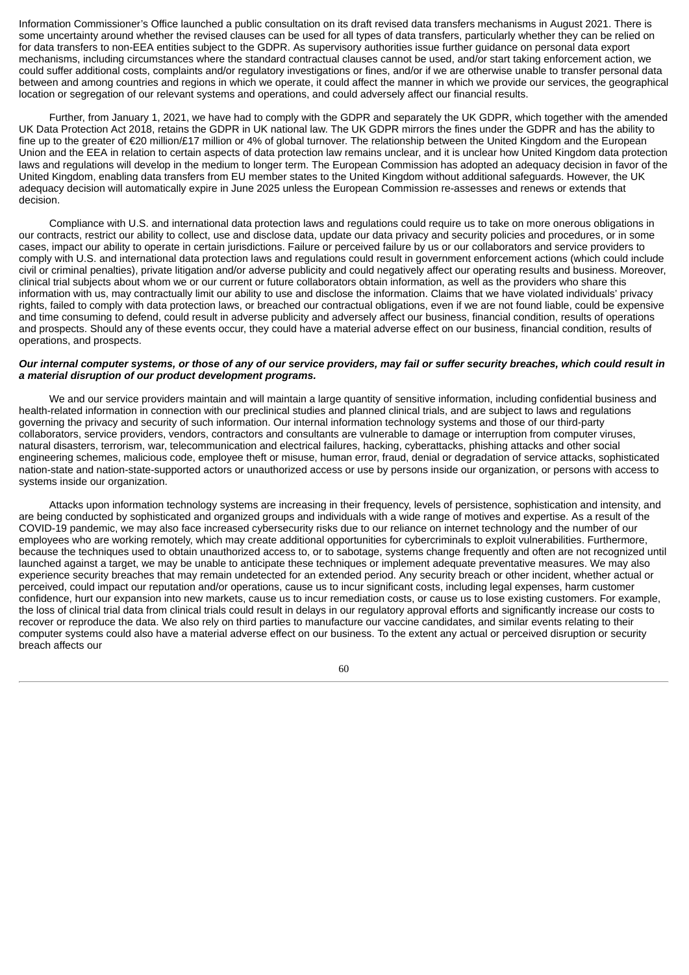Information Commissioner's Office launched a public consultation on its draft revised data transfers mechanisms in August 2021. There is some uncertainty around whether the revised clauses can be used for all types of data transfers, particularly whether they can be relied on for data transfers to non-EEA entities subject to the GDPR. As supervisory authorities issue further guidance on personal data export mechanisms, including circumstances where the standard contractual clauses cannot be used, and/or start taking enforcement action, we could suffer additional costs, complaints and/or regulatory investigations or fines, and/or if we are otherwise unable to transfer personal data between and among countries and regions in which we operate, it could affect the manner in which we provide our services, the geographical location or segregation of our relevant systems and operations, and could adversely affect our financial results.

Further, from January 1, 2021, we have had to comply with the GDPR and separately the UK GDPR, which together with the amended UK Data Protection Act 2018, retains the GDPR in UK national law. The UK GDPR mirrors the fines under the GDPR and has the ability to fine up to the greater of €20 million/£17 million or 4% of global turnover. The relationship between the United Kingdom and the European Union and the EEA in relation to certain aspects of data protection law remains unclear, and it is unclear how United Kingdom data protection laws and regulations will develop in the medium to longer term. The European Commission has adopted an adequacy decision in favor of the United Kingdom, enabling data transfers from EU member states to the United Kingdom without additional safeguards. However, the UK adequacy decision will automatically expire in June 2025 unless the European Commission re-assesses and renews or extends that decision.

Compliance with U.S. and international data protection laws and regulations could require us to take on more onerous obligations in our contracts, restrict our ability to collect, use and disclose data, update our data privacy and security policies and procedures, or in some cases, impact our ability to operate in certain jurisdictions. Failure or perceived failure by us or our collaborators and service providers to comply with U.S. and international data protection laws and regulations could result in government enforcement actions (which could include civil or criminal penalties), private litigation and/or adverse publicity and could negatively affect our operating results and business. Moreover, clinical trial subjects about whom we or our current or future collaborators obtain information, as well as the providers who share this information with us, may contractually limit our ability to use and disclose the information. Claims that we have violated individuals' privacy rights, failed to comply with data protection laws, or breached our contractual obligations, even if we are not found liable, could be expensive and time consuming to defend, could result in adverse publicity and adversely affect our business, financial condition, results of operations and prospects. Should any of these events occur, they could have a material adverse effect on our business, financial condition, results of operations, and prospects.

#### Our internal computer systems, or those of any of our service providers, may fail or suffer security breaches, which could result in *a material disruption of our product development programs.*

We and our service providers maintain and will maintain a large quantity of sensitive information, including confidential business and health-related information in connection with our preclinical studies and planned clinical trials, and are subject to laws and regulations governing the privacy and security of such information. Our internal information technology systems and those of our third-party collaborators, service providers, vendors, contractors and consultants are vulnerable to damage or interruption from computer viruses, natural disasters, terrorism, war, telecommunication and electrical failures, hacking, cyberattacks, phishing attacks and other social engineering schemes, malicious code, employee theft or misuse, human error, fraud, denial or degradation of service attacks, sophisticated nation-state and nation-state-supported actors or unauthorized access or use by persons inside our organization, or persons with access to systems inside our organization.

Attacks upon information technology systems are increasing in their frequency, levels of persistence, sophistication and intensity, and are being conducted by sophisticated and organized groups and individuals with a wide range of motives and expertise. As a result of the COVID-19 pandemic, we may also face increased cybersecurity risks due to our reliance on internet technology and the number of our employees who are working remotely, which may create additional opportunities for cybercriminals to exploit vulnerabilities. Furthermore, because the techniques used to obtain unauthorized access to, or to sabotage, systems change frequently and often are not recognized until launched against a target, we may be unable to anticipate these techniques or implement adequate preventative measures. We may also experience security breaches that may remain undetected for an extended period. Any security breach or other incident, whether actual or perceived, could impact our reputation and/or operations, cause us to incur significant costs, including legal expenses, harm customer confidence, hurt our expansion into new markets, cause us to incur remediation costs, or cause us to lose existing customers. For example, the loss of clinical trial data from clinical trials could result in delays in our regulatory approval efforts and significantly increase our costs to recover or reproduce the data. We also rely on third parties to manufacture our vaccine candidates, and similar events relating to their computer systems could also have a material adverse effect on our business. To the extent any actual or perceived disruption or security breach affects our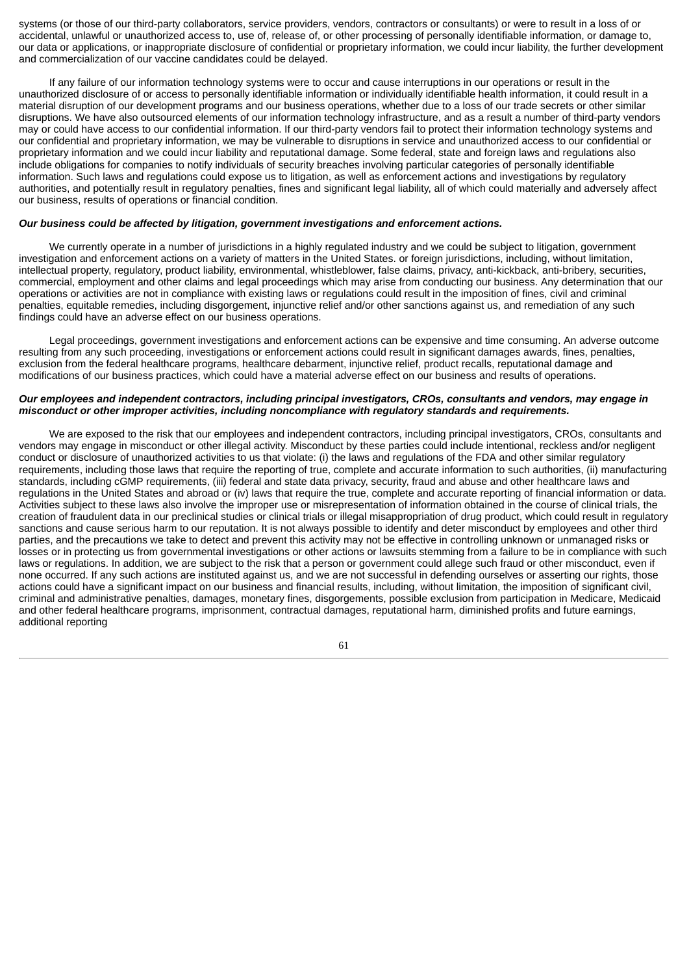systems (or those of our third-party collaborators, service providers, vendors, contractors or consultants) or were to result in a loss of or accidental, unlawful or unauthorized access to, use of, release of, or other processing of personally identifiable information, or damage to, our data or applications, or inappropriate disclosure of confidential or proprietary information, we could incur liability, the further development and commercialization of our vaccine candidates could be delayed.

If any failure of our information technology systems were to occur and cause interruptions in our operations or result in the unauthorized disclosure of or access to personally identifiable information or individually identifiable health information, it could result in a material disruption of our development programs and our business operations, whether due to a loss of our trade secrets or other similar disruptions. We have also outsourced elements of our information technology infrastructure, and as a result a number of third-party vendors may or could have access to our confidential information. If our third-party vendors fail to protect their information technology systems and our confidential and proprietary information, we may be vulnerable to disruptions in service and unauthorized access to our confidential or proprietary information and we could incur liability and reputational damage. Some federal, state and foreign laws and regulations also include obligations for companies to notify individuals of security breaches involving particular categories of personally identifiable information. Such laws and regulations could expose us to litigation, as well as enforcement actions and investigations by regulatory authorities, and potentially result in regulatory penalties, fines and significant legal liability, all of which could materially and adversely affect our business, results of operations or financial condition.

#### *Our business could be affected by litigation, government investigations and enforcement actions.*

We currently operate in a number of jurisdictions in a highly regulated industry and we could be subject to litigation, government investigation and enforcement actions on a variety of matters in the United States. or foreign jurisdictions, including, without limitation, intellectual property, regulatory, product liability, environmental, whistleblower, false claims, privacy, anti-kickback, anti-bribery, securities, commercial, employment and other claims and legal proceedings which may arise from conducting our business. Any determination that our operations or activities are not in compliance with existing laws or regulations could result in the imposition of fines, civil and criminal penalties, equitable remedies, including disgorgement, injunctive relief and/or other sanctions against us, and remediation of any such findings could have an adverse effect on our business operations.

Legal proceedings, government investigations and enforcement actions can be expensive and time consuming. An adverse outcome resulting from any such proceeding, investigations or enforcement actions could result in significant damages awards, fines, penalties, exclusion from the federal healthcare programs, healthcare debarment, injunctive relief, product recalls, reputational damage and modifications of our business practices, which could have a material adverse effect on our business and results of operations.

# Our employees and independent contractors, including principal investigators, CROs, consultants and vendors, may engage in *misconduct or other improper activities, including noncompliance with regulatory standards and requirements.*

We are exposed to the risk that our employees and independent contractors, including principal investigators, CROs, consultants and vendors may engage in misconduct or other illegal activity. Misconduct by these parties could include intentional, reckless and/or negligent conduct or disclosure of unauthorized activities to us that violate: (i) the laws and regulations of the FDA and other similar regulatory requirements, including those laws that require the reporting of true, complete and accurate information to such authorities, (ii) manufacturing standards, including cGMP requirements, (iii) federal and state data privacy, security, fraud and abuse and other healthcare laws and regulations in the United States and abroad or (iv) laws that require the true, complete and accurate reporting of financial information or data. Activities subject to these laws also involve the improper use or misrepresentation of information obtained in the course of clinical trials, the creation of fraudulent data in our preclinical studies or clinical trials or illegal misappropriation of drug product, which could result in regulatory sanctions and cause serious harm to our reputation. It is not always possible to identify and deter misconduct by employees and other third parties, and the precautions we take to detect and prevent this activity may not be effective in controlling unknown or unmanaged risks or losses or in protecting us from governmental investigations or other actions or lawsuits stemming from a failure to be in compliance with such laws or regulations. In addition, we are subject to the risk that a person or government could allege such fraud or other misconduct, even if none occurred. If any such actions are instituted against us, and we are not successful in defending ourselves or asserting our rights, those actions could have a significant impact on our business and financial results, including, without limitation, the imposition of significant civil, criminal and administrative penalties, damages, monetary fines, disgorgements, possible exclusion from participation in Medicare, Medicaid and other federal healthcare programs, imprisonment, contractual damages, reputational harm, diminished profits and future earnings, additional reporting

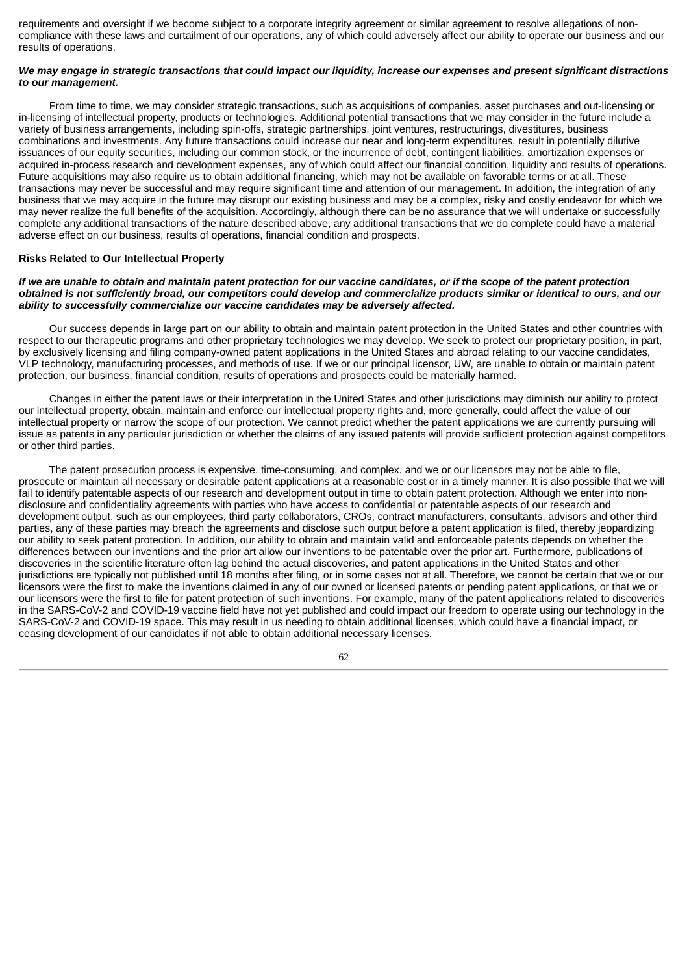requirements and oversight if we become subject to a corporate integrity agreement or similar agreement to resolve allegations of noncompliance with these laws and curtailment of our operations, any of which could adversely affect our ability to operate our business and our results of operations.

## We may engage in strategic transactions that could impact our liquidity, increase our expenses and present significant distractions *to our management.*

From time to time, we may consider strategic transactions, such as acquisitions of companies, asset purchases and out-licensing or in-licensing of intellectual property, products or technologies. Additional potential transactions that we may consider in the future include a variety of business arrangements, including spin-offs, strategic partnerships, joint ventures, restructurings, divestitures, business combinations and investments. Any future transactions could increase our near and long-term expenditures, result in potentially dilutive issuances of our equity securities, including our common stock, or the incurrence of debt, contingent liabilities, amortization expenses or acquired in-process research and development expenses, any of which could affect our financial condition, liquidity and results of operations. Future acquisitions may also require us to obtain additional financing, which may not be available on favorable terms or at all. These transactions may never be successful and may require significant time and attention of our management. In addition, the integration of any business that we may acquire in the future may disrupt our existing business and may be a complex, risky and costly endeavor for which we may never realize the full benefits of the acquisition. Accordingly, although there can be no assurance that we will undertake or successfully complete any additional transactions of the nature described above, any additional transactions that we do complete could have a material adverse effect on our business, results of operations, financial condition and prospects.

#### **Risks Related to Our Intellectual Property**

#### If we are unable to obtain and maintain patent protection for our vaccine candidates, or if the scope of the patent protection obtained is not sufficiently broad, our competitors could develop and commercialize products similar or identical to ours, and our *ability to successfully commercialize our vaccine candidates may be adversely affected.*

Our success depends in large part on our ability to obtain and maintain patent protection in the United States and other countries with respect to our therapeutic programs and other proprietary technologies we may develop. We seek to protect our proprietary position, in part, by exclusively licensing and filing company-owned patent applications in the United States and abroad relating to our vaccine candidates, VLP technology, manufacturing processes, and methods of use. If we or our principal licensor, UW, are unable to obtain or maintain patent protection, our business, financial condition, results of operations and prospects could be materially harmed.

Changes in either the patent laws or their interpretation in the United States and other jurisdictions may diminish our ability to protect our intellectual property, obtain, maintain and enforce our intellectual property rights and, more generally, could affect the value of our intellectual property or narrow the scope of our protection. We cannot predict whether the patent applications we are currently pursuing will issue as patents in any particular jurisdiction or whether the claims of any issued patents will provide sufficient protection against competitors or other third parties.

The patent prosecution process is expensive, time-consuming, and complex, and we or our licensors may not be able to file, prosecute or maintain all necessary or desirable patent applications at a reasonable cost or in a timely manner. It is also possible that we will fail to identify patentable aspects of our research and development output in time to obtain patent protection. Although we enter into nondisclosure and confidentiality agreements with parties who have access to confidential or patentable aspects of our research and development output, such as our employees, third party collaborators, CROs, contract manufacturers, consultants, advisors and other third parties, any of these parties may breach the agreements and disclose such output before a patent application is filed, thereby jeopardizing our ability to seek patent protection. In addition, our ability to obtain and maintain valid and enforceable patents depends on whether the differences between our inventions and the prior art allow our inventions to be patentable over the prior art. Furthermore, publications of discoveries in the scientific literature often lag behind the actual discoveries, and patent applications in the United States and other jurisdictions are typically not published until 18 months after filing, or in some cases not at all. Therefore, we cannot be certain that we or our licensors were the first to make the inventions claimed in any of our owned or licensed patents or pending patent applications, or that we or our licensors were the first to file for patent protection of such inventions. For example, many of the patent applications related to discoveries in the SARS-CoV-2 and COVID-19 vaccine field have not yet published and could impact our freedom to operate using our technology in the SARS-CoV-2 and COVID-19 space. This may result in us needing to obtain additional licenses, which could have a financial impact, or ceasing development of our candidates if not able to obtain additional necessary licenses.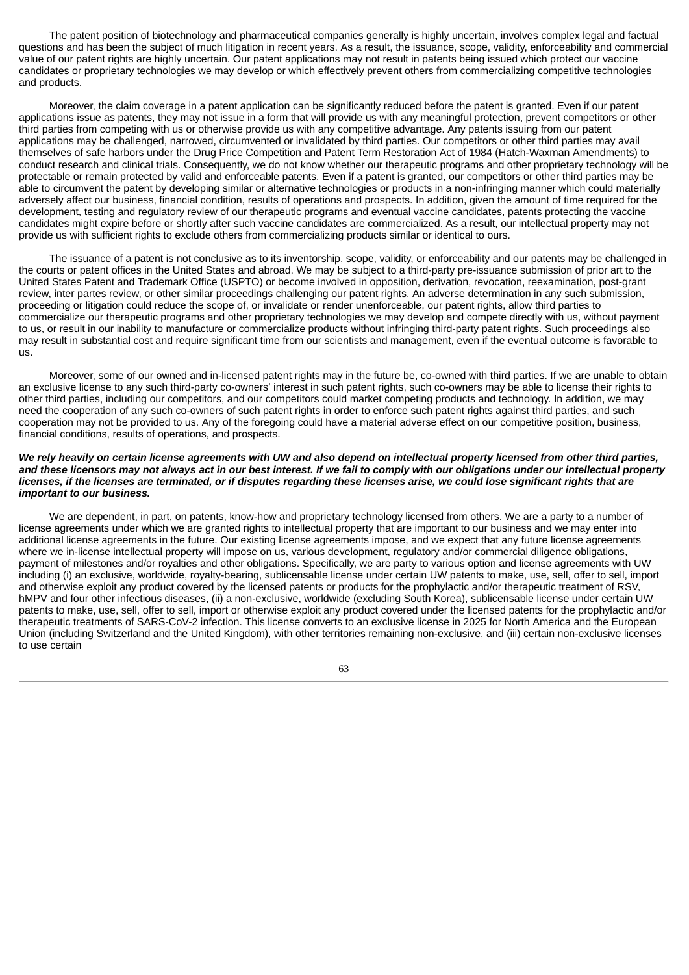The patent position of biotechnology and pharmaceutical companies generally is highly uncertain, involves complex legal and factual questions and has been the subject of much litigation in recent years. As a result, the issuance, scope, validity, enforceability and commercial value of our patent rights are highly uncertain. Our patent applications may not result in patents being issued which protect our vaccine candidates or proprietary technologies we may develop or which effectively prevent others from commercializing competitive technologies and products.

Moreover, the claim coverage in a patent application can be significantly reduced before the patent is granted. Even if our patent applications issue as patents, they may not issue in a form that will provide us with any meaningful protection, prevent competitors or other third parties from competing with us or otherwise provide us with any competitive advantage. Any patents issuing from our patent applications may be challenged, narrowed, circumvented or invalidated by third parties. Our competitors or other third parties may avail themselves of safe harbors under the Drug Price Competition and Patent Term Restoration Act of 1984 (Hatch-Waxman Amendments) to conduct research and clinical trials. Consequently, we do not know whether our therapeutic programs and other proprietary technology will be protectable or remain protected by valid and enforceable patents. Even if a patent is granted, our competitors or other third parties may be able to circumvent the patent by developing similar or alternative technologies or products in a non-infringing manner which could materially adversely affect our business, financial condition, results of operations and prospects. In addition, given the amount of time required for the development, testing and regulatory review of our therapeutic programs and eventual vaccine candidates, patents protecting the vaccine candidates might expire before or shortly after such vaccine candidates are commercialized. As a result, our intellectual property may not provide us with sufficient rights to exclude others from commercializing products similar or identical to ours.

The issuance of a patent is not conclusive as to its inventorship, scope, validity, or enforceability and our patents may be challenged in the courts or patent offices in the United States and abroad. We may be subject to a third-party pre-issuance submission of prior art to the United States Patent and Trademark Office (USPTO) or become involved in opposition, derivation, revocation, reexamination, post-grant review, inter partes review, or other similar proceedings challenging our patent rights. An adverse determination in any such submission, proceeding or litigation could reduce the scope of, or invalidate or render unenforceable, our patent rights, allow third parties to commercialize our therapeutic programs and other proprietary technologies we may develop and compete directly with us, without payment to us, or result in our inability to manufacture or commercialize products without infringing third-party patent rights. Such proceedings also may result in substantial cost and require significant time from our scientists and management, even if the eventual outcome is favorable to us.

Moreover, some of our owned and in-licensed patent rights may in the future be, co-owned with third parties. If we are unable to obtain an exclusive license to any such third-party co-owners' interest in such patent rights, such co-owners may be able to license their rights to other third parties, including our competitors, and our competitors could market competing products and technology. In addition, we may need the cooperation of any such co-owners of such patent rights in order to enforce such patent rights against third parties, and such cooperation may not be provided to us. Any of the foregoing could have a material adverse effect on our competitive position, business, financial conditions, results of operations, and prospects.

#### We rely heavily on certain license agreements with UW and also depend on intellectual property licensed from other third parties, and these licensors may not always act in our best interest. If we fail to comply with our obligations under our intellectual property licenses, if the licenses are terminated, or if disputes regarding these licenses arise, we could lose significant rights that are *important to our business.*

We are dependent, in part, on patents, know-how and proprietary technology licensed from others. We are a party to a number of license agreements under which we are granted rights to intellectual property that are important to our business and we may enter into additional license agreements in the future. Our existing license agreements impose, and we expect that any future license agreements where we in-license intellectual property will impose on us, various development, regulatory and/or commercial diligence obligations, payment of milestones and/or royalties and other obligations. Specifically, we are party to various option and license agreements with UW including (i) an exclusive, worldwide, royalty-bearing, sublicensable license under certain UW patents to make, use, sell, offer to sell, import and otherwise exploit any product covered by the licensed patents or products for the prophylactic and/or therapeutic treatment of RSV, hMPV and four other infectious diseases, (ii) a non-exclusive, worldwide (excluding South Korea), sublicensable license under certain UW patents to make, use, sell, offer to sell, import or otherwise exploit any product covered under the licensed patents for the prophylactic and/or therapeutic treatments of SARS-CoV-2 infection. This license converts to an exclusive license in 2025 for North America and the European Union (including Switzerland and the United Kingdom), with other territories remaining non-exclusive, and (iii) certain non-exclusive licenses to use certain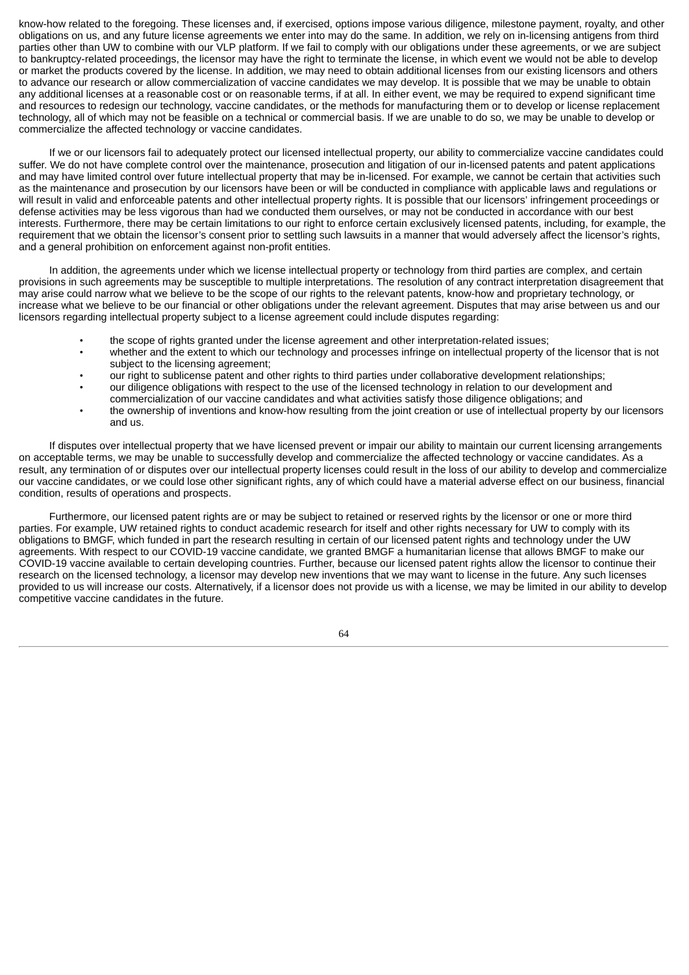know-how related to the foregoing. These licenses and, if exercised, options impose various diligence, milestone payment, royalty, and other obligations on us, and any future license agreements we enter into may do the same. In addition, we rely on in-licensing antigens from third parties other than UW to combine with our VLP platform. If we fail to comply with our obligations under these agreements, or we are subject to bankruptcy-related proceedings, the licensor may have the right to terminate the license, in which event we would not be able to develop or market the products covered by the license. In addition, we may need to obtain additional licenses from our existing licensors and others to advance our research or allow commercialization of vaccine candidates we may develop. It is possible that we may be unable to obtain any additional licenses at a reasonable cost or on reasonable terms, if at all. In either event, we may be required to expend significant time and resources to redesign our technology, vaccine candidates, or the methods for manufacturing them or to develop or license replacement technology, all of which may not be feasible on a technical or commercial basis. If we are unable to do so, we may be unable to develop or commercialize the affected technology or vaccine candidates.

If we or our licensors fail to adequately protect our licensed intellectual property, our ability to commercialize vaccine candidates could suffer. We do not have complete control over the maintenance, prosecution and litigation of our in-licensed patents and patent applications and may have limited control over future intellectual property that may be in-licensed. For example, we cannot be certain that activities such as the maintenance and prosecution by our licensors have been or will be conducted in compliance with applicable laws and regulations or will result in valid and enforceable patents and other intellectual property rights. It is possible that our licensors' infringement proceedings or defense activities may be less vigorous than had we conducted them ourselves, or may not be conducted in accordance with our best interests. Furthermore, there may be certain limitations to our right to enforce certain exclusively licensed patents, including, for example, the requirement that we obtain the licensor's consent prior to settling such lawsuits in a manner that would adversely affect the licensor's rights, and a general prohibition on enforcement against non-profit entities.

In addition, the agreements under which we license intellectual property or technology from third parties are complex, and certain provisions in such agreements may be susceptible to multiple interpretations. The resolution of any contract interpretation disagreement that may arise could narrow what we believe to be the scope of our rights to the relevant patents, know-how and proprietary technology, or increase what we believe to be our financial or other obligations under the relevant agreement. Disputes that may arise between us and our licensors regarding intellectual property subject to a license agreement could include disputes regarding:

- the scope of rights granted under the license agreement and other interpretation-related issues;
- whether and the extent to which our technology and processes infringe on intellectual property of the licensor that is not subject to the licensing agreement:
- our right to sublicense patent and other rights to third parties under collaborative development relationships;
- our diligence obligations with respect to the use of the licensed technology in relation to our development and commercialization of our vaccine candidates and what activities satisfy those diligence obligations; and
- the ownership of inventions and know-how resulting from the joint creation or use of intellectual property by our licensors and us.

If disputes over intellectual property that we have licensed prevent or impair our ability to maintain our current licensing arrangements on acceptable terms, we may be unable to successfully develop and commercialize the affected technology or vaccine candidates. As a result, any termination of or disputes over our intellectual property licenses could result in the loss of our ability to develop and commercialize our vaccine candidates, or we could lose other significant rights, any of which could have a material adverse effect on our business, financial condition, results of operations and prospects.

Furthermore, our licensed patent rights are or may be subject to retained or reserved rights by the licensor or one or more third parties. For example, UW retained rights to conduct academic research for itself and other rights necessary for UW to comply with its obligations to BMGF, which funded in part the research resulting in certain of our licensed patent rights and technology under the UW agreements. With respect to our COVID-19 vaccine candidate, we granted BMGF a humanitarian license that allows BMGF to make our COVID-19 vaccine available to certain developing countries. Further, because our licensed patent rights allow the licensor to continue their research on the licensed technology, a licensor may develop new inventions that we may want to license in the future. Any such licenses provided to us will increase our costs. Alternatively, if a licensor does not provide us with a license, we may be limited in our ability to develop competitive vaccine candidates in the future.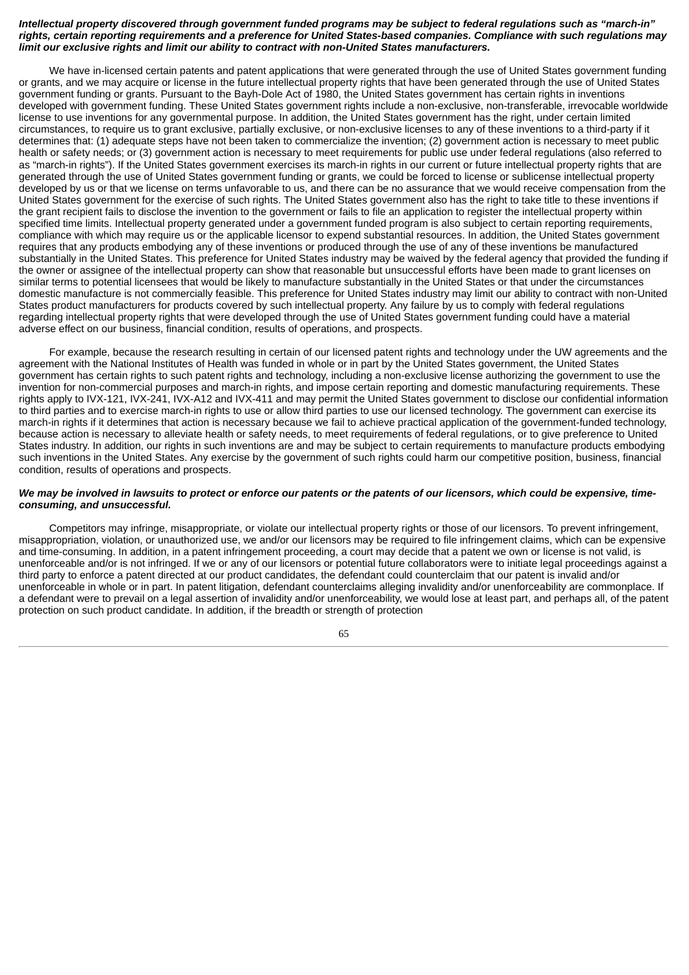#### Intellectual property discovered through government funded programs may be subject to federal regulations such as "march-in" rights, certain reporting requirements and a preference for United States-based companies. Compliance with such requiations may *limit our exclusive rights and limit our ability to contract with non-United States manufacturers.*

We have in-licensed certain patents and patent applications that were generated through the use of United States government funding or grants, and we may acquire or license in the future intellectual property rights that have been generated through the use of United States government funding or grants. Pursuant to the Bayh-Dole Act of 1980, the United States government has certain rights in inventions developed with government funding. These United States government rights include a non-exclusive, non-transferable, irrevocable worldwide license to use inventions for any governmental purpose. In addition, the United States government has the right, under certain limited circumstances, to require us to grant exclusive, partially exclusive, or non-exclusive licenses to any of these inventions to a third-party if it determines that: (1) adequate steps have not been taken to commercialize the invention; (2) government action is necessary to meet public health or safety needs; or (3) government action is necessary to meet requirements for public use under federal regulations (also referred to as "march-in rights"). If the United States government exercises its march-in rights in our current or future intellectual property rights that are generated through the use of United States government funding or grants, we could be forced to license or sublicense intellectual property developed by us or that we license on terms unfavorable to us, and there can be no assurance that we would receive compensation from the United States government for the exercise of such rights. The United States government also has the right to take title to these inventions if the grant recipient fails to disclose the invention to the government or fails to file an application to register the intellectual property within specified time limits. Intellectual property generated under a government funded program is also subject to certain reporting requirements, compliance with which may require us or the applicable licensor to expend substantial resources. In addition, the United States government requires that any products embodying any of these inventions or produced through the use of any of these inventions be manufactured substantially in the United States. This preference for United States industry may be waived by the federal agency that provided the funding if the owner or assignee of the intellectual property can show that reasonable but unsuccessful efforts have been made to grant licenses on similar terms to potential licensees that would be likely to manufacture substantially in the United States or that under the circumstances domestic manufacture is not commercially feasible. This preference for United States industry may limit our ability to contract with non-United States product manufacturers for products covered by such intellectual property. Any failure by us to comply with federal regulations regarding intellectual property rights that were developed through the use of United States government funding could have a material adverse effect on our business, financial condition, results of operations, and prospects.

For example, because the research resulting in certain of our licensed patent rights and technology under the UW agreements and the agreement with the National Institutes of Health was funded in whole or in part by the United States government, the United States government has certain rights to such patent rights and technology, including a non-exclusive license authorizing the government to use the invention for non-commercial purposes and march-in rights, and impose certain reporting and domestic manufacturing requirements. These rights apply to IVX-121, IVX-241, IVX-A12 and IVX-411 and may permit the United States government to disclose our confidential information to third parties and to exercise march-in rights to use or allow third parties to use our licensed technology. The government can exercise its march-in rights if it determines that action is necessary because we fail to achieve practical application of the government-funded technology, because action is necessary to alleviate health or safety needs, to meet requirements of federal regulations, or to give preference to United States industry. In addition, our rights in such inventions are and may be subject to certain requirements to manufacture products embodying such inventions in the United States. Any exercise by the government of such rights could harm our competitive position, business, financial condition, results of operations and prospects.

#### We may be involved in lawsuits to protect or enforce our patents or the patents of our licensors, which could be expensive, time*consuming, and unsuccessful.*

Competitors may infringe, misappropriate, or violate our intellectual property rights or those of our licensors. To prevent infringement, misappropriation, violation, or unauthorized use, we and/or our licensors may be required to file infringement claims, which can be expensive and time-consuming. In addition, in a patent infringement proceeding, a court may decide that a patent we own or license is not valid, is unenforceable and/or is not infringed. If we or any of our licensors or potential future collaborators were to initiate legal proceedings against a third party to enforce a patent directed at our product candidates, the defendant could counterclaim that our patent is invalid and/or unenforceable in whole or in part. In patent litigation, defendant counterclaims alleging invalidity and/or unenforceability are commonplace. If a defendant were to prevail on a legal assertion of invalidity and/or unenforceability, we would lose at least part, and perhaps all, of the patent protection on such product candidate. In addition, if the breadth or strength of protection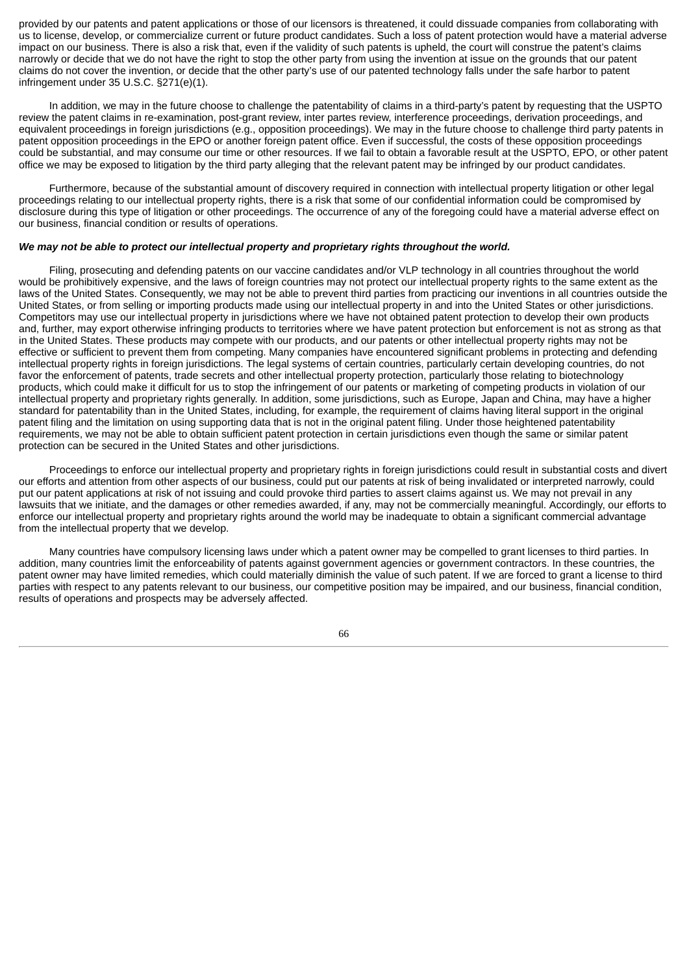provided by our patents and patent applications or those of our licensors is threatened, it could dissuade companies from collaborating with us to license, develop, or commercialize current or future product candidates. Such a loss of patent protection would have a material adverse impact on our business. There is also a risk that, even if the validity of such patents is upheld, the court will construe the patent's claims narrowly or decide that we do not have the right to stop the other party from using the invention at issue on the grounds that our patent claims do not cover the invention, or decide that the other party's use of our patented technology falls under the safe harbor to patent infringement under 35 U.S.C. §271(e)(1).

In addition, we may in the future choose to challenge the patentability of claims in a third-party's patent by requesting that the USPTO review the patent claims in re-examination, post-grant review, inter partes review, interference proceedings, derivation proceedings, and equivalent proceedings in foreign jurisdictions (e.g., opposition proceedings). We may in the future choose to challenge third party patents in patent opposition proceedings in the EPO or another foreign patent office. Even if successful, the costs of these opposition proceedings could be substantial, and may consume our time or other resources. If we fail to obtain a favorable result at the USPTO, EPO, or other patent office we may be exposed to litigation by the third party alleging that the relevant patent may be infringed by our product candidates.

Furthermore, because of the substantial amount of discovery required in connection with intellectual property litigation or other legal proceedings relating to our intellectual property rights, there is a risk that some of our confidential information could be compromised by disclosure during this type of litigation or other proceedings. The occurrence of any of the foregoing could have a material adverse effect on our business, financial condition or results of operations.

## *We may not be able to protect our intellectual property and proprietary rights throughout the world.*

Filing, prosecuting and defending patents on our vaccine candidates and/or VLP technology in all countries throughout the world would be prohibitively expensive, and the laws of foreign countries may not protect our intellectual property rights to the same extent as the laws of the United States. Consequently, we may not be able to prevent third parties from practicing our inventions in all countries outside the United States, or from selling or importing products made using our intellectual property in and into the United States or other jurisdictions. Competitors may use our intellectual property in jurisdictions where we have not obtained patent protection to develop their own products and, further, may export otherwise infringing products to territories where we have patent protection but enforcement is not as strong as that in the United States. These products may compete with our products, and our patents or other intellectual property rights may not be effective or sufficient to prevent them from competing. Many companies have encountered significant problems in protecting and defending intellectual property rights in foreign jurisdictions. The legal systems of certain countries, particularly certain developing countries, do not favor the enforcement of patents, trade secrets and other intellectual property protection, particularly those relating to biotechnology products, which could make it difficult for us to stop the infringement of our patents or marketing of competing products in violation of our intellectual property and proprietary rights generally. In addition, some jurisdictions, such as Europe, Japan and China, may have a higher standard for patentability than in the United States, including, for example, the requirement of claims having literal support in the original patent filing and the limitation on using supporting data that is not in the original patent filing. Under those heightened patentability requirements, we may not be able to obtain sufficient patent protection in certain jurisdictions even though the same or similar patent protection can be secured in the United States and other jurisdictions.

Proceedings to enforce our intellectual property and proprietary rights in foreign jurisdictions could result in substantial costs and divert our efforts and attention from other aspects of our business, could put our patents at risk of being invalidated or interpreted narrowly, could put our patent applications at risk of not issuing and could provoke third parties to assert claims against us. We may not prevail in any lawsuits that we initiate, and the damages or other remedies awarded, if any, may not be commercially meaningful. Accordingly, our efforts to enforce our intellectual property and proprietary rights around the world may be inadequate to obtain a significant commercial advantage from the intellectual property that we develop.

Many countries have compulsory licensing laws under which a patent owner may be compelled to grant licenses to third parties. In addition, many countries limit the enforceability of patents against government agencies or government contractors. In these countries, the patent owner may have limited remedies, which could materially diminish the value of such patent. If we are forced to grant a license to third parties with respect to any patents relevant to our business, our competitive position may be impaired, and our business, financial condition, results of operations and prospects may be adversely affected.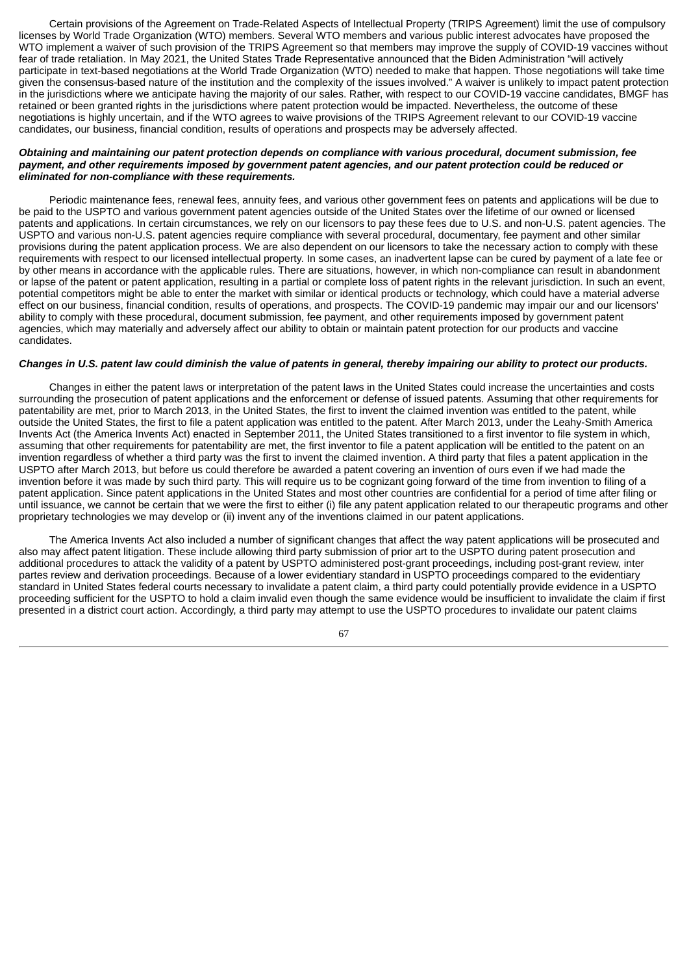Certain provisions of the Agreement on Trade-Related Aspects of Intellectual Property (TRIPS Agreement) limit the use of compulsory licenses by World Trade Organization (WTO) members. Several WTO members and various public interest advocates have proposed the WTO implement a waiver of such provision of the TRIPS Agreement so that members may improve the supply of COVID-19 vaccines without fear of trade retaliation. In May 2021, the United States Trade Representative announced that the Biden Administration "will actively participate in text-based negotiations at the World Trade Organization (WTO) needed to make that happen. Those negotiations will take time given the consensus-based nature of the institution and the complexity of the issues involved." A waiver is unlikely to impact patent protection in the jurisdictions where we anticipate having the majority of our sales. Rather, with respect to our COVID-19 vaccine candidates, BMGF has retained or been granted rights in the jurisdictions where patent protection would be impacted. Nevertheless, the outcome of these negotiations is highly uncertain, and if the WTO agrees to waive provisions of the TRIPS Agreement relevant to our COVID-19 vaccine candidates, our business, financial condition, results of operations and prospects may be adversely affected.

#### *Obtaining and maintaining our patent protection depends on compliance with various procedural, document submission, fee* payment, and other requirements imposed by government patent agencies, and our patent protection could be reduced or *eliminated for non-compliance with these requirements.*

Periodic maintenance fees, renewal fees, annuity fees, and various other government fees on patents and applications will be due to be paid to the USPTO and various government patent agencies outside of the United States over the lifetime of our owned or licensed patents and applications. In certain circumstances, we rely on our licensors to pay these fees due to U.S. and non-U.S. patent agencies. The USPTO and various non-U.S. patent agencies require compliance with several procedural, documentary, fee payment and other similar provisions during the patent application process. We are also dependent on our licensors to take the necessary action to comply with these requirements with respect to our licensed intellectual property. In some cases, an inadvertent lapse can be cured by payment of a late fee or by other means in accordance with the applicable rules. There are situations, however, in which non-compliance can result in abandonment or lapse of the patent or patent application, resulting in a partial or complete loss of patent rights in the relevant jurisdiction. In such an event, potential competitors might be able to enter the market with similar or identical products or technology, which could have a material adverse effect on our business, financial condition, results of operations, and prospects. The COVID-19 pandemic may impair our and our licensors' ability to comply with these procedural, document submission, fee payment, and other requirements imposed by government patent agencies, which may materially and adversely affect our ability to obtain or maintain patent protection for our products and vaccine candidates.

# Changes in U.S. patent law could diminish the value of patents in general, thereby impairing our ability to protect our products.

Changes in either the patent laws or interpretation of the patent laws in the United States could increase the uncertainties and costs surrounding the prosecution of patent applications and the enforcement or defense of issued patents. Assuming that other requirements for patentability are met, prior to March 2013, in the United States, the first to invent the claimed invention was entitled to the patent, while outside the United States, the first to file a patent application was entitled to the patent. After March 2013, under the Leahy-Smith America Invents Act (the America Invents Act) enacted in September 2011, the United States transitioned to a first inventor to file system in which, assuming that other requirements for patentability are met, the first inventor to file a patent application will be entitled to the patent on an invention regardless of whether a third party was the first to invent the claimed invention. A third party that files a patent application in the USPTO after March 2013, but before us could therefore be awarded a patent covering an invention of ours even if we had made the invention before it was made by such third party. This will require us to be cognizant going forward of the time from invention to filing of a patent application. Since patent applications in the United States and most other countries are confidential for a period of time after filing or until issuance, we cannot be certain that we were the first to either (i) file any patent application related to our therapeutic programs and other proprietary technologies we may develop or (ii) invent any of the inventions claimed in our patent applications.

The America Invents Act also included a number of significant changes that affect the way patent applications will be prosecuted and also may affect patent litigation. These include allowing third party submission of prior art to the USPTO during patent prosecution and additional procedures to attack the validity of a patent by USPTO administered post-grant proceedings, including post-grant review, inter partes review and derivation proceedings. Because of a lower evidentiary standard in USPTO proceedings compared to the evidentiary standard in United States federal courts necessary to invalidate a patent claim, a third party could potentially provide evidence in a USPTO proceeding sufficient for the USPTO to hold a claim invalid even though the same evidence would be insufficient to invalidate the claim if first presented in a district court action. Accordingly, a third party may attempt to use the USPTO procedures to invalidate our patent claims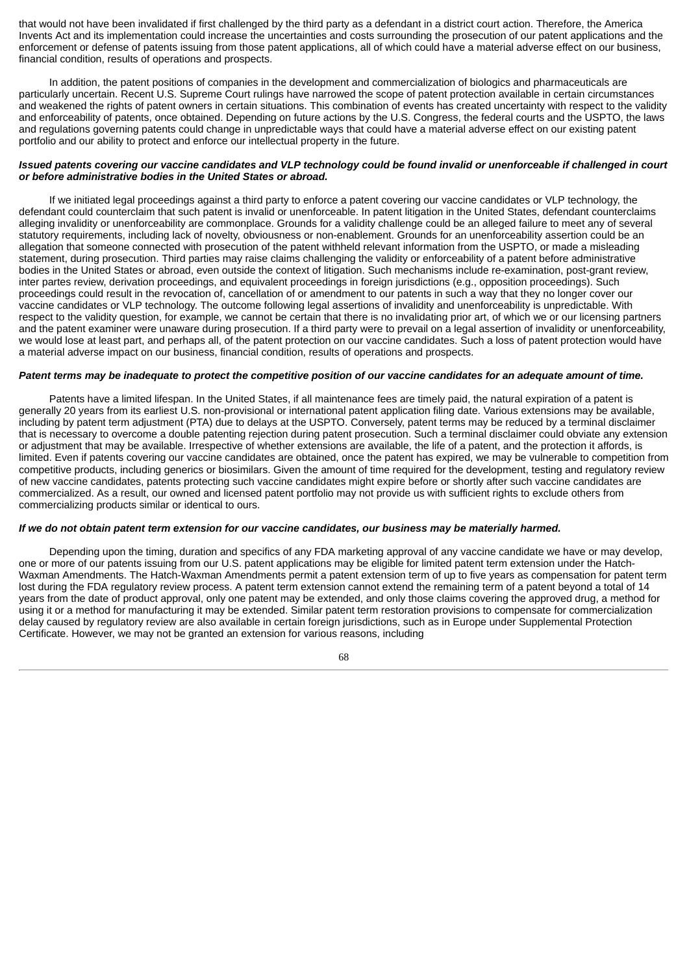that would not have been invalidated if first challenged by the third party as a defendant in a district court action. Therefore, the America Invents Act and its implementation could increase the uncertainties and costs surrounding the prosecution of our patent applications and the enforcement or defense of patents issuing from those patent applications, all of which could have a material adverse effect on our business, financial condition, results of operations and prospects.

In addition, the patent positions of companies in the development and commercialization of biologics and pharmaceuticals are particularly uncertain. Recent U.S. Supreme Court rulings have narrowed the scope of patent protection available in certain circumstances and weakened the rights of patent owners in certain situations. This combination of events has created uncertainty with respect to the validity and enforceability of patents, once obtained. Depending on future actions by the U.S. Congress, the federal courts and the USPTO, the laws and regulations governing patents could change in unpredictable ways that could have a material adverse effect on our existing patent portfolio and our ability to protect and enforce our intellectual property in the future.

## Issued patents covering our vaccine candidates and VLP technology could be found invalid or unenforceable if challenged in court *or before administrative bodies in the United States or abroad.*

If we initiated legal proceedings against a third party to enforce a patent covering our vaccine candidates or VLP technology, the defendant could counterclaim that such patent is invalid or unenforceable. In patent litigation in the United States, defendant counterclaims alleging invalidity or unenforceability are commonplace. Grounds for a validity challenge could be an alleged failure to meet any of several statutory requirements, including lack of novelty, obviousness or non-enablement. Grounds for an unenforceability assertion could be an allegation that someone connected with prosecution of the patent withheld relevant information from the USPTO, or made a misleading statement, during prosecution. Third parties may raise claims challenging the validity or enforceability of a patent before administrative bodies in the United States or abroad, even outside the context of litigation. Such mechanisms include re-examination, post-grant review, inter partes review, derivation proceedings, and equivalent proceedings in foreign jurisdictions (e.g., opposition proceedings). Such proceedings could result in the revocation of, cancellation of or amendment to our patents in such a way that they no longer cover our vaccine candidates or VLP technology. The outcome following legal assertions of invalidity and unenforceability is unpredictable. With respect to the validity question, for example, we cannot be certain that there is no invalidating prior art, of which we or our licensing partners and the patent examiner were unaware during prosecution. If a third party were to prevail on a legal assertion of invalidity or unenforceability, we would lose at least part, and perhaps all, of the patent protection on our vaccine candidates. Such a loss of patent protection would have a material adverse impact on our business, financial condition, results of operations and prospects.

# Patent terms may be inadequate to protect the competitive position of our vaccine candidates for an adequate amount of time.

Patents have a limited lifespan. In the United States, if all maintenance fees are timely paid, the natural expiration of a patent is generally 20 years from its earliest U.S. non-provisional or international patent application filing date. Various extensions may be available, including by patent term adjustment (PTA) due to delays at the USPTO. Conversely, patent terms may be reduced by a terminal disclaimer that is necessary to overcome a double patenting rejection during patent prosecution. Such a terminal disclaimer could obviate any extension or adjustment that may be available. Irrespective of whether extensions are available, the life of a patent, and the protection it affords, is limited. Even if patents covering our vaccine candidates are obtained, once the patent has expired, we may be vulnerable to competition from competitive products, including generics or biosimilars. Given the amount of time required for the development, testing and regulatory review of new vaccine candidates, patents protecting such vaccine candidates might expire before or shortly after such vaccine candidates are commercialized. As a result, our owned and licensed patent portfolio may not provide us with sufficient rights to exclude others from commercializing products similar or identical to ours.

#### If we do not obtain patent term extension for our vaccine candidates, our business may be materially harmed.

Depending upon the timing, duration and specifics of any FDA marketing approval of any vaccine candidate we have or may develop, one or more of our patents issuing from our U.S. patent applications may be eligible for limited patent term extension under the Hatch-Waxman Amendments. The Hatch-Waxman Amendments permit a patent extension term of up to five years as compensation for patent term lost during the FDA regulatory review process. A patent term extension cannot extend the remaining term of a patent beyond a total of 14 years from the date of product approval, only one patent may be extended, and only those claims covering the approved drug, a method for using it or a method for manufacturing it may be extended. Similar patent term restoration provisions to compensate for commercialization delay caused by regulatory review are also available in certain foreign jurisdictions, such as in Europe under Supplemental Protection Certificate. However, we may not be granted an extension for various reasons, including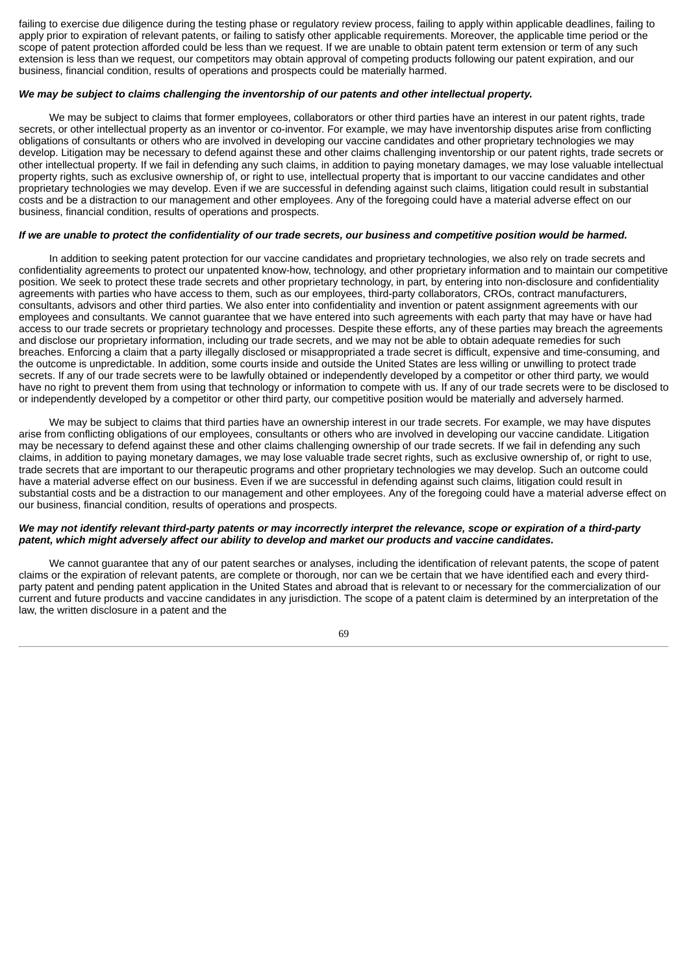failing to exercise due diligence during the testing phase or regulatory review process, failing to apply within applicable deadlines, failing to apply prior to expiration of relevant patents, or failing to satisfy other applicable requirements. Moreover, the applicable time period or the scope of patent protection afforded could be less than we request. If we are unable to obtain patent term extension or term of any such extension is less than we request, our competitors may obtain approval of competing products following our patent expiration, and our business, financial condition, results of operations and prospects could be materially harmed.

# *We may be subject to claims challenging the inventorship of our patents and other intellectual property.*

We may be subject to claims that former employees, collaborators or other third parties have an interest in our patent rights, trade secrets, or other intellectual property as an inventor or co-inventor. For example, we may have inventorship disputes arise from conflicting obligations of consultants or others who are involved in developing our vaccine candidates and other proprietary technologies we may develop. Litigation may be necessary to defend against these and other claims challenging inventorship or our patent rights, trade secrets or other intellectual property. If we fail in defending any such claims, in addition to paying monetary damages, we may lose valuable intellectual property rights, such as exclusive ownership of, or right to use, intellectual property that is important to our vaccine candidates and other proprietary technologies we may develop. Even if we are successful in defending against such claims, litigation could result in substantial costs and be a distraction to our management and other employees. Any of the foregoing could have a material adverse effect on our business, financial condition, results of operations and prospects.

# If we are unable to protect the confidentiality of our trade secrets, our business and competitive position would be harmed.

In addition to seeking patent protection for our vaccine candidates and proprietary technologies, we also rely on trade secrets and confidentiality agreements to protect our unpatented know-how, technology, and other proprietary information and to maintain our competitive position. We seek to protect these trade secrets and other proprietary technology, in part, by entering into non-disclosure and confidentiality agreements with parties who have access to them, such as our employees, third-party collaborators, CROs, contract manufacturers, consultants, advisors and other third parties. We also enter into confidentiality and invention or patent assignment agreements with our employees and consultants. We cannot guarantee that we have entered into such agreements with each party that may have or have had access to our trade secrets or proprietary technology and processes. Despite these efforts, any of these parties may breach the agreements and disclose our proprietary information, including our trade secrets, and we may not be able to obtain adequate remedies for such breaches. Enforcing a claim that a party illegally disclosed or misappropriated a trade secret is difficult, expensive and time-consuming, and the outcome is unpredictable. In addition, some courts inside and outside the United States are less willing or unwilling to protect trade secrets. If any of our trade secrets were to be lawfully obtained or independently developed by a competitor or other third party, we would have no right to prevent them from using that technology or information to compete with us. If any of our trade secrets were to be disclosed to or independently developed by a competitor or other third party, our competitive position would be materially and adversely harmed.

We may be subject to claims that third parties have an ownership interest in our trade secrets. For example, we may have disputes arise from conflicting obligations of our employees, consultants or others who are involved in developing our vaccine candidate. Litigation may be necessary to defend against these and other claims challenging ownership of our trade secrets. If we fail in defending any such claims, in addition to paying monetary damages, we may lose valuable trade secret rights, such as exclusive ownership of, or right to use, trade secrets that are important to our therapeutic programs and other proprietary technologies we may develop. Such an outcome could have a material adverse effect on our business. Even if we are successful in defending against such claims, litigation could result in substantial costs and be a distraction to our management and other employees. Any of the foregoing could have a material adverse effect on our business, financial condition, results of operations and prospects.

#### We may not identify relevant third-party patents or may incorrectly interpret the relevance, scope or expiration of a third-party *patent, which might adversely affect our ability to develop and market our products and vaccine candidates.*

We cannot guarantee that any of our patent searches or analyses, including the identification of relevant patents, the scope of patent claims or the expiration of relevant patents, are complete or thorough, nor can we be certain that we have identified each and every thirdparty patent and pending patent application in the United States and abroad that is relevant to or necessary for the commercialization of our current and future products and vaccine candidates in any jurisdiction. The scope of a patent claim is determined by an interpretation of the law, the written disclosure in a patent and the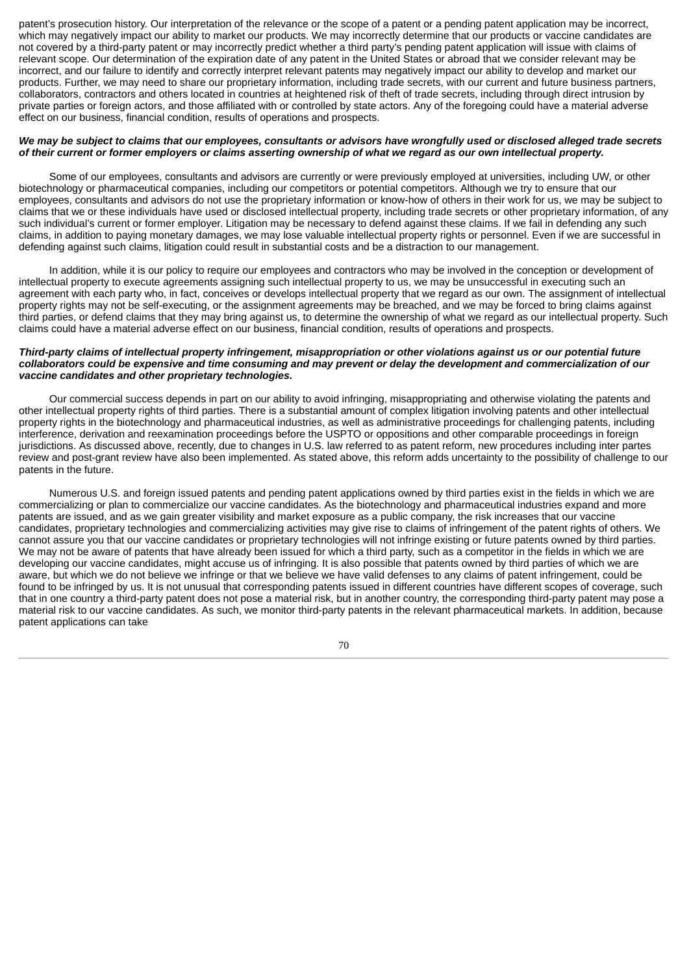patent's prosecution history. Our interpretation of the relevance or the scope of a patent or a pending patent application may be incorrect, which may negatively impact our ability to market our products. We may incorrectly determine that our products or vaccine candidates are not covered by a third-party patent or may incorrectly predict whether a third party's pending patent application will issue with claims of relevant scope. Our determination of the expiration date of any patent in the United States or abroad that we consider relevant may be incorrect, and our failure to identify and correctly interpret relevant patents may negatively impact our ability to develop and market our products. Further, we may need to share our proprietary information, including trade secrets, with our current and future business partners, collaborators, contractors and others located in countries at heightened risk of theft of trade secrets, including through direct intrusion by private parties or foreign actors, and those affiliated with or controlled by state actors. Any of the foregoing could have a material adverse effect on our business, financial condition, results of operations and prospects.

#### We may be subject to claims that our employees, consultants or advisors have wrongfully used or disclosed alleged trade secrets of their current or former emplovers or claims asserting ownership of what we regard as our own intellectual property.

Some of our employees, consultants and advisors are currently or were previously employed at universities, including UW, or other biotechnology or pharmaceutical companies, including our competitors or potential competitors. Although we try to ensure that our employees, consultants and advisors do not use the proprietary information or know-how of others in their work for us, we may be subject to claims that we or these individuals have used or disclosed intellectual property, including trade secrets or other proprietary information, of any such individual's current or former employer. Litigation may be necessary to defend against these claims. If we fail in defending any such claims, in addition to paying monetary damages, we may lose valuable intellectual property rights or personnel. Even if we are successful in defending against such claims, litigation could result in substantial costs and be a distraction to our management.

In addition, while it is our policy to require our employees and contractors who may be involved in the conception or development of intellectual property to execute agreements assigning such intellectual property to us, we may be unsuccessful in executing such an agreement with each party who, in fact, conceives or develops intellectual property that we regard as our own. The assignment of intellectual property rights may not be self-executing, or the assignment agreements may be breached, and we may be forced to bring claims against third parties, or defend claims that they may bring against us, to determine the ownership of what we regard as our intellectual property. Such claims could have a material adverse effect on our business, financial condition, results of operations and prospects.

# Third-party claims of intellectual property infringement, misappropriation or other violations against us or our potential future collaborators could be expensive and time consuming and may prevent or delay the development and commercialization of our *vaccine candidates and other proprietary technologies.*

Our commercial success depends in part on our ability to avoid infringing, misappropriating and otherwise violating the patents and other intellectual property rights of third parties. There is a substantial amount of complex litigation involving patents and other intellectual property rights in the biotechnology and pharmaceutical industries, as well as administrative proceedings for challenging patents, including interference, derivation and reexamination proceedings before the USPTO or oppositions and other comparable proceedings in foreign jurisdictions. As discussed above, recently, due to changes in U.S. law referred to as patent reform, new procedures including inter partes review and post-grant review have also been implemented. As stated above, this reform adds uncertainty to the possibility of challenge to our patents in the future.

Numerous U.S. and foreign issued patents and pending patent applications owned by third parties exist in the fields in which we are commercializing or plan to commercialize our vaccine candidates. As the biotechnology and pharmaceutical industries expand and more patents are issued, and as we gain greater visibility and market exposure as a public company, the risk increases that our vaccine candidates, proprietary technologies and commercializing activities may give rise to claims of infringement of the patent rights of others. We cannot assure you that our vaccine candidates or proprietary technologies will not infringe existing or future patents owned by third parties. We may not be aware of patents that have already been issued for which a third party, such as a competitor in the fields in which we are developing our vaccine candidates, might accuse us of infringing. It is also possible that patents owned by third parties of which we are aware, but which we do not believe we infringe or that we believe we have valid defenses to any claims of patent infringement, could be found to be infringed by us. It is not unusual that corresponding patents issued in different countries have different scopes of coverage, such that in one country a third-party patent does not pose a material risk, but in another country, the corresponding third-party patent may pose a material risk to our vaccine candidates. As such, we monitor third-party patents in the relevant pharmaceutical markets. In addition, because patent applications can take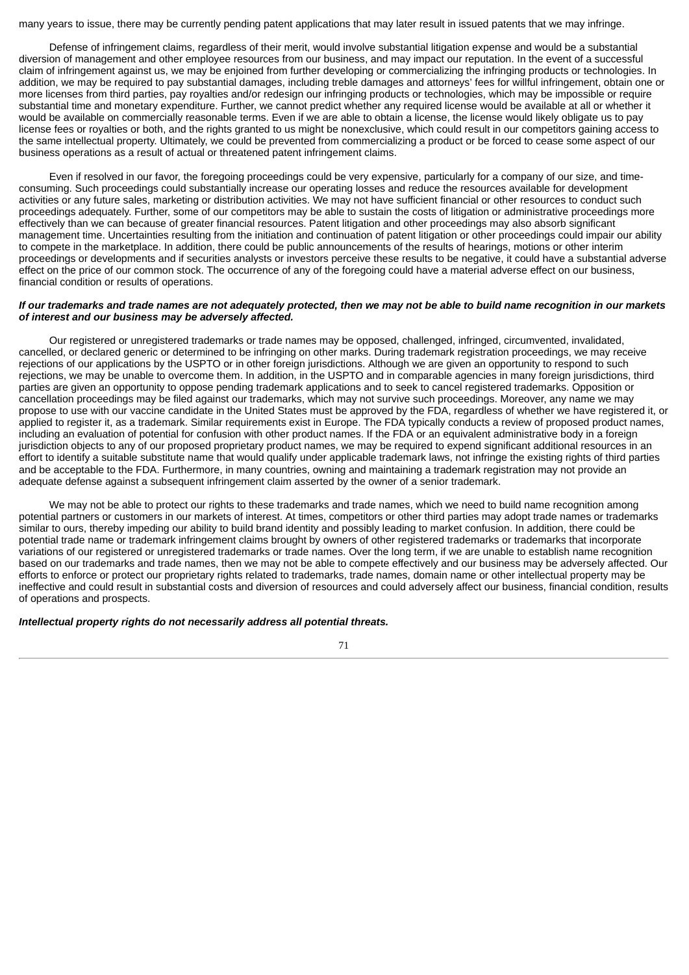many years to issue, there may be currently pending patent applications that may later result in issued patents that we may infringe.

Defense of infringement claims, regardless of their merit, would involve substantial litigation expense and would be a substantial diversion of management and other employee resources from our business, and may impact our reputation. In the event of a successful claim of infringement against us, we may be enjoined from further developing or commercializing the infringing products or technologies. In addition, we may be required to pay substantial damages, including treble damages and attorneys' fees for willful infringement, obtain one or more licenses from third parties, pay royalties and/or redesign our infringing products or technologies, which may be impossible or require substantial time and monetary expenditure. Further, we cannot predict whether any required license would be available at all or whether it would be available on commercially reasonable terms. Even if we are able to obtain a license, the license would likely obligate us to pay license fees or royalties or both, and the rights granted to us might be nonexclusive, which could result in our competitors gaining access to the same intellectual property. Ultimately, we could be prevented from commercializing a product or be forced to cease some aspect of our business operations as a result of actual or threatened patent infringement claims.

Even if resolved in our favor, the foregoing proceedings could be very expensive, particularly for a company of our size, and timeconsuming. Such proceedings could substantially increase our operating losses and reduce the resources available for development activities or any future sales, marketing or distribution activities. We may not have sufficient financial or other resources to conduct such proceedings adequately. Further, some of our competitors may be able to sustain the costs of litigation or administrative proceedings more effectively than we can because of greater financial resources. Patent litigation and other proceedings may also absorb significant management time. Uncertainties resulting from the initiation and continuation of patent litigation or other proceedings could impair our ability to compete in the marketplace. In addition, there could be public announcements of the results of hearings, motions or other interim proceedings or developments and if securities analysts or investors perceive these results to be negative, it could have a substantial adverse effect on the price of our common stock. The occurrence of any of the foregoing could have a material adverse effect on our business, financial condition or results of operations.

#### If our trademarks and trade names are not adequately protected, then we may not be able to build name recognition in our markets *of interest and our business may be adversely affected.*

Our registered or unregistered trademarks or trade names may be opposed, challenged, infringed, circumvented, invalidated, cancelled, or declared generic or determined to be infringing on other marks. During trademark registration proceedings, we may receive rejections of our applications by the USPTO or in other foreign jurisdictions. Although we are given an opportunity to respond to such rejections, we may be unable to overcome them. In addition, in the USPTO and in comparable agencies in many foreign jurisdictions, third parties are given an opportunity to oppose pending trademark applications and to seek to cancel registered trademarks. Opposition or cancellation proceedings may be filed against our trademarks, which may not survive such proceedings. Moreover, any name we may propose to use with our vaccine candidate in the United States must be approved by the FDA, regardless of whether we have registered it, or applied to register it, as a trademark. Similar requirements exist in Europe. The FDA typically conducts a review of proposed product names, including an evaluation of potential for confusion with other product names. If the FDA or an equivalent administrative body in a foreign jurisdiction objects to any of our proposed proprietary product names, we may be required to expend significant additional resources in an effort to identify a suitable substitute name that would qualify under applicable trademark laws, not infringe the existing rights of third parties and be acceptable to the FDA. Furthermore, in many countries, owning and maintaining a trademark registration may not provide an adequate defense against a subsequent infringement claim asserted by the owner of a senior trademark.

We may not be able to protect our rights to these trademarks and trade names, which we need to build name recognition among potential partners or customers in our markets of interest. At times, competitors or other third parties may adopt trade names or trademarks similar to ours, thereby impeding our ability to build brand identity and possibly leading to market confusion. In addition, there could be potential trade name or trademark infringement claims brought by owners of other registered trademarks or trademarks that incorporate variations of our registered or unregistered trademarks or trade names. Over the long term, if we are unable to establish name recognition based on our trademarks and trade names, then we may not be able to compete effectively and our business may be adversely affected. Our efforts to enforce or protect our proprietary rights related to trademarks, trade names, domain name or other intellectual property may be ineffective and could result in substantial costs and diversion of resources and could adversely affect our business, financial condition, results of operations and prospects.

71

# *Intellectual property rights do not necessarily address all potential threats.*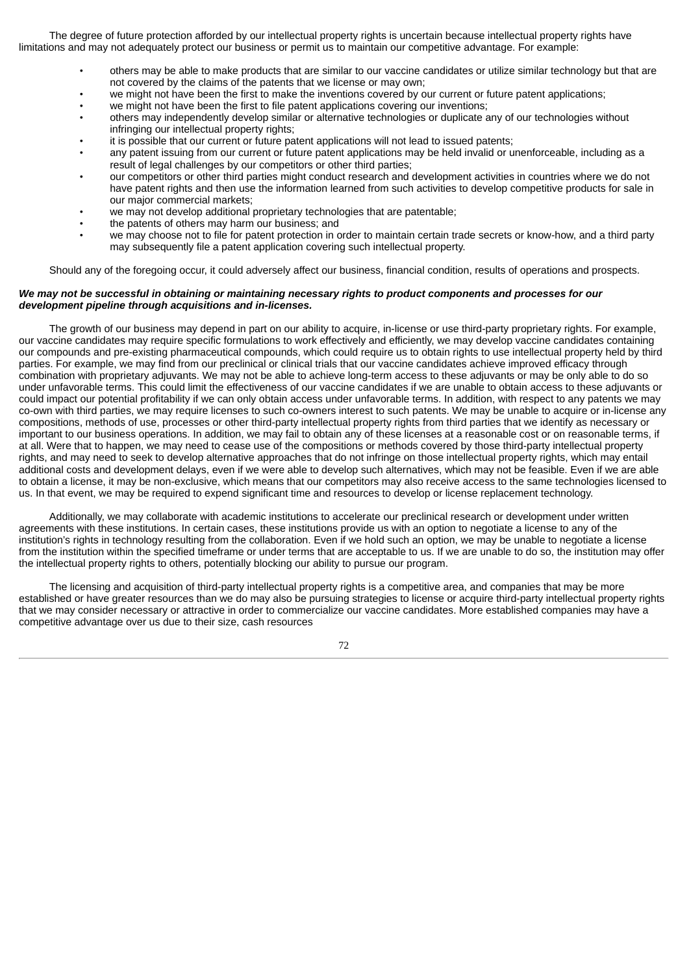The degree of future protection afforded by our intellectual property rights is uncertain because intellectual property rights have limitations and may not adequately protect our business or permit us to maintain our competitive advantage. For example:

- others may be able to make products that are similar to our vaccine candidates or utilize similar technology but that are not covered by the claims of the patents that we license or may own;
- we might not have been the first to make the inventions covered by our current or future patent applications;
- we might not have been the first to file patent applications covering our inventions;
- others may independently develop similar or alternative technologies or duplicate any of our technologies without infringing our intellectual property rights:
- it is possible that our current or future patent applications will not lead to issued patents;
- any patent issuing from our current or future patent applications may be held invalid or unenforceable, including as a result of legal challenges by our competitors or other third parties;
- our competitors or other third parties might conduct research and development activities in countries where we do not have patent rights and then use the information learned from such activities to develop competitive products for sale in our major commercial markets;
- we may not develop additional proprietary technologies that are patentable;
- the patents of others may harm our business; and
- we may choose not to file for patent protection in order to maintain certain trade secrets or know-how, and a third party may subsequently file a patent application covering such intellectual property.

Should any of the foregoing occur, it could adversely affect our business, financial condition, results of operations and prospects.

### We may not be successful in obtaining or maintaining necessary rights to product components and processes for our *development pipeline through acquisitions and in-licenses.*

The growth of our business may depend in part on our ability to acquire, in-license or use third-party proprietary rights. For example, our vaccine candidates may require specific formulations to work effectively and efficiently, we may develop vaccine candidates containing our compounds and pre-existing pharmaceutical compounds, which could require us to obtain rights to use intellectual property held by third parties. For example, we may find from our preclinical or clinical trials that our vaccine candidates achieve improved efficacy through combination with proprietary adjuvants. We may not be able to achieve long-term access to these adjuvants or may be only able to do so under unfavorable terms. This could limit the effectiveness of our vaccine candidates if we are unable to obtain access to these adjuvants or could impact our potential profitability if we can only obtain access under unfavorable terms. In addition, with respect to any patents we may co-own with third parties, we may require licenses to such co-owners interest to such patents. We may be unable to acquire or in-license any compositions, methods of use, processes or other third-party intellectual property rights from third parties that we identify as necessary or important to our business operations. In addition, we may fail to obtain any of these licenses at a reasonable cost or on reasonable terms, if at all. Were that to happen, we may need to cease use of the compositions or methods covered by those third-party intellectual property rights, and may need to seek to develop alternative approaches that do not infringe on those intellectual property rights, which may entail additional costs and development delays, even if we were able to develop such alternatives, which may not be feasible. Even if we are able to obtain a license, it may be non-exclusive, which means that our competitors may also receive access to the same technologies licensed to us. In that event, we may be required to expend significant time and resources to develop or license replacement technology.

Additionally, we may collaborate with academic institutions to accelerate our preclinical research or development under written agreements with these institutions. In certain cases, these institutions provide us with an option to negotiate a license to any of the institution's rights in technology resulting from the collaboration. Even if we hold such an option, we may be unable to negotiate a license from the institution within the specified timeframe or under terms that are acceptable to us. If we are unable to do so, the institution may offer the intellectual property rights to others, potentially blocking our ability to pursue our program.

The licensing and acquisition of third-party intellectual property rights is a competitive area, and companies that may be more established or have greater resources than we do may also be pursuing strategies to license or acquire third-party intellectual property rights that we may consider necessary or attractive in order to commercialize our vaccine candidates. More established companies may have a competitive advantage over us due to their size, cash resources

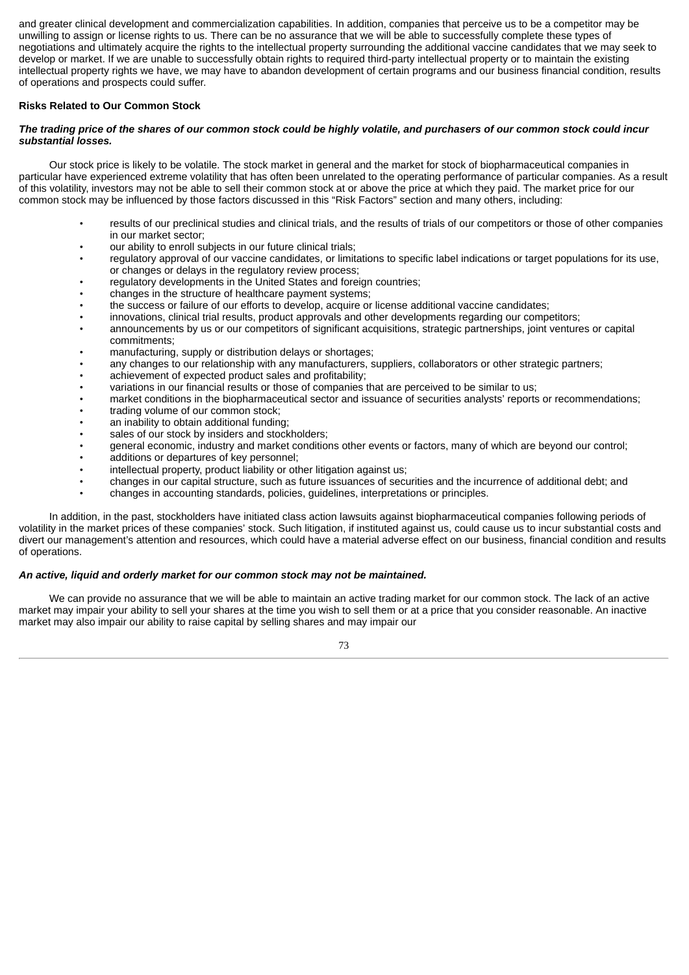and greater clinical development and commercialization capabilities. In addition, companies that perceive us to be a competitor may be unwilling to assign or license rights to us. There can be no assurance that we will be able to successfully complete these types of negotiations and ultimately acquire the rights to the intellectual property surrounding the additional vaccine candidates that we may seek to develop or market. If we are unable to successfully obtain rights to required third-party intellectual property or to maintain the existing intellectual property rights we have, we may have to abandon development of certain programs and our business financial condition, results of operations and prospects could suffer.

## **Risks Related to Our Common Stock**

## The trading price of the shares of our common stock could be highly volatile, and purchasers of our common stock could incur *substantial losses.*

Our stock price is likely to be volatile. The stock market in general and the market for stock of biopharmaceutical companies in particular have experienced extreme volatility that has often been unrelated to the operating performance of particular companies. As a result of this volatility, investors may not be able to sell their common stock at or above the price at which they paid. The market price for our common stock may be influenced by those factors discussed in this "Risk Factors" section and many others, including:

- results of our preclinical studies and clinical trials, and the results of trials of our competitors or those of other companies in our market sector;
- our ability to enroll subjects in our future clinical trials;
- regulatory approval of our vaccine candidates, or limitations to specific label indications or target populations for its use, or changes or delays in the regulatory review process;
- regulatory developments in the United States and foreign countries;
- changes in the structure of healthcare payment systems;
- the success or failure of our efforts to develop, acquire or license additional vaccine candidates;
- innovations, clinical trial results, product approvals and other developments regarding our competitors;
- announcements by us or our competitors of significant acquisitions, strategic partnerships, joint ventures or capital commitments;
- manufacturing, supply or distribution delays or shortages;
- any changes to our relationship with any manufacturers, suppliers, collaborators or other strategic partners;
- achievement of expected product sales and profitability;
- variations in our financial results or those of companies that are perceived to be similar to us;
- market conditions in the biopharmaceutical sector and issuance of securities analysts' reports or recommendations;
- trading volume of our common stock;
- an inability to obtain additional funding;
- sales of our stock by insiders and stockholders;
- general economic, industry and market conditions other events or factors, many of which are beyond our control;
- additions or departures of key personnel;
- intellectual property, product liability or other litigation against us;
- changes in our capital structure, such as future issuances of securities and the incurrence of additional debt; and
- changes in accounting standards, policies, guidelines, interpretations or principles.

In addition, in the past, stockholders have initiated class action lawsuits against biopharmaceutical companies following periods of volatility in the market prices of these companies' stock. Such litigation, if instituted against us, could cause us to incur substantial costs and divert our management's attention and resources, which could have a material adverse effect on our business, financial condition and results of operations.

## *An active, liquid and orderly market for our common stock may not be maintained.*

We can provide no assurance that we will be able to maintain an active trading market for our common stock. The lack of an active market may impair your ability to sell your shares at the time you wish to sell them or at a price that you consider reasonable. An inactive market may also impair our ability to raise capital by selling shares and may impair our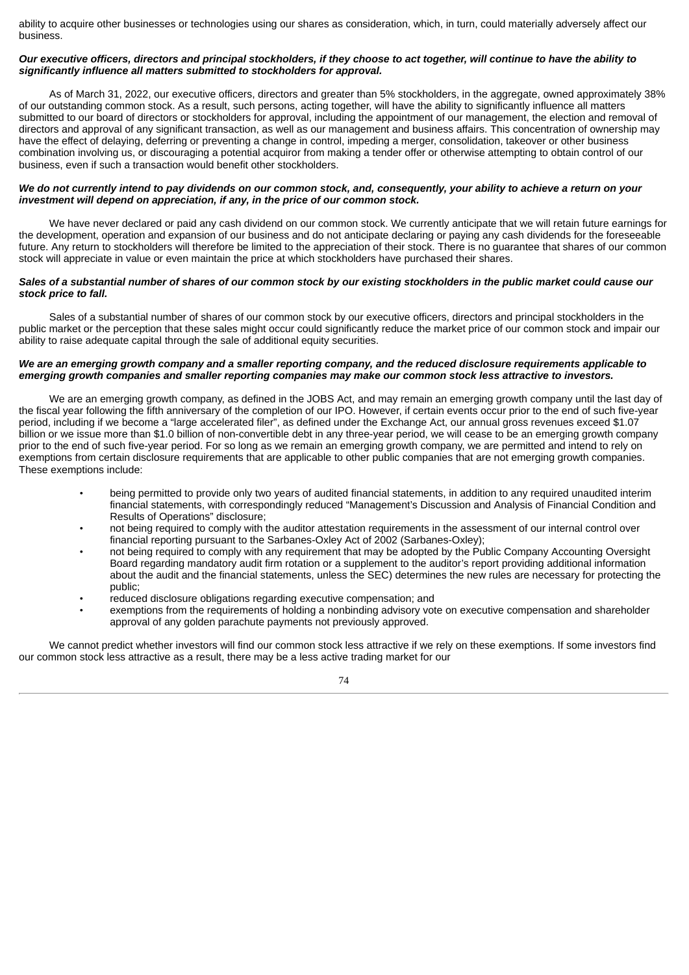ability to acquire other businesses or technologies using our shares as consideration, which, in turn, could materially adversely affect our business.

## Our executive officers, directors and principal stockholders, if they choose to act together, will continue to have the ability to *significantly influence all matters submitted to stockholders for approval.*

As of March 31, 2022, our executive officers, directors and greater than 5% stockholders, in the aggregate, owned approximately 38% of our outstanding common stock. As a result, such persons, acting together, will have the ability to significantly influence all matters submitted to our board of directors or stockholders for approval, including the appointment of our management, the election and removal of directors and approval of any significant transaction, as well as our management and business affairs. This concentration of ownership may have the effect of delaying, deferring or preventing a change in control, impeding a merger, consolidation, takeover or other business combination involving us, or discouraging a potential acquiror from making a tender offer or otherwise attempting to obtain control of our business, even if such a transaction would benefit other stockholders.

#### We do not currently intend to pay dividends on our common stock, and, consequently, your ability to achieve a return on your *investment will depend on appreciation, if any, in the price of our common stock.*

We have never declared or paid any cash dividend on our common stock. We currently anticipate that we will retain future earnings for the development, operation and expansion of our business and do not anticipate declaring or paying any cash dividends for the foreseeable future. Any return to stockholders will therefore be limited to the appreciation of their stock. There is no guarantee that shares of our common stock will appreciate in value or even maintain the price at which stockholders have purchased their shares.

## Sales of a substantial number of shares of our common stock by our existing stockholders in the public market could cause our *stock price to fall.*

Sales of a substantial number of shares of our common stock by our executive officers, directors and principal stockholders in the public market or the perception that these sales might occur could significantly reduce the market price of our common stock and impair our ability to raise adequate capital through the sale of additional equity securities.

## We are an emerging growth company and a smaller reporting company, and the reduced disclosure requirements applicable to emerging growth companies and smaller reporting companies may make our common stock less attractive to investors.

We are an emerging growth company, as defined in the JOBS Act, and may remain an emerging growth company until the last day of the fiscal year following the fifth anniversary of the completion of our IPO. However, if certain events occur prior to the end of such five-year period, including if we become a "large accelerated filer", as defined under the Exchange Act, our annual gross revenues exceed \$1.07 billion or we issue more than \$1.0 billion of non-convertible debt in any three-year period, we will cease to be an emerging growth company prior to the end of such five-year period. For so long as we remain an emerging growth company, we are permitted and intend to rely on exemptions from certain disclosure requirements that are applicable to other public companies that are not emerging growth companies. These exemptions include:

- being permitted to provide only two years of audited financial statements, in addition to any required unaudited interim financial statements, with correspondingly reduced "Management's Discussion and Analysis of Financial Condition and Results of Operations" disclosure;
- not being required to comply with the auditor attestation requirements in the assessment of our internal control over financial reporting pursuant to the Sarbanes-Oxley Act of 2002 (Sarbanes-Oxley);
- not being required to comply with any requirement that may be adopted by the Public Company Accounting Oversight Board regarding mandatory audit firm rotation or a supplement to the auditor's report providing additional information about the audit and the financial statements, unless the SEC) determines the new rules are necessary for protecting the public;
- reduced disclosure obligations regarding executive compensation; and
- exemptions from the requirements of holding a nonbinding advisory vote on executive compensation and shareholder approval of any golden parachute payments not previously approved.

We cannot predict whether investors will find our common stock less attractive if we rely on these exemptions. If some investors find our common stock less attractive as a result, there may be a less active trading market for our

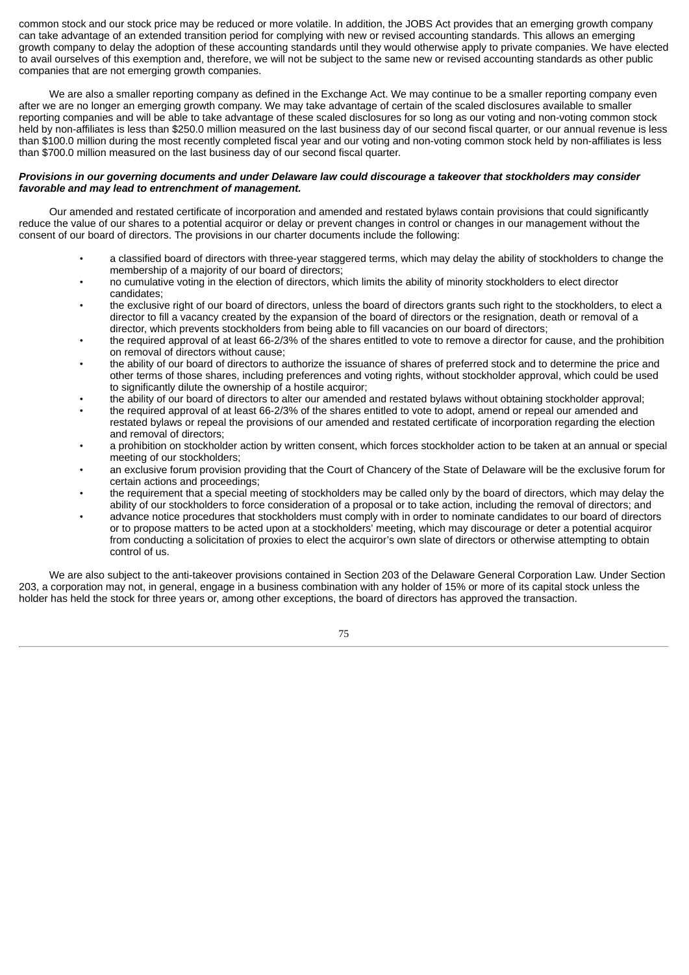common stock and our stock price may be reduced or more volatile. In addition, the JOBS Act provides that an emerging growth company can take advantage of an extended transition period for complying with new or revised accounting standards. This allows an emerging growth company to delay the adoption of these accounting standards until they would otherwise apply to private companies. We have elected to avail ourselves of this exemption and, therefore, we will not be subject to the same new or revised accounting standards as other public companies that are not emerging growth companies.

We are also a smaller reporting company as defined in the Exchange Act. We may continue to be a smaller reporting company even after we are no longer an emerging growth company. We may take advantage of certain of the scaled disclosures available to smaller reporting companies and will be able to take advantage of these scaled disclosures for so long as our voting and non-voting common stock held by non-affiliates is less than \$250.0 million measured on the last business day of our second fiscal quarter, or our annual revenue is less than \$100.0 million during the most recently completed fiscal year and our voting and non-voting common stock held by non-affiliates is less than \$700.0 million measured on the last business day of our second fiscal quarter.

## Provisions in our governing documents and under Delaware law could discourage a takeover that stockholders may consider *favorable and may lead to entrenchment of management.*

Our amended and restated certificate of incorporation and amended and restated bylaws contain provisions that could significantly reduce the value of our shares to a potential acquiror or delay or prevent changes in control or changes in our management without the consent of our board of directors. The provisions in our charter documents include the following:

- a classified board of directors with three-year staggered terms, which may delay the ability of stockholders to change the membership of a majority of our board of directors;
- no cumulative voting in the election of directors, which limits the ability of minority stockholders to elect director candidates;
- the exclusive right of our board of directors, unless the board of directors grants such right to the stockholders, to elect a director to fill a vacancy created by the expansion of the board of directors or the resignation, death or removal of a director, which prevents stockholders from being able to fill vacancies on our board of directors;
- the required approval of at least 66-2/3% of the shares entitled to vote to remove a director for cause, and the prohibition on removal of directors without cause;
- the ability of our board of directors to authorize the issuance of shares of preferred stock and to determine the price and other terms of those shares, including preferences and voting rights, without stockholder approval, which could be used to significantly dilute the ownership of a hostile acquiror;
- the ability of our board of directors to alter our amended and restated bylaws without obtaining stockholder approval;
- the required approval of at least 66-2/3% of the shares entitled to vote to adopt, amend or repeal our amended and restated bylaws or repeal the provisions of our amended and restated certificate of incorporation regarding the election and removal of directors;
- a prohibition on stockholder action by written consent, which forces stockholder action to be taken at an annual or special meeting of our stockholders;
- an exclusive forum provision providing that the Court of Chancery of the State of Delaware will be the exclusive forum for certain actions and proceedings;
- the requirement that a special meeting of stockholders may be called only by the board of directors, which may delay the ability of our stockholders to force consideration of a proposal or to take action, including the removal of directors; and
- advance notice procedures that stockholders must comply with in order to nominate candidates to our board of directors or to propose matters to be acted upon at a stockholders' meeting, which may discourage or deter a potential acquiror from conducting a solicitation of proxies to elect the acquiror's own slate of directors or otherwise attempting to obtain control of us.

We are also subject to the anti-takeover provisions contained in Section 203 of the Delaware General Corporation Law. Under Section 203, a corporation may not, in general, engage in a business combination with any holder of 15% or more of its capital stock unless the holder has held the stock for three years or, among other exceptions, the board of directors has approved the transaction.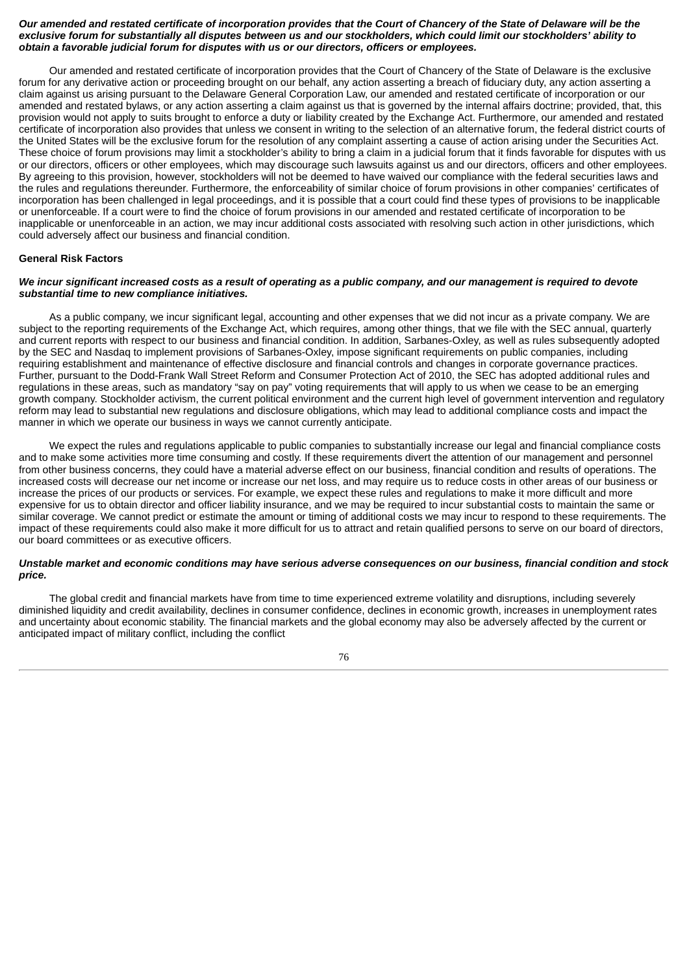#### Our amended and restated certificate of incorporation provides that the Court of Chancery of the State of Delaware will be the exclusive forum for substantially all disputes between us and our stockholders, which could limit our stockholders' ability to *obtain a favorable judicial forum for disputes with us or our directors, officers or employees.*

Our amended and restated certificate of incorporation provides that the Court of Chancery of the State of Delaware is the exclusive forum for any derivative action or proceeding brought on our behalf, any action asserting a breach of fiduciary duty, any action asserting a claim against us arising pursuant to the Delaware General Corporation Law, our amended and restated certificate of incorporation or our amended and restated bylaws, or any action asserting a claim against us that is governed by the internal affairs doctrine; provided, that, this provision would not apply to suits brought to enforce a duty or liability created by the Exchange Act. Furthermore, our amended and restated certificate of incorporation also provides that unless we consent in writing to the selection of an alternative forum, the federal district courts of the United States will be the exclusive forum for the resolution of any complaint asserting a cause of action arising under the Securities Act. These choice of forum provisions may limit a stockholder's ability to bring a claim in a judicial forum that it finds favorable for disputes with us or our directors, officers or other employees, which may discourage such lawsuits against us and our directors, officers and other employees. By agreeing to this provision, however, stockholders will not be deemed to have waived our compliance with the federal securities laws and the rules and regulations thereunder. Furthermore, the enforceability of similar choice of forum provisions in other companies' certificates of incorporation has been challenged in legal proceedings, and it is possible that a court could find these types of provisions to be inapplicable or unenforceable. If a court were to find the choice of forum provisions in our amended and restated certificate of incorporation to be inapplicable or unenforceable in an action, we may incur additional costs associated with resolving such action in other jurisdictions, which could adversely affect our business and financial condition.

### **General Risk Factors**

#### We incur significant increased costs as a result of operating as a public company, and our management is required to devote *substantial time to new compliance initiatives.*

As a public company, we incur significant legal, accounting and other expenses that we did not incur as a private company. We are subject to the reporting requirements of the Exchange Act, which requires, among other things, that we file with the SEC annual, quarterly and current reports with respect to our business and financial condition. In addition, Sarbanes-Oxley, as well as rules subsequently adopted by the SEC and Nasdaq to implement provisions of Sarbanes-Oxley, impose significant requirements on public companies, including requiring establishment and maintenance of effective disclosure and financial controls and changes in corporate governance practices. Further, pursuant to the Dodd-Frank Wall Street Reform and Consumer Protection Act of 2010, the SEC has adopted additional rules and regulations in these areas, such as mandatory "say on pay" voting requirements that will apply to us when we cease to be an emerging growth company. Stockholder activism, the current political environment and the current high level of government intervention and regulatory reform may lead to substantial new regulations and disclosure obligations, which may lead to additional compliance costs and impact the manner in which we operate our business in ways we cannot currently anticipate.

We expect the rules and regulations applicable to public companies to substantially increase our legal and financial compliance costs and to make some activities more time consuming and costly. If these requirements divert the attention of our management and personnel from other business concerns, they could have a material adverse effect on our business, financial condition and results of operations. The increased costs will decrease our net income or increase our net loss, and may require us to reduce costs in other areas of our business or increase the prices of our products or services. For example, we expect these rules and regulations to make it more difficult and more expensive for us to obtain director and officer liability insurance, and we may be required to incur substantial costs to maintain the same or similar coverage. We cannot predict or estimate the amount or timing of additional costs we may incur to respond to these requirements. The impact of these requirements could also make it more difficult for us to attract and retain qualified persons to serve on our board of directors, our board committees or as executive officers.

#### Unstable market and economic conditions may have serious adverse consequences on our business, financial condition and stock *price.*

The global credit and financial markets have from time to time experienced extreme volatility and disruptions, including severely diminished liquidity and credit availability, declines in consumer confidence, declines in economic growth, increases in unemployment rates and uncertainty about economic stability. The financial markets and the global economy may also be adversely affected by the current or anticipated impact of military conflict, including the conflict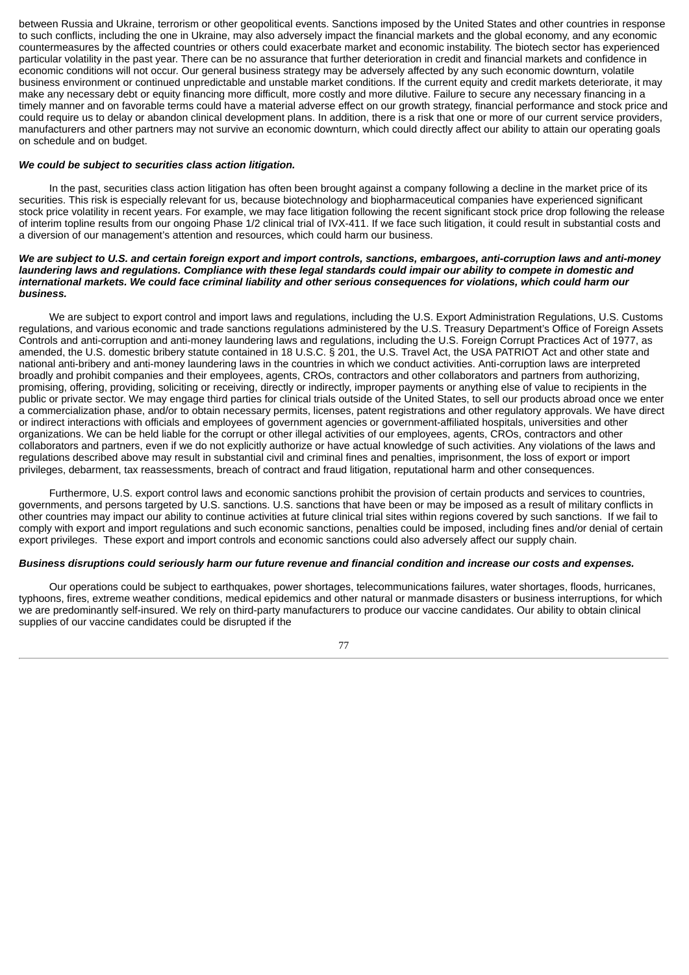between Russia and Ukraine, terrorism or other geopolitical events. Sanctions imposed by the United States and other countries in response to such conflicts, including the one in Ukraine, may also adversely impact the financial markets and the global economy, and any economic countermeasures by the affected countries or others could exacerbate market and economic instability. The biotech sector has experienced particular volatility in the past year. There can be no assurance that further deterioration in credit and financial markets and confidence in economic conditions will not occur. Our general business strategy may be adversely affected by any such economic downturn, volatile business environment or continued unpredictable and unstable market conditions. If the current equity and credit markets deteriorate, it may make any necessary debt or equity financing more difficult, more costly and more dilutive. Failure to secure any necessary financing in a timely manner and on favorable terms could have a material adverse effect on our growth strategy, financial performance and stock price and could require us to delay or abandon clinical development plans. In addition, there is a risk that one or more of our current service providers, manufacturers and other partners may not survive an economic downturn, which could directly affect our ability to attain our operating goals on schedule and on budget.

#### *We could be subject to securities class action litigation.*

In the past, securities class action litigation has often been brought against a company following a decline in the market price of its securities. This risk is especially relevant for us, because biotechnology and biopharmaceutical companies have experienced significant stock price volatility in recent years. For example, we may face litigation following the recent significant stock price drop following the release of interim topline results from our ongoing Phase 1/2 clinical trial of IVX-411. If we face such litigation, it could result in substantial costs and a diversion of our management's attention and resources, which could harm our business.

#### We are subject to U.S. and certain foreign export and import controls, sanctions, embargoes, anti-corruption laws and anti-money laundering laws and regulations. Compliance with these legal standards could impair our ability to compete in domestic and international markets. We could face criminal liability and other serious consequences for violations, which could harm our *business.*

We are subject to export control and import laws and regulations, including the U.S. Export Administration Regulations, U.S. Customs regulations, and various economic and trade sanctions regulations administered by the U.S. Treasury Department's Office of Foreign Assets Controls and anti-corruption and anti-money laundering laws and regulations, including the U.S. Foreign Corrupt Practices Act of 1977, as amended, the U.S. domestic bribery statute contained in 18 U.S.C. § 201, the U.S. Travel Act, the USA PATRIOT Act and other state and national anti-bribery and anti-money laundering laws in the countries in which we conduct activities. Anti-corruption laws are interpreted broadly and prohibit companies and their employees, agents, CROs, contractors and other collaborators and partners from authorizing, promising, offering, providing, soliciting or receiving, directly or indirectly, improper payments or anything else of value to recipients in the public or private sector. We may engage third parties for clinical trials outside of the United States, to sell our products abroad once we enter a commercialization phase, and/or to obtain necessary permits, licenses, patent registrations and other regulatory approvals. We have direct or indirect interactions with officials and employees of government agencies or government-affiliated hospitals, universities and other organizations. We can be held liable for the corrupt or other illegal activities of our employees, agents, CROs, contractors and other collaborators and partners, even if we do not explicitly authorize or have actual knowledge of such activities. Any violations of the laws and regulations described above may result in substantial civil and criminal fines and penalties, imprisonment, the loss of export or import privileges, debarment, tax reassessments, breach of contract and fraud litigation, reputational harm and other consequences.

Furthermore, U.S. export control laws and economic sanctions prohibit the provision of certain products and services to countries, governments, and persons targeted by U.S. sanctions. U.S. sanctions that have been or may be imposed as a result of military conflicts in other countries may impact our ability to continue activities at future clinical trial sites within regions covered by such sanctions. If we fail to comply with export and import regulations and such economic sanctions, penalties could be imposed, including fines and/or denial of certain export privileges. These export and import controls and economic sanctions could also adversely affect our supply chain.

## Business disruptions could seriously harm our future revenue and financial condition and increase our costs and expenses.

Our operations could be subject to earthquakes, power shortages, telecommunications failures, water shortages, floods, hurricanes, typhoons, fires, extreme weather conditions, medical epidemics and other natural or manmade disasters or business interruptions, for which we are predominantly self-insured. We rely on third-party manufacturers to produce our vaccine candidates. Our ability to obtain clinical supplies of our vaccine candidates could be disrupted if the

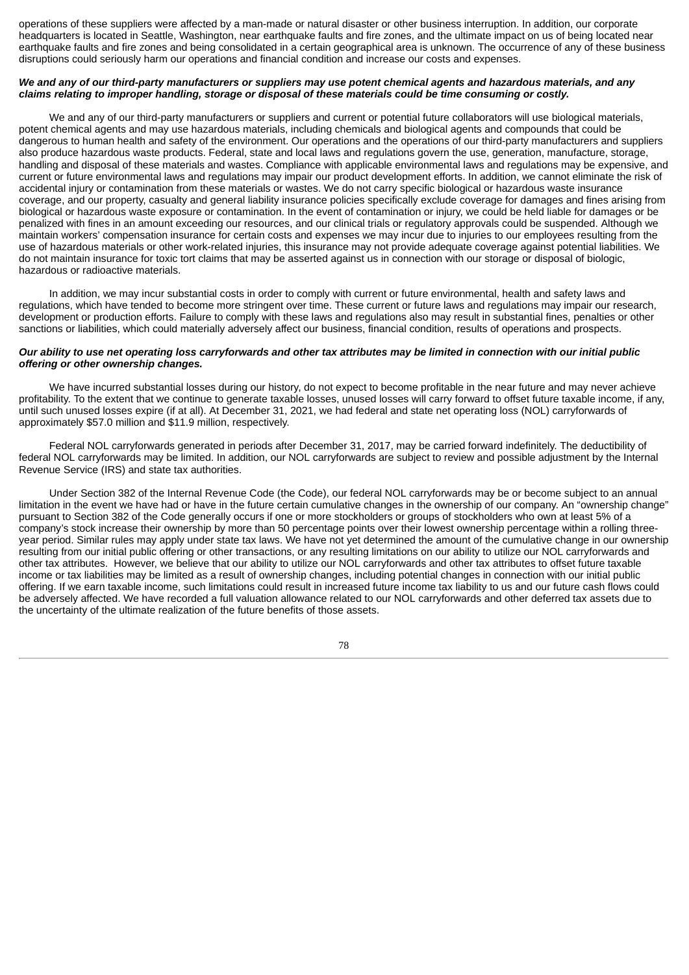operations of these suppliers were affected by a man-made or natural disaster or other business interruption. In addition, our corporate headquarters is located in Seattle, Washington, near earthquake faults and fire zones, and the ultimate impact on us of being located near earthquake faults and fire zones and being consolidated in a certain geographical area is unknown. The occurrence of any of these business disruptions could seriously harm our operations and financial condition and increase our costs and expenses.

## We and any of our third-party manufacturers or suppliers may use potent chemical agents and hazardous materials, and any claims relating to improper handling, storage or disposal of these materials could be time consuming or costly.

We and any of our third-party manufacturers or suppliers and current or potential future collaborators will use biological materials, potent chemical agents and may use hazardous materials, including chemicals and biological agents and compounds that could be dangerous to human health and safety of the environment. Our operations and the operations of our third-party manufacturers and suppliers also produce hazardous waste products. Federal, state and local laws and regulations govern the use, generation, manufacture, storage, handling and disposal of these materials and wastes. Compliance with applicable environmental laws and regulations may be expensive, and current or future environmental laws and regulations may impair our product development efforts. In addition, we cannot eliminate the risk of accidental injury or contamination from these materials or wastes. We do not carry specific biological or hazardous waste insurance coverage, and our property, casualty and general liability insurance policies specifically exclude coverage for damages and fines arising from biological or hazardous waste exposure or contamination. In the event of contamination or injury, we could be held liable for damages or be penalized with fines in an amount exceeding our resources, and our clinical trials or regulatory approvals could be suspended. Although we maintain workers' compensation insurance for certain costs and expenses we may incur due to injuries to our employees resulting from the use of hazardous materials or other work-related injuries, this insurance may not provide adequate coverage against potential liabilities. We do not maintain insurance for toxic tort claims that may be asserted against us in connection with our storage or disposal of biologic, hazardous or radioactive materials.

In addition, we may incur substantial costs in order to comply with current or future environmental, health and safety laws and regulations, which have tended to become more stringent over time. These current or future laws and regulations may impair our research, development or production efforts. Failure to comply with these laws and regulations also may result in substantial fines, penalties or other sanctions or liabilities, which could materially adversely affect our business, financial condition, results of operations and prospects.

### Our ability to use net operating loss carryforwards and other tax attributes may be limited in connection with our initial public *offering or other ownership changes.*

We have incurred substantial losses during our history, do not expect to become profitable in the near future and may never achieve profitability. To the extent that we continue to generate taxable losses, unused losses will carry forward to offset future taxable income, if any, until such unused losses expire (if at all). At December 31, 2021, we had federal and state net operating loss (NOL) carryforwards of approximately \$57.0 million and \$11.9 million, respectively.

Federal NOL carryforwards generated in periods after December 31, 2017, may be carried forward indefinitely. The deductibility of federal NOL carryforwards may be limited. In addition, our NOL carryforwards are subject to review and possible adjustment by the Internal Revenue Service (IRS) and state tax authorities.

Under Section 382 of the Internal Revenue Code (the Code), our federal NOL carryforwards may be or become subject to an annual limitation in the event we have had or have in the future certain cumulative changes in the ownership of our company. An "ownership change" pursuant to Section 382 of the Code generally occurs if one or more stockholders or groups of stockholders who own at least 5% of a company's stock increase their ownership by more than 50 percentage points over their lowest ownership percentage within a rolling threeyear period. Similar rules may apply under state tax laws. We have not yet determined the amount of the cumulative change in our ownership resulting from our initial public offering or other transactions, or any resulting limitations on our ability to utilize our NOL carryforwards and other tax attributes. However, we believe that our ability to utilize our NOL carryforwards and other tax attributes to offset future taxable income or tax liabilities may be limited as a result of ownership changes, including potential changes in connection with our initial public offering. If we earn taxable income, such limitations could result in increased future income tax liability to us and our future cash flows could be adversely affected. We have recorded a full valuation allowance related to our NOL carryforwards and other deferred tax assets due to the uncertainty of the ultimate realization of the future benefits of those assets.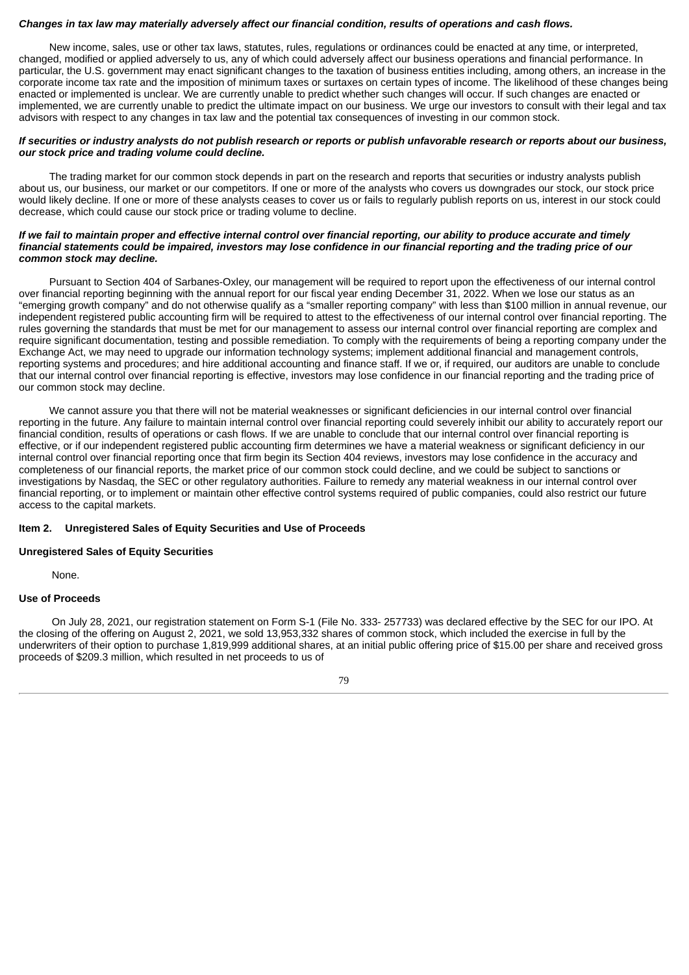### Changes in tax law may materially adversely affect our financial condition, results of operations and cash flows.

New income, sales, use or other tax laws, statutes, rules, regulations or ordinances could be enacted at any time, or interpreted, changed, modified or applied adversely to us, any of which could adversely affect our business operations and financial performance. In particular, the U.S. government may enact significant changes to the taxation of business entities including, among others, an increase in the corporate income tax rate and the imposition of minimum taxes or surtaxes on certain types of income. The likelihood of these changes being enacted or implemented is unclear. We are currently unable to predict whether such changes will occur. If such changes are enacted or implemented, we are currently unable to predict the ultimate impact on our business. We urge our investors to consult with their legal and tax advisors with respect to any changes in tax law and the potential tax consequences of investing in our common stock.

#### If securities or industry analysts do not publish research or reports or publish unfavorable research or reports about our business, *our stock price and trading volume could decline.*

The trading market for our common stock depends in part on the research and reports that securities or industry analysts publish about us, our business, our market or our competitors. If one or more of the analysts who covers us downgrades our stock, our stock price would likely decline. If one or more of these analysts ceases to cover us or fails to regularly publish reports on us, interest in our stock could decrease, which could cause our stock price or trading volume to decline.

### If we fail to maintain proper and effective internal control over financial reporting, our ability to produce accurate and timely financial statements could be impaired, investors may lose confidence in our financial reporting and the trading price of our *common stock may decline.*

Pursuant to Section 404 of Sarbanes-Oxley, our management will be required to report upon the effectiveness of our internal control over financial reporting beginning with the annual report for our fiscal year ending December 31, 2022. When we lose our status as an "emerging growth company" and do not otherwise qualify as a "smaller reporting company" with less than \$100 million in annual revenue, our independent registered public accounting firm will be required to attest to the effectiveness of our internal control over financial reporting. The rules governing the standards that must be met for our management to assess our internal control over financial reporting are complex and require significant documentation, testing and possible remediation. To comply with the requirements of being a reporting company under the Exchange Act, we may need to upgrade our information technology systems; implement additional financial and management controls, reporting systems and procedures; and hire additional accounting and finance staff. If we or, if required, our auditors are unable to conclude that our internal control over financial reporting is effective, investors may lose confidence in our financial reporting and the trading price of our common stock may decline.

We cannot assure you that there will not be material weaknesses or significant deficiencies in our internal control over financial reporting in the future. Any failure to maintain internal control over financial reporting could severely inhibit our ability to accurately report our financial condition, results of operations or cash flows. If we are unable to conclude that our internal control over financial reporting is effective, or if our independent registered public accounting firm determines we have a material weakness or significant deficiency in our internal control over financial reporting once that firm begin its Section 404 reviews, investors may lose confidence in the accuracy and completeness of our financial reports, the market price of our common stock could decline, and we could be subject to sanctions or investigations by Nasdaq, the SEC or other regulatory authorities. Failure to remedy any material weakness in our internal control over financial reporting, or to implement or maintain other effective control systems required of public companies, could also restrict our future access to the capital markets.

#### **Item 2. Unregistered Sales of Equity Securities and Use of Proceeds**

## **Unregistered Sales of Equity Securities**

None.

### **Use of Proceeds**

On July 28, 2021, our registration statement on Form S-1 (File No. 333- 257733) was declared effective by the SEC for our IPO. At the closing of the offering on August 2, 2021, we sold 13,953,332 shares of common stock, which included the exercise in full by the underwriters of their option to purchase 1,819,999 additional shares, at an initial public offering price of \$15.00 per share and received gross proceeds of \$209.3 million, which resulted in net proceeds to us of

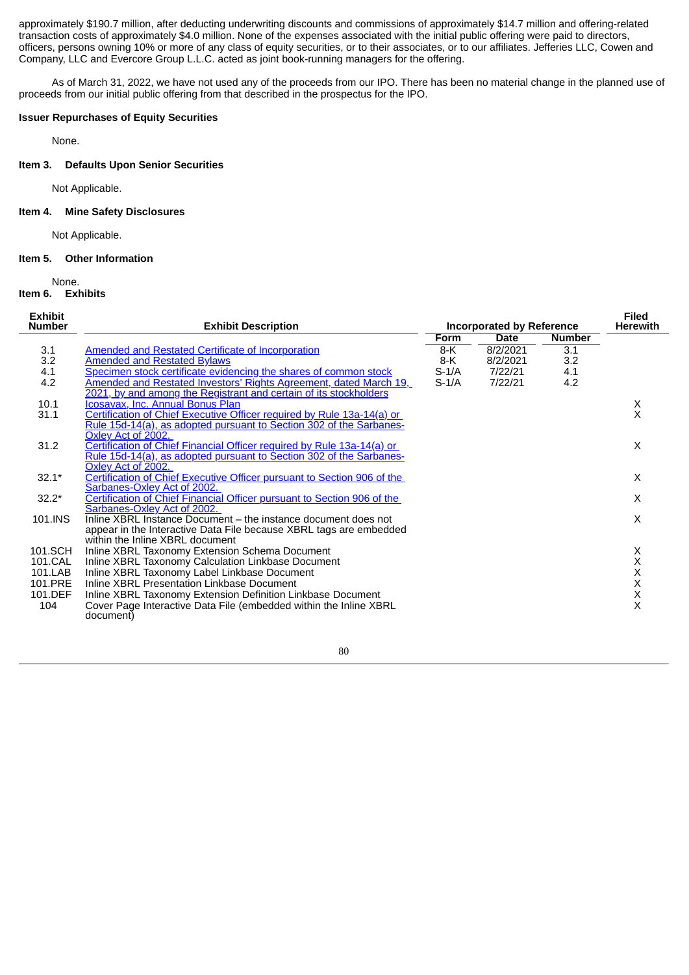approximately \$190.7 million, after deducting underwriting discounts and commissions of approximately \$14.7 million and offering-related transaction costs of approximately \$4.0 million. None of the expenses associated with the initial public offering were paid to directors, officers, persons owning 10% or more of any class of equity securities, or to their associates, or to our affiliates. Jefferies LLC, Cowen and Company, LLC and Evercore Group L.L.C. acted as joint book-running managers for the offering.

As of March 31, 2022, we have not used any of the proceeds from our IPO. There has been no material change in the planned use of proceeds from our initial public offering from that described in the prospectus for the IPO.

### **Issuer Repurchases of Equity Securities**

None.

#### **Item 3. Defaults Upon Senior Securities**

Not Applicable.

## **Item 4. Mine Safety Disclosures**

Not Applicable.

# **Item 5. Other Information**

#### None.<br>**Item 6.** Ex **Exhibits**

| <b>Exhibit</b><br><b>Number</b> | <b>Exhibit Description</b>                                                                    | Incorporated by Reference |          | <b>Filed</b><br><b>Herewith</b> |             |
|---------------------------------|-----------------------------------------------------------------------------------------------|---------------------------|----------|---------------------------------|-------------|
|                                 |                                                                                               | Form                      | Date     | <b>Number</b>                   |             |
| 3.1                             | <b>Amended and Restated Certificate of Incorporation</b>                                      | $8-K$                     | 8/2/2021 | 3.1                             |             |
| 3.2                             | <b>Amended and Restated Bylaws</b>                                                            | 8-K                       | 8/2/2021 | 3.2                             |             |
| 4.1                             | Specimen stock certificate evidencing the shares of common stock                              | $S-1/A$                   | 7/22/21  | 4.1                             |             |
| 4.2                             | Amended and Restated Investors' Rights Agreement, dated March 19,                             | $S-1/A$                   | 7/22/21  | 4.2                             |             |
|                                 | 2021, by and among the Registrant and certain of its stockholders                             |                           |          |                                 |             |
| 10.1                            | <b>Icosavax, Inc. Annual Bonus Plan</b>                                                       |                           |          |                                 | X           |
| 31.1                            | Certification of Chief Executive Officer required by Rule 13a-14(a) or                        |                           |          |                                 | $\times$    |
|                                 | <u>Rule 15d-14(a), as adopted pursuant to Section 302 of the Sarbanes-</u>                    |                           |          |                                 |             |
|                                 | <u>Oxley Act of 2002.</u>                                                                     |                           |          |                                 |             |
| 31.2                            | Certification of Chief Financial Officer required by Rule 13a-14(a) or                        |                           |          |                                 | X           |
|                                 | Rule 15d-14(a), as adopted pursuant to Section 302 of the Sarbanes-                           |                           |          |                                 |             |
|                                 | Oxley Act of 2002.                                                                            |                           |          |                                 |             |
| $32.1*$                         | Certification of Chief Executive Officer pursuant to Section 906 of the                       |                           |          |                                 | X           |
| $32.2*$                         | <b>Sarbanes-Oxley Act of 2002.</b>                                                            |                           |          |                                 |             |
|                                 | Certification of Chief Financial Officer pursuant to Section 906 of the                       |                           |          |                                 | X           |
|                                 | Sarbanes-Oxley Act of 2002.<br>Inline XBRL Instance Document – the instance document does not |                           |          |                                 | X           |
| 101.INS                         | appear in the Interactive Data File because XBRL tags are embedded                            |                           |          |                                 |             |
|                                 | within the Inline XBRL document                                                               |                           |          |                                 |             |
| 101.SCH                         | Inline XBRL Taxonomy Extension Schema Document                                                |                           |          |                                 | X           |
| 101.CAL                         | Inline XBRL Taxonomy Calculation Linkbase Document                                            |                           |          |                                 | X           |
| 101.LAB                         | Inline XBRL Taxonomy Label Linkbase Document                                                  |                           |          |                                 | Χ           |
| 101.PRE                         | Inline XBRL Presentation Linkbase Document                                                    |                           |          |                                 | X           |
| 101.DEF                         | Inline XBRL Taxonomy Extension Definition Linkbase Document                                   |                           |          |                                 | $\mathsf X$ |
| 104                             | Cover Page Interactive Data File (embedded within the Inline XBRL                             |                           |          |                                 | X           |
|                                 | document)                                                                                     |                           |          |                                 |             |
|                                 |                                                                                               |                           |          |                                 |             |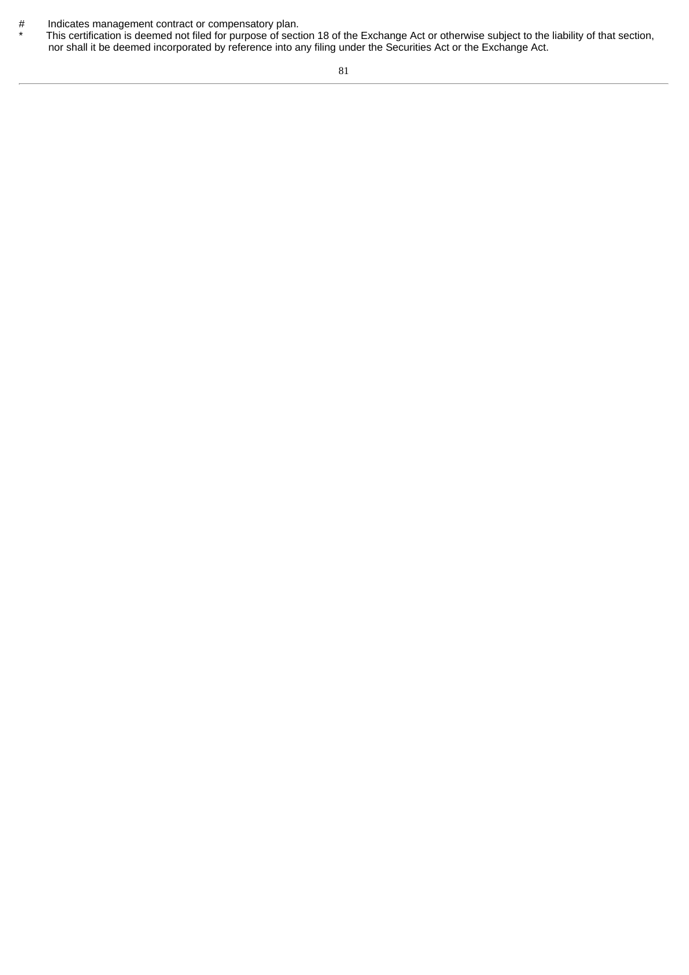## # Indicates management contract or compensatory plan.

\* This certification is deemed not filed for purpose of section 18 of the Exchange Act or otherwise subject to the liability of that section, nor shall it be deemed incorporated by reference into any filing under the Securities Act or the Exchange Act.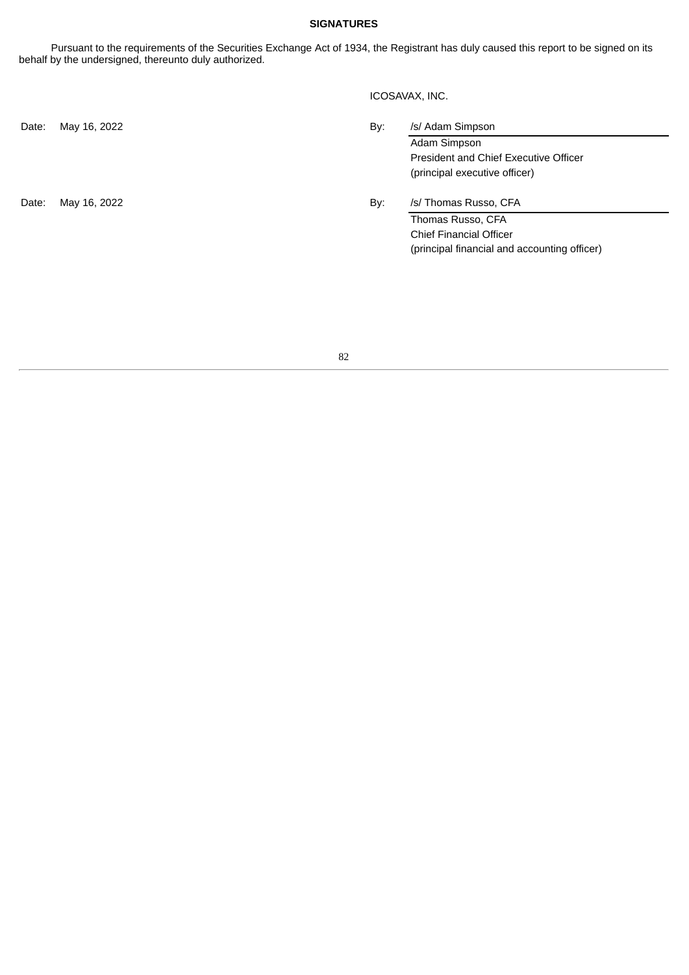## **SIGNATURES**

Pursuant to the requirements of the Securities Exchange Act of 1934, the Registrant has duly caused this report to be signed on its behalf by the undersigned, thereunto duly authorized.

Date: May 16, 2022

Date: May 16, 2022

ICOSAVAX, INC.

| Bv: | /s/ Adam Simpson                      |
|-----|---------------------------------------|
|     | Adam Simpson                          |
|     | President and Chief Executive Officer |
|     | (principal executive officer)         |
|     |                                       |
| Bv: | /s/ Thomas Russo, CFA                 |
|     | Thomas Ducco, CEA                     |

Thomas Russo, CFA Chief Financial Officer (principal financial and accounting officer)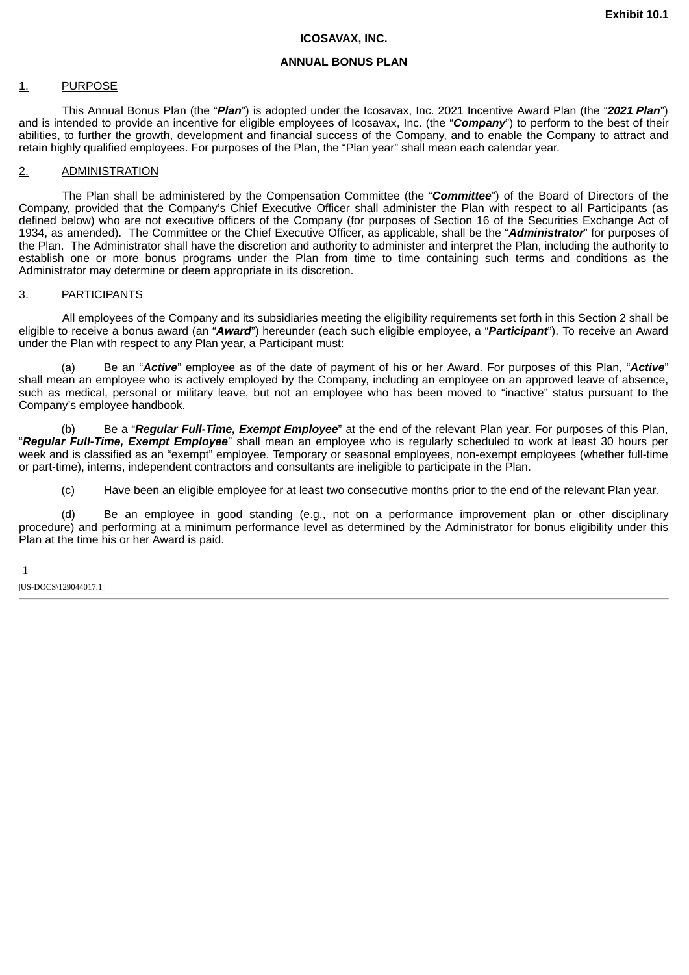## **ANNUAL BONUS PLAN**

## <span id="page-83-0"></span>1. PURPOSE

This Annual Bonus Plan (the "*Plan*") is adopted under the Icosavax, Inc. 2021 Incentive Award Plan (the "*2021 Plan*") and is intended to provide an incentive for eligible employees of Icosavax, Inc. (the "*Company*") to perform to the best of their abilities, to further the growth, development and financial success of the Company, and to enable the Company to attract and retain highly qualified employees. For purposes of the Plan, the "Plan year" shall mean each calendar year.

### 2. ADMINISTRATION

The Plan shall be administered by the Compensation Committee (the "*Committee*") of the Board of Directors of the Company, provided that the Company's Chief Executive Officer shall administer the Plan with respect to all Participants (as defined below) who are not executive officers of the Company (for purposes of Section 16 of the Securities Exchange Act of 1934, as amended). The Committee or the Chief Executive Officer, as applicable, shall be the "*Administrator*" for purposes of the Plan. The Administrator shall have the discretion and authority to administer and interpret the Plan, including the authority to establish one or more bonus programs under the Plan from time to time containing such terms and conditions as the Administrator may determine or deem appropriate in its discretion.

#### 3. PARTICIPANTS

All employees of the Company and its subsidiaries meeting the eligibility requirements set forth in this Section 2 shall be eligible to receive a bonus award (an "*Award*") hereunder (each such eligible employee, a "*Participant*"). To receive an Award under the Plan with respect to any Plan year, a Participant must:

(a) Be an "*Active*" employee as of the date of payment of his or her Award. For purposes of this Plan, "*Active*" shall mean an employee who is actively employed by the Company, including an employee on an approved leave of absence, such as medical, personal or military leave, but not an employee who has been moved to "inactive" status pursuant to the Company's employee handbook.

(b) Be a "*Regular Full-Time, Exempt Employee*" at the end of the relevant Plan year. For purposes of this Plan, "*Regular Full-Time, Exempt Employee*" shall mean an employee who is regularly scheduled to work at least 30 hours per week and is classified as an "exempt" employee. Temporary or seasonal employees, non-exempt employees (whether full-time or part-time), interns, independent contractors and consultants are ineligible to participate in the Plan.

(c) Have been an eligible employee for at least two consecutive months prior to the end of the relevant Plan year.

(d) Be an employee in good standing (e.g., not on a performance improvement plan or other disciplinary procedure) and performing at a minimum performance level as determined by the Administrator for bonus eligibility under this Plan at the time his or her Award is paid.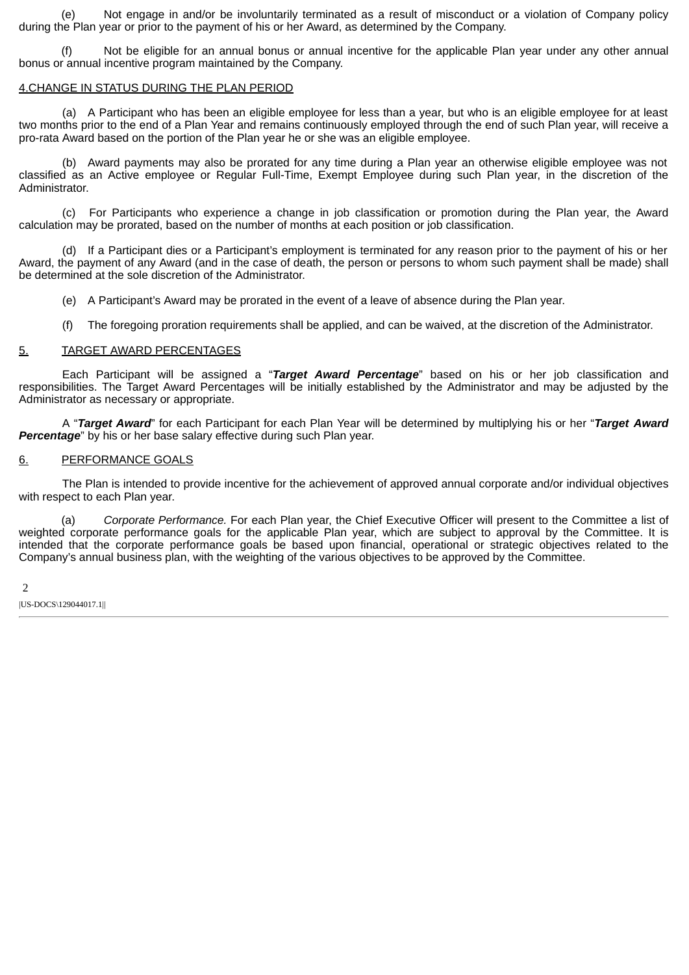(e) Not engage in and/or be involuntarily terminated as a result of misconduct or a violation of Company policy during the Plan year or prior to the payment of his or her Award, as determined by the Company.

Not be eligible for an annual bonus or annual incentive for the applicable Plan year under any other annual bonus or annual incentive program maintained by the Company.

## 4.CHANGE IN STATUS DURING THE PLAN PERIOD

(a) A Participant who has been an eligible employee for less than a year, but who is an eligible employee for at least two months prior to the end of a Plan Year and remains continuously employed through the end of such Plan year, will receive a pro-rata Award based on the portion of the Plan year he or she was an eligible employee.

(b) Award payments may also be prorated for any time during a Plan year an otherwise eligible employee was not classified as an Active employee or Regular Full-Time, Exempt Employee during such Plan year, in the discretion of the Administrator.

(c) For Participants who experience a change in job classification or promotion during the Plan year, the Award calculation may be prorated, based on the number of months at each position or job classification.

(d) If a Participant dies or a Participant's employment is terminated for any reason prior to the payment of his or her Award, the payment of any Award (and in the case of death, the person or persons to whom such payment shall be made) shall be determined at the sole discretion of the Administrator.

- (e) A Participant's Award may be prorated in the event of a leave of absence during the Plan year.
- (f) The foregoing proration requirements shall be applied, and can be waived, at the discretion of the Administrator.

## 5. TARGET AWARD PERCENTAGES

Each Participant will be assigned a "*Target Award Percentage*" based on his or her job classification and responsibilities. The Target Award Percentages will be initially established by the Administrator and may be adjusted by the Administrator as necessary or appropriate.

A "*Target Award*" for each Participant for each Plan Year will be determined by multiplying his or her "*Target Award Percentage*" by his or her base salary effective during such Plan year.

## 6. PERFORMANCE GOALS

The Plan is intended to provide incentive for the achievement of approved annual corporate and/or individual objectives with respect to each Plan year.

(a) *Corporate Performance.* For each Plan year, the Chief Executive Officer will present to the Committee a list of weighted corporate performance goals for the applicable Plan year, which are subject to approval by the Committee. It is intended that the corporate performance goals be based upon financial, operational or strategic objectives related to the Company's annual business plan, with the weighting of the various objectives to be approved by the Committee.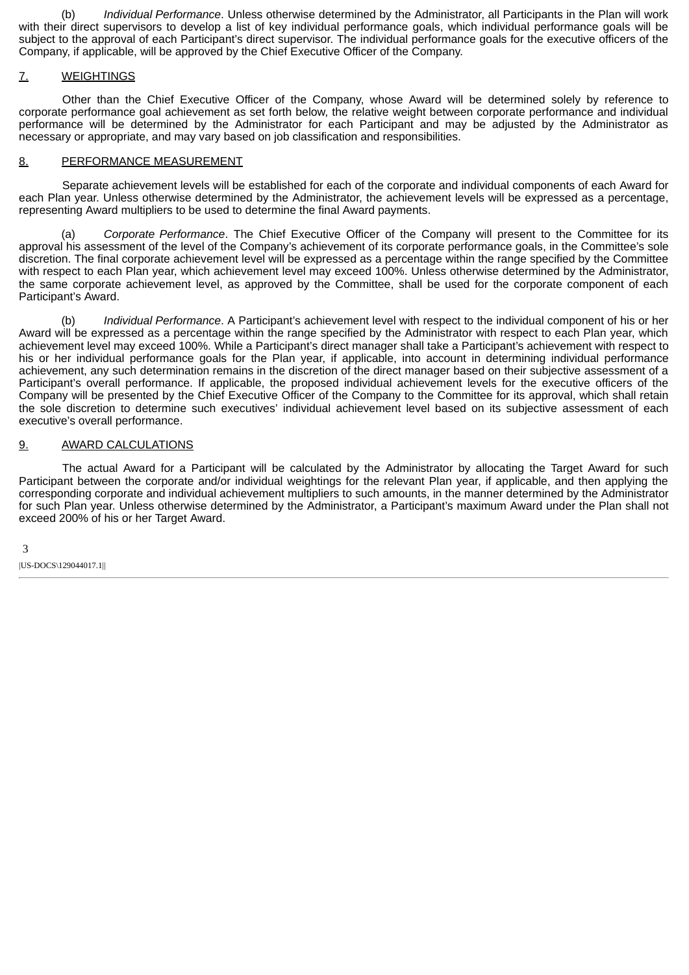(b) *Individual Performance*. Unless otherwise determined by the Administrator, all Participants in the Plan will work with their direct supervisors to develop a list of key individual performance goals, which individual performance goals will be subject to the approval of each Participant's direct supervisor. The individual performance goals for the executive officers of the Company, if applicable, will be approved by the Chief Executive Officer of the Company.

# 7. WEIGHTINGS

Other than the Chief Executive Officer of the Company, whose Award will be determined solely by reference to corporate performance goal achievement as set forth below, the relative weight between corporate performance and individual performance will be determined by the Administrator for each Participant and may be adjusted by the Administrator as necessary or appropriate, and may vary based on job classification and responsibilities.

## 8. PERFORMANCE MEASUREMENT

Separate achievement levels will be established for each of the corporate and individual components of each Award for each Plan year. Unless otherwise determined by the Administrator, the achievement levels will be expressed as a percentage, representing Award multipliers to be used to determine the final Award payments.

(a) *Corporate Performance*. The Chief Executive Officer of the Company will present to the Committee for its approval his assessment of the level of the Company's achievement of its corporate performance goals, in the Committee's sole discretion. The final corporate achievement level will be expressed as a percentage within the range specified by the Committee with respect to each Plan year, which achievement level may exceed 100%. Unless otherwise determined by the Administrator, the same corporate achievement level, as approved by the Committee, shall be used for the corporate component of each Participant's Award.

(b) *Individual Performance*. A Participant's achievement level with respect to the individual component of his or her Award will be expressed as a percentage within the range specified by the Administrator with respect to each Plan year, which achievement level may exceed 100%. While a Participant's direct manager shall take a Participant's achievement with respect to his or her individual performance goals for the Plan year, if applicable, into account in determining individual performance achievement, any such determination remains in the discretion of the direct manager based on their subjective assessment of a Participant's overall performance. If applicable, the proposed individual achievement levels for the executive officers of the Company will be presented by the Chief Executive Officer of the Company to the Committee for its approval, which shall retain the sole discretion to determine such executives' individual achievement level based on its subjective assessment of each executive's overall performance.

# 9. AWARD CALCULATIONS

The actual Award for a Participant will be calculated by the Administrator by allocating the Target Award for such Participant between the corporate and/or individual weightings for the relevant Plan year, if applicable, and then applying the corresponding corporate and individual achievement multipliers to such amounts, in the manner determined by the Administrator for such Plan year. Unless otherwise determined by the Administrator, a Participant's maximum Award under the Plan shall not exceed 200% of his or her Target Award.

3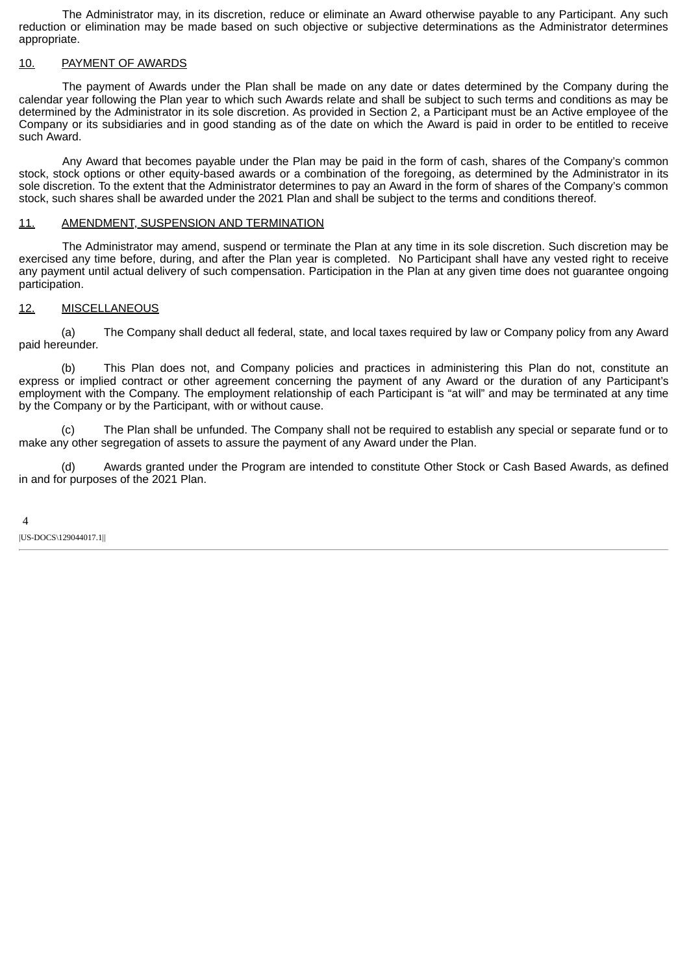The Administrator may, in its discretion, reduce or eliminate an Award otherwise payable to any Participant. Any such reduction or elimination may be made based on such objective or subjective determinations as the Administrator determines appropriate.

## 10. PAYMENT OF AWARDS

The payment of Awards under the Plan shall be made on any date or dates determined by the Company during the calendar year following the Plan year to which such Awards relate and shall be subject to such terms and conditions as may be determined by the Administrator in its sole discretion. As provided in Section 2, a Participant must be an Active employee of the Company or its subsidiaries and in good standing as of the date on which the Award is paid in order to be entitled to receive such Award.

Any Award that becomes payable under the Plan may be paid in the form of cash, shares of the Company's common stock, stock options or other equity-based awards or a combination of the foregoing, as determined by the Administrator in its sole discretion. To the extent that the Administrator determines to pay an Award in the form of shares of the Company's common stock, such shares shall be awarded under the 2021 Plan and shall be subject to the terms and conditions thereof.

## 11. AMENDMENT, SUSPENSION AND TERMINATION

The Administrator may amend, suspend or terminate the Plan at any time in its sole discretion. Such discretion may be exercised any time before, during, and after the Plan year is completed. No Participant shall have any vested right to receive any payment until actual delivery of such compensation. Participation in the Plan at any given time does not guarantee ongoing participation.

## 12. MISCELLANEOUS

(a) The Company shall deduct all federal, state, and local taxes required by law or Company policy from any Award paid hereunder.

(b) This Plan does not, and Company policies and practices in administering this Plan do not, constitute an express or implied contract or other agreement concerning the payment of any Award or the duration of any Participant's employment with the Company. The employment relationship of each Participant is "at will" and may be terminated at any time by the Company or by the Participant, with or without cause.

(c) The Plan shall be unfunded. The Company shall not be required to establish any special or separate fund or to make any other segregation of assets to assure the payment of any Award under the Plan.

(d) Awards granted under the Program are intended to constitute Other Stock or Cash Based Awards, as defined in and for purposes of the 2021 Plan.

 $\overline{A}$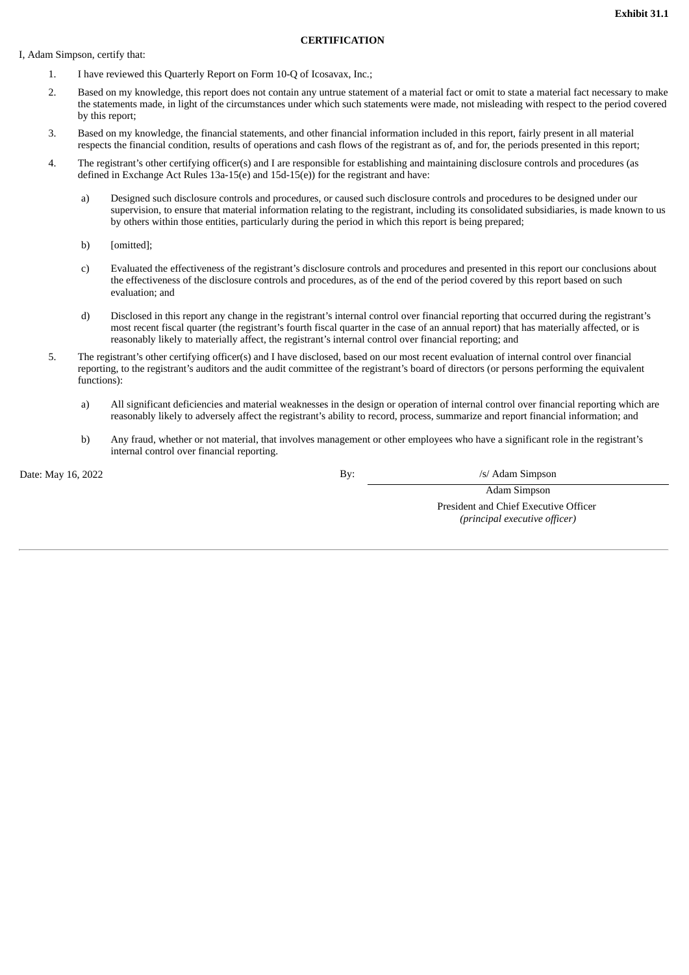### **CERTIFICATION**

<span id="page-87-0"></span>I, Adam Simpson, certify that:

- 1. I have reviewed this Quarterly Report on Form 10-Q of Icosavax, Inc.;
- 2. Based on my knowledge, this report does not contain any untrue statement of a material fact or omit to state a material fact necessary to make the statements made, in light of the circumstances under which such statements were made, not misleading with respect to the period covered by this report;
- 3. Based on my knowledge, the financial statements, and other financial information included in this report, fairly present in all material respects the financial condition, results of operations and cash flows of the registrant as of, and for, the periods presented in this report;
- 4. The registrant's other certifying officer(s) and I are responsible for establishing and maintaining disclosure controls and procedures (as defined in Exchange Act Rules 13a-15(e) and 15d-15(e)) for the registrant and have:
	- a) Designed such disclosure controls and procedures, or caused such disclosure controls and procedures to be designed under our supervision, to ensure that material information relating to the registrant, including its consolidated subsidiaries, is made known to us by others within those entities, particularly during the period in which this report is being prepared;
	- b) [omitted];
	- c) Evaluated the effectiveness of the registrant's disclosure controls and procedures and presented in this report our conclusions about the effectiveness of the disclosure controls and procedures, as of the end of the period covered by this report based on such evaluation; and
	- d) Disclosed in this report any change in the registrant's internal control over financial reporting that occurred during the registrant's most recent fiscal quarter (the registrant's fourth fiscal quarter in the case of an annual report) that has materially affected, or is reasonably likely to materially affect, the registrant's internal control over financial reporting; and
- 5. The registrant's other certifying officer(s) and I have disclosed, based on our most recent evaluation of internal control over financial reporting, to the registrant's auditors and the audit committee of the registrant's board of directors (or persons performing the equivalent functions):
	- a) All significant deficiencies and material weaknesses in the design or operation of internal control over financial reporting which are reasonably likely to adversely affect the registrant's ability to record, process, summarize and report financial information; and
	- b) Any fraud, whether or not material, that involves management or other employees who have a significant role in the registrant's internal control over financial reporting.

Date: May 16, 2022 **By:** *By: By: By: Islament By: Islament By: Islament By: By: By: Islament By: Islament By: Islament By: Islament By: Islament By: Islament By: Islament By* Adam Simpson President and Chief Executive Officer *(principal executive officer)*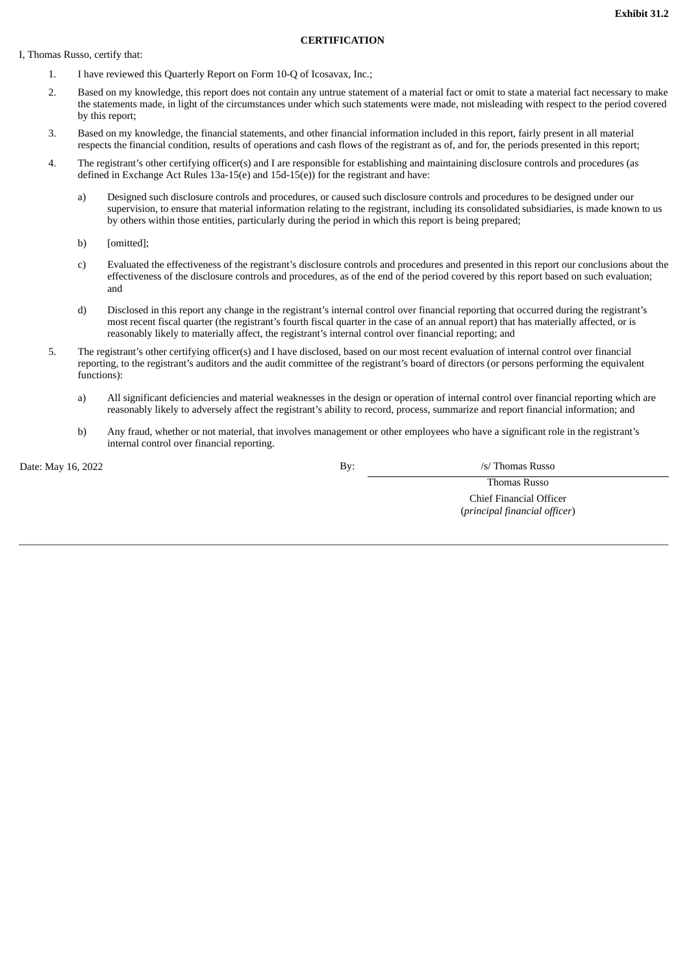### **CERTIFICATION**

<span id="page-88-0"></span>I, Thomas Russo, certify that:

- 1. I have reviewed this Quarterly Report on Form 10-Q of Icosavax, Inc.;
- 2. Based on my knowledge, this report does not contain any untrue statement of a material fact or omit to state a material fact necessary to make the statements made, in light of the circumstances under which such statements were made, not misleading with respect to the period covered by this report;
- 3. Based on my knowledge, the financial statements, and other financial information included in this report, fairly present in all material respects the financial condition, results of operations and cash flows of the registrant as of, and for, the periods presented in this report;
- 4. The registrant's other certifying officer(s) and I are responsible for establishing and maintaining disclosure controls and procedures (as defined in Exchange Act Rules 13a-15(e) and 15d-15(e)) for the registrant and have:
	- a) Designed such disclosure controls and procedures, or caused such disclosure controls and procedures to be designed under our supervision, to ensure that material information relating to the registrant, including its consolidated subsidiaries, is made known to us by others within those entities, particularly during the period in which this report is being prepared;
	- b) [omitted];
	- c) Evaluated the effectiveness of the registrant's disclosure controls and procedures and presented in this report our conclusions about the effectiveness of the disclosure controls and procedures, as of the end of the period covered by this report based on such evaluation; and
	- d) Disclosed in this report any change in the registrant's internal control over financial reporting that occurred during the registrant's most recent fiscal quarter (the registrant's fourth fiscal quarter in the case of an annual report) that has materially affected, or is reasonably likely to materially affect, the registrant's internal control over financial reporting; and
- 5. The registrant's other certifying officer(s) and I have disclosed, based on our most recent evaluation of internal control over financial reporting, to the registrant's auditors and the audit committee of the registrant's board of directors (or persons performing the equivalent functions):
	- a) All significant deficiencies and material weaknesses in the design or operation of internal control over financial reporting which are reasonably likely to adversely affect the registrant's ability to record, process, summarize and report financial information; and
	- b) Any fraud, whether or not material, that involves management or other employees who have a significant role in the registrant's internal control over financial reporting.

Date: May 16, 2022 <br>By: /s/ Thomas Russo

Thomas Russo Chief Financial Officer (*principal financial officer*)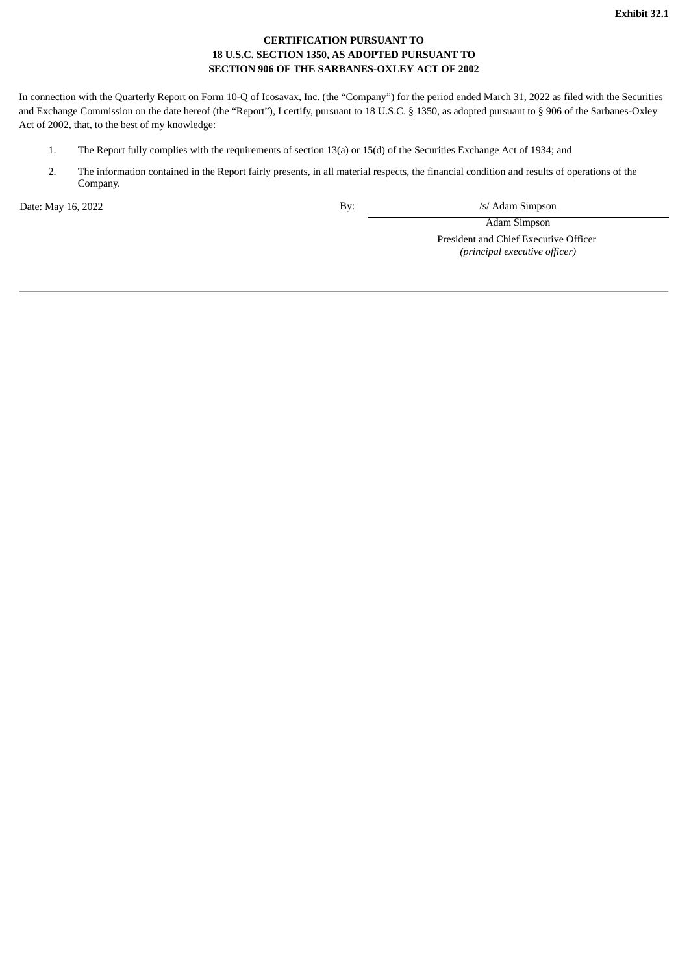# **CERTIFICATION PURSUANT TO 18 U.S.C. SECTION 1350, AS ADOPTED PURSUANT TO SECTION 906 OF THE SARBANES-OXLEY ACT OF 2002**

<span id="page-89-0"></span>In connection with the Quarterly Report on Form 10-Q of Icosavax, Inc. (the "Company") for the period ended March 31, 2022 as filed with the Securities and Exchange Commission on the date hereof (the "Report"), I certify, pursuant to 18 U.S.C. § 1350, as adopted pursuant to § 906 of the Sarbanes-Oxley Act of 2002, that, to the best of my knowledge:

- 1. The Report fully complies with the requirements of section 13(a) or 15(d) of the Securities Exchange Act of 1934; and
- 2. The information contained in the Report fairly presents, in all material respects, the financial condition and results of operations of the Company.

Date: May 16, 2022 **By:** /s/ Adam Simpson

Adam Simpson President and Chief Executive Officer *(principal executive officer)*